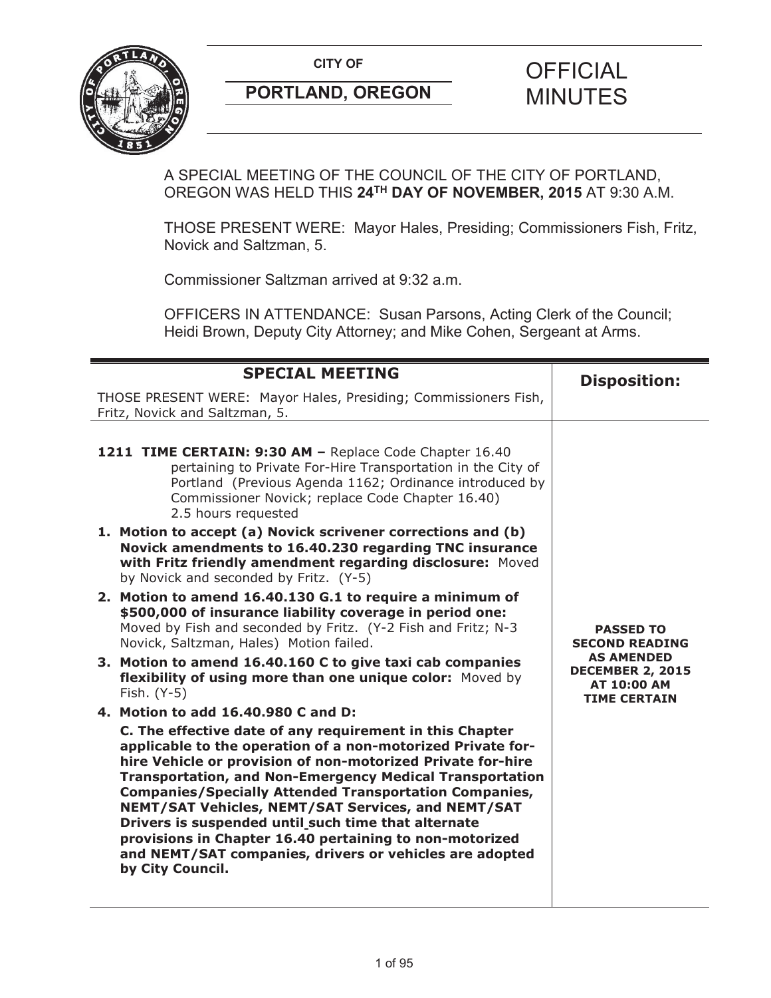

A SPECIAL MEETING OF THE COUNCIL OF THE CITY OF PORTLAND, OREGON WAS HELD THIS **24TH DAY OF NOVEMBER, 2015** AT 9:30 A.M.

THOSE PRESENT WERE: Mayor Hales, Presiding; Commissioners Fish, Fritz, Novick and Saltzman, 5.

Commissioner Saltzman arrived at 9:32 a.m.

OFFICERS IN ATTENDANCE: Susan Parsons, Acting Clerk of the Council; Heidi Brown, Deputy City Attorney; and Mike Cohen, Sergeant at Arms.

| <b>SPECIAL MEETING</b>                                                                                                                                                                                                                                                                                                                                                                                                                                                                                                                                                            | <b>Disposition:</b>                                                                       |
|-----------------------------------------------------------------------------------------------------------------------------------------------------------------------------------------------------------------------------------------------------------------------------------------------------------------------------------------------------------------------------------------------------------------------------------------------------------------------------------------------------------------------------------------------------------------------------------|-------------------------------------------------------------------------------------------|
| THOSE PRESENT WERE: Mayor Hales, Presiding; Commissioners Fish,<br>Fritz, Novick and Saltzman, 5.                                                                                                                                                                                                                                                                                                                                                                                                                                                                                 |                                                                                           |
|                                                                                                                                                                                                                                                                                                                                                                                                                                                                                                                                                                                   |                                                                                           |
| 1211 TIME CERTAIN: 9:30 AM - Replace Code Chapter 16.40<br>pertaining to Private For-Hire Transportation in the City of<br>Portland (Previous Agenda 1162; Ordinance introduced by<br>Commissioner Novick; replace Code Chapter 16.40)<br>2.5 hours requested                                                                                                                                                                                                                                                                                                                     |                                                                                           |
| 1. Motion to accept (a) Novick scrivener corrections and (b)<br>Novick amendments to 16.40.230 regarding TNC insurance<br>with Fritz friendly amendment regarding disclosure: Moved<br>by Novick and seconded by Fritz. (Y-5)                                                                                                                                                                                                                                                                                                                                                     |                                                                                           |
| 2. Motion to amend 16.40.130 G.1 to require a minimum of<br>\$500,000 of insurance liability coverage in period one:<br>Moved by Fish and seconded by Fritz. (Y-2 Fish and Fritz; N-3<br>Novick, Saltzman, Hales) Motion failed.                                                                                                                                                                                                                                                                                                                                                  | <b>PASSED TO</b><br><b>SECOND READING</b>                                                 |
| 3. Motion to amend 16.40.160 C to give taxi cab companies<br>flexibility of using more than one unique color: Moved by<br>Fish. (Y-5)                                                                                                                                                                                                                                                                                                                                                                                                                                             | <b>AS AMENDED</b><br><b>DECEMBER 2, 2015</b><br><b>AT 10:00 AM</b><br><b>TIME CERTAIN</b> |
| 4. Motion to add 16.40.980 C and D:                                                                                                                                                                                                                                                                                                                                                                                                                                                                                                                                               |                                                                                           |
| C. The effective date of any requirement in this Chapter<br>applicable to the operation of a non-motorized Private for-<br>hire Vehicle or provision of non-motorized Private for-hire<br><b>Transportation, and Non-Emergency Medical Transportation</b><br><b>Companies/Specially Attended Transportation Companies,</b><br>NEMT/SAT Vehicles, NEMT/SAT Services, and NEMT/SAT<br>Drivers is suspended until_such time that alternate<br>provisions in Chapter 16.40 pertaining to non-motorized<br>and NEMT/SAT companies, drivers or vehicles are adopted<br>by City Council. |                                                                                           |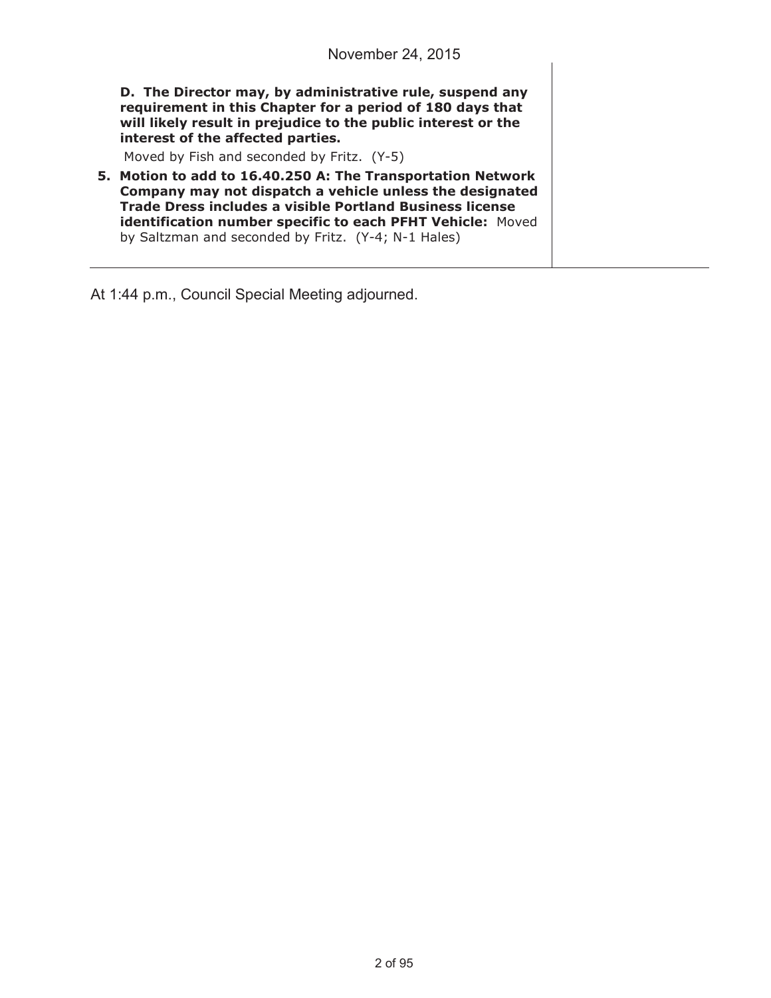**D. The Director may, by administrative rule, suspend any requirement in this Chapter for a period of 180 days that will likely result in prejudice to the public interest or the interest of the affected parties.** 

Moved by Fish and seconded by Fritz. (Y-5)

**5. Motion to add to 16.40.250 A: The Transportation Network Company may not dispatch a vehicle unless the designated Trade Dress includes a visible Portland Business license identification number specific to each PFHT Vehicle:** Moved by Saltzman and seconded by Fritz. (Y-4; N-1 Hales)

At 1:44 p.m., Council Special Meeting adjourned.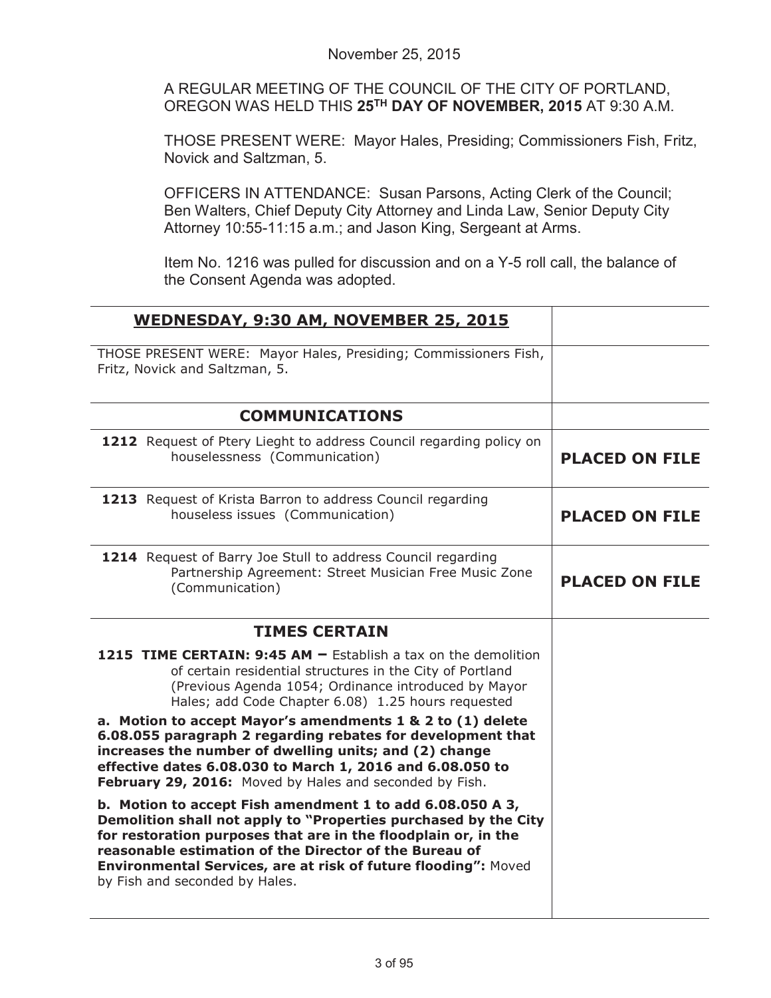A REGULAR MEETING OF THE COUNCIL OF THE CITY OF PORTLAND, OREGON WAS HELD THIS **25TH DAY OF NOVEMBER, 2015** AT 9:30 A.M.

THOSE PRESENT WERE: Mayor Hales, Presiding; Commissioners Fish, Fritz, Novick and Saltzman, 5.

OFFICERS IN ATTENDANCE: Susan Parsons, Acting Clerk of the Council; Ben Walters, Chief Deputy City Attorney and Linda Law, Senior Deputy City Attorney 10:55-11:15 a.m.; and Jason King, Sergeant at Arms.

Item No. 1216 was pulled for discussion and on a Y-5 roll call, the balance of the Consent Agenda was adopted.

| WEDNESDAY, 9:30 AM, NOVEMBER 25, 2015                                                                                                                                                                                                                                                                                                                        |                       |
|--------------------------------------------------------------------------------------------------------------------------------------------------------------------------------------------------------------------------------------------------------------------------------------------------------------------------------------------------------------|-----------------------|
| THOSE PRESENT WERE: Mayor Hales, Presiding; Commissioners Fish,<br>Fritz, Novick and Saltzman, 5.                                                                                                                                                                                                                                                            |                       |
| <b>COMMUNICATIONS</b>                                                                                                                                                                                                                                                                                                                                        |                       |
| 1212 Request of Ptery Lieght to address Council regarding policy on<br>houselessness (Communication)                                                                                                                                                                                                                                                         | <b>PLACED ON FILE</b> |
| 1213 Request of Krista Barron to address Council regarding<br>houseless issues (Communication)                                                                                                                                                                                                                                                               | <b>PLACED ON FILE</b> |
| 1214 Request of Barry Joe Stull to address Council regarding<br>Partnership Agreement: Street Musician Free Music Zone<br>(Communication)                                                                                                                                                                                                                    | <b>PLACED ON FILE</b> |
| <b>TIMES CERTAIN</b>                                                                                                                                                                                                                                                                                                                                         |                       |
| <b>1215 TIME CERTAIN: 9:45 AM <math>-</math> Establish a tax on the demolition</b><br>of certain residential structures in the City of Portland<br>(Previous Agenda 1054; Ordinance introduced by Mayor<br>Hales; add Code Chapter 6.08) 1.25 hours requested                                                                                                |                       |
| a. Motion to accept Mayor's amendments 1 & 2 to (1) delete<br>6.08.055 paragraph 2 regarding rebates for development that<br>increases the number of dwelling units; and (2) change<br>effective dates 6.08.030 to March 1, 2016 and 6.08.050 to<br>February 29, 2016: Moved by Hales and seconded by Fish.                                                  |                       |
| b. Motion to accept Fish amendment 1 to add 6.08.050 A 3,<br>Demolition shall not apply to "Properties purchased by the City<br>for restoration purposes that are in the floodplain or, in the<br>reasonable estimation of the Director of the Bureau of<br>Environmental Services, are at risk of future flooding": Moved<br>by Fish and seconded by Hales. |                       |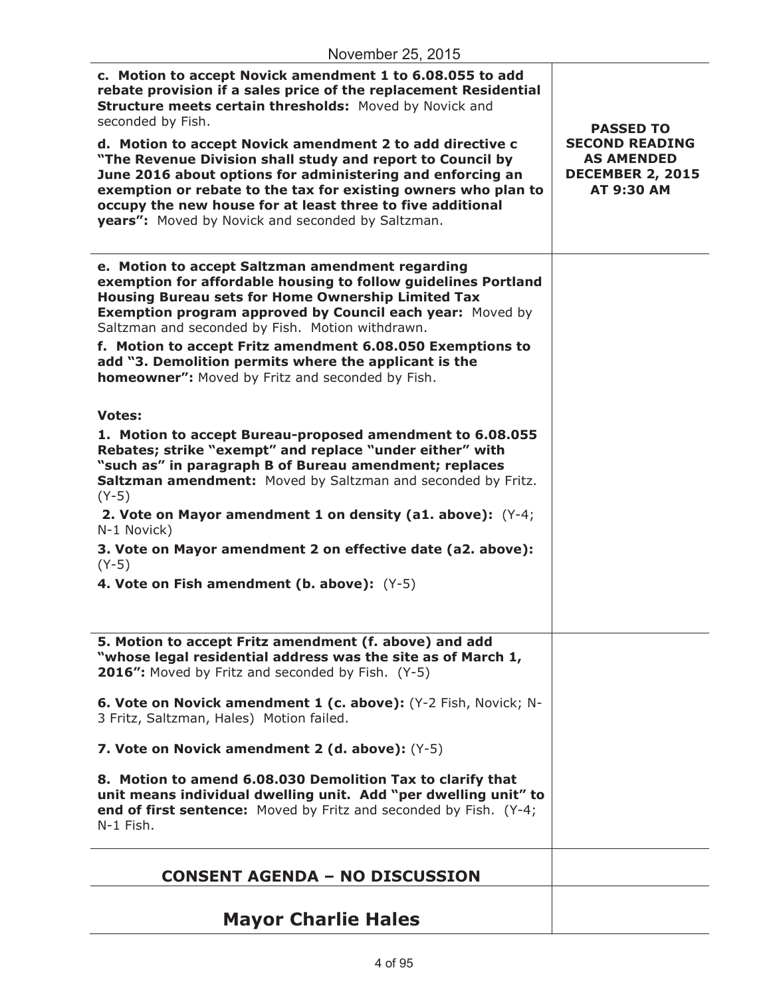| c. Motion to accept Novick amendment 1 to 6.08.055 to add<br>rebate provision if a sales price of the replacement Residential<br>Structure meets certain thresholds: Moved by Novick and<br>seconded by Fish.<br>d. Motion to accept Novick amendment 2 to add directive c<br>"The Revenue Division shall study and report to Council by<br>June 2016 about options for administering and enforcing an<br>exemption or rebate to the tax for existing owners who plan to<br>occupy the new house for at least three to five additional<br>years": Moved by Novick and seconded by Saltzman. | <b>PASSED TO</b><br><b>SECOND READING</b><br><b>AS AMENDED</b><br><b>DECEMBER 2, 2015</b><br>AT 9:30 AM |
|---------------------------------------------------------------------------------------------------------------------------------------------------------------------------------------------------------------------------------------------------------------------------------------------------------------------------------------------------------------------------------------------------------------------------------------------------------------------------------------------------------------------------------------------------------------------------------------------|---------------------------------------------------------------------------------------------------------|
| e. Motion to accept Saltzman amendment regarding<br>exemption for affordable housing to follow guidelines Portland<br><b>Housing Bureau sets for Home Ownership Limited Tax</b><br>Exemption program approved by Council each year: Moved by<br>Saltzman and seconded by Fish. Motion withdrawn.<br>f. Motion to accept Fritz amendment 6.08.050 Exemptions to<br>add "3. Demolition permits where the applicant is the<br>homeowner": Moved by Fritz and seconded by Fish.                                                                                                                 |                                                                                                         |
| <b>Votes:</b><br>1. Motion to accept Bureau-proposed amendment to 6.08.055<br>Rebates; strike "exempt" and replace "under either" with<br>"such as" in paragraph B of Bureau amendment; replaces<br>Saltzman amendment: Moved by Saltzman and seconded by Fritz.<br>$(Y-5)$<br>2. Vote on Mayor amendment 1 on density (a1. above): (Y-4;<br>N-1 Novick)<br>3. Vote on Mayor amendment 2 on effective date (a2. above):<br>$(Y-5)$<br>4. Vote on Fish amendment (b. above): (Y-5)                                                                                                           |                                                                                                         |
| 5. Motion to accept Fritz amendment (f. above) and add<br>"whose legal residential address was the site as of March 1,<br>2016": Moved by Fritz and seconded by Fish. (Y-5)                                                                                                                                                                                                                                                                                                                                                                                                                 |                                                                                                         |
| 6. Vote on Novick amendment 1 (c. above): (Y-2 Fish, Novick; N-<br>3 Fritz, Saltzman, Hales) Motion failed.                                                                                                                                                                                                                                                                                                                                                                                                                                                                                 |                                                                                                         |
| 7. Vote on Novick amendment 2 (d. above): (Y-5)                                                                                                                                                                                                                                                                                                                                                                                                                                                                                                                                             |                                                                                                         |
| 8. Motion to amend 6.08.030 Demolition Tax to clarify that<br>unit means individual dwelling unit. Add "per dwelling unit" to<br>end of first sentence: Moved by Fritz and seconded by Fish. (Y-4;<br>N-1 Fish.                                                                                                                                                                                                                                                                                                                                                                             |                                                                                                         |
| <b>CONSENT AGENDA - NO DISCUSSION</b>                                                                                                                                                                                                                                                                                                                                                                                                                                                                                                                                                       |                                                                                                         |
| <b>Mayor Charlie Hales</b>                                                                                                                                                                                                                                                                                                                                                                                                                                                                                                                                                                  |                                                                                                         |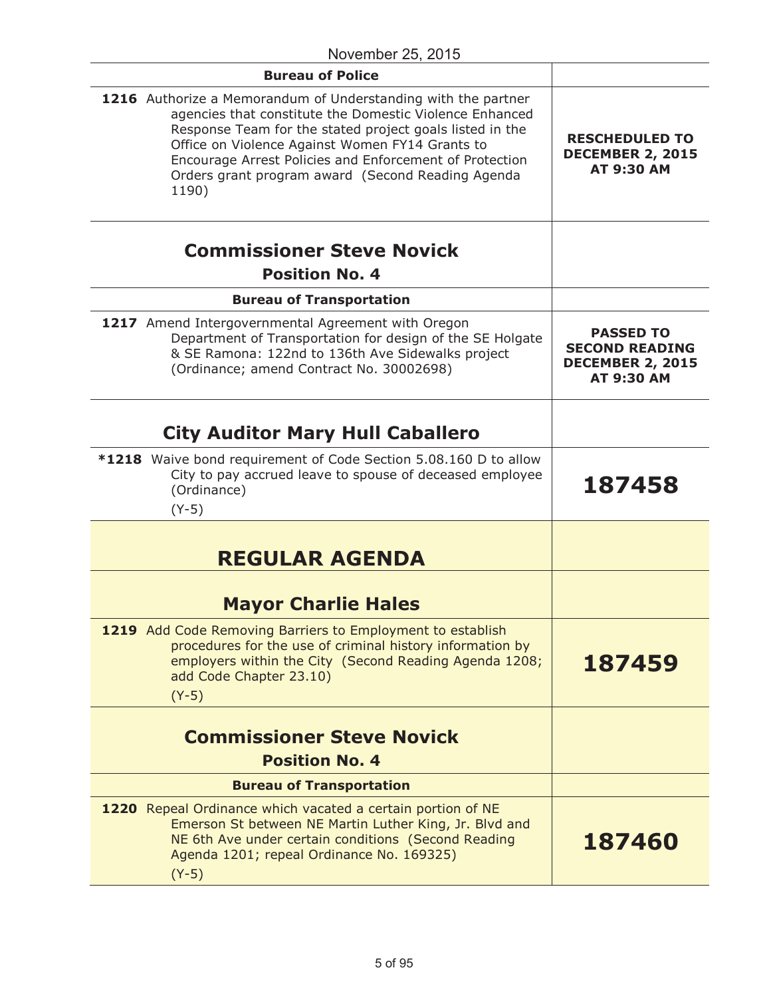| <b>Bureau of Police</b>                                                                                                                                                                                                                                                                                                                                          |                                                                                    |
|------------------------------------------------------------------------------------------------------------------------------------------------------------------------------------------------------------------------------------------------------------------------------------------------------------------------------------------------------------------|------------------------------------------------------------------------------------|
| 1216 Authorize a Memorandum of Understanding with the partner<br>agencies that constitute the Domestic Violence Enhanced<br>Response Team for the stated project goals listed in the<br>Office on Violence Against Women FY14 Grants to<br>Encourage Arrest Policies and Enforcement of Protection<br>Orders grant program award (Second Reading Agenda<br>1190) | <b>RESCHEDULED TO</b><br><b>DECEMBER 2, 2015</b><br>AT 9:30 AM                     |
| <b>Commissioner Steve Novick</b><br><b>Position No. 4</b>                                                                                                                                                                                                                                                                                                        |                                                                                    |
| <b>Bureau of Transportation</b>                                                                                                                                                                                                                                                                                                                                  |                                                                                    |
| 1217 Amend Intergovernmental Agreement with Oregon<br>Department of Transportation for design of the SE Holgate<br>& SE Ramona: 122nd to 136th Ave Sidewalks project<br>(Ordinance; amend Contract No. 30002698)                                                                                                                                                 | <b>PASSED TO</b><br><b>SECOND READING</b><br><b>DECEMBER 2, 2015</b><br>AT 9:30 AM |
| <b>City Auditor Mary Hull Caballero</b>                                                                                                                                                                                                                                                                                                                          |                                                                                    |
| *1218 Waive bond requirement of Code Section 5.08.160 D to allow<br>City to pay accrued leave to spouse of deceased employee<br>(Ordinance)<br>$(Y-5)$                                                                                                                                                                                                           | 187458                                                                             |
| <b>REGULAR AGENDA</b>                                                                                                                                                                                                                                                                                                                                            |                                                                                    |
| <b>Mayor Charlie Hales</b>                                                                                                                                                                                                                                                                                                                                       |                                                                                    |
| 1219 Add Code Removing Barriers to Employment to establish<br>procedures for the use of criminal history information by<br>employers within the City (Second Reading Agenda 1208;<br>add Code Chapter 23.10)<br>$(Y-5)$                                                                                                                                          | 187459                                                                             |
| <b>Commissioner Steve Novick</b>                                                                                                                                                                                                                                                                                                                                 |                                                                                    |
| <b>Position No. 4</b>                                                                                                                                                                                                                                                                                                                                            |                                                                                    |
| <b>Bureau of Transportation</b>                                                                                                                                                                                                                                                                                                                                  |                                                                                    |
| 1220 Repeal Ordinance which vacated a certain portion of NE<br>Emerson St between NE Martin Luther King, Jr. Blvd and<br>NE 6th Ave under certain conditions (Second Reading<br>Agenda 1201; repeal Ordinance No. 169325)<br>$(Y-5)$                                                                                                                             | 187460                                                                             |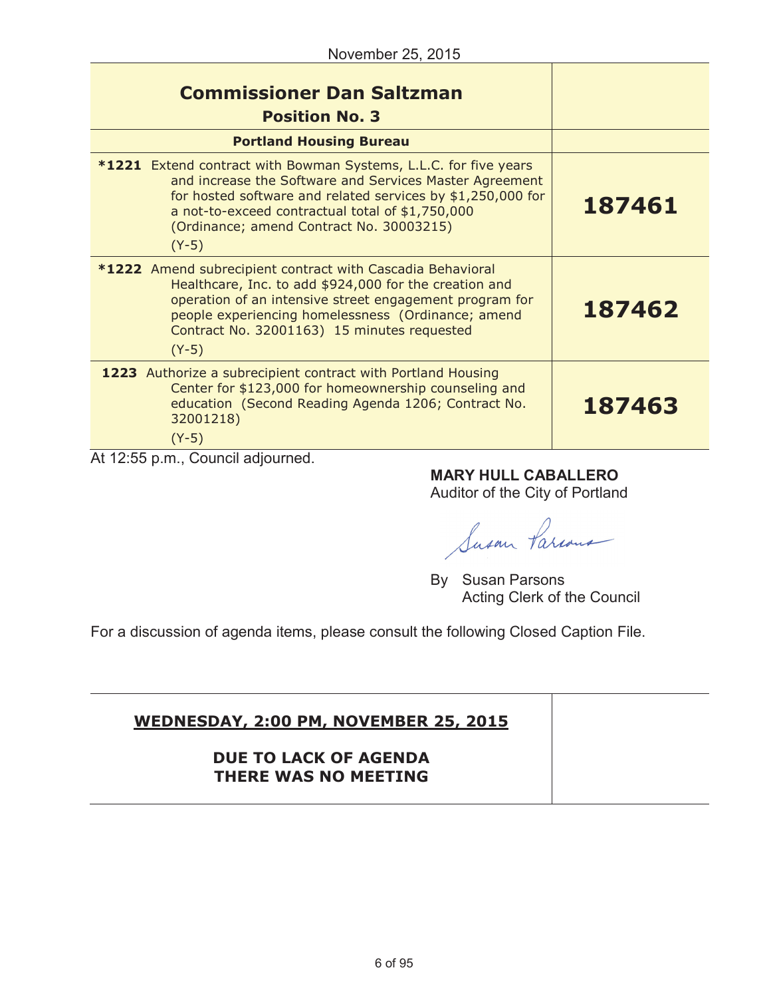| <b>Commissioner Dan Saltzman</b><br><b>Position No. 3</b>                                                                                                                                                                                                                                                    |        |
|--------------------------------------------------------------------------------------------------------------------------------------------------------------------------------------------------------------------------------------------------------------------------------------------------------------|--------|
| <b>Portland Housing Bureau</b>                                                                                                                                                                                                                                                                               |        |
| <b>*1221</b> Extend contract with Bowman Systems, L.L.C. for five years<br>and increase the Software and Services Master Agreement<br>for hosted software and related services by \$1,250,000 for<br>a not-to-exceed contractual total of \$1,750,000<br>(Ordinance; amend Contract No. 30003215)<br>$(Y-5)$ | 187461 |
| *1222 Amend subrecipient contract with Cascadia Behavioral<br>Healthcare, Inc. to add \$924,000 for the creation and<br>operation of an intensive street engagement program for<br>people experiencing homelessness (Ordinance; amend<br>Contract No. 32001163) 15 minutes requested<br>$(Y-5)$              | 187462 |
| 1223 Authorize a subrecipient contract with Portland Housing<br>Center for \$123,000 for homeownership counseling and<br>education (Second Reading Agenda 1206; Contract No.<br>32001218)<br>$(Y-5)$                                                                                                         | 187463 |

At 12:55 p.m., Council adjourned.

**MARY HULL CABALLERO**

Auditor of the City of Portland

Susan Parcous

By Susan Parsons Acting Clerk of the Council

For a discussion of agenda items, please consult the following Closed Caption File.

# **WEDNESDAY, 2:00 PM, NOVEMBER 25, 2015 DUE TO LACK OF AGENDA THERE WAS NO MEETING**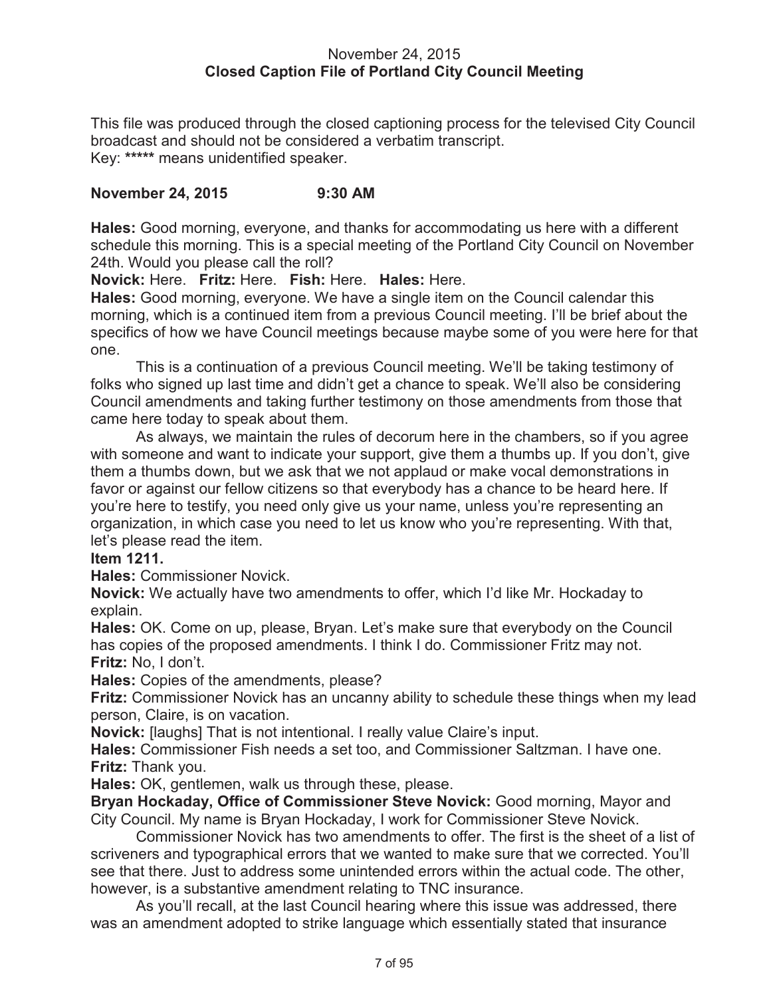#### November 24, 2015 **Closed Caption File of Portland City Council Meeting**

This file was produced through the closed captioning process for the televised City Council broadcast and should not be considered a verbatim transcript. Key: **\*\*\*\*\*** means unidentified speaker.

## **November 24, 2015 9:30 AM**

**Hales:** Good morning, everyone, and thanks for accommodating us here with a different schedule this morning. This is a special meeting of the Portland City Council on November 24th. Would you please call the roll?

**Novick:** Here. **Fritz:** Here. **Fish:** Here. **Hales:** Here.

**Hales:** Good morning, everyone. We have a single item on the Council calendar this morning, which is a continued item from a previous Council meeting. I'll be brief about the specifics of how we have Council meetings because maybe some of you were here for that one.

This is a continuation of a previous Council meeting. We'll be taking testimony of folks who signed up last time and didn't get a chance to speak. We'll also be considering Council amendments and taking further testimony on those amendments from those that came here today to speak about them.

As always, we maintain the rules of decorum here in the chambers, so if you agree with someone and want to indicate your support, give them a thumbs up. If you don't, give them a thumbs down, but we ask that we not applaud or make vocal demonstrations in favor or against our fellow citizens so that everybody has a chance to be heard here. If you're here to testify, you need only give us your name, unless you're representing an organization, in which case you need to let us know who you're representing. With that, let's please read the item.

## **Item 1211.**

**Hales:** Commissioner Novick.

**Novick:** We actually have two amendments to offer, which I'd like Mr. Hockaday to explain.

**Hales:** OK. Come on up, please, Bryan. Let's make sure that everybody on the Council has copies of the proposed amendments. I think I do. Commissioner Fritz may not. **Fritz:** No, I don't.

**Hales:** Copies of the amendments, please?

**Fritz:** Commissioner Novick has an uncanny ability to schedule these things when my lead person, Claire, is on vacation.

**Novick:** [laughs] That is not intentional. I really value Claire's input.

**Hales:** Commissioner Fish needs a set too, and Commissioner Saltzman. I have one. **Fritz:** Thank you.

**Hales:** OK, gentlemen, walk us through these, please.

**Bryan Hockaday, Office of Commissioner Steve Novick:** Good morning, Mayor and City Council. My name is Bryan Hockaday, I work for Commissioner Steve Novick.

Commissioner Novick has two amendments to offer. The first is the sheet of a list of scriveners and typographical errors that we wanted to make sure that we corrected. You'll see that there. Just to address some unintended errors within the actual code. The other, however, is a substantive amendment relating to TNC insurance.

As you'll recall, at the last Council hearing where this issue was addressed, there was an amendment adopted to strike language which essentially stated that insurance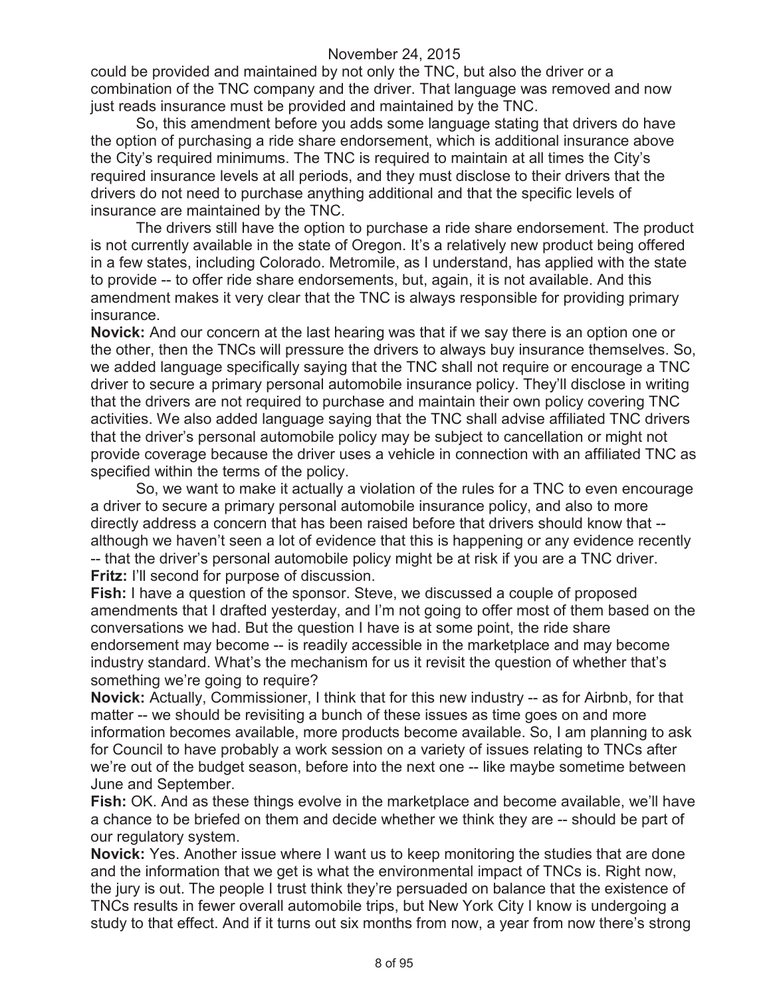could be provided and maintained by not only the TNC, but also the driver or a combination of the TNC company and the driver. That language was removed and now just reads insurance must be provided and maintained by the TNC.

So, this amendment before you adds some language stating that drivers do have the option of purchasing a ride share endorsement, which is additional insurance above the City's required minimums. The TNC is required to maintain at all times the City's required insurance levels at all periods, and they must disclose to their drivers that the drivers do not need to purchase anything additional and that the specific levels of insurance are maintained by the TNC.

The drivers still have the option to purchase a ride share endorsement. The product is not currently available in the state of Oregon. It's a relatively new product being offered in a few states, including Colorado. Metromile, as I understand, has applied with the state to provide -- to offer ride share endorsements, but, again, it is not available. And this amendment makes it very clear that the TNC is always responsible for providing primary insurance.

**Novick:** And our concern at the last hearing was that if we say there is an option one or the other, then the TNCs will pressure the drivers to always buy insurance themselves. So, we added language specifically saying that the TNC shall not require or encourage a TNC driver to secure a primary personal automobile insurance policy. They'll disclose in writing that the drivers are not required to purchase and maintain their own policy covering TNC activities. We also added language saying that the TNC shall advise affiliated TNC drivers that the driver's personal automobile policy may be subject to cancellation or might not provide coverage because the driver uses a vehicle in connection with an affiliated TNC as specified within the terms of the policy.

So, we want to make it actually a violation of the rules for a TNC to even encourage a driver to secure a primary personal automobile insurance policy, and also to more directly address a concern that has been raised before that drivers should know that - although we haven't seen a lot of evidence that this is happening or any evidence recently -- that the driver's personal automobile policy might be at risk if you are a TNC driver. **Fritz:** I'll second for purpose of discussion.

**Fish:** I have a question of the sponsor. Steve, we discussed a couple of proposed amendments that I drafted yesterday, and I'm not going to offer most of them based on the conversations we had. But the question I have is at some point, the ride share endorsement may become -- is readily accessible in the marketplace and may become industry standard. What's the mechanism for us it revisit the question of whether that's something we're going to require?

**Novick:** Actually, Commissioner, I think that for this new industry -- as for Airbnb, for that matter -- we should be revisiting a bunch of these issues as time goes on and more information becomes available, more products become available. So, I am planning to ask for Council to have probably a work session on a variety of issues relating to TNCs after we're out of the budget season, before into the next one -- like maybe sometime between June and September.

**Fish:** OK. And as these things evolve in the marketplace and become available, we'll have a chance to be briefed on them and decide whether we think they are -- should be part of our regulatory system.

**Novick:** Yes. Another issue where I want us to keep monitoring the studies that are done and the information that we get is what the environmental impact of TNCs is. Right now, the jury is out. The people I trust think they're persuaded on balance that the existence of TNCs results in fewer overall automobile trips, but New York City I know is undergoing a study to that effect. And if it turns out six months from now, a year from now there's strong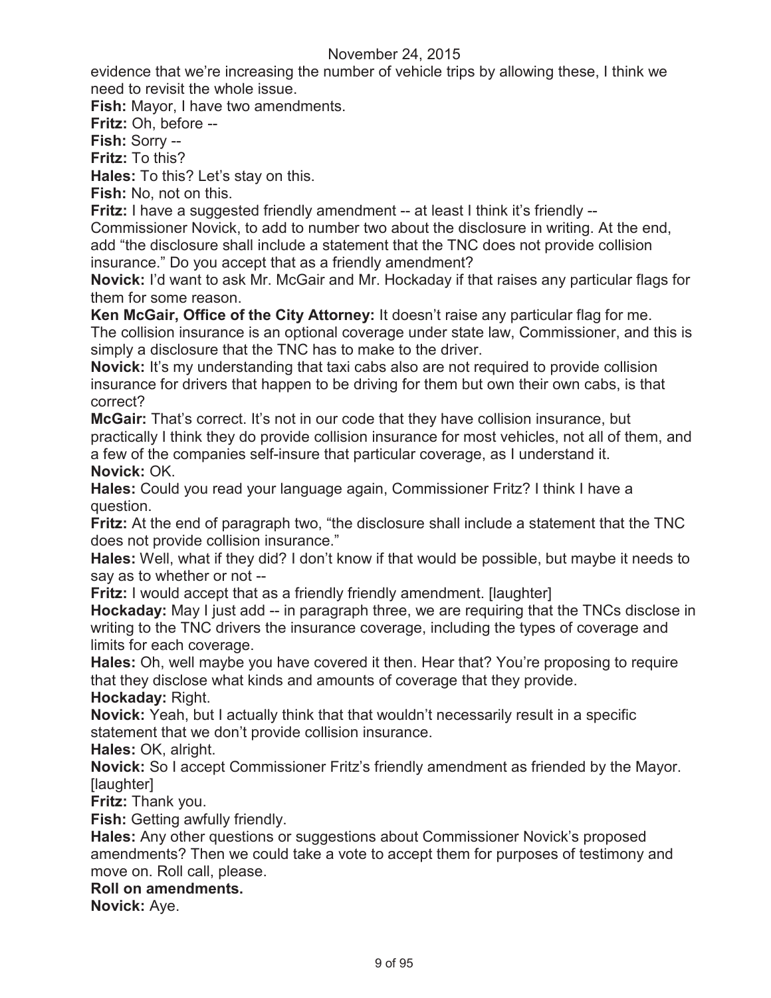evidence that we're increasing the number of vehicle trips by allowing these, I think we need to revisit the whole issue.

**Fish:** Mayor, I have two amendments.

**Fritz:** Oh, before --

**Fish:** Sorry --

**Fritz:** To this?

**Hales:** To this? Let's stay on this.

**Fish:** No, not on this.

**Fritz:** I have a suggested friendly amendment -- at least I think it's friendly --

Commissioner Novick, to add to number two about the disclosure in writing. At the end, add "the disclosure shall include a statement that the TNC does not provide collision insurance." Do you accept that as a friendly amendment?

**Novick:** I'd want to ask Mr. McGair and Mr. Hockaday if that raises any particular flags for them for some reason.

**Ken McGair, Office of the City Attorney:** It doesn't raise any particular flag for me. The collision insurance is an optional coverage under state law, Commissioner, and this is simply a disclosure that the TNC has to make to the driver.

**Novick:** It's my understanding that taxi cabs also are not required to provide collision insurance for drivers that happen to be driving for them but own their own cabs, is that correct?

**McGair:** That's correct. It's not in our code that they have collision insurance, but practically I think they do provide collision insurance for most vehicles, not all of them, and a few of the companies self-insure that particular coverage, as I understand it. **Novick:** OK.

**Hales:** Could you read your language again, Commissioner Fritz? I think I have a question.

**Fritz:** At the end of paragraph two, "the disclosure shall include a statement that the TNC does not provide collision insurance."

**Hales:** Well, what if they did? I don't know if that would be possible, but maybe it needs to say as to whether or not --

**Fritz:** I would accept that as a friendly friendly amendment. [laughter]

**Hockaday:** May I just add -- in paragraph three, we are requiring that the TNCs disclose in writing to the TNC drivers the insurance coverage, including the types of coverage and limits for each coverage.

**Hales:** Oh, well maybe you have covered it then. Hear that? You're proposing to require that they disclose what kinds and amounts of coverage that they provide.

**Hockaday:** Right.

**Novick:** Yeah, but I actually think that that wouldn't necessarily result in a specific statement that we don't provide collision insurance.

**Hales:** OK, alright.

**Novick:** So I accept Commissioner Fritz's friendly amendment as friended by the Mayor. [laughter]

**Fritz:** Thank you.

**Fish:** Getting awfully friendly.

**Hales:** Any other questions or suggestions about Commissioner Novick's proposed amendments? Then we could take a vote to accept them for purposes of testimony and move on. Roll call, please.

## **Roll on amendments.**

**Novick:** Aye.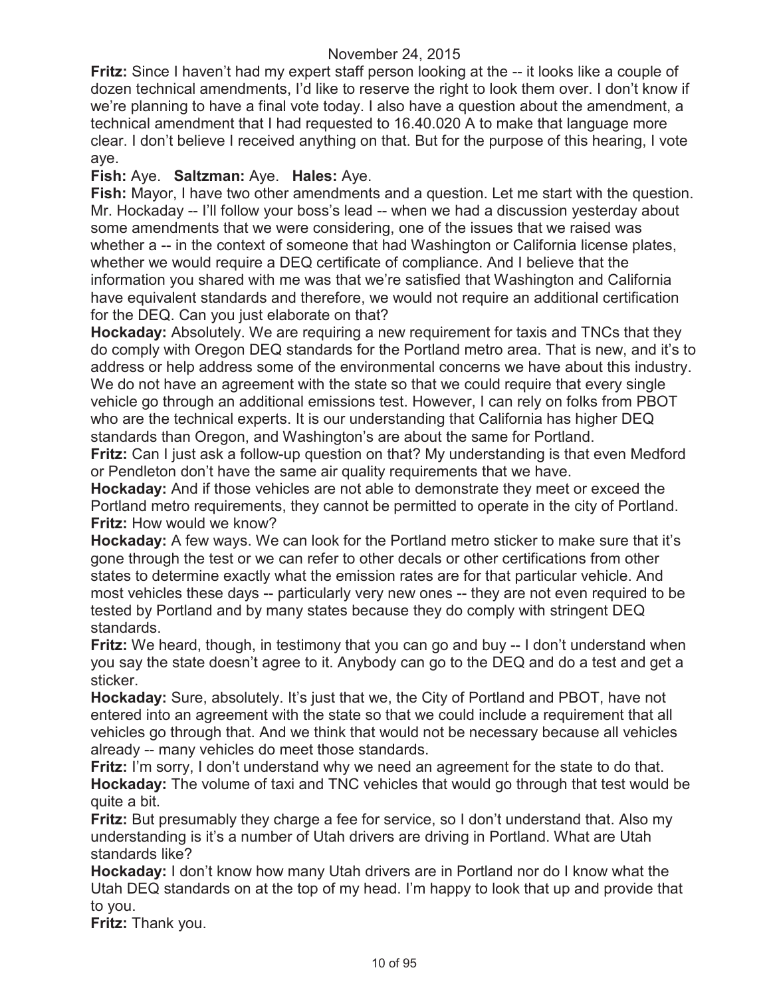**Fritz:** Since I haven't had my expert staff person looking at the -- it looks like a couple of dozen technical amendments, I'd like to reserve the right to look them over. I don't know if we're planning to have a final vote today. I also have a question about the amendment, a technical amendment that I had requested to 16.40.020 A to make that language more clear. I don't believe I received anything on that. But for the purpose of this hearing, I vote aye.

# **Fish:** Aye. **Saltzman:** Aye. **Hales:** Aye.

**Fish:** Mayor, I have two other amendments and a question. Let me start with the question. Mr. Hockaday -- I'll follow your boss's lead -- when we had a discussion yesterday about some amendments that we were considering, one of the issues that we raised was whether a -- in the context of someone that had Washington or California license plates, whether we would require a DEQ certificate of compliance. And I believe that the information you shared with me was that we're satisfied that Washington and California have equivalent standards and therefore, we would not require an additional certification for the DEQ. Can you just elaborate on that?

**Hockaday:** Absolutely. We are requiring a new requirement for taxis and TNCs that they do comply with Oregon DEQ standards for the Portland metro area. That is new, and it's to address or help address some of the environmental concerns we have about this industry. We do not have an agreement with the state so that we could require that every single vehicle go through an additional emissions test. However, I can rely on folks from PBOT who are the technical experts. It is our understanding that California has higher DEQ standards than Oregon, and Washington's are about the same for Portland.

**Fritz:** Can I just ask a follow-up question on that? My understanding is that even Medford or Pendleton don't have the same air quality requirements that we have.

**Hockaday:** And if those vehicles are not able to demonstrate they meet or exceed the Portland metro requirements, they cannot be permitted to operate in the city of Portland. **Fritz:** How would we know?

**Hockaday:** A few ways. We can look for the Portland metro sticker to make sure that it's gone through the test or we can refer to other decals or other certifications from other states to determine exactly what the emission rates are for that particular vehicle. And most vehicles these days -- particularly very new ones -- they are not even required to be tested by Portland and by many states because they do comply with stringent DEQ standards.

**Fritz:** We heard, though, in testimony that you can go and buy -- I don't understand when you say the state doesn't agree to it. Anybody can go to the DEQ and do a test and get a sticker.

**Hockaday:** Sure, absolutely. It's just that we, the City of Portland and PBOT, have not entered into an agreement with the state so that we could include a requirement that all vehicles go through that. And we think that would not be necessary because all vehicles already -- many vehicles do meet those standards.

**Fritz:** I'm sorry, I don't understand why we need an agreement for the state to do that. **Hockaday:** The volume of taxi and TNC vehicles that would go through that test would be quite a bit.

**Fritz:** But presumably they charge a fee for service, so I don't understand that. Also my understanding is it's a number of Utah drivers are driving in Portland. What are Utah standards like?

**Hockaday:** I don't know how many Utah drivers are in Portland nor do I know what the Utah DEQ standards on at the top of my head. I'm happy to look that up and provide that to you.

**Fritz:** Thank you.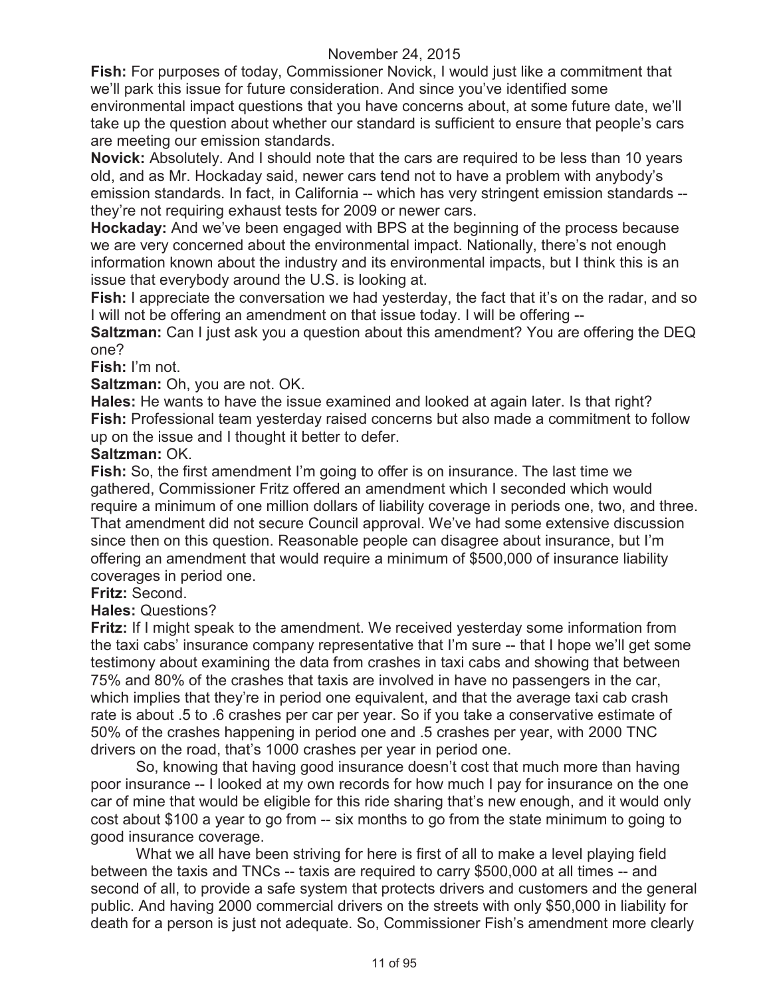**Fish:** For purposes of today, Commissioner Novick, I would just like a commitment that we'll park this issue for future consideration. And since you've identified some environmental impact questions that you have concerns about, at some future date, we'll take up the question about whether our standard is sufficient to ensure that people's cars are meeting our emission standards.

**Novick:** Absolutely. And I should note that the cars are required to be less than 10 years old, and as Mr. Hockaday said, newer cars tend not to have a problem with anybody's emission standards. In fact, in California -- which has very stringent emission standards - they're not requiring exhaust tests for 2009 or newer cars.

**Hockaday:** And we've been engaged with BPS at the beginning of the process because we are very concerned about the environmental impact. Nationally, there's not enough information known about the industry and its environmental impacts, but I think this is an issue that everybody around the U.S. is looking at.

**Fish:** I appreciate the conversation we had yesterday, the fact that it's on the radar, and so I will not be offering an amendment on that issue today. I will be offering --

**Saltzman:** Can I just ask you a question about this amendment? You are offering the DEQ one?

**Fish:** I'm not.

**Saltzman:** Oh, you are not. OK.

**Hales:** He wants to have the issue examined and looked at again later. Is that right? **Fish:** Professional team yesterday raised concerns but also made a commitment to follow up on the issue and I thought it better to defer.

#### **Saltzman:** OK.

**Fish:** So, the first amendment I'm going to offer is on insurance. The last time we gathered, Commissioner Fritz offered an amendment which I seconded which would require a minimum of one million dollars of liability coverage in periods one, two, and three. That amendment did not secure Council approval. We've had some extensive discussion since then on this question. Reasonable people can disagree about insurance, but I'm offering an amendment that would require a minimum of \$500,000 of insurance liability coverages in period one.

**Fritz:** Second.

## **Hales:** Questions?

**Fritz:** If I might speak to the amendment. We received yesterday some information from the taxi cabs' insurance company representative that I'm sure -- that I hope we'll get some testimony about examining the data from crashes in taxi cabs and showing that between 75% and 80% of the crashes that taxis are involved in have no passengers in the car, which implies that they're in period one equivalent, and that the average taxi cab crash rate is about .5 to .6 crashes per car per year. So if you take a conservative estimate of 50% of the crashes happening in period one and .5 crashes per year, with 2000 TNC drivers on the road, that's 1000 crashes per year in period one.

So, knowing that having good insurance doesn't cost that much more than having poor insurance -- I looked at my own records for how much I pay for insurance on the one car of mine that would be eligible for this ride sharing that's new enough, and it would only cost about \$100 a year to go from -- six months to go from the state minimum to going to good insurance coverage.

What we all have been striving for here is first of all to make a level playing field between the taxis and TNCs -- taxis are required to carry \$500,000 at all times -- and second of all, to provide a safe system that protects drivers and customers and the general public. And having 2000 commercial drivers on the streets with only \$50,000 in liability for death for a person is just not adequate. So, Commissioner Fish's amendment more clearly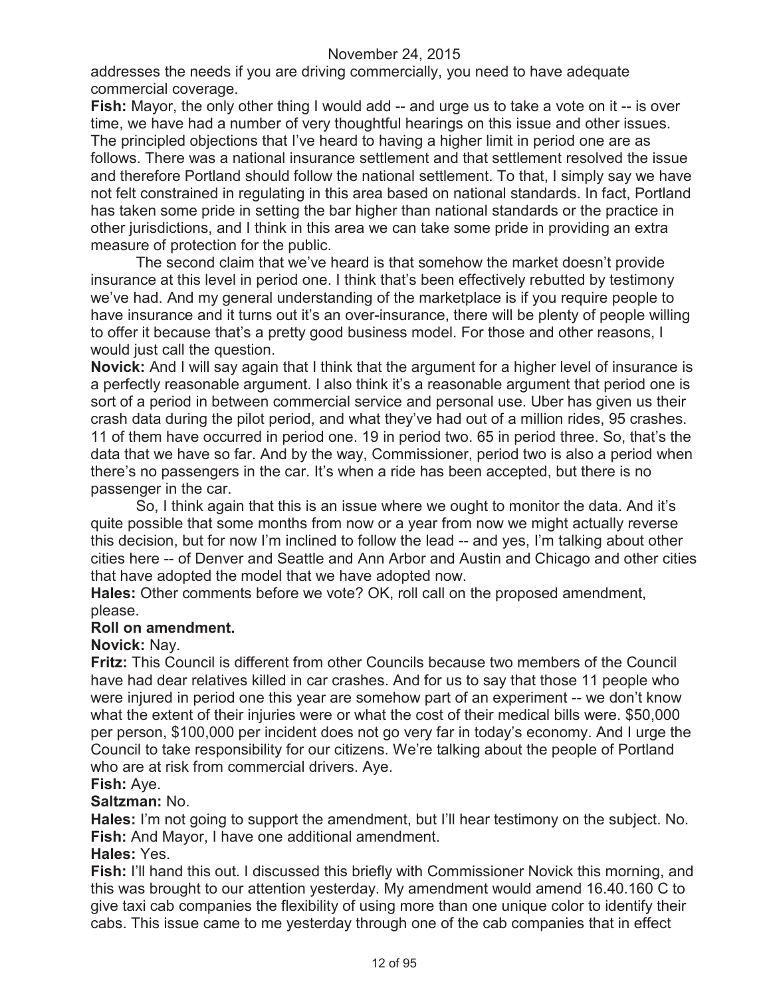addresses the needs if you are driving commercially, you need to have adequate commercial coverage.

**Fish:** Mayor, the only other thing I would add -- and urge us to take a vote on it -- is over time, we have had a number of very thoughtful hearings on this issue and other issues. The principled objections that I've heard to having a higher limit in period one are as follows. There was a national insurance settlement and that settlement resolved the issue and therefore Portland should follow the national settlement. To that, I simply say we have not felt constrained in regulating in this area based on national standards. In fact, Portland has taken some pride in setting the bar higher than national standards or the practice in other jurisdictions, and I think in this area we can take some pride in providing an extra measure of protection for the public.

The second claim that we've heard is that somehow the market doesn't provide insurance at this level in period one. I think that's been effectively rebutted by testimony we've had. And my general understanding of the marketplace is if you require people to have insurance and it turns out it's an over-insurance, there will be plenty of people willing to offer it because that's a pretty good business model. For those and other reasons, I would just call the question.

**Novick:** And I will say again that I think that the argument for a higher level of insurance is a perfectly reasonable argument. I also think it's a reasonable argument that period one is sort of a period in between commercial service and personal use. Uber has given us their crash data during the pilot period, and what they've had out of a million rides, 95 crashes. 11 of them have occurred in period one. 19 in period two. 65 in period three. So, that's the data that we have so far. And by the way, Commissioner, period two is also a period when there's no passengers in the car. It's when a ride has been accepted, but there is no passenger in the car.

So, I think again that this is an issue where we ought to monitor the data. And it's quite possible that some months from now or a year from now we might actually reverse this decision, but for now I'm inclined to follow the lead -- and yes, I'm talking about other cities here -- of Denver and Seattle and Ann Arbor and Austin and Chicago and other cities that have adopted the model that we have adopted now.

**Hales:** Other comments before we vote? OK, roll call on the proposed amendment, please.

## **Roll on amendment.**

## **Novick:** Nay.

**Fritz:** This Council is different from other Councils because two members of the Council have had dear relatives killed in car crashes. And for us to say that those 11 people who were injured in period one this year are somehow part of an experiment -- we don't know what the extent of their injuries were or what the cost of their medical bills were. \$50,000 per person, \$100,000 per incident does not go very far in today's economy. And I urge the Council to take responsibility for our citizens. We're talking about the people of Portland who are at risk from commercial drivers. Aye.

# **Fish:** Aye.

#### **Saltzman:** No.

**Hales:** I'm not going to support the amendment, but I'll hear testimony on the subject. No. **Fish:** And Mayor, I have one additional amendment.

# **Hales:** Yes.

**Fish:** I'll hand this out. I discussed this briefly with Commissioner Novick this morning, and this was brought to our attention yesterday. My amendment would amend 16.40.160 C to give taxi cab companies the flexibility of using more than one unique color to identify their cabs. This issue came to me yesterday through one of the cab companies that in effect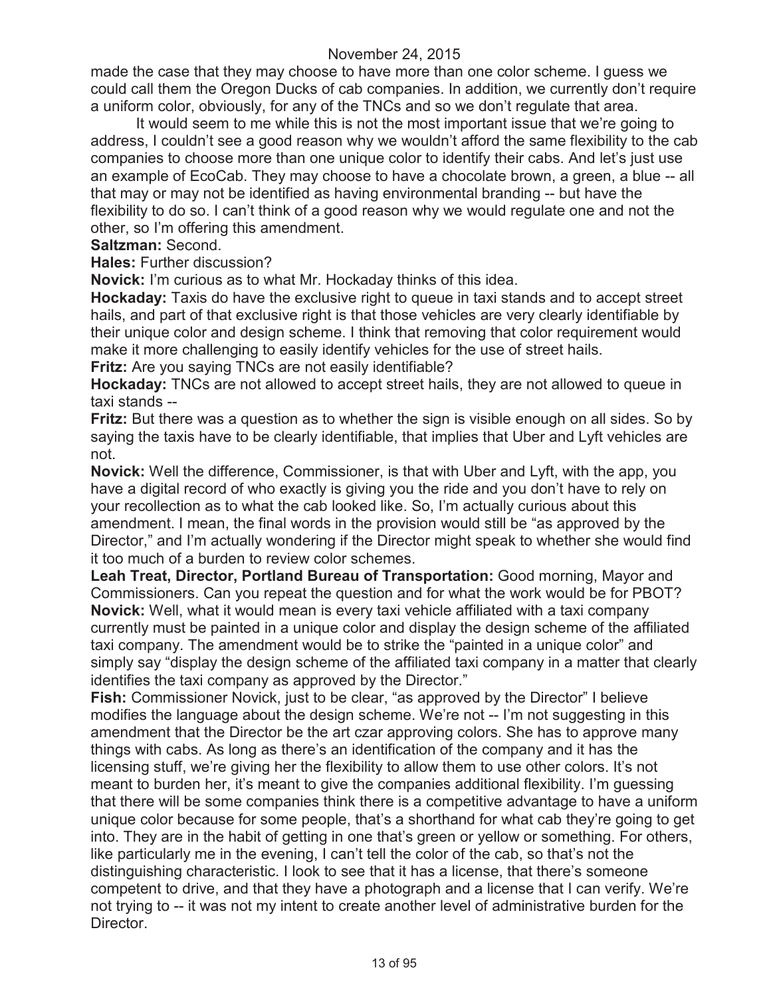made the case that they may choose to have more than one color scheme. I guess we could call them the Oregon Ducks of cab companies. In addition, we currently don't require a uniform color, obviously, for any of the TNCs and so we don't regulate that area.

It would seem to me while this is not the most important issue that we're going to address, I couldn't see a good reason why we wouldn't afford the same flexibility to the cab companies to choose more than one unique color to identify their cabs. And let's just use an example of EcoCab. They may choose to have a chocolate brown, a green, a blue -- all that may or may not be identified as having environmental branding -- but have the flexibility to do so. I can't think of a good reason why we would regulate one and not the other, so I'm offering this amendment.

#### **Saltzman:** Second.

**Hales:** Further discussion?

**Novick:** I'm curious as to what Mr. Hockaday thinks of this idea.

**Hockaday:** Taxis do have the exclusive right to queue in taxi stands and to accept street hails, and part of that exclusive right is that those vehicles are very clearly identifiable by their unique color and design scheme. I think that removing that color requirement would make it more challenging to easily identify vehicles for the use of street hails.

**Fritz:** Are you saying TNCs are not easily identifiable?

**Hockaday:** TNCs are not allowed to accept street hails, they are not allowed to queue in taxi stands --

**Fritz:** But there was a question as to whether the sign is visible enough on all sides. So by saying the taxis have to be clearly identifiable, that implies that Uber and Lyft vehicles are not.

**Novick:** Well the difference, Commissioner, is that with Uber and Lyft, with the app, you have a digital record of who exactly is giving you the ride and you don't have to rely on your recollection as to what the cab looked like. So, I'm actually curious about this amendment. I mean, the final words in the provision would still be "as approved by the Director," and I'm actually wondering if the Director might speak to whether she would find it too much of a burden to review color schemes.

**Leah Treat, Director, Portland Bureau of Transportation:** Good morning, Mayor and Commissioners. Can you repeat the question and for what the work would be for PBOT? **Novick:** Well, what it would mean is every taxi vehicle affiliated with a taxi company currently must be painted in a unique color and display the design scheme of the affiliated taxi company. The amendment would be to strike the "painted in a unique color" and simply say "display the design scheme of the affiliated taxi company in a matter that clearly identifies the taxi company as approved by the Director."

**Fish:** Commissioner Novick, just to be clear, "as approved by the Director" I believe modifies the language about the design scheme. We're not -- I'm not suggesting in this amendment that the Director be the art czar approving colors. She has to approve many things with cabs. As long as there's an identification of the company and it has the licensing stuff, we're giving her the flexibility to allow them to use other colors. It's not meant to burden her, it's meant to give the companies additional flexibility. I'm guessing that there will be some companies think there is a competitive advantage to have a uniform unique color because for some people, that's a shorthand for what cab they're going to get into. They are in the habit of getting in one that's green or yellow or something. For others, like particularly me in the evening, I can't tell the color of the cab, so that's not the distinguishing characteristic. I look to see that it has a license, that there's someone competent to drive, and that they have a photograph and a license that I can verify. We're not trying to -- it was not my intent to create another level of administrative burden for the Director.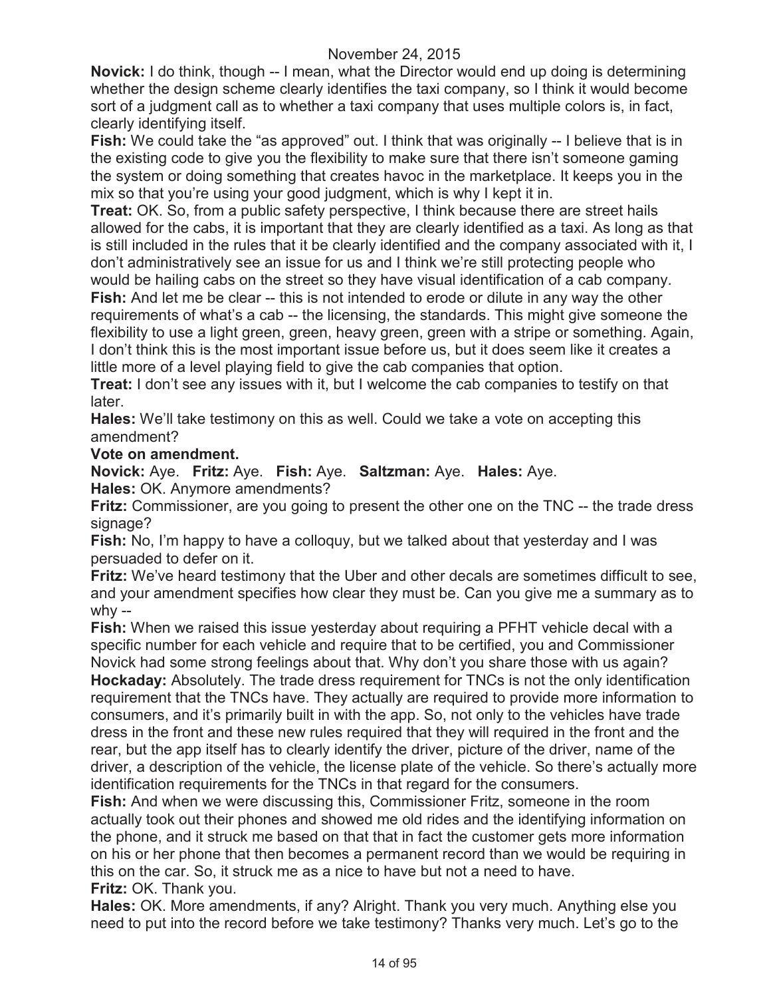**Novick:** I do think, though -- I mean, what the Director would end up doing is determining whether the design scheme clearly identifies the taxi company, so I think it would become sort of a judgment call as to whether a taxi company that uses multiple colors is, in fact, clearly identifying itself.

**Fish:** We could take the "as approved" out. I think that was originally -- I believe that is in the existing code to give you the flexibility to make sure that there isn't someone gaming the system or doing something that creates havoc in the marketplace. It keeps you in the mix so that you're using your good judgment, which is why I kept it in.

**Treat:** OK. So, from a public safety perspective, I think because there are street hails allowed for the cabs, it is important that they are clearly identified as a taxi. As long as that is still included in the rules that it be clearly identified and the company associated with it, I don't administratively see an issue for us and I think we're still protecting people who would be hailing cabs on the street so they have visual identification of a cab company.

**Fish:** And let me be clear -- this is not intended to erode or dilute in any way the other requirements of what's a cab -- the licensing, the standards. This might give someone the flexibility to use a light green, green, heavy green, green with a stripe or something. Again, I don't think this is the most important issue before us, but it does seem like it creates a little more of a level playing field to give the cab companies that option.

**Treat:** I don't see any issues with it, but I welcome the cab companies to testify on that later.

**Hales:** We'll take testimony on this as well. Could we take a vote on accepting this amendment?

## **Vote on amendment.**

**Novick:** Aye. **Fritz:** Aye. **Fish:** Aye. **Saltzman:** Aye. **Hales:** Aye.

**Hales:** OK. Anymore amendments?

**Fritz:** Commissioner, are you going to present the other one on the TNC -- the trade dress signage?

**Fish:** No, I'm happy to have a colloquy, but we talked about that yesterday and I was persuaded to defer on it.

**Fritz:** We've heard testimony that the Uber and other decals are sometimes difficult to see, and your amendment specifies how clear they must be. Can you give me a summary as to why --

**Fish:** When we raised this issue yesterday about requiring a PFHT vehicle decal with a specific number for each vehicle and require that to be certified, you and Commissioner Novick had some strong feelings about that. Why don't you share those with us again? **Hockaday:** Absolutely. The trade dress requirement for TNCs is not the only identification requirement that the TNCs have. They actually are required to provide more information to consumers, and it's primarily built in with the app. So, not only to the vehicles have trade dress in the front and these new rules required that they will required in the front and the rear, but the app itself has to clearly identify the driver, picture of the driver, name of the driver, a description of the vehicle, the license plate of the vehicle. So there's actually more identification requirements for the TNCs in that regard for the consumers.

**Fish:** And when we were discussing this, Commissioner Fritz, someone in the room actually took out their phones and showed me old rides and the identifying information on the phone, and it struck me based on that that in fact the customer gets more information on his or her phone that then becomes a permanent record than we would be requiring in this on the car. So, it struck me as a nice to have but not a need to have. **Fritz:** OK. Thank you.

**Hales:** OK. More amendments, if any? Alright. Thank you very much. Anything else you need to put into the record before we take testimony? Thanks very much. Let's go to the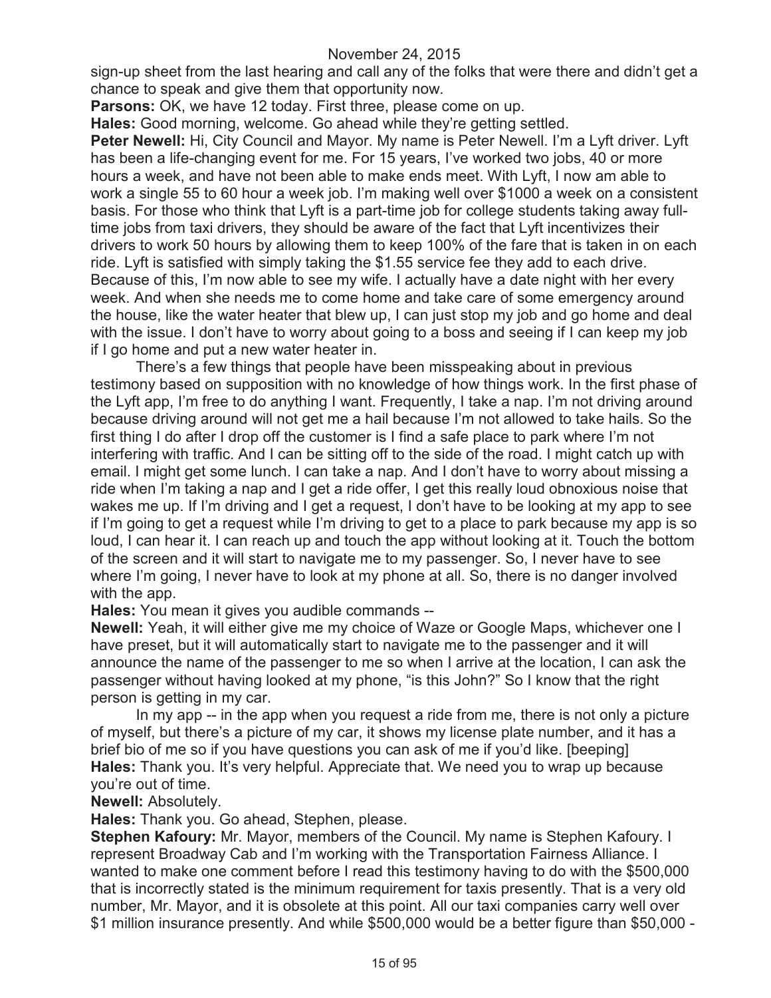sign-up sheet from the last hearing and call any of the folks that were there and didn't get a chance to speak and give them that opportunity now.

Parsons: OK, we have 12 today. First three, please come on up.

**Hales:** Good morning, welcome. Go ahead while they're getting settled.

**Peter Newell:** Hi, City Council and Mayor. My name is Peter Newell. I'm a Lyft driver. Lyft has been a life-changing event for me. For 15 years, I've worked two jobs, 40 or more hours a week, and have not been able to make ends meet. With Lyft, I now am able to work a single 55 to 60 hour a week job. I'm making well over \$1000 a week on a consistent basis. For those who think that Lyft is a part-time job for college students taking away fulltime jobs from taxi drivers, they should be aware of the fact that Lyft incentivizes their drivers to work 50 hours by allowing them to keep 100% of the fare that is taken in on each ride. Lyft is satisfied with simply taking the \$1.55 service fee they add to each drive. Because of this, I'm now able to see my wife. I actually have a date night with her every week. And when she needs me to come home and take care of some emergency around the house, like the water heater that blew up, I can just stop my job and go home and deal with the issue. I don't have to worry about going to a boss and seeing if I can keep my job if I go home and put a new water heater in.

There's a few things that people have been misspeaking about in previous testimony based on supposition with no knowledge of how things work. In the first phase of the Lyft app, I'm free to do anything I want. Frequently, I take a nap. I'm not driving around because driving around will not get me a hail because I'm not allowed to take hails. So the first thing I do after I drop off the customer is I find a safe place to park where I'm not interfering with traffic. And I can be sitting off to the side of the road. I might catch up with email. I might get some lunch. I can take a nap. And I don't have to worry about missing a ride when I'm taking a nap and I get a ride offer, I get this really loud obnoxious noise that wakes me up. If I'm driving and I get a request, I don't have to be looking at my app to see if I'm going to get a request while I'm driving to get to a place to park because my app is so loud, I can hear it. I can reach up and touch the app without looking at it. Touch the bottom of the screen and it will start to navigate me to my passenger. So, I never have to see where I'm going, I never have to look at my phone at all. So, there is no danger involved with the app.

**Hales:** You mean it gives you audible commands --

**Newell:** Yeah, it will either give me my choice of Waze or Google Maps, whichever one I have preset, but it will automatically start to navigate me to the passenger and it will announce the name of the passenger to me so when I arrive at the location, I can ask the passenger without having looked at my phone, "is this John?" So I know that the right person is getting in my car.

In my app -- in the app when you request a ride from me, there is not only a picture of myself, but there's a picture of my car, it shows my license plate number, and it has a brief bio of me so if you have questions you can ask of me if you'd like. [beeping] **Hales:** Thank you. It's very helpful. Appreciate that. We need you to wrap up because you're out of time.

#### **Newell:** Absolutely.

**Hales:** Thank you. Go ahead, Stephen, please.

**Stephen Kafoury:** Mr. Mayor, members of the Council. My name is Stephen Kafoury. I represent Broadway Cab and I'm working with the Transportation Fairness Alliance. I wanted to make one comment before I read this testimony having to do with the \$500,000 that is incorrectly stated is the minimum requirement for taxis presently. That is a very old number, Mr. Mayor, and it is obsolete at this point. All our taxi companies carry well over \$1 million insurance presently. And while \$500,000 would be a better figure than \$50,000 -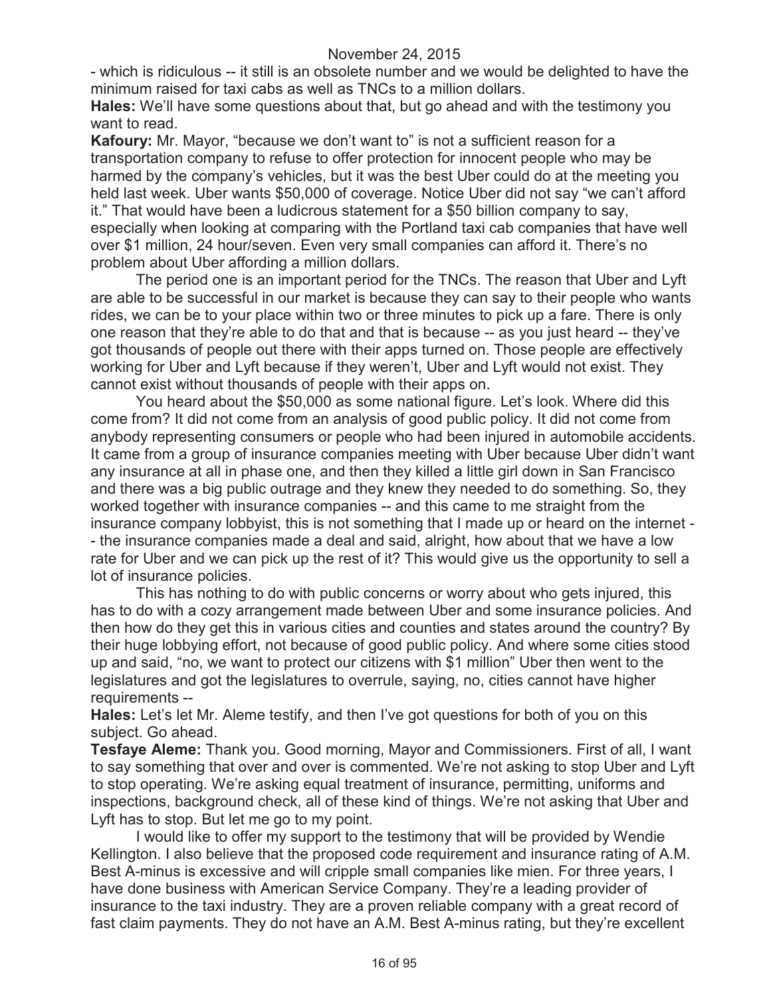- which is ridiculous -- it still is an obsolete number and we would be delighted to have the minimum raised for taxi cabs as well as TNCs to a million dollars.

**Hales:** We'll have some questions about that, but go ahead and with the testimony you want to read.

**Kafoury:** Mr. Mayor, "because we don't want to" is not a sufficient reason for a transportation company to refuse to offer protection for innocent people who may be harmed by the company's vehicles, but it was the best Uber could do at the meeting you held last week. Uber wants \$50,000 of coverage. Notice Uber did not say "we can't afford it." That would have been a ludicrous statement for a \$50 billion company to say, especially when looking at comparing with the Portland taxi cab companies that have well over \$1 million, 24 hour/seven. Even very small companies can afford it. There's no problem about Uber affording a million dollars.

The period one is an important period for the TNCs. The reason that Uber and Lyft are able to be successful in our market is because they can say to their people who wants rides, we can be to your place within two or three minutes to pick up a fare. There is only one reason that they're able to do that and that is because -- as you just heard -- they've got thousands of people out there with their apps turned on. Those people are effectively working for Uber and Lyft because if they weren't, Uber and Lyft would not exist. They cannot exist without thousands of people with their apps on.

You heard about the \$50,000 as some national figure. Let's look. Where did this come from? It did not come from an analysis of good public policy. It did not come from anybody representing consumers or people who had been injured in automobile accidents. It came from a group of insurance companies meeting with Uber because Uber didn't want any insurance at all in phase one, and then they killed a little girl down in San Francisco and there was a big public outrage and they knew they needed to do something. So, they worked together with insurance companies -- and this came to me straight from the insurance company lobbyist, this is not something that I made up or heard on the internet - - the insurance companies made a deal and said, alright, how about that we have a low rate for Uber and we can pick up the rest of it? This would give us the opportunity to sell a lot of insurance policies.

This has nothing to do with public concerns or worry about who gets injured, this has to do with a cozy arrangement made between Uber and some insurance policies. And then how do they get this in various cities and counties and states around the country? By their huge lobbying effort, not because of good public policy. And where some cities stood up and said, "no, we want to protect our citizens with \$1 million" Uber then went to the legislatures and got the legislatures to overrule, saying, no, cities cannot have higher requirements --

**Hales:** Let's let Mr. Aleme testify, and then I've got questions for both of you on this subject. Go ahead.

**Tesfaye Aleme:** Thank you. Good morning, Mayor and Commissioners. First of all, I want to say something that over and over is commented. We're not asking to stop Uber and Lyft to stop operating. We're asking equal treatment of insurance, permitting, uniforms and inspections, background check, all of these kind of things. We're not asking that Uber and Lyft has to stop. But let me go to my point.

I would like to offer my support to the testimony that will be provided by Wendie Kellington. I also believe that the proposed code requirement and insurance rating of A.M. Best A-minus is excessive and will cripple small companies like mien. For three years, I have done business with American Service Company. They're a leading provider of insurance to the taxi industry. They are a proven reliable company with a great record of fast claim payments. They do not have an A.M. Best A-minus rating, but they're excellent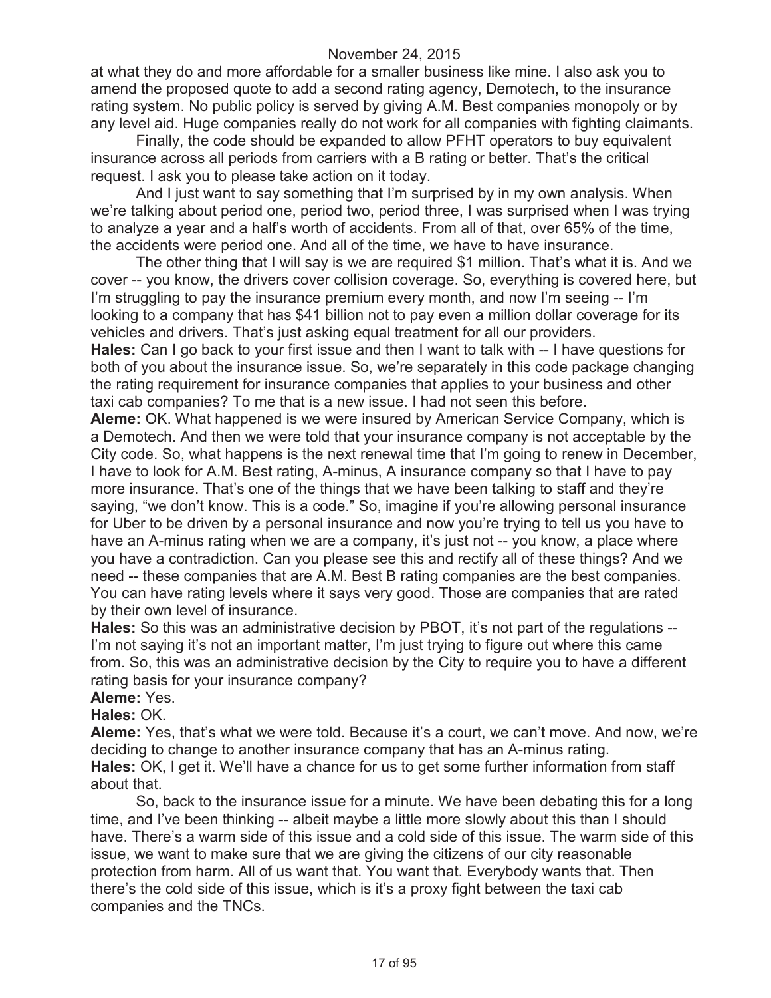at what they do and more affordable for a smaller business like mine. I also ask you to amend the proposed quote to add a second rating agency, Demotech, to the insurance rating system. No public policy is served by giving A.M. Best companies monopoly or by any level aid. Huge companies really do not work for all companies with fighting claimants.

Finally, the code should be expanded to allow PFHT operators to buy equivalent insurance across all periods from carriers with a B rating or better. That's the critical request. I ask you to please take action on it today.

And I just want to say something that I'm surprised by in my own analysis. When we're talking about period one, period two, period three, I was surprised when I was trying to analyze a year and a half's worth of accidents. From all of that, over 65% of the time, the accidents were period one. And all of the time, we have to have insurance.

The other thing that I will say is we are required \$1 million. That's what it is. And we cover -- you know, the drivers cover collision coverage. So, everything is covered here, but I'm struggling to pay the insurance premium every month, and now I'm seeing -- I'm looking to a company that has \$41 billion not to pay even a million dollar coverage for its vehicles and drivers. That's just asking equal treatment for all our providers.

**Hales:** Can I go back to your first issue and then I want to talk with -- I have questions for both of you about the insurance issue. So, we're separately in this code package changing the rating requirement for insurance companies that applies to your business and other taxi cab companies? To me that is a new issue. I had not seen this before.

**Aleme:** OK. What happened is we were insured by American Service Company, which is a Demotech. And then we were told that your insurance company is not acceptable by the City code. So, what happens is the next renewal time that I'm going to renew in December, I have to look for A.M. Best rating, A-minus, A insurance company so that I have to pay more insurance. That's one of the things that we have been talking to staff and they're saying, "we don't know. This is a code." So, imagine if you're allowing personal insurance for Uber to be driven by a personal insurance and now you're trying to tell us you have to have an A-minus rating when we are a company, it's just not -- you know, a place where you have a contradiction. Can you please see this and rectify all of these things? And we need -- these companies that are A.M. Best B rating companies are the best companies. You can have rating levels where it says very good. Those are companies that are rated by their own level of insurance.

**Hales:** So this was an administrative decision by PBOT, it's not part of the regulations -- I'm not saying it's not an important matter, I'm just trying to figure out where this came from. So, this was an administrative decision by the City to require you to have a different rating basis for your insurance company?

#### **Aleme:** Yes.

**Hales:** OK.

**Aleme:** Yes, that's what we were told. Because it's a court, we can't move. And now, we're deciding to change to another insurance company that has an A-minus rating. **Hales:** OK, I get it. We'll have a chance for us to get some further information from staff about that.

So, back to the insurance issue for a minute. We have been debating this for a long time, and I've been thinking -- albeit maybe a little more slowly about this than I should have. There's a warm side of this issue and a cold side of this issue. The warm side of this issue, we want to make sure that we are giving the citizens of our city reasonable protection from harm. All of us want that. You want that. Everybody wants that. Then there's the cold side of this issue, which is it's a proxy fight between the taxi cab companies and the TNCs.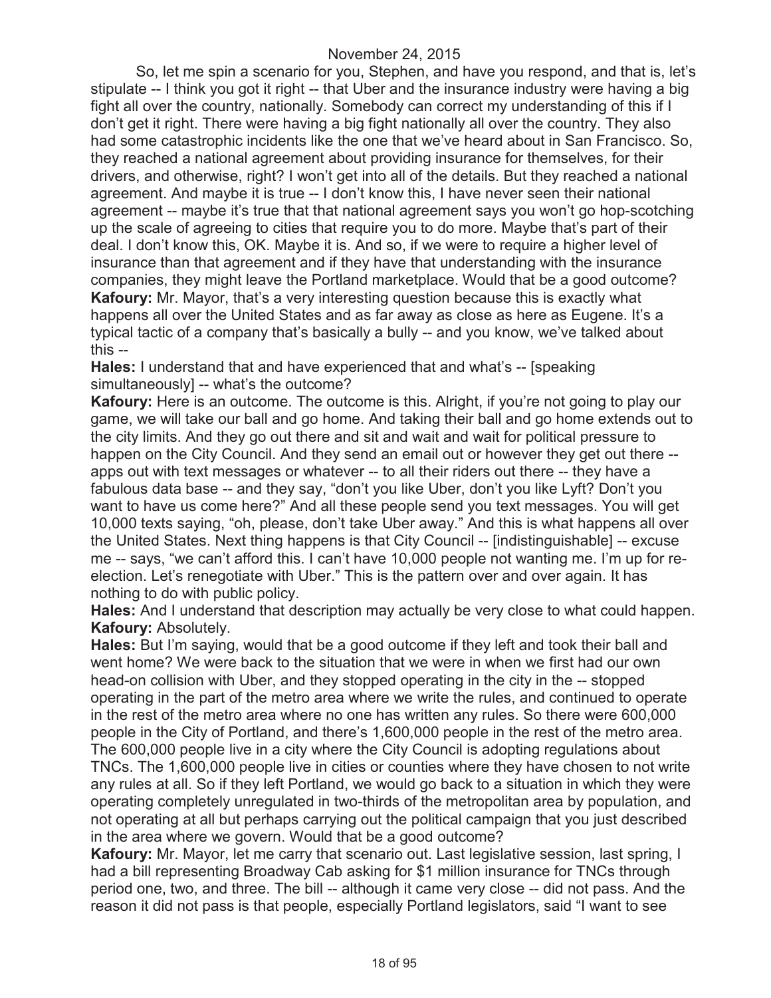So, let me spin a scenario for you, Stephen, and have you respond, and that is, let's stipulate -- I think you got it right -- that Uber and the insurance industry were having a big fight all over the country, nationally. Somebody can correct my understanding of this if I don't get it right. There were having a big fight nationally all over the country. They also had some catastrophic incidents like the one that we've heard about in San Francisco. So, they reached a national agreement about providing insurance for themselves, for their drivers, and otherwise, right? I won't get into all of the details. But they reached a national agreement. And maybe it is true -- I don't know this, I have never seen their national agreement -- maybe it's true that that national agreement says you won't go hop-scotching up the scale of agreeing to cities that require you to do more. Maybe that's part of their deal. I don't know this, OK. Maybe it is. And so, if we were to require a higher level of insurance than that agreement and if they have that understanding with the insurance companies, they might leave the Portland marketplace. Would that be a good outcome? **Kafoury:** Mr. Mayor, that's a very interesting question because this is exactly what happens all over the United States and as far away as close as here as Eugene. It's a typical tactic of a company that's basically a bully -- and you know, we've talked about this --

**Hales:** I understand that and have experienced that and what's -- [speaking simultaneously] -- what's the outcome?

**Kafoury:** Here is an outcome. The outcome is this. Alright, if you're not going to play our game, we will take our ball and go home. And taking their ball and go home extends out to the city limits. And they go out there and sit and wait and wait for political pressure to happen on the City Council. And they send an email out or however they get out there - apps out with text messages or whatever -- to all their riders out there -- they have a fabulous data base -- and they say, "don't you like Uber, don't you like Lyft? Don't you want to have us come here?" And all these people send you text messages. You will get 10,000 texts saying, "oh, please, don't take Uber away." And this is what happens all over the United States. Next thing happens is that City Council -- [indistinguishable] -- excuse me -- says, "we can't afford this. I can't have 10,000 people not wanting me. I'm up for reelection. Let's renegotiate with Uber." This is the pattern over and over again. It has nothing to do with public policy.

**Hales:** And I understand that description may actually be very close to what could happen. **Kafoury:** Absolutely.

**Hales:** But I'm saying, would that be a good outcome if they left and took their ball and went home? We were back to the situation that we were in when we first had our own head-on collision with Uber, and they stopped operating in the city in the -- stopped operating in the part of the metro area where we write the rules, and continued to operate in the rest of the metro area where no one has written any rules. So there were 600,000 people in the City of Portland, and there's 1,600,000 people in the rest of the metro area. The 600,000 people live in a city where the City Council is adopting regulations about TNCs. The 1,600,000 people live in cities or counties where they have chosen to not write any rules at all. So if they left Portland, we would go back to a situation in which they were operating completely unregulated in two-thirds of the metropolitan area by population, and not operating at all but perhaps carrying out the political campaign that you just described in the area where we govern. Would that be a good outcome?

**Kafoury:** Mr. Mayor, let me carry that scenario out. Last legislative session, last spring, I had a bill representing Broadway Cab asking for \$1 million insurance for TNCs through period one, two, and three. The bill -- although it came very close -- did not pass. And the reason it did not pass is that people, especially Portland legislators, said "I want to see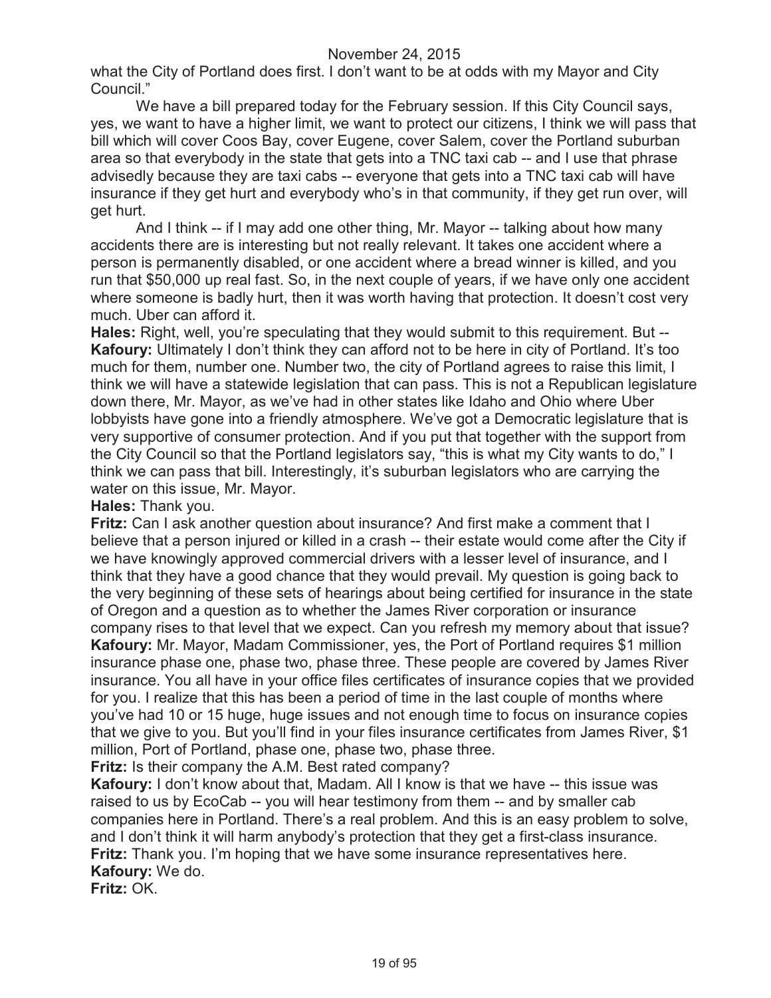what the City of Portland does first. I don't want to be at odds with my Mayor and City Council."

We have a bill prepared today for the February session. If this City Council says, yes, we want to have a higher limit, we want to protect our citizens, I think we will pass that bill which will cover Coos Bay, cover Eugene, cover Salem, cover the Portland suburban area so that everybody in the state that gets into a TNC taxi cab -- and I use that phrase advisedly because they are taxi cabs -- everyone that gets into a TNC taxi cab will have insurance if they get hurt and everybody who's in that community, if they get run over, will get hurt.

And I think -- if I may add one other thing, Mr. Mayor -- talking about how many accidents there are is interesting but not really relevant. It takes one accident where a person is permanently disabled, or one accident where a bread winner is killed, and you run that \$50,000 up real fast. So, in the next couple of years, if we have only one accident where someone is badly hurt, then it was worth having that protection. It doesn't cost very much. Uber can afford it.

**Hales:** Right, well, you're speculating that they would submit to this requirement. But -- **Kafoury:** Ultimately I don't think they can afford not to be here in city of Portland. It's too much for them, number one. Number two, the city of Portland agrees to raise this limit, I think we will have a statewide legislation that can pass. This is not a Republican legislature down there, Mr. Mayor, as we've had in other states like Idaho and Ohio where Uber lobbyists have gone into a friendly atmosphere. We've got a Democratic legislature that is very supportive of consumer protection. And if you put that together with the support from the City Council so that the Portland legislators say, "this is what my City wants to do," I think we can pass that bill. Interestingly, it's suburban legislators who are carrying the water on this issue, Mr. Mayor.

#### **Hales:** Thank you.

**Fritz:** Can I ask another question about insurance? And first make a comment that I believe that a person injured or killed in a crash -- their estate would come after the City if we have knowingly approved commercial drivers with a lesser level of insurance, and I think that they have a good chance that they would prevail. My question is going back to the very beginning of these sets of hearings about being certified for insurance in the state of Oregon and a question as to whether the James River corporation or insurance company rises to that level that we expect. Can you refresh my memory about that issue? **Kafoury:** Mr. Mayor, Madam Commissioner, yes, the Port of Portland requires \$1 million insurance phase one, phase two, phase three. These people are covered by James River insurance. You all have in your office files certificates of insurance copies that we provided for you. I realize that this has been a period of time in the last couple of months where you've had 10 or 15 huge, huge issues and not enough time to focus on insurance copies that we give to you. But you'll find in your files insurance certificates from James River, \$1 million, Port of Portland, phase one, phase two, phase three.

**Fritz:** Is their company the A.M. Best rated company?

**Kafoury:** I don't know about that, Madam. All I know is that we have -- this issue was raised to us by EcoCab -- you will hear testimony from them -- and by smaller cab companies here in Portland. There's a real problem. And this is an easy problem to solve, and I don't think it will harm anybody's protection that they get a first-class insurance. **Fritz:** Thank you. I'm hoping that we have some insurance representatives here. **Kafoury:** We do.

**Fritz:** OK.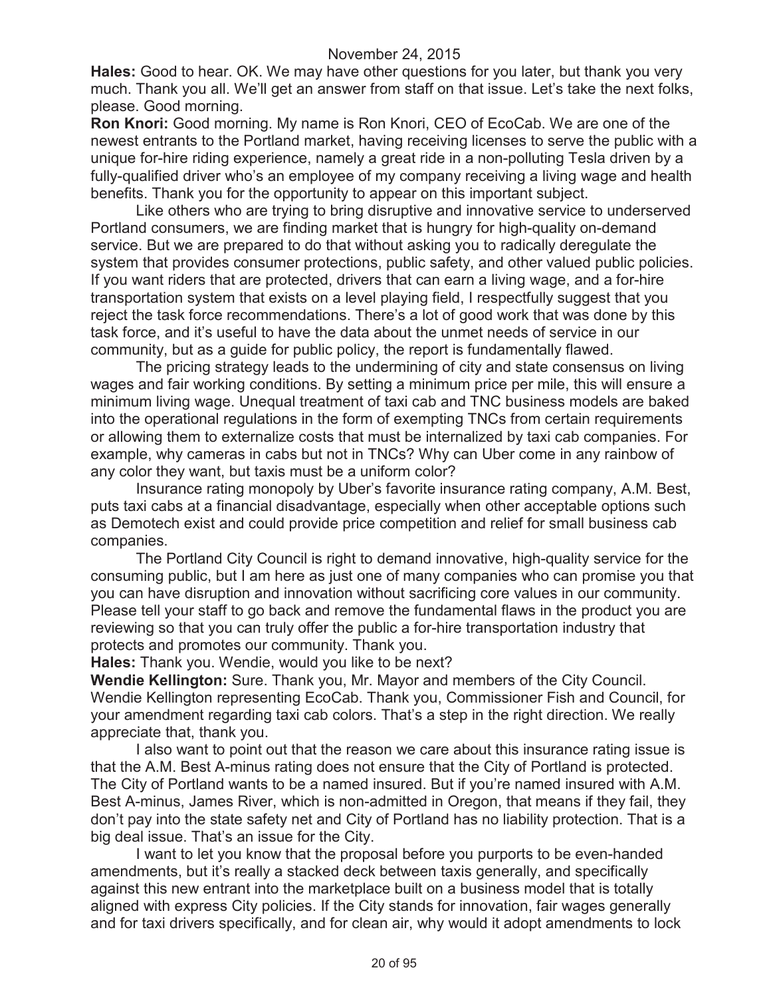**Hales:** Good to hear. OK. We may have other questions for you later, but thank you very much. Thank you all. We'll get an answer from staff on that issue. Let's take the next folks, please. Good morning.

**Ron Knori:** Good morning. My name is Ron Knori, CEO of EcoCab. We are one of the newest entrants to the Portland market, having receiving licenses to serve the public with a unique for-hire riding experience, namely a great ride in a non-polluting Tesla driven by a fully-qualified driver who's an employee of my company receiving a living wage and health benefits. Thank you for the opportunity to appear on this important subject.

Like others who are trying to bring disruptive and innovative service to underserved Portland consumers, we are finding market that is hungry for high-quality on-demand service. But we are prepared to do that without asking you to radically deregulate the system that provides consumer protections, public safety, and other valued public policies. If you want riders that are protected, drivers that can earn a living wage, and a for-hire transportation system that exists on a level playing field, I respectfully suggest that you reject the task force recommendations. There's a lot of good work that was done by this task force, and it's useful to have the data about the unmet needs of service in our community, but as a guide for public policy, the report is fundamentally flawed.

The pricing strategy leads to the undermining of city and state consensus on living wages and fair working conditions. By setting a minimum price per mile, this will ensure a minimum living wage. Unequal treatment of taxi cab and TNC business models are baked into the operational regulations in the form of exempting TNCs from certain requirements or allowing them to externalize costs that must be internalized by taxi cab companies. For example, why cameras in cabs but not in TNCs? Why can Uber come in any rainbow of any color they want, but taxis must be a uniform color?

Insurance rating monopoly by Uber's favorite insurance rating company, A.M. Best, puts taxi cabs at a financial disadvantage, especially when other acceptable options such as Demotech exist and could provide price competition and relief for small business cab companies.

The Portland City Council is right to demand innovative, high-quality service for the consuming public, but I am here as just one of many companies who can promise you that you can have disruption and innovation without sacrificing core values in our community. Please tell your staff to go back and remove the fundamental flaws in the product you are reviewing so that you can truly offer the public a for-hire transportation industry that protects and promotes our community. Thank you.

**Hales:** Thank you. Wendie, would you like to be next?

**Wendie Kellington:** Sure. Thank you, Mr. Mayor and members of the City Council. Wendie Kellington representing EcoCab. Thank you, Commissioner Fish and Council, for your amendment regarding taxi cab colors. That's a step in the right direction. We really appreciate that, thank you.

I also want to point out that the reason we care about this insurance rating issue is that the A.M. Best A-minus rating does not ensure that the City of Portland is protected. The City of Portland wants to be a named insured. But if you're named insured with A.M. Best A-minus, James River, which is non-admitted in Oregon, that means if they fail, they don't pay into the state safety net and City of Portland has no liability protection. That is a big deal issue. That's an issue for the City.

I want to let you know that the proposal before you purports to be even-handed amendments, but it's really a stacked deck between taxis generally, and specifically against this new entrant into the marketplace built on a business model that is totally aligned with express City policies. If the City stands for innovation, fair wages generally and for taxi drivers specifically, and for clean air, why would it adopt amendments to lock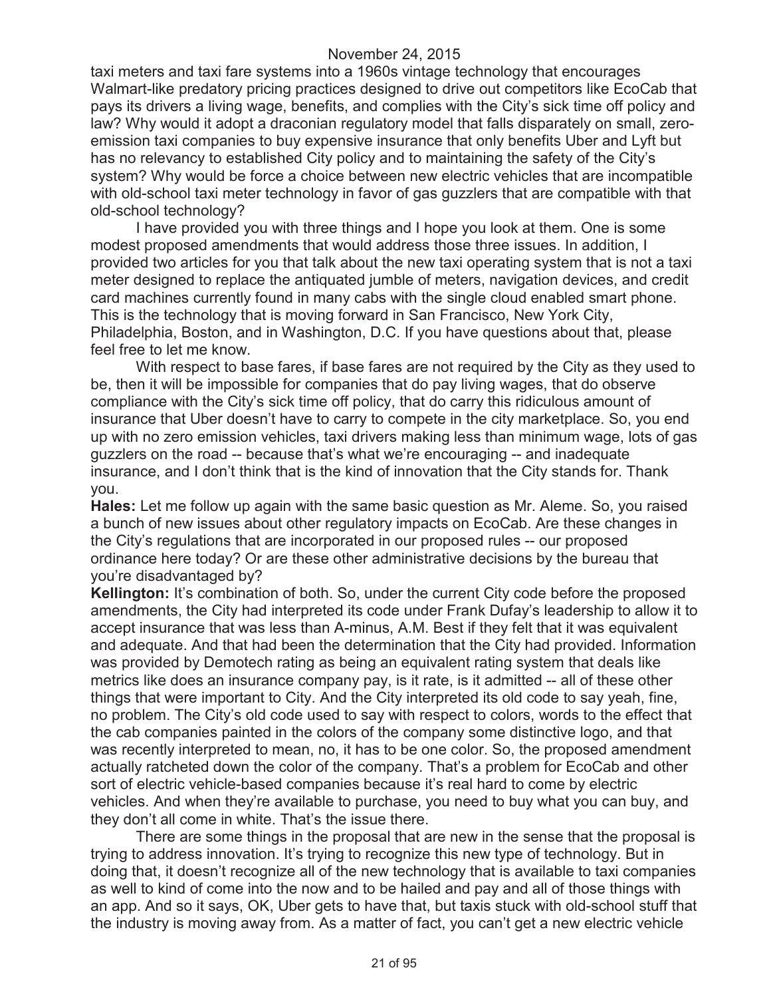taxi meters and taxi fare systems into a 1960s vintage technology that encourages Walmart-like predatory pricing practices designed to drive out competitors like EcoCab that pays its drivers a living wage, benefits, and complies with the City's sick time off policy and law? Why would it adopt a draconian regulatory model that falls disparately on small, zeroemission taxi companies to buy expensive insurance that only benefits Uber and Lyft but has no relevancy to established City policy and to maintaining the safety of the City's system? Why would be force a choice between new electric vehicles that are incompatible with old-school taxi meter technology in favor of gas guzzlers that are compatible with that old-school technology?

I have provided you with three things and I hope you look at them. One is some modest proposed amendments that would address those three issues. In addition, I provided two articles for you that talk about the new taxi operating system that is not a taxi meter designed to replace the antiquated jumble of meters, navigation devices, and credit card machines currently found in many cabs with the single cloud enabled smart phone. This is the technology that is moving forward in San Francisco, New York City, Philadelphia, Boston, and in Washington, D.C. If you have questions about that, please feel free to let me know.

With respect to base fares, if base fares are not required by the City as they used to be, then it will be impossible for companies that do pay living wages, that do observe compliance with the City's sick time off policy, that do carry this ridiculous amount of insurance that Uber doesn't have to carry to compete in the city marketplace. So, you end up with no zero emission vehicles, taxi drivers making less than minimum wage, lots of gas guzzlers on the road -- because that's what we're encouraging -- and inadequate insurance, and I don't think that is the kind of innovation that the City stands for. Thank you.

**Hales:** Let me follow up again with the same basic question as Mr. Aleme. So, you raised a bunch of new issues about other regulatory impacts on EcoCab. Are these changes in the City's regulations that are incorporated in our proposed rules -- our proposed ordinance here today? Or are these other administrative decisions by the bureau that you're disadvantaged by?

**Kellington:** It's combination of both. So, under the current City code before the proposed amendments, the City had interpreted its code under Frank Dufay's leadership to allow it to accept insurance that was less than A-minus, A.M. Best if they felt that it was equivalent and adequate. And that had been the determination that the City had provided. Information was provided by Demotech rating as being an equivalent rating system that deals like metrics like does an insurance company pay, is it rate, is it admitted -- all of these other things that were important to City. And the City interpreted its old code to say yeah, fine, no problem. The City's old code used to say with respect to colors, words to the effect that the cab companies painted in the colors of the company some distinctive logo, and that was recently interpreted to mean, no, it has to be one color. So, the proposed amendment actually ratcheted down the color of the company. That's a problem for EcoCab and other sort of electric vehicle-based companies because it's real hard to come by electric vehicles. And when they're available to purchase, you need to buy what you can buy, and they don't all come in white. That's the issue there.

There are some things in the proposal that are new in the sense that the proposal is trying to address innovation. It's trying to recognize this new type of technology. But in doing that, it doesn't recognize all of the new technology that is available to taxi companies as well to kind of come into the now and to be hailed and pay and all of those things with an app. And so it says, OK, Uber gets to have that, but taxis stuck with old-school stuff that the industry is moving away from. As a matter of fact, you can't get a new electric vehicle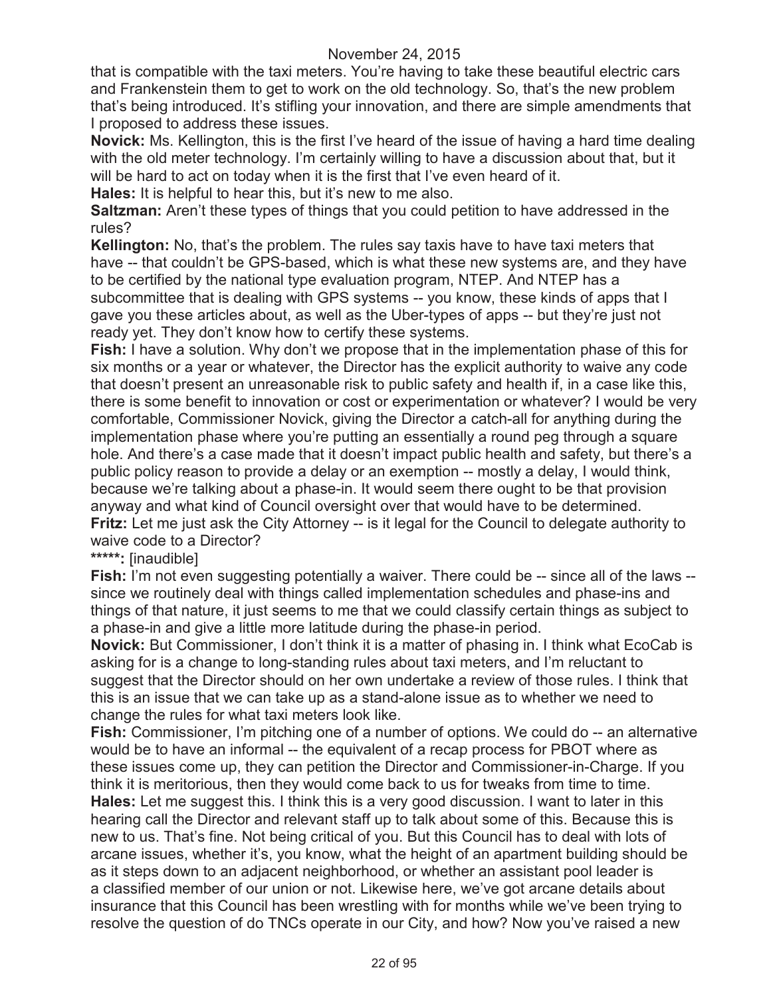that is compatible with the taxi meters. You're having to take these beautiful electric cars and Frankenstein them to get to work on the old technology. So, that's the new problem that's being introduced. It's stifling your innovation, and there are simple amendments that I proposed to address these issues.

**Novick:** Ms. Kellington, this is the first I've heard of the issue of having a hard time dealing with the old meter technology. I'm certainly willing to have a discussion about that, but it will be hard to act on today when it is the first that I've even heard of it.

**Hales:** It is helpful to hear this, but it's new to me also.

**Saltzman:** Aren't these types of things that you could petition to have addressed in the rules?

**Kellington:** No, that's the problem. The rules say taxis have to have taxi meters that have -- that couldn't be GPS-based, which is what these new systems are, and they have to be certified by the national type evaluation program, NTEP. And NTEP has a subcommittee that is dealing with GPS systems -- you know, these kinds of apps that I gave you these articles about, as well as the Uber-types of apps -- but they're just not ready yet. They don't know how to certify these systems.

**Fish:** I have a solution. Why don't we propose that in the implementation phase of this for six months or a year or whatever, the Director has the explicit authority to waive any code that doesn't present an unreasonable risk to public safety and health if, in a case like this, there is some benefit to innovation or cost or experimentation or whatever? I would be very comfortable, Commissioner Novick, giving the Director a catch-all for anything during the implementation phase where you're putting an essentially a round peg through a square hole. And there's a case made that it doesn't impact public health and safety, but there's a public policy reason to provide a delay or an exemption -- mostly a delay, I would think, because we're talking about a phase-in. It would seem there ought to be that provision anyway and what kind of Council oversight over that would have to be determined. **Fritz:** Let me just ask the City Attorney -- is it legal for the Council to delegate authority to waive code to a Director?

## **\*\*\*\*\*:** [inaudible]

**Fish:** I'm not even suggesting potentially a waiver. There could be -- since all of the laws - since we routinely deal with things called implementation schedules and phase-ins and things of that nature, it just seems to me that we could classify certain things as subject to a phase-in and give a little more latitude during the phase-in period.

**Novick:** But Commissioner, I don't think it is a matter of phasing in. I think what EcoCab is asking for is a change to long-standing rules about taxi meters, and I'm reluctant to suggest that the Director should on her own undertake a review of those rules. I think that this is an issue that we can take up as a stand-alone issue as to whether we need to change the rules for what taxi meters look like.

**Fish:** Commissioner, I'm pitching one of a number of options. We could do -- an alternative would be to have an informal -- the equivalent of a recap process for PBOT where as these issues come up, they can petition the Director and Commissioner-in-Charge. If you think it is meritorious, then they would come back to us for tweaks from time to time. **Hales:** Let me suggest this. I think this is a very good discussion. I want to later in this hearing call the Director and relevant staff up to talk about some of this. Because this is new to us. That's fine. Not being critical of you. But this Council has to deal with lots of arcane issues, whether it's, you know, what the height of an apartment building should be as it steps down to an adjacent neighborhood, or whether an assistant pool leader is a classified member of our union or not. Likewise here, we've got arcane details about insurance that this Council has been wrestling with for months while we've been trying to resolve the question of do TNCs operate in our City, and how? Now you've raised a new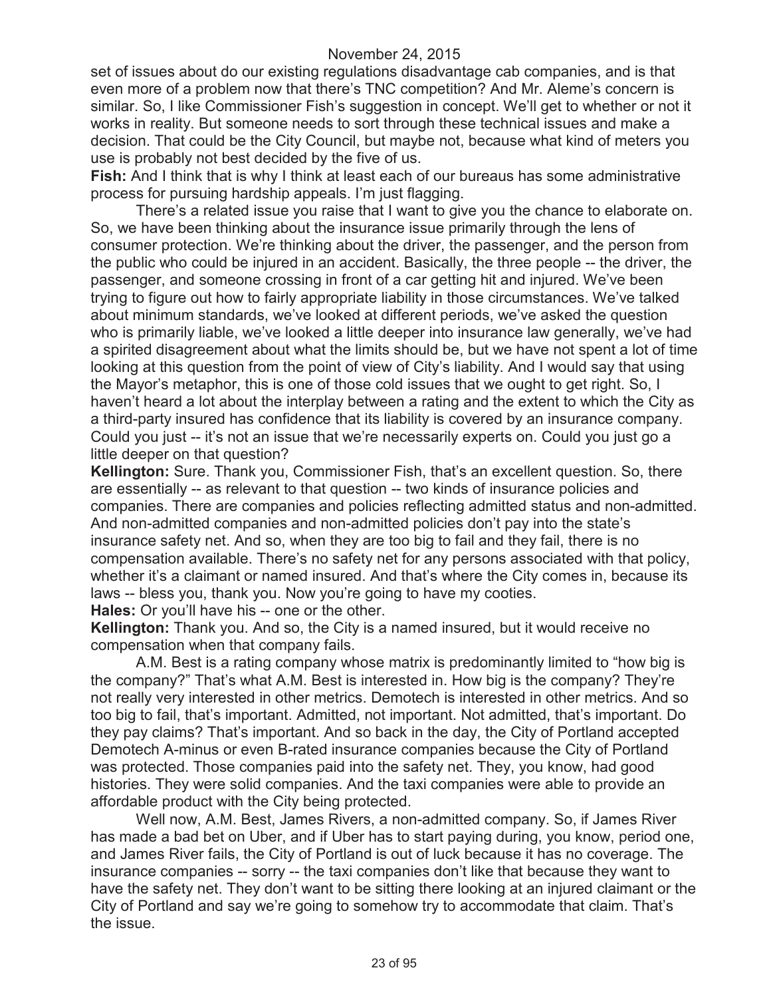set of issues about do our existing regulations disadvantage cab companies, and is that even more of a problem now that there's TNC competition? And Mr. Aleme's concern is similar. So, I like Commissioner Fish's suggestion in concept. We'll get to whether or not it works in reality. But someone needs to sort through these technical issues and make a decision. That could be the City Council, but maybe not, because what kind of meters you use is probably not best decided by the five of us.

**Fish:** And I think that is why I think at least each of our bureaus has some administrative process for pursuing hardship appeals. I'm just flagging.

There's a related issue you raise that I want to give you the chance to elaborate on. So, we have been thinking about the insurance issue primarily through the lens of consumer protection. We're thinking about the driver, the passenger, and the person from the public who could be injured in an accident. Basically, the three people -- the driver, the passenger, and someone crossing in front of a car getting hit and injured. We've been trying to figure out how to fairly appropriate liability in those circumstances. We've talked about minimum standards, we've looked at different periods, we've asked the question who is primarily liable, we've looked a little deeper into insurance law generally, we've had a spirited disagreement about what the limits should be, but we have not spent a lot of time looking at this question from the point of view of City's liability. And I would say that using the Mayor's metaphor, this is one of those cold issues that we ought to get right. So, I haven't heard a lot about the interplay between a rating and the extent to which the City as a third-party insured has confidence that its liability is covered by an insurance company. Could you just -- it's not an issue that we're necessarily experts on. Could you just go a little deeper on that question?

**Kellington:** Sure. Thank you, Commissioner Fish, that's an excellent question. So, there are essentially -- as relevant to that question -- two kinds of insurance policies and companies. There are companies and policies reflecting admitted status and non-admitted. And non-admitted companies and non-admitted policies don't pay into the state's insurance safety net. And so, when they are too big to fail and they fail, there is no compensation available. There's no safety net for any persons associated with that policy, whether it's a claimant or named insured. And that's where the City comes in, because its laws -- bless you, thank you. Now you're going to have my cooties.

**Hales:** Or you'll have his -- one or the other.

**Kellington:** Thank you. And so, the City is a named insured, but it would receive no compensation when that company fails.

A.M. Best is a rating company whose matrix is predominantly limited to "how big is the company?" That's what A.M. Best is interested in. How big is the company? They're not really very interested in other metrics. Demotech is interested in other metrics. And so too big to fail, that's important. Admitted, not important. Not admitted, that's important. Do they pay claims? That's important. And so back in the day, the City of Portland accepted Demotech A-minus or even B-rated insurance companies because the City of Portland was protected. Those companies paid into the safety net. They, you know, had good histories. They were solid companies. And the taxi companies were able to provide an affordable product with the City being protected.

Well now, A.M. Best, James Rivers, a non-admitted company. So, if James River has made a bad bet on Uber, and if Uber has to start paying during, you know, period one, and James River fails, the City of Portland is out of luck because it has no coverage. The insurance companies -- sorry -- the taxi companies don't like that because they want to have the safety net. They don't want to be sitting there looking at an injured claimant or the City of Portland and say we're going to somehow try to accommodate that claim. That's the issue.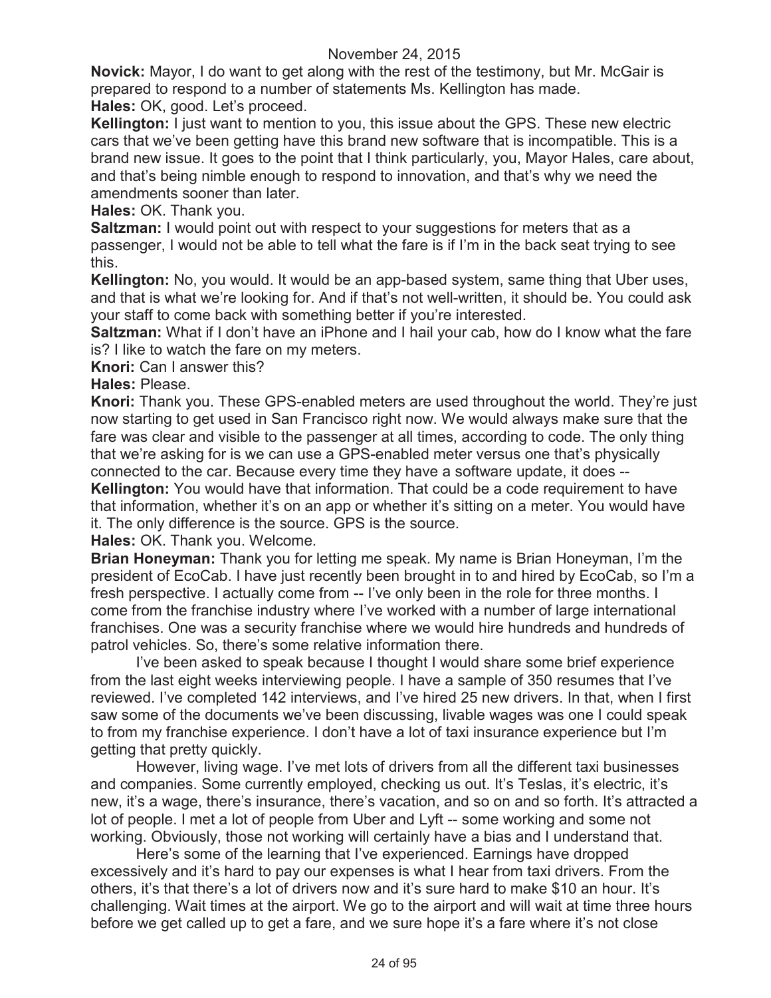**Novick:** Mayor, I do want to get along with the rest of the testimony, but Mr. McGair is prepared to respond to a number of statements Ms. Kellington has made. **Hales:** OK, good. Let's proceed.

**Kellington:** I just want to mention to you, this issue about the GPS. These new electric cars that we've been getting have this brand new software that is incompatible. This is a brand new issue. It goes to the point that I think particularly, you, Mayor Hales, care about, and that's being nimble enough to respond to innovation, and that's why we need the amendments sooner than later.

**Hales:** OK. Thank you.

**Saltzman:** I would point out with respect to your suggestions for meters that as a passenger, I would not be able to tell what the fare is if I'm in the back seat trying to see this.

**Kellington:** No, you would. It would be an app-based system, same thing that Uber uses, and that is what we're looking for. And if that's not well-written, it should be. You could ask your staff to come back with something better if you're interested.

**Saltzman:** What if I don't have an iPhone and I hail your cab, how do I know what the fare is? I like to watch the fare on my meters.

**Knori:** Can I answer this?

## **Hales:** Please.

**Knori:** Thank you. These GPS-enabled meters are used throughout the world. They're just now starting to get used in San Francisco right now. We would always make sure that the fare was clear and visible to the passenger at all times, according to code. The only thing that we're asking for is we can use a GPS-enabled meter versus one that's physically connected to the car. Because every time they have a software update, it does --

**Kellington:** You would have that information. That could be a code requirement to have that information, whether it's on an app or whether it's sitting on a meter. You would have it. The only difference is the source. GPS is the source.

**Hales:** OK. Thank you. Welcome.

**Brian Honeyman:** Thank you for letting me speak. My name is Brian Honeyman, I'm the president of EcoCab. I have just recently been brought in to and hired by EcoCab, so I'm a fresh perspective. I actually come from -- I've only been in the role for three months. I come from the franchise industry where I've worked with a number of large international franchises. One was a security franchise where we would hire hundreds and hundreds of patrol vehicles. So, there's some relative information there.

I've been asked to speak because I thought I would share some brief experience from the last eight weeks interviewing people. I have a sample of 350 resumes that I've reviewed. I've completed 142 interviews, and I've hired 25 new drivers. In that, when I first saw some of the documents we've been discussing, livable wages was one I could speak to from my franchise experience. I don't have a lot of taxi insurance experience but I'm getting that pretty quickly.

However, living wage. I've met lots of drivers from all the different taxi businesses and companies. Some currently employed, checking us out. It's Teslas, it's electric, it's new, it's a wage, there's insurance, there's vacation, and so on and so forth. It's attracted a lot of people. I met a lot of people from Uber and Lyft -- some working and some not working. Obviously, those not working will certainly have a bias and I understand that.

Here's some of the learning that I've experienced. Earnings have dropped excessively and it's hard to pay our expenses is what I hear from taxi drivers. From the others, it's that there's a lot of drivers now and it's sure hard to make \$10 an hour. It's challenging. Wait times at the airport. We go to the airport and will wait at time three hours before we get called up to get a fare, and we sure hope it's a fare where it's not close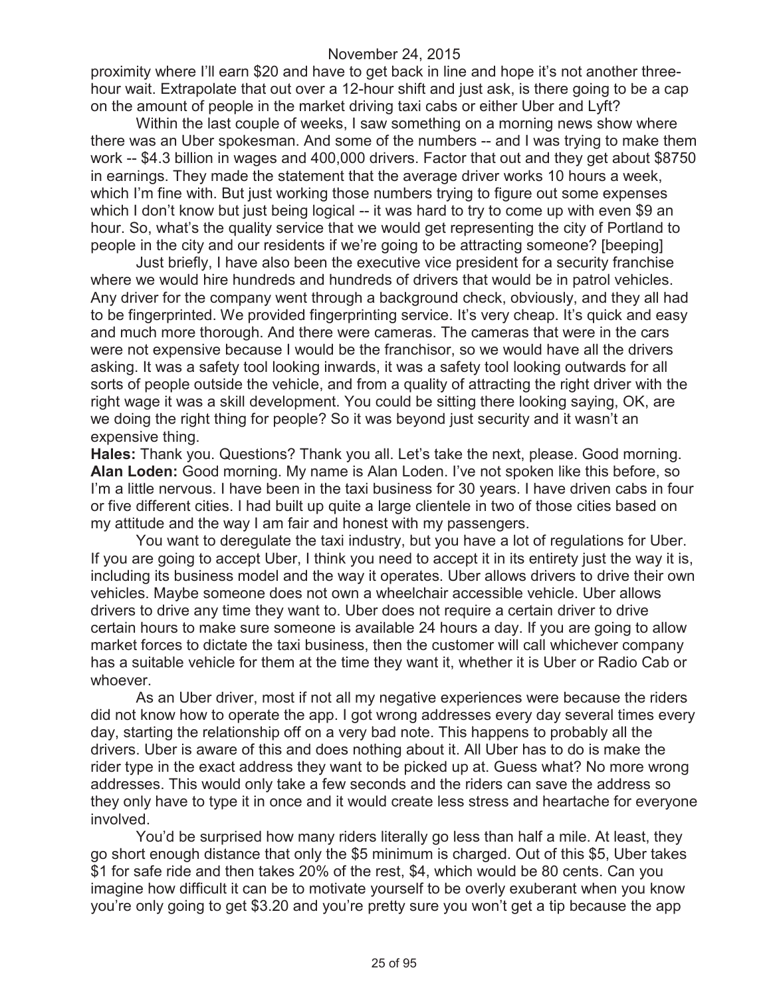proximity where I'll earn \$20 and have to get back in line and hope it's not another threehour wait. Extrapolate that out over a 12-hour shift and just ask, is there going to be a cap on the amount of people in the market driving taxi cabs or either Uber and Lyft?

Within the last couple of weeks, I saw something on a morning news show where there was an Uber spokesman. And some of the numbers -- and I was trying to make them work -- \$4.3 billion in wages and 400,000 drivers. Factor that out and they get about \$8750 in earnings. They made the statement that the average driver works 10 hours a week, which I'm fine with. But just working those numbers trying to figure out some expenses which I don't know but just being logical -- it was hard to try to come up with even \$9 an hour. So, what's the quality service that we would get representing the city of Portland to people in the city and our residents if we're going to be attracting someone? [beeping]

Just briefly, I have also been the executive vice president for a security franchise where we would hire hundreds and hundreds of drivers that would be in patrol vehicles. Any driver for the company went through a background check, obviously, and they all had to be fingerprinted. We provided fingerprinting service. It's very cheap. It's quick and easy and much more thorough. And there were cameras. The cameras that were in the cars were not expensive because I would be the franchisor, so we would have all the drivers asking. It was a safety tool looking inwards, it was a safety tool looking outwards for all sorts of people outside the vehicle, and from a quality of attracting the right driver with the right wage it was a skill development. You could be sitting there looking saying, OK, are we doing the right thing for people? So it was beyond just security and it wasn't an expensive thing.

**Hales:** Thank you. Questions? Thank you all. Let's take the next, please. Good morning. **Alan Loden:** Good morning. My name is Alan Loden. I've not spoken like this before, so I'm a little nervous. I have been in the taxi business for 30 years. I have driven cabs in four or five different cities. I had built up quite a large clientele in two of those cities based on my attitude and the way I am fair and honest with my passengers.

You want to deregulate the taxi industry, but you have a lot of regulations for Uber. If you are going to accept Uber, I think you need to accept it in its entirety just the way it is, including its business model and the way it operates. Uber allows drivers to drive their own vehicles. Maybe someone does not own a wheelchair accessible vehicle. Uber allows drivers to drive any time they want to. Uber does not require a certain driver to drive certain hours to make sure someone is available 24 hours a day. If you are going to allow market forces to dictate the taxi business, then the customer will call whichever company has a suitable vehicle for them at the time they want it, whether it is Uber or Radio Cab or whoever.

As an Uber driver, most if not all my negative experiences were because the riders did not know how to operate the app. I got wrong addresses every day several times every day, starting the relationship off on a very bad note. This happens to probably all the drivers. Uber is aware of this and does nothing about it. All Uber has to do is make the rider type in the exact address they want to be picked up at. Guess what? No more wrong addresses. This would only take a few seconds and the riders can save the address so they only have to type it in once and it would create less stress and heartache for everyone involved.

You'd be surprised how many riders literally go less than half a mile. At least, they go short enough distance that only the \$5 minimum is charged. Out of this \$5, Uber takes \$1 for safe ride and then takes 20% of the rest, \$4, which would be 80 cents. Can you imagine how difficult it can be to motivate yourself to be overly exuberant when you know you're only going to get \$3.20 and you're pretty sure you won't get a tip because the app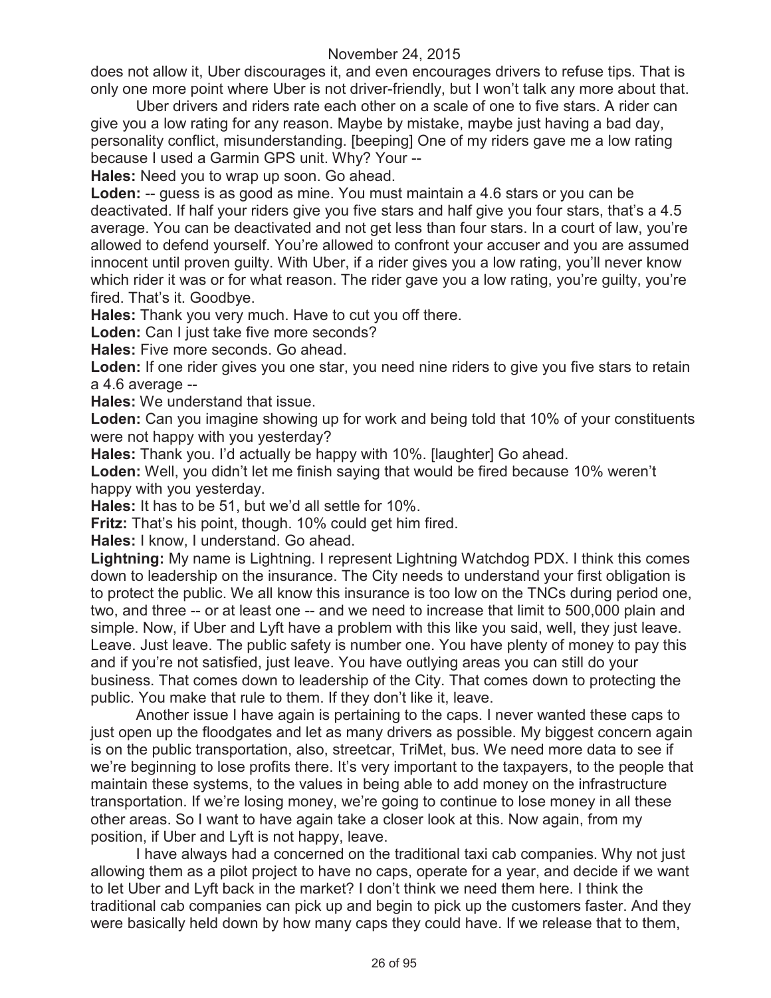does not allow it, Uber discourages it, and even encourages drivers to refuse tips. That is only one more point where Uber is not driver-friendly, but I won't talk any more about that.

Uber drivers and riders rate each other on a scale of one to five stars. A rider can give you a low rating for any reason. Maybe by mistake, maybe just having a bad day, personality conflict, misunderstanding. [beeping] One of my riders gave me a low rating because I used a Garmin GPS unit. Why? Your --

**Hales:** Need you to wrap up soon. Go ahead.

**Loden:** -- guess is as good as mine. You must maintain a 4.6 stars or you can be deactivated. If half your riders give you five stars and half give you four stars, that's a 4.5 average. You can be deactivated and not get less than four stars. In a court of law, you're allowed to defend yourself. You're allowed to confront your accuser and you are assumed innocent until proven guilty. With Uber, if a rider gives you a low rating, you'll never know which rider it was or for what reason. The rider gave you a low rating, you're guilty, you're fired. That's it. Goodbye.

**Hales:** Thank you very much. Have to cut you off there.

Loden: Can I just take five more seconds?

**Hales:** Five more seconds. Go ahead.

**Loden:** If one rider gives you one star, you need nine riders to give you five stars to retain a 4.6 average --

**Hales:** We understand that issue.

**Loden:** Can you imagine showing up for work and being told that 10% of your constituents were not happy with you yesterday?

**Hales:** Thank you. I'd actually be happy with 10%. [laughter] Go ahead.

**Loden:** Well, you didn't let me finish saying that would be fired because 10% weren't happy with you yesterday.

**Hales:** It has to be 51, but we'd all settle for 10%.

**Fritz:** That's his point, though. 10% could get him fired.

**Hales:** I know, I understand. Go ahead.

**Lightning:** My name is Lightning. I represent Lightning Watchdog PDX. I think this comes down to leadership on the insurance. The City needs to understand your first obligation is to protect the public. We all know this insurance is too low on the TNCs during period one, two, and three -- or at least one -- and we need to increase that limit to 500,000 plain and simple. Now, if Uber and Lyft have a problem with this like you said, well, they just leave. Leave. Just leave. The public safety is number one. You have plenty of money to pay this and if you're not satisfied, just leave. You have outlying areas you can still do your business. That comes down to leadership of the City. That comes down to protecting the public. You make that rule to them. If they don't like it, leave.

Another issue I have again is pertaining to the caps. I never wanted these caps to just open up the floodgates and let as many drivers as possible. My biggest concern again is on the public transportation, also, streetcar, TriMet, bus. We need more data to see if we're beginning to lose profits there. It's very important to the taxpayers, to the people that maintain these systems, to the values in being able to add money on the infrastructure transportation. If we're losing money, we're going to continue to lose money in all these other areas. So I want to have again take a closer look at this. Now again, from my position, if Uber and Lyft is not happy, leave.

I have always had a concerned on the traditional taxi cab companies. Why not just allowing them as a pilot project to have no caps, operate for a year, and decide if we want to let Uber and Lyft back in the market? I don't think we need them here. I think the traditional cab companies can pick up and begin to pick up the customers faster. And they were basically held down by how many caps they could have. If we release that to them,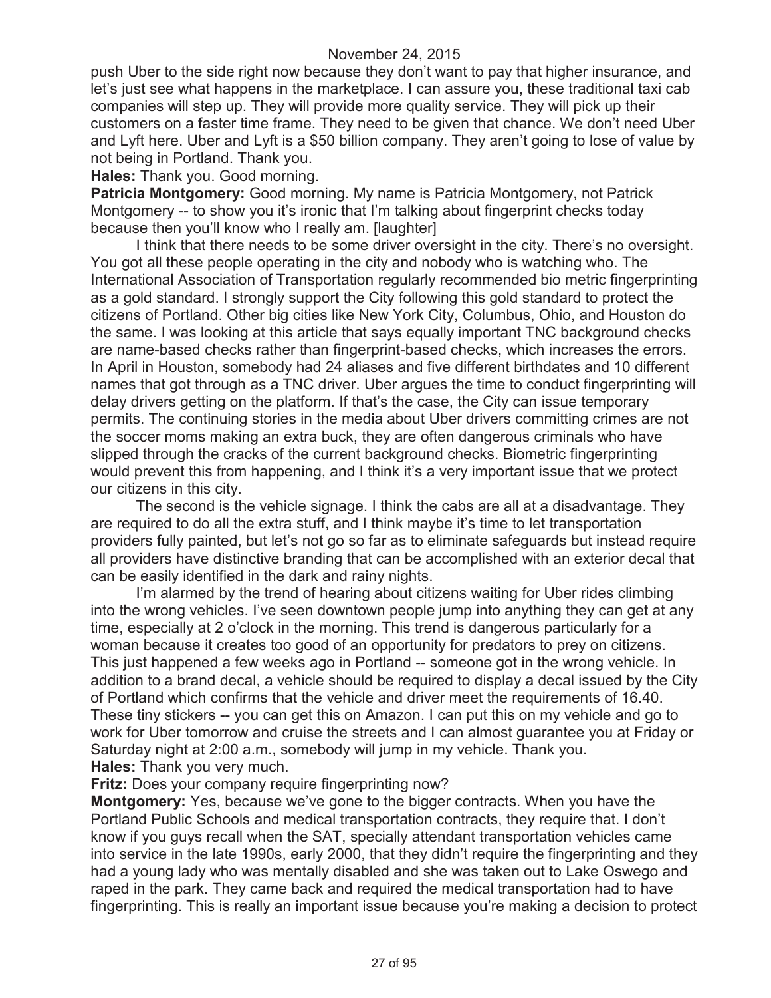push Uber to the side right now because they don't want to pay that higher insurance, and let's just see what happens in the marketplace. I can assure you, these traditional taxi cab companies will step up. They will provide more quality service. They will pick up their customers on a faster time frame. They need to be given that chance. We don't need Uber and Lyft here. Uber and Lyft is a \$50 billion company. They aren't going to lose of value by not being in Portland. Thank you.

**Hales:** Thank you. Good morning.

**Patricia Montgomery:** Good morning. My name is Patricia Montgomery, not Patrick Montgomery -- to show you it's ironic that I'm talking about fingerprint checks today because then you'll know who I really am. [laughter]

I think that there needs to be some driver oversight in the city. There's no oversight. You got all these people operating in the city and nobody who is watching who. The International Association of Transportation regularly recommended bio metric fingerprinting as a gold standard. I strongly support the City following this gold standard to protect the citizens of Portland. Other big cities like New York City, Columbus, Ohio, and Houston do the same. I was looking at this article that says equally important TNC background checks are name-based checks rather than fingerprint-based checks, which increases the errors. In April in Houston, somebody had 24 aliases and five different birthdates and 10 different names that got through as a TNC driver. Uber argues the time to conduct fingerprinting will delay drivers getting on the platform. If that's the case, the City can issue temporary permits. The continuing stories in the media about Uber drivers committing crimes are not the soccer moms making an extra buck, they are often dangerous criminals who have slipped through the cracks of the current background checks. Biometric fingerprinting would prevent this from happening, and I think it's a very important issue that we protect our citizens in this city.

The second is the vehicle signage. I think the cabs are all at a disadvantage. They are required to do all the extra stuff, and I think maybe it's time to let transportation providers fully painted, but let's not go so far as to eliminate safeguards but instead require all providers have distinctive branding that can be accomplished with an exterior decal that can be easily identified in the dark and rainy nights.

I'm alarmed by the trend of hearing about citizens waiting for Uber rides climbing into the wrong vehicles. I've seen downtown people jump into anything they can get at any time, especially at 2 o'clock in the morning. This trend is dangerous particularly for a woman because it creates too good of an opportunity for predators to prey on citizens. This just happened a few weeks ago in Portland -- someone got in the wrong vehicle. In addition to a brand decal, a vehicle should be required to display a decal issued by the City of Portland which confirms that the vehicle and driver meet the requirements of 16.40. These tiny stickers -- you can get this on Amazon. I can put this on my vehicle and go to work for Uber tomorrow and cruise the streets and I can almost guarantee you at Friday or Saturday night at 2:00 a.m., somebody will jump in my vehicle. Thank you. **Hales:** Thank you very much.

**Fritz:** Does your company require fingerprinting now?

**Montgomery:** Yes, because we've gone to the bigger contracts. When you have the Portland Public Schools and medical transportation contracts, they require that. I don't know if you guys recall when the SAT, specially attendant transportation vehicles came into service in the late 1990s, early 2000, that they didn't require the fingerprinting and they had a young lady who was mentally disabled and she was taken out to Lake Oswego and raped in the park. They came back and required the medical transportation had to have fingerprinting. This is really an important issue because you're making a decision to protect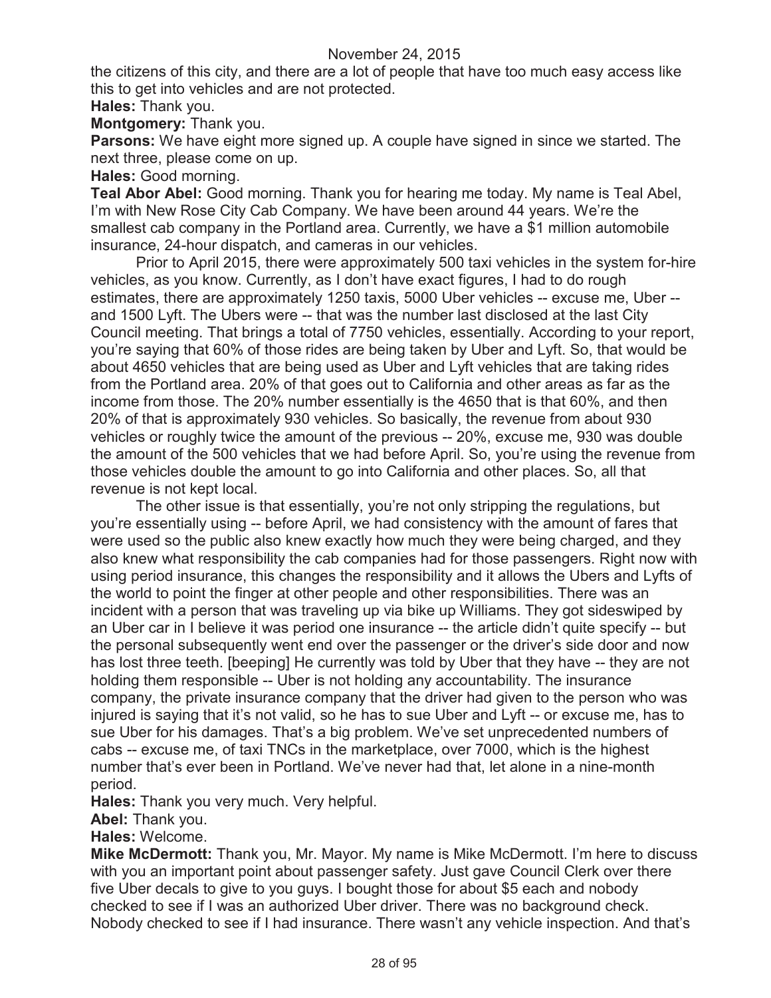the citizens of this city, and there are a lot of people that have too much easy access like this to get into vehicles and are not protected.

**Hales:** Thank you.

**Montgomery:** Thank you.

**Parsons:** We have eight more signed up. A couple have signed in since we started. The next three, please come on up.

**Hales:** Good morning.

**Teal Abor Abel:** Good morning. Thank you for hearing me today. My name is Teal Abel, I'm with New Rose City Cab Company. We have been around 44 years. We're the smallest cab company in the Portland area. Currently, we have a \$1 million automobile insurance, 24-hour dispatch, and cameras in our vehicles.

Prior to April 2015, there were approximately 500 taxi vehicles in the system for-hire vehicles, as you know. Currently, as I don't have exact figures, I had to do rough estimates, there are approximately 1250 taxis, 5000 Uber vehicles -- excuse me, Uber - and 1500 Lyft. The Ubers were -- that was the number last disclosed at the last City Council meeting. That brings a total of 7750 vehicles, essentially. According to your report, you're saying that 60% of those rides are being taken by Uber and Lyft. So, that would be about 4650 vehicles that are being used as Uber and Lyft vehicles that are taking rides from the Portland area. 20% of that goes out to California and other areas as far as the income from those. The 20% number essentially is the 4650 that is that 60%, and then 20% of that is approximately 930 vehicles. So basically, the revenue from about 930 vehicles or roughly twice the amount of the previous -- 20%, excuse me, 930 was double the amount of the 500 vehicles that we had before April. So, you're using the revenue from those vehicles double the amount to go into California and other places. So, all that revenue is not kept local.

The other issue is that essentially, you're not only stripping the regulations, but you're essentially using -- before April, we had consistency with the amount of fares that were used so the public also knew exactly how much they were being charged, and they also knew what responsibility the cab companies had for those passengers. Right now with using period insurance, this changes the responsibility and it allows the Ubers and Lyfts of the world to point the finger at other people and other responsibilities. There was an incident with a person that was traveling up via bike up Williams. They got sideswiped by an Uber car in I believe it was period one insurance -- the article didn't quite specify -- but the personal subsequently went end over the passenger or the driver's side door and now has lost three teeth. [beeping] He currently was told by Uber that they have -- they are not holding them responsible -- Uber is not holding any accountability. The insurance company, the private insurance company that the driver had given to the person who was injured is saying that it's not valid, so he has to sue Uber and Lyft -- or excuse me, has to sue Uber for his damages. That's a big problem. We've set unprecedented numbers of cabs -- excuse me, of taxi TNCs in the marketplace, over 7000, which is the highest number that's ever been in Portland. We've never had that, let alone in a nine-month period.

**Hales:** Thank you very much. Very helpful.

**Abel:** Thank you.

**Hales:** Welcome.

**Mike McDermott:** Thank you, Mr. Mayor. My name is Mike McDermott. I'm here to discuss with you an important point about passenger safety. Just gave Council Clerk over there five Uber decals to give to you guys. I bought those for about \$5 each and nobody checked to see if I was an authorized Uber driver. There was no background check. Nobody checked to see if I had insurance. There wasn't any vehicle inspection. And that's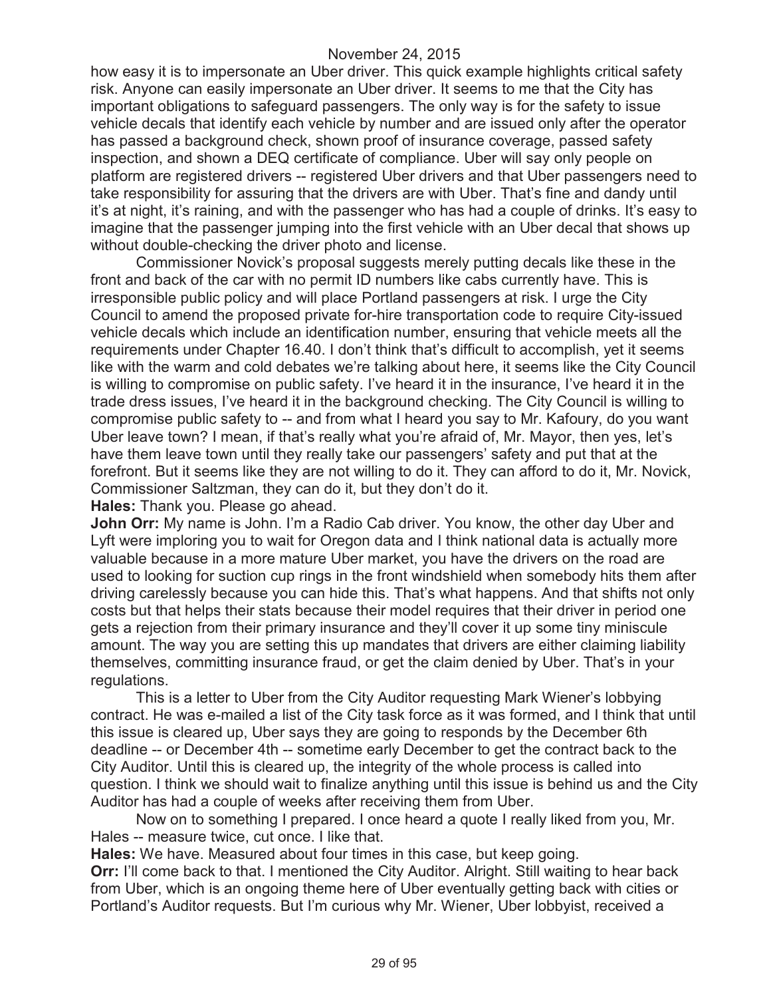how easy it is to impersonate an Uber driver. This quick example highlights critical safety risk. Anyone can easily impersonate an Uber driver. It seems to me that the City has important obligations to safeguard passengers. The only way is for the safety to issue vehicle decals that identify each vehicle by number and are issued only after the operator has passed a background check, shown proof of insurance coverage, passed safety inspection, and shown a DEQ certificate of compliance. Uber will say only people on platform are registered drivers -- registered Uber drivers and that Uber passengers need to take responsibility for assuring that the drivers are with Uber. That's fine and dandy until it's at night, it's raining, and with the passenger who has had a couple of drinks. It's easy to imagine that the passenger jumping into the first vehicle with an Uber decal that shows up without double-checking the driver photo and license.

Commissioner Novick's proposal suggests merely putting decals like these in the front and back of the car with no permit ID numbers like cabs currently have. This is irresponsible public policy and will place Portland passengers at risk. I urge the City Council to amend the proposed private for-hire transportation code to require City-issued vehicle decals which include an identification number, ensuring that vehicle meets all the requirements under Chapter 16.40. I don't think that's difficult to accomplish, yet it seems like with the warm and cold debates we're talking about here, it seems like the City Council is willing to compromise on public safety. I've heard it in the insurance, I've heard it in the trade dress issues, I've heard it in the background checking. The City Council is willing to compromise public safety to -- and from what I heard you say to Mr. Kafoury, do you want Uber leave town? I mean, if that's really what you're afraid of, Mr. Mayor, then yes, let's have them leave town until they really take our passengers' safety and put that at the forefront. But it seems like they are not willing to do it. They can afford to do it, Mr. Novick, Commissioner Saltzman, they can do it, but they don't do it.

**Hales:** Thank you. Please go ahead.

**John Orr:** My name is John. I'm a Radio Cab driver. You know, the other day Uber and Lyft were imploring you to wait for Oregon data and I think national data is actually more valuable because in a more mature Uber market, you have the drivers on the road are used to looking for suction cup rings in the front windshield when somebody hits them after driving carelessly because you can hide this. That's what happens. And that shifts not only costs but that helps their stats because their model requires that their driver in period one gets a rejection from their primary insurance and they'll cover it up some tiny miniscule amount. The way you are setting this up mandates that drivers are either claiming liability themselves, committing insurance fraud, or get the claim denied by Uber. That's in your regulations.

This is a letter to Uber from the City Auditor requesting Mark Wiener's lobbying contract. He was e-mailed a list of the City task force as it was formed, and I think that until this issue is cleared up, Uber says they are going to responds by the December 6th deadline -- or December 4th -- sometime early December to get the contract back to the City Auditor. Until this is cleared up, the integrity of the whole process is called into question. I think we should wait to finalize anything until this issue is behind us and the City Auditor has had a couple of weeks after receiving them from Uber.

Now on to something I prepared. I once heard a quote I really liked from you, Mr. Hales -- measure twice, cut once. I like that.

**Hales:** We have. Measured about four times in this case, but keep going.

**Orr:** I'll come back to that. I mentioned the City Auditor. Alright. Still waiting to hear back from Uber, which is an ongoing theme here of Uber eventually getting back with cities or Portland's Auditor requests. But I'm curious why Mr. Wiener, Uber lobbyist, received a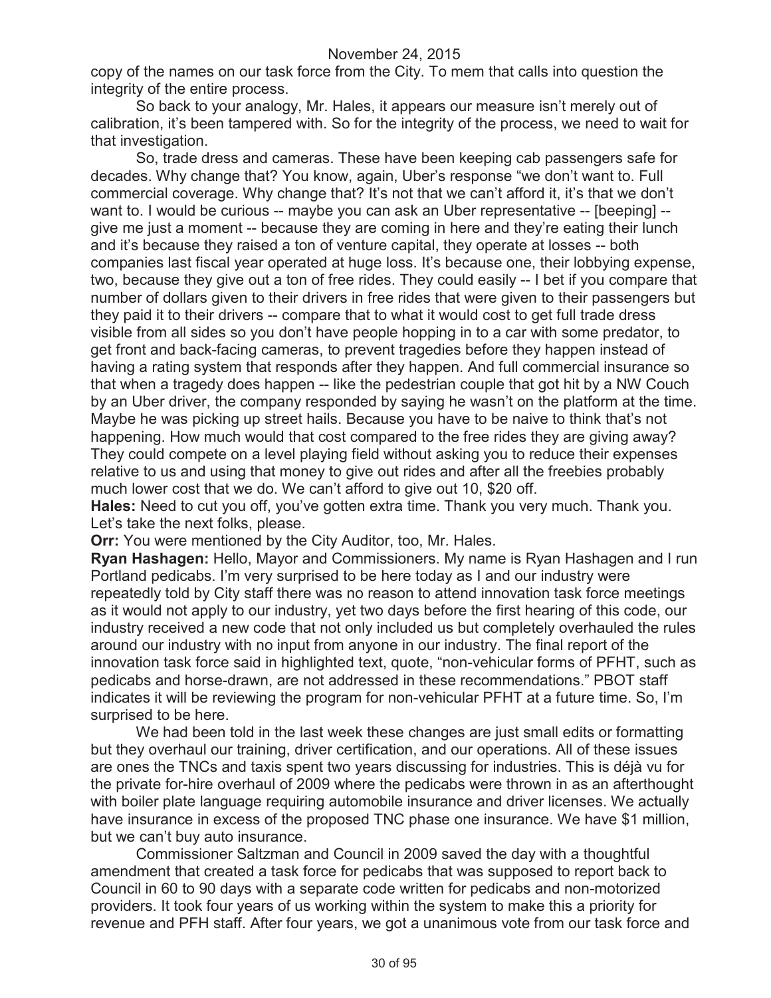copy of the names on our task force from the City. To mem that calls into question the integrity of the entire process.

So back to your analogy, Mr. Hales, it appears our measure isn't merely out of calibration, it's been tampered with. So for the integrity of the process, we need to wait for that investigation.

So, trade dress and cameras. These have been keeping cab passengers safe for decades. Why change that? You know, again, Uber's response "we don't want to. Full commercial coverage. Why change that? It's not that we can't afford it, it's that we don't want to. I would be curious -- maybe you can ask an Uber representative -- [beeping] -give me just a moment -- because they are coming in here and they're eating their lunch and it's because they raised a ton of venture capital, they operate at losses -- both companies last fiscal year operated at huge loss. It's because one, their lobbying expense, two, because they give out a ton of free rides. They could easily -- I bet if you compare that number of dollars given to their drivers in free rides that were given to their passengers but they paid it to their drivers -- compare that to what it would cost to get full trade dress visible from all sides so you don't have people hopping in to a car with some predator, to get front and back-facing cameras, to prevent tragedies before they happen instead of having a rating system that responds after they happen. And full commercial insurance so that when a tragedy does happen -- like the pedestrian couple that got hit by a NW Couch by an Uber driver, the company responded by saying he wasn't on the platform at the time. Maybe he was picking up street hails. Because you have to be naive to think that's not happening. How much would that cost compared to the free rides they are giving away? They could compete on a level playing field without asking you to reduce their expenses relative to us and using that money to give out rides and after all the freebies probably much lower cost that we do. We can't afford to give out 10, \$20 off.

**Hales:** Need to cut you off, you've gotten extra time. Thank you very much. Thank you. Let's take the next folks, please.

**Orr:** You were mentioned by the City Auditor, too, Mr. Hales.

**Ryan Hashagen:** Hello, Mayor and Commissioners. My name is Ryan Hashagen and I run Portland pedicabs. I'm very surprised to be here today as I and our industry were repeatedly told by City staff there was no reason to attend innovation task force meetings as it would not apply to our industry, yet two days before the first hearing of this code, our industry received a new code that not only included us but completely overhauled the rules around our industry with no input from anyone in our industry. The final report of the innovation task force said in highlighted text, quote, "non-vehicular forms of PFHT, such as pedicabs and horse-drawn, are not addressed in these recommendations." PBOT staff indicates it will be reviewing the program for non-vehicular PFHT at a future time. So, I'm surprised to be here.

We had been told in the last week these changes are just small edits or formatting but they overhaul our training, driver certification, and our operations. All of these issues are ones the TNCs and taxis spent two years discussing for industries. This is déjà vu for the private for-hire overhaul of 2009 where the pedicabs were thrown in as an afterthought with boiler plate language requiring automobile insurance and driver licenses. We actually have insurance in excess of the proposed TNC phase one insurance. We have \$1 million, but we can't buy auto insurance.

Commissioner Saltzman and Council in 2009 saved the day with a thoughtful amendment that created a task force for pedicabs that was supposed to report back to Council in 60 to 90 days with a separate code written for pedicabs and non-motorized providers. It took four years of us working within the system to make this a priority for revenue and PFH staff. After four years, we got a unanimous vote from our task force and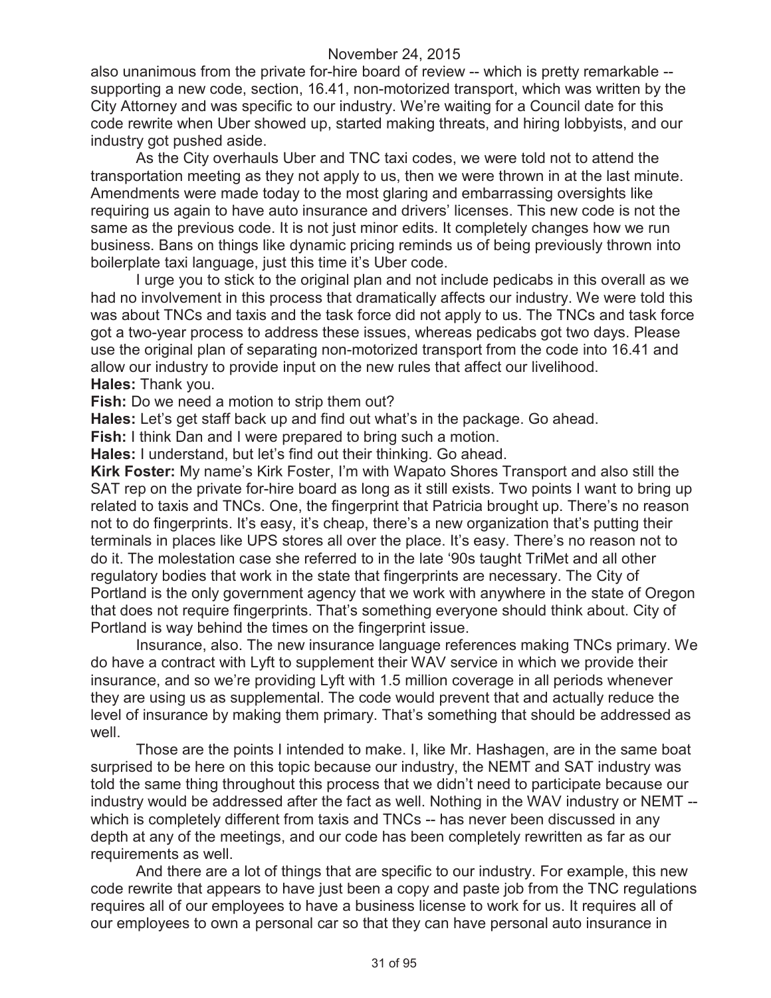also unanimous from the private for-hire board of review -- which is pretty remarkable - supporting a new code, section, 16.41, non-motorized transport, which was written by the City Attorney and was specific to our industry. We're waiting for a Council date for this code rewrite when Uber showed up, started making threats, and hiring lobbyists, and our industry got pushed aside.

As the City overhauls Uber and TNC taxi codes, we were told not to attend the transportation meeting as they not apply to us, then we were thrown in at the last minute. Amendments were made today to the most glaring and embarrassing oversights like requiring us again to have auto insurance and drivers' licenses. This new code is not the same as the previous code. It is not just minor edits. It completely changes how we run business. Bans on things like dynamic pricing reminds us of being previously thrown into boilerplate taxi language, just this time it's Uber code.

I urge you to stick to the original plan and not include pedicabs in this overall as we had no involvement in this process that dramatically affects our industry. We were told this was about TNCs and taxis and the task force did not apply to us. The TNCs and task force got a two-year process to address these issues, whereas pedicabs got two days. Please use the original plan of separating non-motorized transport from the code into 16.41 and allow our industry to provide input on the new rules that affect our livelihood. **Hales:** Thank you.

**Fish:** Do we need a motion to strip them out?

**Hales:** Let's get staff back up and find out what's in the package. Go ahead.

**Fish:** I think Dan and I were prepared to bring such a motion.

**Hales:** I understand, but let's find out their thinking. Go ahead.

**Kirk Foster:** My name's Kirk Foster, I'm with Wapato Shores Transport and also still the SAT rep on the private for-hire board as long as it still exists. Two points I want to bring up related to taxis and TNCs. One, the fingerprint that Patricia brought up. There's no reason not to do fingerprints. It's easy, it's cheap, there's a new organization that's putting their terminals in places like UPS stores all over the place. It's easy. There's no reason not to do it. The molestation case she referred to in the late '90s taught TriMet and all other regulatory bodies that work in the state that fingerprints are necessary. The City of Portland is the only government agency that we work with anywhere in the state of Oregon that does not require fingerprints. That's something everyone should think about. City of Portland is way behind the times on the fingerprint issue.

Insurance, also. The new insurance language references making TNCs primary. We do have a contract with Lyft to supplement their WAV service in which we provide their insurance, and so we're providing Lyft with 1.5 million coverage in all periods whenever they are using us as supplemental. The code would prevent that and actually reduce the level of insurance by making them primary. That's something that should be addressed as well

Those are the points I intended to make. I, like Mr. Hashagen, are in the same boat surprised to be here on this topic because our industry, the NEMT and SAT industry was told the same thing throughout this process that we didn't need to participate because our industry would be addressed after the fact as well. Nothing in the WAV industry or NEMT - which is completely different from taxis and TNCs -- has never been discussed in any depth at any of the meetings, and our code has been completely rewritten as far as our requirements as well.

And there are a lot of things that are specific to our industry. For example, this new code rewrite that appears to have just been a copy and paste job from the TNC regulations requires all of our employees to have a business license to work for us. It requires all of our employees to own a personal car so that they can have personal auto insurance in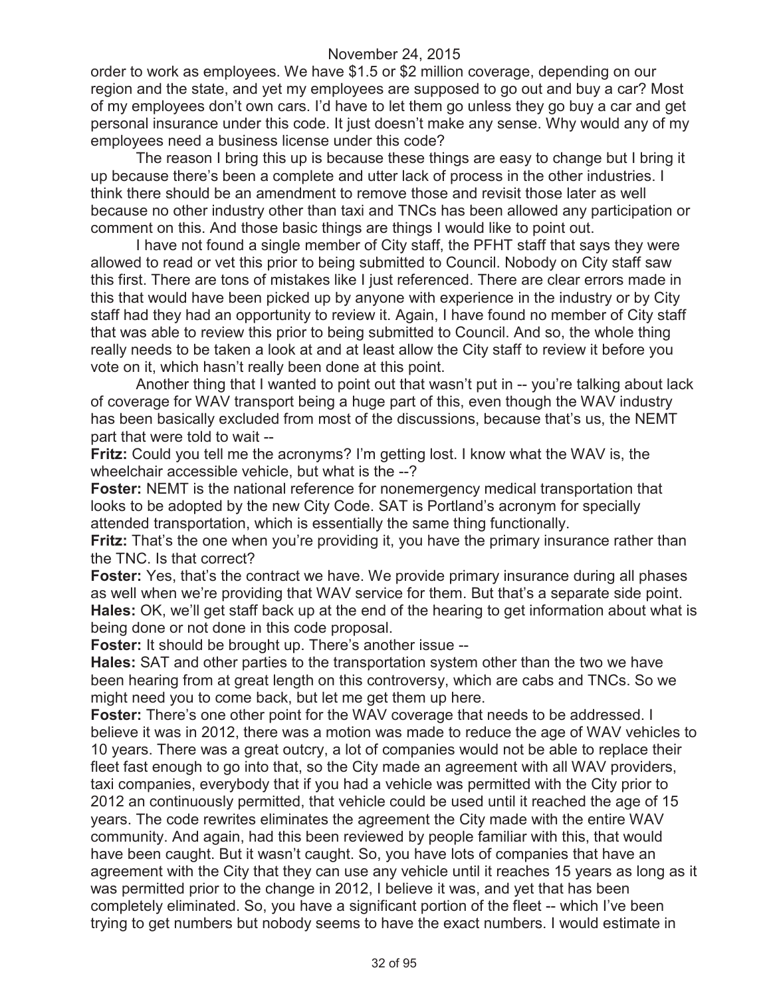order to work as employees. We have \$1.5 or \$2 million coverage, depending on our region and the state, and yet my employees are supposed to go out and buy a car? Most of my employees don't own cars. I'd have to let them go unless they go buy a car and get personal insurance under this code. It just doesn't make any sense. Why would any of my employees need a business license under this code?

The reason I bring this up is because these things are easy to change but I bring it up because there's been a complete and utter lack of process in the other industries. I think there should be an amendment to remove those and revisit those later as well because no other industry other than taxi and TNCs has been allowed any participation or comment on this. And those basic things are things I would like to point out.

I have not found a single member of City staff, the PFHT staff that says they were allowed to read or vet this prior to being submitted to Council. Nobody on City staff saw this first. There are tons of mistakes like I just referenced. There are clear errors made in this that would have been picked up by anyone with experience in the industry or by City staff had they had an opportunity to review it. Again, I have found no member of City staff that was able to review this prior to being submitted to Council. And so, the whole thing really needs to be taken a look at and at least allow the City staff to review it before you vote on it, which hasn't really been done at this point.

Another thing that I wanted to point out that wasn't put in -- you're talking about lack of coverage for WAV transport being a huge part of this, even though the WAV industry has been basically excluded from most of the discussions, because that's us, the NEMT part that were told to wait --

**Fritz:** Could you tell me the acronyms? I'm getting lost. I know what the WAV is, the wheelchair accessible vehicle, but what is the --?

**Foster:** NEMT is the national reference for nonemergency medical transportation that looks to be adopted by the new City Code. SAT is Portland's acronym for specially attended transportation, which is essentially the same thing functionally.

**Fritz:** That's the one when you're providing it, you have the primary insurance rather than the TNC. Is that correct?

**Foster:** Yes, that's the contract we have. We provide primary insurance during all phases as well when we're providing that WAV service for them. But that's a separate side point. **Hales:** OK, we'll get staff back up at the end of the hearing to get information about what is being done or not done in this code proposal.

**Foster:** It should be brought up. There's another issue --

**Hales:** SAT and other parties to the transportation system other than the two we have been hearing from at great length on this controversy, which are cabs and TNCs. So we might need you to come back, but let me get them up here.

**Foster:** There's one other point for the WAV coverage that needs to be addressed. I believe it was in 2012, there was a motion was made to reduce the age of WAV vehicles to 10 years. There was a great outcry, a lot of companies would not be able to replace their fleet fast enough to go into that, so the City made an agreement with all WAV providers, taxi companies, everybody that if you had a vehicle was permitted with the City prior to 2012 an continuously permitted, that vehicle could be used until it reached the age of 15 years. The code rewrites eliminates the agreement the City made with the entire WAV community. And again, had this been reviewed by people familiar with this, that would have been caught. But it wasn't caught. So, you have lots of companies that have an agreement with the City that they can use any vehicle until it reaches 15 years as long as it was permitted prior to the change in 2012, I believe it was, and yet that has been completely eliminated. So, you have a significant portion of the fleet -- which I've been trying to get numbers but nobody seems to have the exact numbers. I would estimate in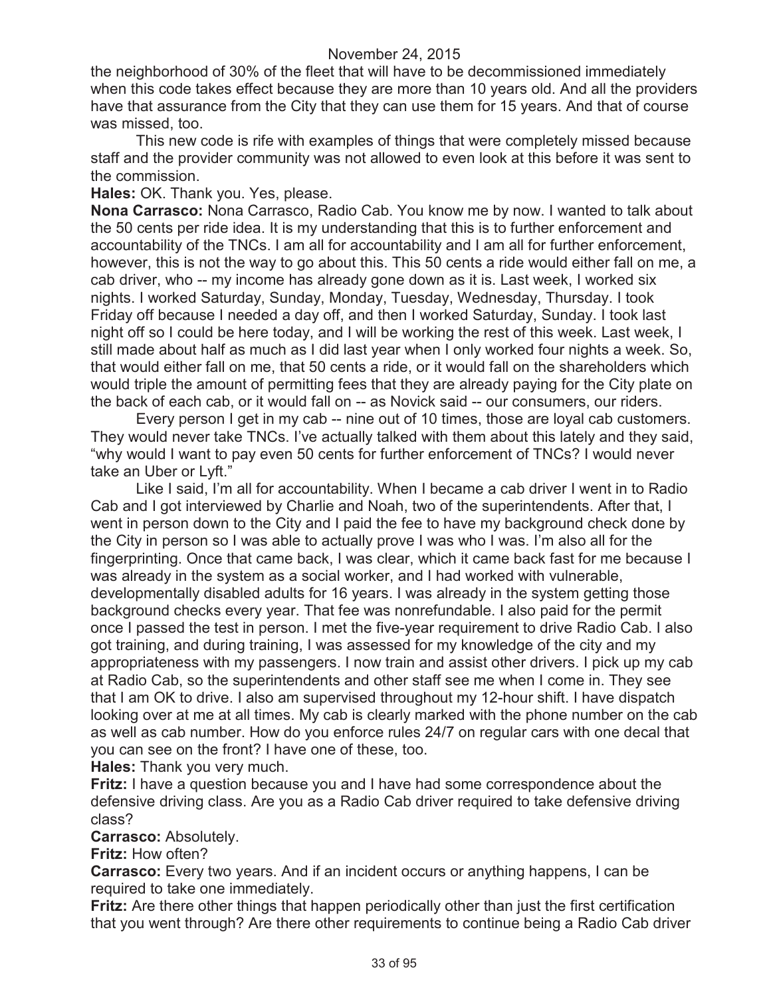the neighborhood of 30% of the fleet that will have to be decommissioned immediately when this code takes effect because they are more than 10 years old. And all the providers have that assurance from the City that they can use them for 15 years. And that of course was missed, too.

This new code is rife with examples of things that were completely missed because staff and the provider community was not allowed to even look at this before it was sent to the commission.

**Hales:** OK. Thank you. Yes, please.

**Nona Carrasco:** Nona Carrasco, Radio Cab. You know me by now. I wanted to talk about the 50 cents per ride idea. It is my understanding that this is to further enforcement and accountability of the TNCs. I am all for accountability and I am all for further enforcement, however, this is not the way to go about this. This 50 cents a ride would either fall on me, a cab driver, who -- my income has already gone down as it is. Last week, I worked six nights. I worked Saturday, Sunday, Monday, Tuesday, Wednesday, Thursday. I took Friday off because I needed a day off, and then I worked Saturday, Sunday. I took last night off so I could be here today, and I will be working the rest of this week. Last week, I still made about half as much as I did last year when I only worked four nights a week. So, that would either fall on me, that 50 cents a ride, or it would fall on the shareholders which would triple the amount of permitting fees that they are already paying for the City plate on the back of each cab, or it would fall on -- as Novick said -- our consumers, our riders.

Every person I get in my cab -- nine out of 10 times, those are loyal cab customers. They would never take TNCs. I've actually talked with them about this lately and they said, "why would I want to pay even 50 cents for further enforcement of TNCs? I would never take an Uber or Lyft."

Like I said, I'm all for accountability. When I became a cab driver I went in to Radio Cab and I got interviewed by Charlie and Noah, two of the superintendents. After that, I went in person down to the City and I paid the fee to have my background check done by the City in person so I was able to actually prove I was who I was. I'm also all for the fingerprinting. Once that came back, I was clear, which it came back fast for me because I was already in the system as a social worker, and I had worked with vulnerable, developmentally disabled adults for 16 years. I was already in the system getting those background checks every year. That fee was nonrefundable. I also paid for the permit once I passed the test in person. I met the five-year requirement to drive Radio Cab. I also got training, and during training, I was assessed for my knowledge of the city and my appropriateness with my passengers. I now train and assist other drivers. I pick up my cab at Radio Cab, so the superintendents and other staff see me when I come in. They see that I am OK to drive. I also am supervised throughout my 12-hour shift. I have dispatch looking over at me at all times. My cab is clearly marked with the phone number on the cab as well as cab number. How do you enforce rules 24/7 on regular cars with one decal that you can see on the front? I have one of these, too.

**Hales:** Thank you very much.

**Fritz:** I have a question because you and I have had some correspondence about the defensive driving class. Are you as a Radio Cab driver required to take defensive driving class?

**Carrasco:** Absolutely.

**Fritz:** How often?

**Carrasco:** Every two years. And if an incident occurs or anything happens, I can be required to take one immediately.

**Fritz:** Are there other things that happen periodically other than just the first certification that you went through? Are there other requirements to continue being a Radio Cab driver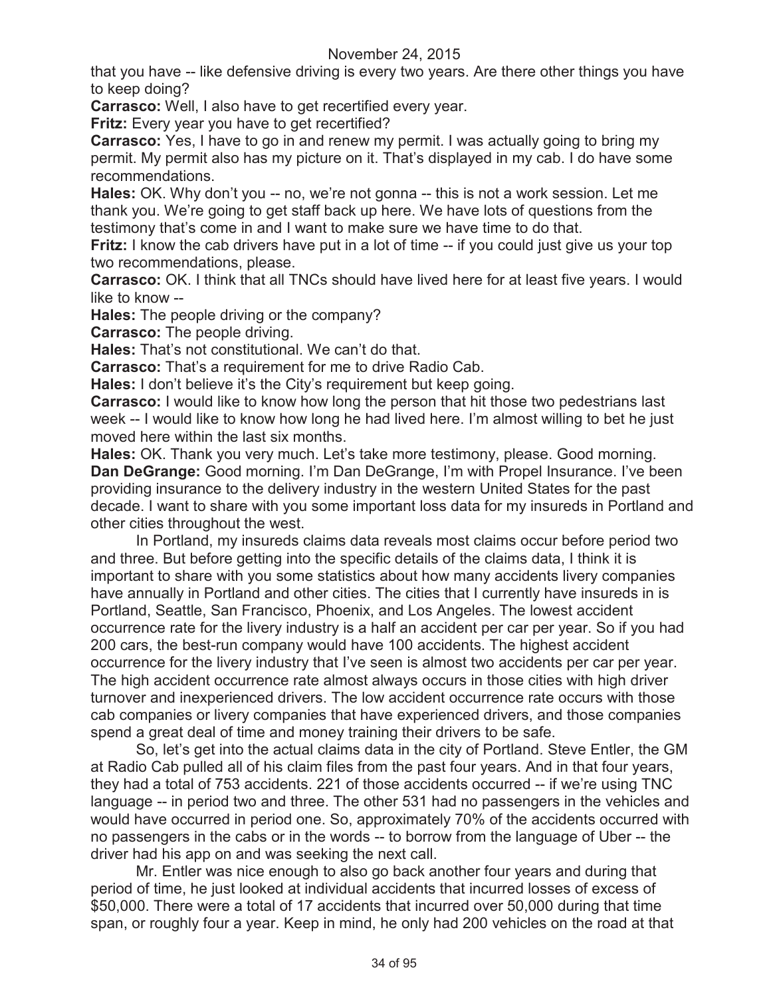that you have -- like defensive driving is every two years. Are there other things you have to keep doing?

**Carrasco:** Well, I also have to get recertified every year.

**Fritz:** Every year you have to get recertified?

**Carrasco:** Yes, I have to go in and renew my permit. I was actually going to bring my permit. My permit also has my picture on it. That's displayed in my cab. I do have some recommendations.

**Hales:** OK. Why don't you -- no, we're not gonna -- this is not a work session. Let me thank you. We're going to get staff back up here. We have lots of questions from the testimony that's come in and I want to make sure we have time to do that.

**Fritz:** I know the cab drivers have put in a lot of time -- if you could just give us your top two recommendations, please.

**Carrasco:** OK. I think that all TNCs should have lived here for at least five years. I would like to know --

**Hales:** The people driving or the company?

**Carrasco:** The people driving.

**Hales:** That's not constitutional. We can't do that.

**Carrasco:** That's a requirement for me to drive Radio Cab.

**Hales:** I don't believe it's the City's requirement but keep going.

**Carrasco:** I would like to know how long the person that hit those two pedestrians last week -- I would like to know how long he had lived here. I'm almost willing to bet he just moved here within the last six months.

**Hales:** OK. Thank you very much. Let's take more testimony, please. Good morning. **Dan DeGrange:** Good morning. I'm Dan DeGrange, I'm with Propel Insurance. I've been providing insurance to the delivery industry in the western United States for the past decade. I want to share with you some important loss data for my insureds in Portland and other cities throughout the west.

In Portland, my insureds claims data reveals most claims occur before period two and three. But before getting into the specific details of the claims data, I think it is important to share with you some statistics about how many accidents livery companies have annually in Portland and other cities. The cities that I currently have insureds in is Portland, Seattle, San Francisco, Phoenix, and Los Angeles. The lowest accident occurrence rate for the livery industry is a half an accident per car per year. So if you had 200 cars, the best-run company would have 100 accidents. The highest accident occurrence for the livery industry that I've seen is almost two accidents per car per year. The high accident occurrence rate almost always occurs in those cities with high driver turnover and inexperienced drivers. The low accident occurrence rate occurs with those cab companies or livery companies that have experienced drivers, and those companies spend a great deal of time and money training their drivers to be safe.

So, let's get into the actual claims data in the city of Portland. Steve Entler, the GM at Radio Cab pulled all of his claim files from the past four years. And in that four years, they had a total of 753 accidents. 221 of those accidents occurred -- if we're using TNC language -- in period two and three. The other 531 had no passengers in the vehicles and would have occurred in period one. So, approximately 70% of the accidents occurred with no passengers in the cabs or in the words -- to borrow from the language of Uber -- the driver had his app on and was seeking the next call.

Mr. Entler was nice enough to also go back another four years and during that period of time, he just looked at individual accidents that incurred losses of excess of \$50,000. There were a total of 17 accidents that incurred over 50,000 during that time span, or roughly four a year. Keep in mind, he only had 200 vehicles on the road at that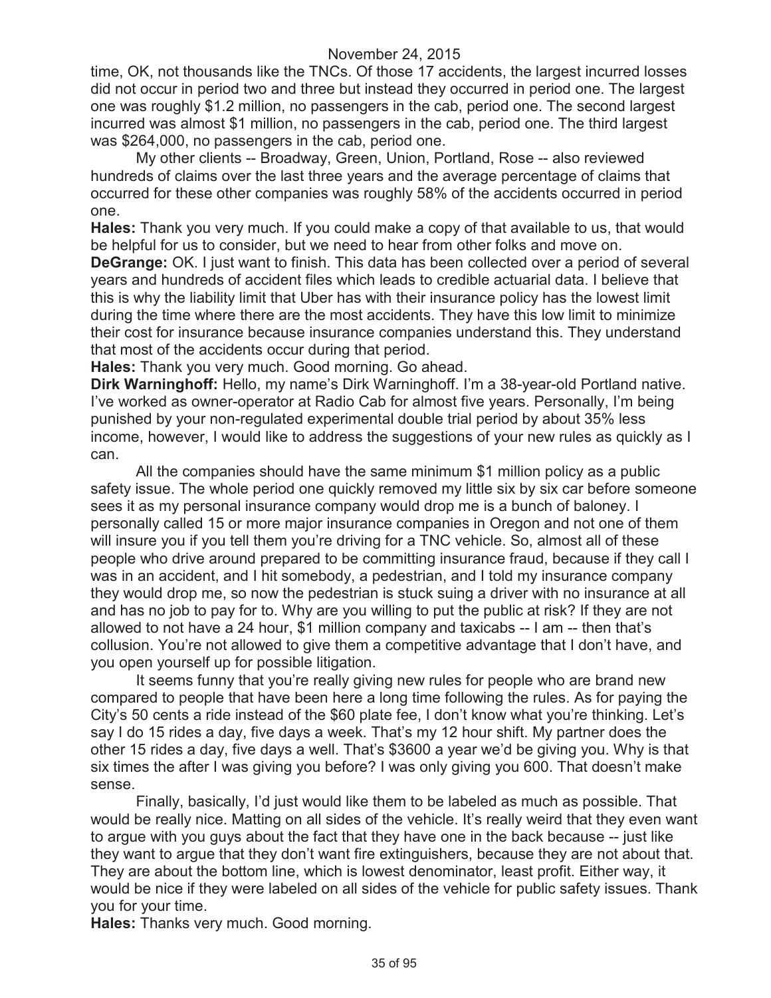time, OK, not thousands like the TNCs. Of those 17 accidents, the largest incurred losses did not occur in period two and three but instead they occurred in period one. The largest one was roughly \$1.2 million, no passengers in the cab, period one. The second largest incurred was almost \$1 million, no passengers in the cab, period one. The third largest was \$264,000, no passengers in the cab, period one.

My other clients -- Broadway, Green, Union, Portland, Rose -- also reviewed hundreds of claims over the last three years and the average percentage of claims that occurred for these other companies was roughly 58% of the accidents occurred in period one.

**Hales:** Thank you very much. If you could make a copy of that available to us, that would be helpful for us to consider, but we need to hear from other folks and move on.

**DeGrange:** OK. I just want to finish. This data has been collected over a period of several years and hundreds of accident files which leads to credible actuarial data. I believe that this is why the liability limit that Uber has with their insurance policy has the lowest limit during the time where there are the most accidents. They have this low limit to minimize their cost for insurance because insurance companies understand this. They understand that most of the accidents occur during that period.

**Hales:** Thank you very much. Good morning. Go ahead.

**Dirk Warninghoff:** Hello, my name's Dirk Warninghoff. I'm a 38-year-old Portland native. I've worked as owner-operator at Radio Cab for almost five years. Personally, I'm being punished by your non-regulated experimental double trial period by about 35% less income, however, I would like to address the suggestions of your new rules as quickly as I can.

All the companies should have the same minimum \$1 million policy as a public safety issue. The whole period one quickly removed my little six by six car before someone sees it as my personal insurance company would drop me is a bunch of baloney. I personally called 15 or more major insurance companies in Oregon and not one of them will insure you if you tell them you're driving for a TNC vehicle. So, almost all of these people who drive around prepared to be committing insurance fraud, because if they call I was in an accident, and I hit somebody, a pedestrian, and I told my insurance company they would drop me, so now the pedestrian is stuck suing a driver with no insurance at all and has no job to pay for to. Why are you willing to put the public at risk? If they are not allowed to not have a 24 hour, \$1 million company and taxicabs -- I am -- then that's collusion. You're not allowed to give them a competitive advantage that I don't have, and you open yourself up for possible litigation.

It seems funny that you're really giving new rules for people who are brand new compared to people that have been here a long time following the rules. As for paying the City's 50 cents a ride instead of the \$60 plate fee, I don't know what you're thinking. Let's say I do 15 rides a day, five days a week. That's my 12 hour shift. My partner does the other 15 rides a day, five days a well. That's \$3600 a year we'd be giving you. Why is that six times the after I was giving you before? I was only giving you 600. That doesn't make sense.

Finally, basically, I'd just would like them to be labeled as much as possible. That would be really nice. Matting on all sides of the vehicle. It's really weird that they even want to argue with you guys about the fact that they have one in the back because -- just like they want to argue that they don't want fire extinguishers, because they are not about that. They are about the bottom line, which is lowest denominator, least profit. Either way, it would be nice if they were labeled on all sides of the vehicle for public safety issues. Thank you for your time.

**Hales:** Thanks very much. Good morning.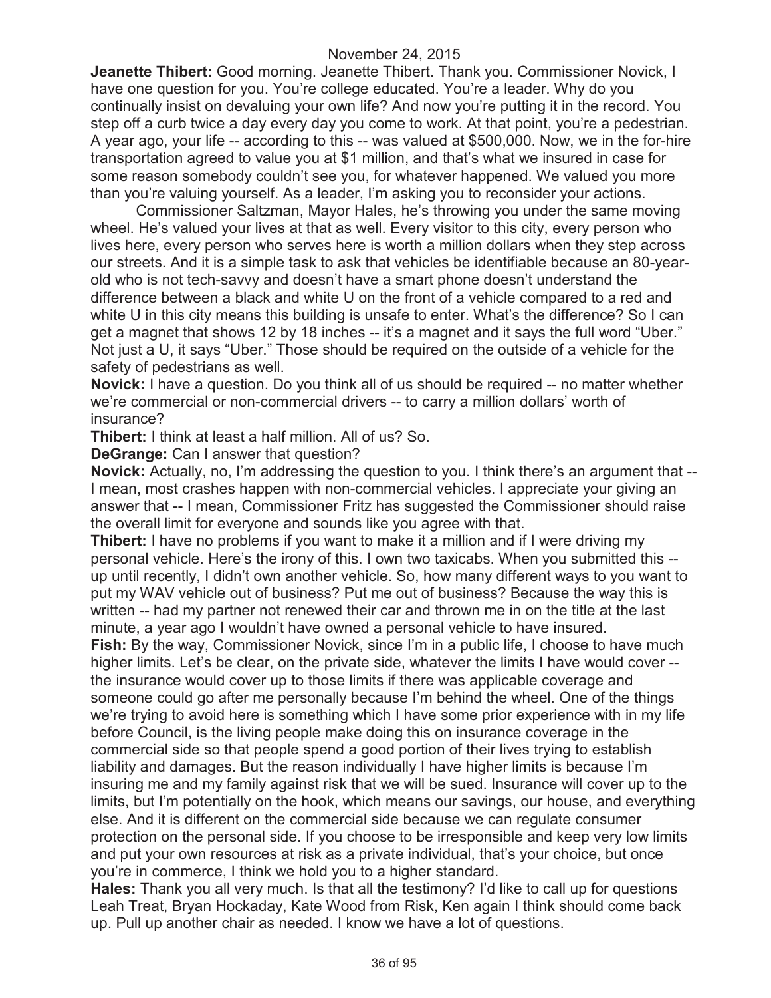**Jeanette Thibert:** Good morning. Jeanette Thibert. Thank you. Commissioner Novick, I have one question for you. You're college educated. You're a leader. Why do you continually insist on devaluing your own life? And now you're putting it in the record. You step off a curb twice a day every day you come to work. At that point, you're a pedestrian. A year ago, your life -- according to this -- was valued at \$500,000. Now, we in the for-hire transportation agreed to value you at \$1 million, and that's what we insured in case for some reason somebody couldn't see you, for whatever happened. We valued you more than you're valuing yourself. As a leader, I'm asking you to reconsider your actions.

Commissioner Saltzman, Mayor Hales, he's throwing you under the same moving wheel. He's valued your lives at that as well. Every visitor to this city, every person who lives here, every person who serves here is worth a million dollars when they step across our streets. And it is a simple task to ask that vehicles be identifiable because an 80-yearold who is not tech-savvy and doesn't have a smart phone doesn't understand the difference between a black and white U on the front of a vehicle compared to a red and white U in this city means this building is unsafe to enter. What's the difference? So I can get a magnet that shows 12 by 18 inches -- it's a magnet and it says the full word "Uber." Not just a U, it says "Uber." Those should be required on the outside of a vehicle for the safety of pedestrians as well.

**Novick:** I have a question. Do you think all of us should be required -- no matter whether we're commercial or non-commercial drivers -- to carry a million dollars' worth of insurance?

**Thibert:** I think at least a half million. All of us? So.

**DeGrange:** Can I answer that question?

**Novick:** Actually, no, I'm addressing the question to you. I think there's an argument that -- I mean, most crashes happen with non-commercial vehicles. I appreciate your giving an answer that -- I mean, Commissioner Fritz has suggested the Commissioner should raise the overall limit for everyone and sounds like you agree with that.

**Thibert:** I have no problems if you want to make it a million and if I were driving my personal vehicle. Here's the irony of this. I own two taxicabs. When you submitted this - up until recently, I didn't own another vehicle. So, how many different ways to you want to put my WAV vehicle out of business? Put me out of business? Because the way this is written -- had my partner not renewed their car and thrown me in on the title at the last minute, a year ago I wouldn't have owned a personal vehicle to have insured.

**Fish:** By the way, Commissioner Novick, since I'm in a public life, I choose to have much higher limits. Let's be clear, on the private side, whatever the limits I have would cover - the insurance would cover up to those limits if there was applicable coverage and someone could go after me personally because I'm behind the wheel. One of the things we're trying to avoid here is something which I have some prior experience with in my life before Council, is the living people make doing this on insurance coverage in the commercial side so that people spend a good portion of their lives trying to establish liability and damages. But the reason individually I have higher limits is because I'm insuring me and my family against risk that we will be sued. Insurance will cover up to the limits, but I'm potentially on the hook, which means our savings, our house, and everything else. And it is different on the commercial side because we can regulate consumer protection on the personal side. If you choose to be irresponsible and keep very low limits and put your own resources at risk as a private individual, that's your choice, but once you're in commerce, I think we hold you to a higher standard.

**Hales:** Thank you all very much. Is that all the testimony? I'd like to call up for questions Leah Treat, Bryan Hockaday, Kate Wood from Risk, Ken again I think should come back up. Pull up another chair as needed. I know we have a lot of questions.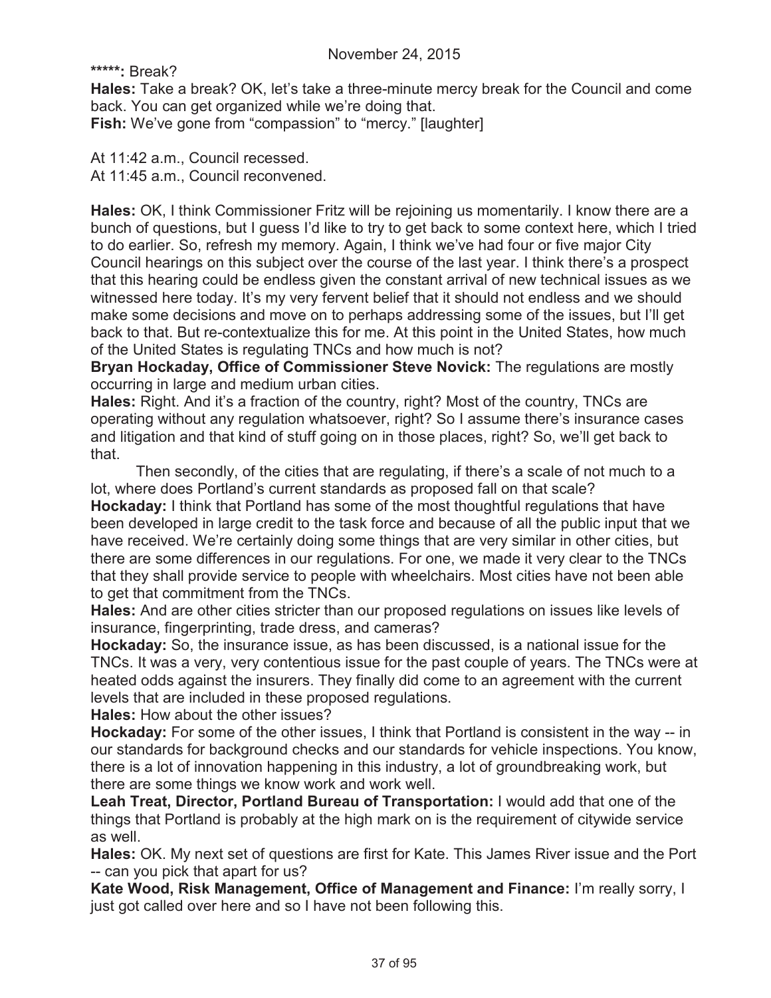**\*\*\*\*\*:** Break?

**Hales:** Take a break? OK, let's take a three-minute mercy break for the Council and come back. You can get organized while we're doing that. **Fish:** We've gone from "compassion" to "mercy." [laughter]

At 11:42 a.m., Council recessed. At 11:45 a.m., Council reconvened.

**Hales:** OK, I think Commissioner Fritz will be rejoining us momentarily. I know there are a bunch of questions, but I guess I'd like to try to get back to some context here, which I tried to do earlier. So, refresh my memory. Again, I think we've had four or five major City Council hearings on this subject over the course of the last year. I think there's a prospect that this hearing could be endless given the constant arrival of new technical issues as we witnessed here today. It's my very fervent belief that it should not endless and we should make some decisions and move on to perhaps addressing some of the issues, but I'll get back to that. But re-contextualize this for me. At this point in the United States, how much of the United States is regulating TNCs and how much is not?

**Bryan Hockaday, Office of Commissioner Steve Novick:** The regulations are mostly occurring in large and medium urban cities.

**Hales:** Right. And it's a fraction of the country, right? Most of the country, TNCs are operating without any regulation whatsoever, right? So I assume there's insurance cases and litigation and that kind of stuff going on in those places, right? So, we'll get back to that.

Then secondly, of the cities that are regulating, if there's a scale of not much to a lot, where does Portland's current standards as proposed fall on that scale? **Hockaday:** I think that Portland has some of the most thoughtful regulations that have been developed in large credit to the task force and because of all the public input that we have received. We're certainly doing some things that are very similar in other cities, but there are some differences in our regulations. For one, we made it very clear to the TNCs that they shall provide service to people with wheelchairs. Most cities have not been able to get that commitment from the TNCs.

**Hales:** And are other cities stricter than our proposed regulations on issues like levels of insurance, fingerprinting, trade dress, and cameras?

**Hockaday:** So, the insurance issue, as has been discussed, is a national issue for the TNCs. It was a very, very contentious issue for the past couple of years. The TNCs were at heated odds against the insurers. They finally did come to an agreement with the current levels that are included in these proposed regulations.

**Hales:** How about the other issues?

**Hockaday:** For some of the other issues, I think that Portland is consistent in the way -- in our standards for background checks and our standards for vehicle inspections. You know, there is a lot of innovation happening in this industry, a lot of groundbreaking work, but there are some things we know work and work well.

**Leah Treat, Director, Portland Bureau of Transportation:** I would add that one of the things that Portland is probably at the high mark on is the requirement of citywide service as well.

**Hales:** OK. My next set of questions are first for Kate. This James River issue and the Port -- can you pick that apart for us?

**Kate Wood, Risk Management, Office of Management and Finance:** I'm really sorry, I just got called over here and so I have not been following this.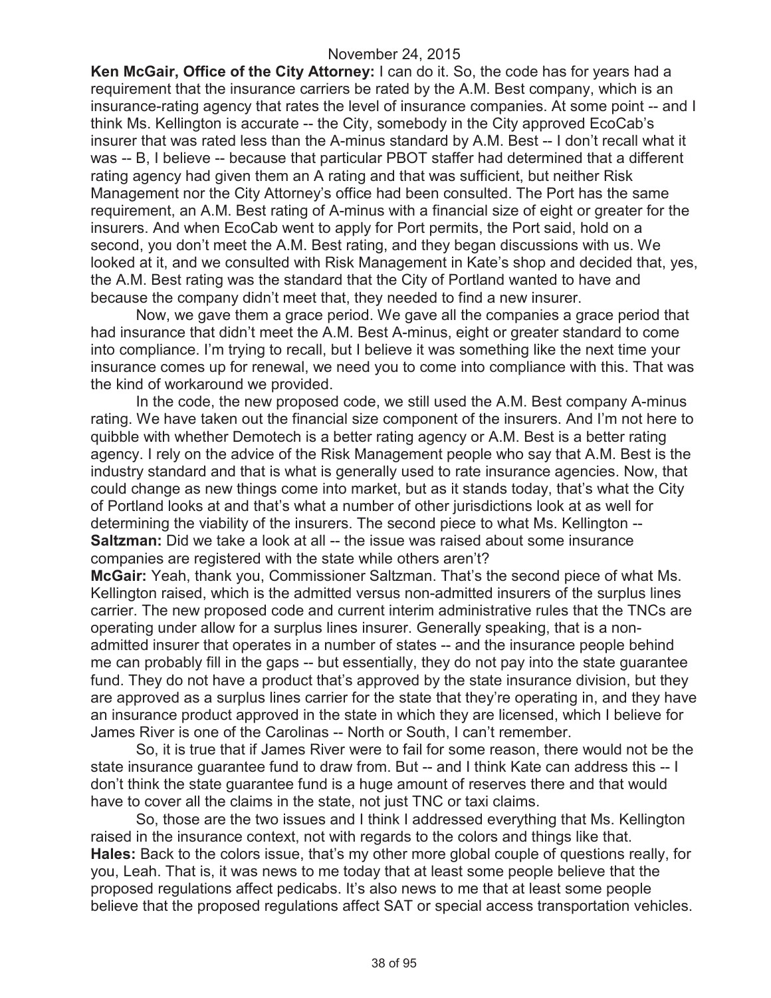**Ken McGair, Office of the City Attorney:** I can do it. So, the code has for years had a requirement that the insurance carriers be rated by the A.M. Best company, which is an insurance-rating agency that rates the level of insurance companies. At some point -- and I think Ms. Kellington is accurate -- the City, somebody in the City approved EcoCab's insurer that was rated less than the A-minus standard by A.M. Best -- I don't recall what it was -- B, I believe -- because that particular PBOT staffer had determined that a different rating agency had given them an A rating and that was sufficient, but neither Risk Management nor the City Attorney's office had been consulted. The Port has the same requirement, an A.M. Best rating of A-minus with a financial size of eight or greater for the insurers. And when EcoCab went to apply for Port permits, the Port said, hold on a second, you don't meet the A.M. Best rating, and they began discussions with us. We looked at it, and we consulted with Risk Management in Kate's shop and decided that, yes, the A.M. Best rating was the standard that the City of Portland wanted to have and because the company didn't meet that, they needed to find a new insurer.

Now, we gave them a grace period. We gave all the companies a grace period that had insurance that didn't meet the A.M. Best A-minus, eight or greater standard to come into compliance. I'm trying to recall, but I believe it was something like the next time your insurance comes up for renewal, we need you to come into compliance with this. That was the kind of workaround we provided.

In the code, the new proposed code, we still used the A.M. Best company A-minus rating. We have taken out the financial size component of the insurers. And I'm not here to quibble with whether Demotech is a better rating agency or A.M. Best is a better rating agency. I rely on the advice of the Risk Management people who say that A.M. Best is the industry standard and that is what is generally used to rate insurance agencies. Now, that could change as new things come into market, but as it stands today, that's what the City of Portland looks at and that's what a number of other jurisdictions look at as well for determining the viability of the insurers. The second piece to what Ms. Kellington -- **Saltzman:** Did we take a look at all -- the issue was raised about some insurance companies are registered with the state while others aren't?

**McGair:** Yeah, thank you, Commissioner Saltzman. That's the second piece of what Ms. Kellington raised, which is the admitted versus non-admitted insurers of the surplus lines carrier. The new proposed code and current interim administrative rules that the TNCs are operating under allow for a surplus lines insurer. Generally speaking, that is a nonadmitted insurer that operates in a number of states -- and the insurance people behind me can probably fill in the gaps -- but essentially, they do not pay into the state guarantee fund. They do not have a product that's approved by the state insurance division, but they are approved as a surplus lines carrier for the state that they're operating in, and they have an insurance product approved in the state in which they are licensed, which I believe for James River is one of the Carolinas -- North or South, I can't remember.

So, it is true that if James River were to fail for some reason, there would not be the state insurance guarantee fund to draw from. But -- and I think Kate can address this -- I don't think the state guarantee fund is a huge amount of reserves there and that would have to cover all the claims in the state, not just TNC or taxi claims.

So, those are the two issues and I think I addressed everything that Ms. Kellington raised in the insurance context, not with regards to the colors and things like that. **Hales:** Back to the colors issue, that's my other more global couple of questions really, for you, Leah. That is, it was news to me today that at least some people believe that the proposed regulations affect pedicabs. It's also news to me that at least some people believe that the proposed regulations affect SAT or special access transportation vehicles.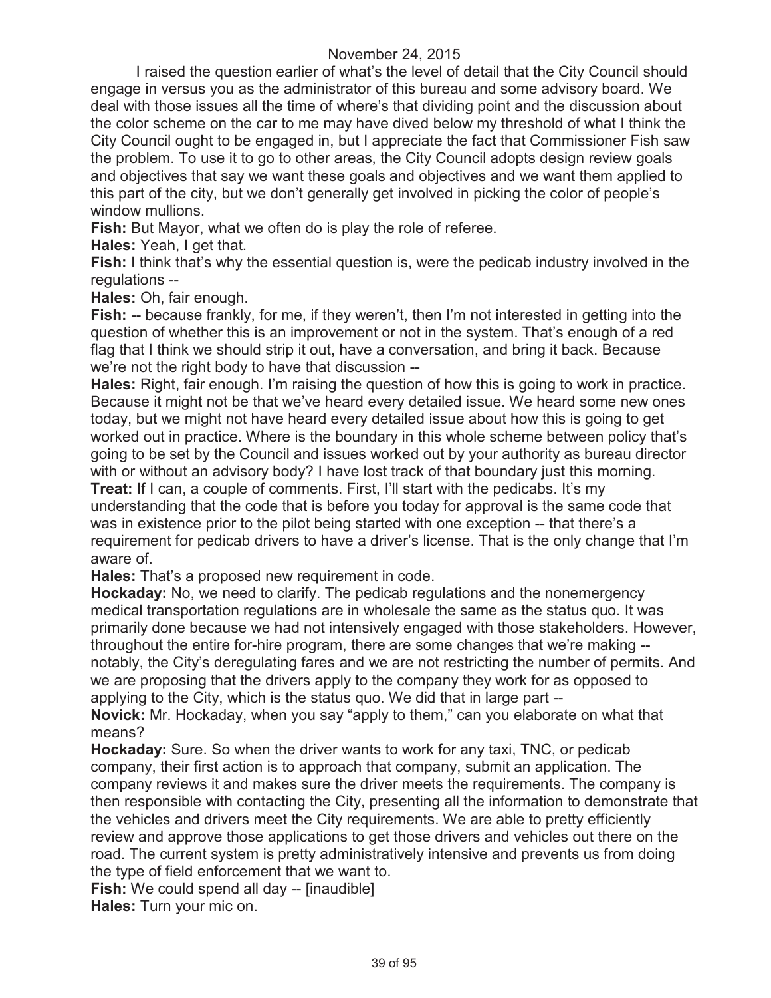I raised the question earlier of what's the level of detail that the City Council should engage in versus you as the administrator of this bureau and some advisory board. We deal with those issues all the time of where's that dividing point and the discussion about the color scheme on the car to me may have dived below my threshold of what I think the City Council ought to be engaged in, but I appreciate the fact that Commissioner Fish saw the problem. To use it to go to other areas, the City Council adopts design review goals and objectives that say we want these goals and objectives and we want them applied to this part of the city, but we don't generally get involved in picking the color of people's window mullions.

**Fish:** But Mayor, what we often do is play the role of referee.

**Hales:** Yeah, I get that.

**Fish:** I think that's why the essential question is, were the pedicab industry involved in the regulations --

**Hales:** Oh, fair enough.

**Fish:** -- because frankly, for me, if they weren't, then I'm not interested in getting into the question of whether this is an improvement or not in the system. That's enough of a red flag that I think we should strip it out, have a conversation, and bring it back. Because we're not the right body to have that discussion --

**Hales:** Right, fair enough. I'm raising the question of how this is going to work in practice. Because it might not be that we've heard every detailed issue. We heard some new ones today, but we might not have heard every detailed issue about how this is going to get worked out in practice. Where is the boundary in this whole scheme between policy that's going to be set by the Council and issues worked out by your authority as bureau director with or without an advisory body? I have lost track of that boundary just this morning.

**Treat:** If I can, a couple of comments. First, I'll start with the pedicabs. It's my understanding that the code that is before you today for approval is the same code that was in existence prior to the pilot being started with one exception -- that there's a requirement for pedicab drivers to have a driver's license. That is the only change that I'm aware of.

**Hales:** That's a proposed new requirement in code.

**Hockaday:** No, we need to clarify. The pedicab regulations and the nonemergency medical transportation regulations are in wholesale the same as the status quo. It was primarily done because we had not intensively engaged with those stakeholders. However, throughout the entire for-hire program, there are some changes that we're making - notably, the City's deregulating fares and we are not restricting the number of permits. And we are proposing that the drivers apply to the company they work for as opposed to applying to the City, which is the status quo. We did that in large part --

**Novick:** Mr. Hockaday, when you say "apply to them," can you elaborate on what that means?

**Hockaday:** Sure. So when the driver wants to work for any taxi, TNC, or pedicab company, their first action is to approach that company, submit an application. The company reviews it and makes sure the driver meets the requirements. The company is then responsible with contacting the City, presenting all the information to demonstrate that the vehicles and drivers meet the City requirements. We are able to pretty efficiently review and approve those applications to get those drivers and vehicles out there on the road. The current system is pretty administratively intensive and prevents us from doing the type of field enforcement that we want to.

**Fish:** We could spend all day -- [inaudible]

**Hales:** Turn your mic on.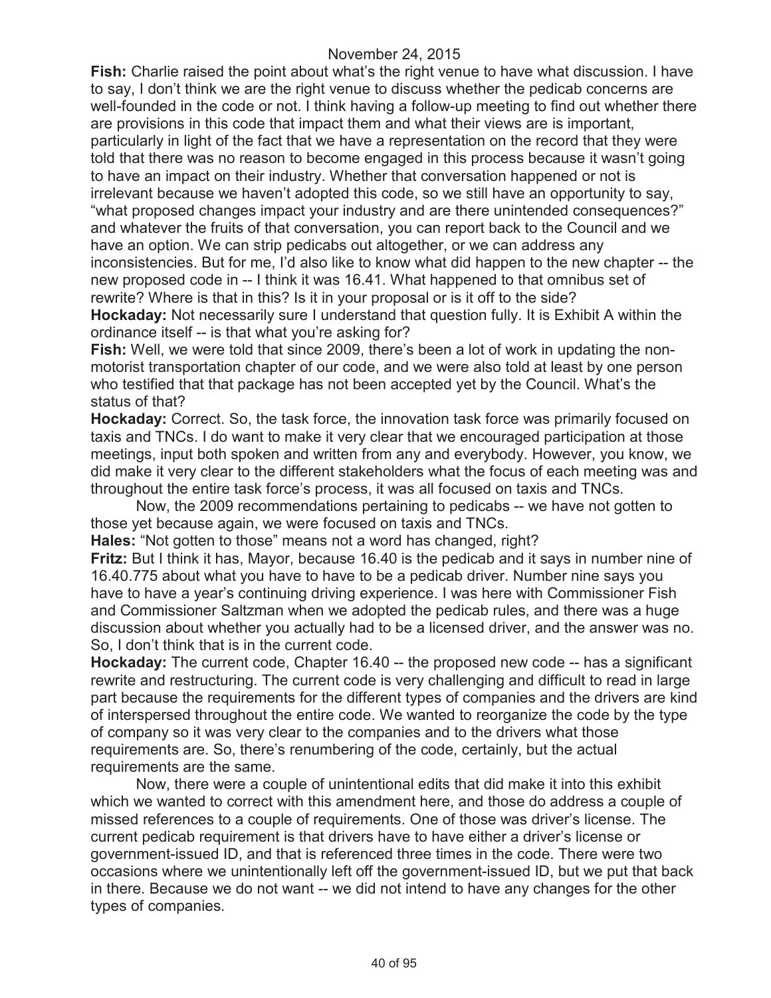**Fish:** Charlie raised the point about what's the right venue to have what discussion. I have to say, I don't think we are the right venue to discuss whether the pedicab concerns are well-founded in the code or not. I think having a follow-up meeting to find out whether there are provisions in this code that impact them and what their views are is important, particularly in light of the fact that we have a representation on the record that they were told that there was no reason to become engaged in this process because it wasn't going to have an impact on their industry. Whether that conversation happened or not is irrelevant because we haven't adopted this code, so we still have an opportunity to say, "what proposed changes impact your industry and are there unintended consequences?" and whatever the fruits of that conversation, you can report back to the Council and we have an option. We can strip pedicabs out altogether, or we can address any inconsistencies. But for me, I'd also like to know what did happen to the new chapter -- the new proposed code in -- I think it was 16.41. What happened to that omnibus set of rewrite? Where is that in this? Is it in your proposal or is it off to the side?

**Hockaday:** Not necessarily sure I understand that question fully. It is Exhibit A within the ordinance itself -- is that what you're asking for?

**Fish:** Well, we were told that since 2009, there's been a lot of work in updating the nonmotorist transportation chapter of our code, and we were also told at least by one person who testified that that package has not been accepted yet by the Council. What's the status of that?

**Hockaday:** Correct. So, the task force, the innovation task force was primarily focused on taxis and TNCs. I do want to make it very clear that we encouraged participation at those meetings, input both spoken and written from any and everybody. However, you know, we did make it very clear to the different stakeholders what the focus of each meeting was and throughout the entire task force's process, it was all focused on taxis and TNCs.

Now, the 2009 recommendations pertaining to pedicabs -- we have not gotten to those yet because again, we were focused on taxis and TNCs.

**Hales:** "Not gotten to those" means not a word has changed, right?

**Fritz:** But I think it has, Mayor, because 16.40 is the pedicab and it says in number nine of 16.40.775 about what you have to have to be a pedicab driver. Number nine says you have to have a year's continuing driving experience. I was here with Commissioner Fish and Commissioner Saltzman when we adopted the pedicab rules, and there was a huge discussion about whether you actually had to be a licensed driver, and the answer was no. So, I don't think that is in the current code.

**Hockaday:** The current code, Chapter 16.40 -- the proposed new code -- has a significant rewrite and restructuring. The current code is very challenging and difficult to read in large part because the requirements for the different types of companies and the drivers are kind of interspersed throughout the entire code. We wanted to reorganize the code by the type of company so it was very clear to the companies and to the drivers what those requirements are. So, there's renumbering of the code, certainly, but the actual requirements are the same.

Now, there were a couple of unintentional edits that did make it into this exhibit which we wanted to correct with this amendment here, and those do address a couple of missed references to a couple of requirements. One of those was driver's license. The current pedicab requirement is that drivers have to have either a driver's license or government-issued ID, and that is referenced three times in the code. There were two occasions where we unintentionally left off the government-issued ID, but we put that back in there. Because we do not want -- we did not intend to have any changes for the other types of companies.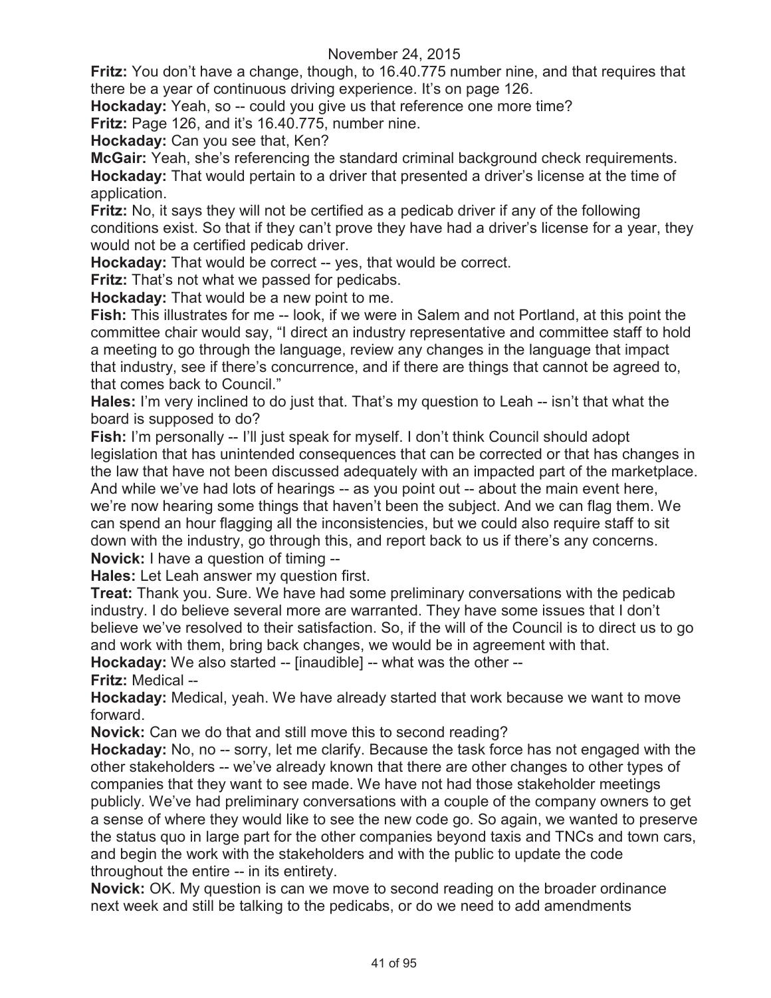**Fritz:** You don't have a change, though, to 16.40.775 number nine, and that requires that there be a year of continuous driving experience. It's on page 126.

**Hockaday:** Yeah, so -- could you give us that reference one more time?

**Fritz:** Page 126, and it's 16.40.775, number nine.

**Hockaday:** Can you see that, Ken?

**McGair:** Yeah, she's referencing the standard criminal background check requirements. **Hockaday:** That would pertain to a driver that presented a driver's license at the time of application.

**Fritz:** No, it says they will not be certified as a pedicab driver if any of the following conditions exist. So that if they can't prove they have had a driver's license for a year, they would not be a certified pedicab driver.

**Hockaday:** That would be correct -- yes, that would be correct.

**Fritz:** That's not what we passed for pedicabs.

**Hockaday:** That would be a new point to me.

**Fish:** This illustrates for me -- look, if we were in Salem and not Portland, at this point the committee chair would say, "I direct an industry representative and committee staff to hold a meeting to go through the language, review any changes in the language that impact that industry, see if there's concurrence, and if there are things that cannot be agreed to, that comes back to Council."

**Hales:** I'm very inclined to do just that. That's my question to Leah -- isn't that what the board is supposed to do?

**Fish:** I'm personally -- I'll just speak for myself. I don't think Council should adopt legislation that has unintended consequences that can be corrected or that has changes in the law that have not been discussed adequately with an impacted part of the marketplace. And while we've had lots of hearings -- as you point out -- about the main event here, we're now hearing some things that haven't been the subject. And we can flag them. We can spend an hour flagging all the inconsistencies, but we could also require staff to sit down with the industry, go through this, and report back to us if there's any concerns. **Novick:** I have a question of timing --

**Hales:** Let Leah answer my question first.

**Treat:** Thank you. Sure. We have had some preliminary conversations with the pedicab industry. I do believe several more are warranted. They have some issues that I don't believe we've resolved to their satisfaction. So, if the will of the Council is to direct us to go and work with them, bring back changes, we would be in agreement with that.

**Hockaday:** We also started -- [inaudible] -- what was the other --

**Fritz:** Medical --

**Hockaday:** Medical, yeah. We have already started that work because we want to move forward.

**Novick:** Can we do that and still move this to second reading?

**Hockaday:** No, no -- sorry, let me clarify. Because the task force has not engaged with the other stakeholders -- we've already known that there are other changes to other types of companies that they want to see made. We have not had those stakeholder meetings publicly. We've had preliminary conversations with a couple of the company owners to get a sense of where they would like to see the new code go. So again, we wanted to preserve the status quo in large part for the other companies beyond taxis and TNCs and town cars, and begin the work with the stakeholders and with the public to update the code throughout the entire -- in its entirety.

**Novick:** OK. My question is can we move to second reading on the broader ordinance next week and still be talking to the pedicabs, or do we need to add amendments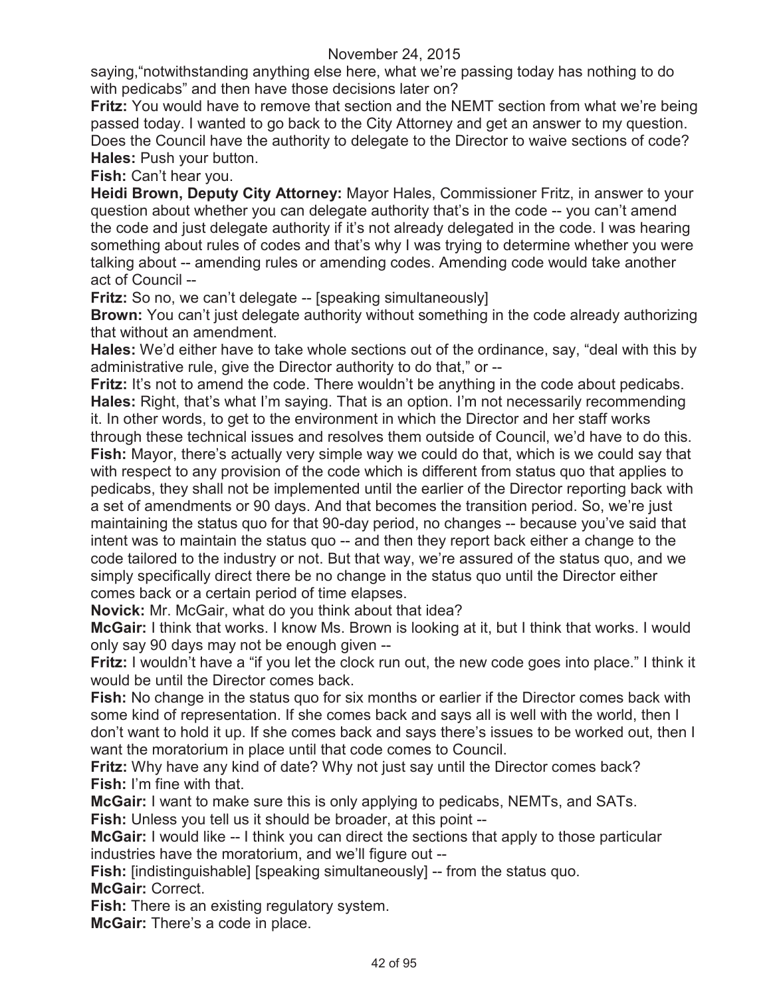saying,"notwithstanding anything else here, what we're passing today has nothing to do with pedicabs" and then have those decisions later on?

**Fritz:** You would have to remove that section and the NEMT section from what we're being passed today. I wanted to go back to the City Attorney and get an answer to my question. Does the Council have the authority to delegate to the Director to waive sections of code? **Hales:** Push your button.

**Fish:** Can't hear you.

**Heidi Brown, Deputy City Attorney:** Mayor Hales, Commissioner Fritz, in answer to your question about whether you can delegate authority that's in the code -- you can't amend the code and just delegate authority if it's not already delegated in the code. I was hearing something about rules of codes and that's why I was trying to determine whether you were talking about -- amending rules or amending codes. Amending code would take another act of Council --

**Fritz:** So no, we can't delegate -- [speaking simultaneously]

**Brown:** You can't just delegate authority without something in the code already authorizing that without an amendment.

**Hales:** We'd either have to take whole sections out of the ordinance, say, "deal with this by administrative rule, give the Director authority to do that," or --

**Fritz:** It's not to amend the code. There wouldn't be anything in the code about pedicabs. **Hales:** Right, that's what I'm saying. That is an option. I'm not necessarily recommending it. In other words, to get to the environment in which the Director and her staff works through these technical issues and resolves them outside of Council, we'd have to do this. **Fish:** Mayor, there's actually very simple way we could do that, which is we could say that with respect to any provision of the code which is different from status quo that applies to pedicabs, they shall not be implemented until the earlier of the Director reporting back with a set of amendments or 90 days. And that becomes the transition period. So, we're just maintaining the status quo for that 90-day period, no changes -- because you've said that intent was to maintain the status quo -- and then they report back either a change to the code tailored to the industry or not. But that way, we're assured of the status quo, and we simply specifically direct there be no change in the status quo until the Director either

comes back or a certain period of time elapses.

**Novick:** Mr. McGair, what do you think about that idea?

**McGair:** I think that works. I know Ms. Brown is looking at it, but I think that works. I would only say 90 days may not be enough given --

**Fritz:** I wouldn't have a "if you let the clock run out, the new code goes into place." I think it would be until the Director comes back.

**Fish:** No change in the status quo for six months or earlier if the Director comes back with some kind of representation. If she comes back and says all is well with the world, then I don't want to hold it up. If she comes back and says there's issues to be worked out, then I want the moratorium in place until that code comes to Council.

**Fritz:** Why have any kind of date? Why not just say until the Director comes back? **Fish:** I'm fine with that.

**McGair:** I want to make sure this is only applying to pedicabs, NEMTs, and SATs.

**Fish:** Unless you tell us it should be broader, at this point --

**McGair:** I would like -- I think you can direct the sections that apply to those particular industries have the moratorium, and we'll figure out --

**Fish:** [indistinguishable] [speaking simultaneously] -- from the status quo. **McGair:** Correct.

**Fish:** There is an existing regulatory system.

**McGair:** There's a code in place.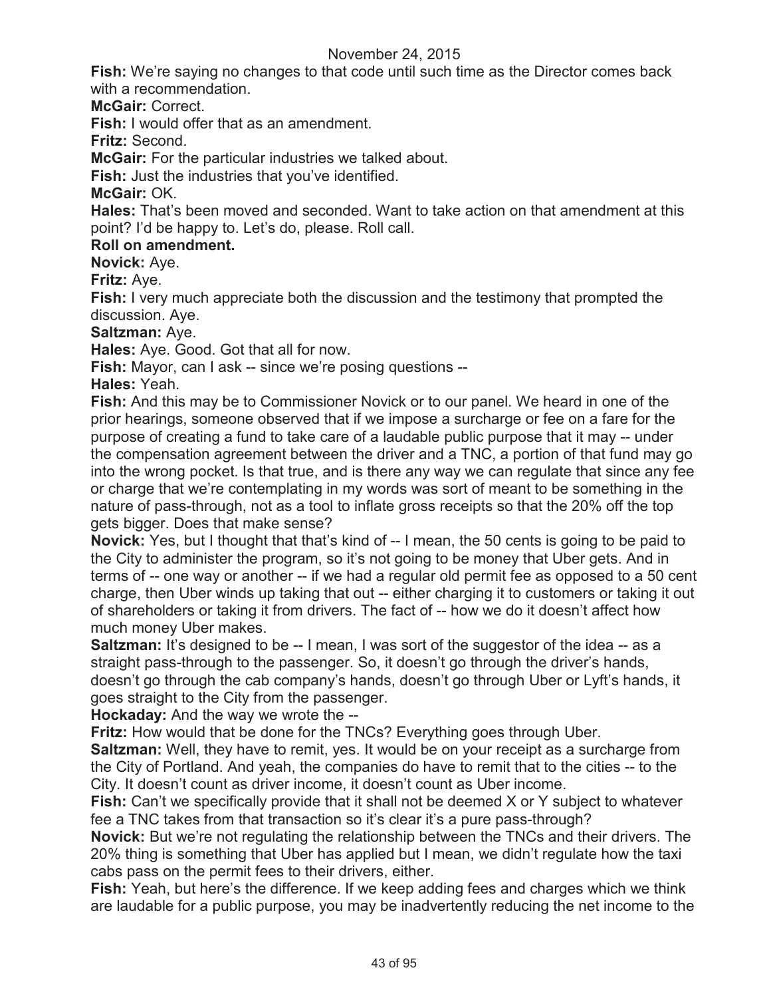**Fish:** We're saying no changes to that code until such time as the Director comes back with a recommendation.

**McGair:** Correct.

**Fish:** I would offer that as an amendment.

**Fritz:** Second.

**McGair:** For the particular industries we talked about.

**Fish:** Just the industries that you've identified.

**McGair:** OK.

**Hales:** That's been moved and seconded. Want to take action on that amendment at this point? I'd be happy to. Let's do, please. Roll call.

### **Roll on amendment.**

**Novick:** Aye.

**Fritz:** Aye.

**Fish:** I very much appreciate both the discussion and the testimony that prompted the discussion. Aye.

**Saltzman:** Aye.

**Hales:** Aye. Good. Got that all for now.

**Fish:** Mayor, can I ask -- since we're posing questions --

**Hales:** Yeah.

**Fish:** And this may be to Commissioner Novick or to our panel. We heard in one of the prior hearings, someone observed that if we impose a surcharge or fee on a fare for the purpose of creating a fund to take care of a laudable public purpose that it may -- under the compensation agreement between the driver and a TNC, a portion of that fund may go into the wrong pocket. Is that true, and is there any way we can regulate that since any fee or charge that we're contemplating in my words was sort of meant to be something in the nature of pass-through, not as a tool to inflate gross receipts so that the 20% off the top gets bigger. Does that make sense?

**Novick:** Yes, but I thought that that's kind of -- I mean, the 50 cents is going to be paid to the City to administer the program, so it's not going to be money that Uber gets. And in terms of -- one way or another -- if we had a regular old permit fee as opposed to a 50 cent charge, then Uber winds up taking that out -- either charging it to customers or taking it out of shareholders or taking it from drivers. The fact of -- how we do it doesn't affect how much money Uber makes.

**Saltzman:** It's designed to be -- I mean, I was sort of the suggestor of the idea -- as a straight pass-through to the passenger. So, it doesn't go through the driver's hands, doesn't go through the cab company's hands, doesn't go through Uber or Lyft's hands, it goes straight to the City from the passenger.

**Hockaday:** And the way we wrote the --

**Fritz:** How would that be done for the TNCs? Everything goes through Uber.

**Saltzman:** Well, they have to remit, yes. It would be on your receipt as a surcharge from the City of Portland. And yeah, the companies do have to remit that to the cities -- to the City. It doesn't count as driver income, it doesn't count as Uber income.

**Fish:** Can't we specifically provide that it shall not be deemed X or Y subject to whatever fee a TNC takes from that transaction so it's clear it's a pure pass-through?

**Novick:** But we're not regulating the relationship between the TNCs and their drivers. The 20% thing is something that Uber has applied but I mean, we didn't regulate how the taxi cabs pass on the permit fees to their drivers, either.

**Fish:** Yeah, but here's the difference. If we keep adding fees and charges which we think are laudable for a public purpose, you may be inadvertently reducing the net income to the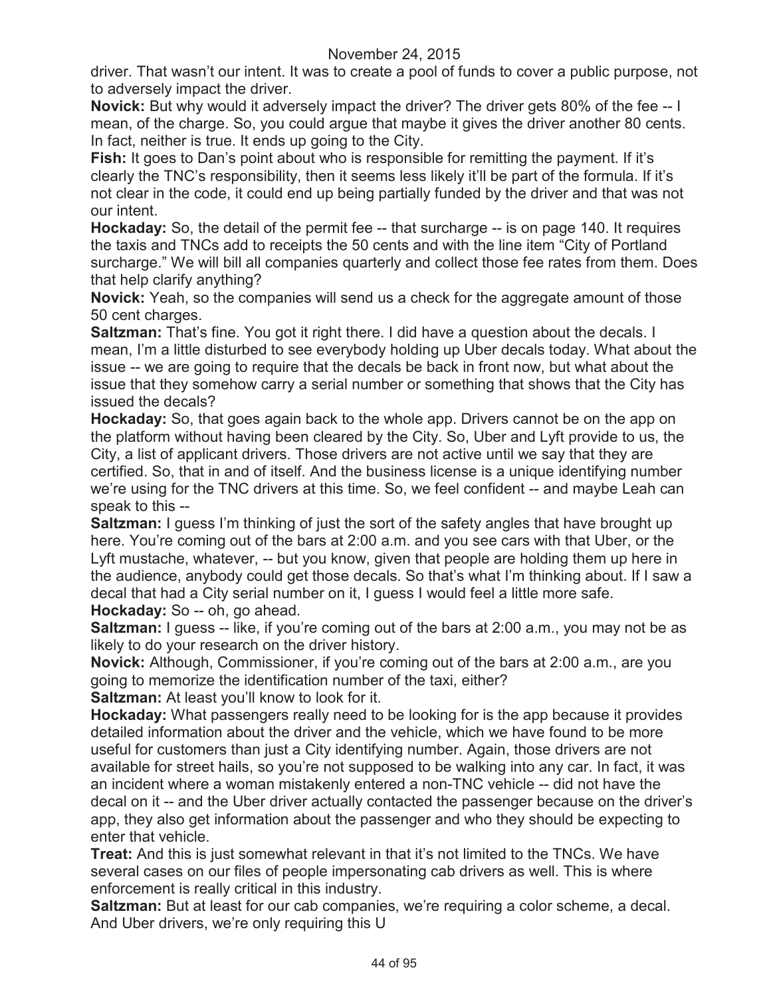driver. That wasn't our intent. It was to create a pool of funds to cover a public purpose, not to adversely impact the driver.

**Novick:** But why would it adversely impact the driver? The driver gets 80% of the fee -- I mean, of the charge. So, you could argue that maybe it gives the driver another 80 cents. In fact, neither is true. It ends up going to the City.

**Fish:** It goes to Dan's point about who is responsible for remitting the payment. If it's clearly the TNC's responsibility, then it seems less likely it'll be part of the formula. If it's not clear in the code, it could end up being partially funded by the driver and that was not our intent.

**Hockaday:** So, the detail of the permit fee -- that surcharge -- is on page 140. It requires the taxis and TNCs add to receipts the 50 cents and with the line item "City of Portland surcharge." We will bill all companies quarterly and collect those fee rates from them. Does that help clarify anything?

**Novick:** Yeah, so the companies will send us a check for the aggregate amount of those 50 cent charges.

**Saltzman:** That's fine. You got it right there. I did have a question about the decals. I mean, I'm a little disturbed to see everybody holding up Uber decals today. What about the issue -- we are going to require that the decals be back in front now, but what about the issue that they somehow carry a serial number or something that shows that the City has issued the decals?

**Hockaday:** So, that goes again back to the whole app. Drivers cannot be on the app on the platform without having been cleared by the City. So, Uber and Lyft provide to us, the City, a list of applicant drivers. Those drivers are not active until we say that they are certified. So, that in and of itself. And the business license is a unique identifying number we're using for the TNC drivers at this time. So, we feel confident -- and maybe Leah can speak to this --

**Saltzman:** I guess I'm thinking of just the sort of the safety angles that have brought up here. You're coming out of the bars at 2:00 a.m. and you see cars with that Uber, or the Lyft mustache, whatever, -- but you know, given that people are holding them up here in the audience, anybody could get those decals. So that's what I'm thinking about. If I saw a decal that had a City serial number on it, I guess I would feel a little more safe. **Hockaday:** So -- oh, go ahead.

**Saltzman:** I guess -- like, if you're coming out of the bars at 2:00 a.m., you may not be as likely to do your research on the driver history.

**Novick:** Although, Commissioner, if you're coming out of the bars at 2:00 a.m., are you going to memorize the identification number of the taxi, either?

**Saltzman:** At least you'll know to look for it.

**Hockaday:** What passengers really need to be looking for is the app because it provides detailed information about the driver and the vehicle, which we have found to be more useful for customers than just a City identifying number. Again, those drivers are not available for street hails, so you're not supposed to be walking into any car. In fact, it was an incident where a woman mistakenly entered a non-TNC vehicle -- did not have the decal on it -- and the Uber driver actually contacted the passenger because on the driver's app, they also get information about the passenger and who they should be expecting to enter that vehicle.

**Treat:** And this is just somewhat relevant in that it's not limited to the TNCs. We have several cases on our files of people impersonating cab drivers as well. This is where enforcement is really critical in this industry.

**Saltzman:** But at least for our cab companies, we're requiring a color scheme, a decal. And Uber drivers, we're only requiring this U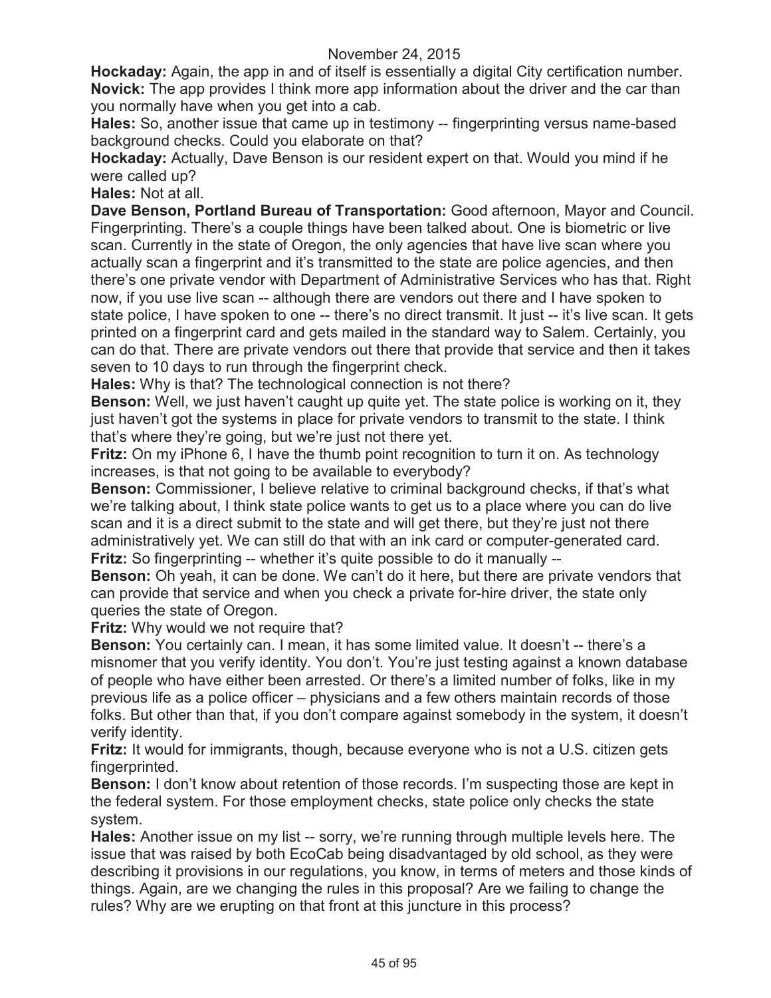**Hockaday:** Again, the app in and of itself is essentially a digital City certification number. **Novick:** The app provides I think more app information about the driver and the car than you normally have when you get into a cab.

**Hales:** So, another issue that came up in testimony -- fingerprinting versus name-based background checks. Could you elaborate on that?

**Hockaday:** Actually, Dave Benson is our resident expert on that. Would you mind if he were called up?

**Hales:** Not at all.

**Dave Benson, Portland Bureau of Transportation:** Good afternoon, Mayor and Council. Fingerprinting. There's a couple things have been talked about. One is biometric or live scan. Currently in the state of Oregon, the only agencies that have live scan where you actually scan a fingerprint and it's transmitted to the state are police agencies, and then there's one private vendor with Department of Administrative Services who has that. Right now, if you use live scan -- although there are vendors out there and I have spoken to state police, I have spoken to one -- there's no direct transmit. It just -- it's live scan. It gets printed on a fingerprint card and gets mailed in the standard way to Salem. Certainly, you can do that. There are private vendors out there that provide that service and then it takes seven to 10 days to run through the fingerprint check.

**Hales:** Why is that? The technological connection is not there?

**Benson:** Well, we just haven't caught up quite yet. The state police is working on it, they just haven't got the systems in place for private vendors to transmit to the state. I think that's where they're going, but we're just not there yet.

**Fritz:** On my iPhone 6, I have the thumb point recognition to turn it on. As technology increases, is that not going to be available to everybody?

**Benson:** Commissioner, I believe relative to criminal background checks, if that's what we're talking about, I think state police wants to get us to a place where you can do live scan and it is a direct submit to the state and will get there, but they're just not there administratively yet. We can still do that with an ink card or computer-generated card. **Fritz:** So fingerprinting -- whether it's quite possible to do it manually --

**Benson:** Oh yeah, it can be done. We can't do it here, but there are private vendors that can provide that service and when you check a private for-hire driver, the state only queries the state of Oregon.

**Fritz:** Why would we not require that?

**Benson:** You certainly can. I mean, it has some limited value. It doesn't -- there's a misnomer that you verify identity. You don't. You're just testing against a known database of people who have either been arrested. Or there's a limited number of folks, like in my previous life as a police officer – physicians and a few others maintain records of those folks. But other than that, if you don't compare against somebody in the system, it doesn't verify identity.

**Fritz:** It would for immigrants, though, because everyone who is not a U.S. citizen gets fingerprinted.

**Benson:** I don't know about retention of those records. I'm suspecting those are kept in the federal system. For those employment checks, state police only checks the state system.

**Hales:** Another issue on my list -- sorry, we're running through multiple levels here. The issue that was raised by both EcoCab being disadvantaged by old school, as they were describing it provisions in our regulations, you know, in terms of meters and those kinds of things. Again, are we changing the rules in this proposal? Are we failing to change the rules? Why are we erupting on that front at this juncture in this process?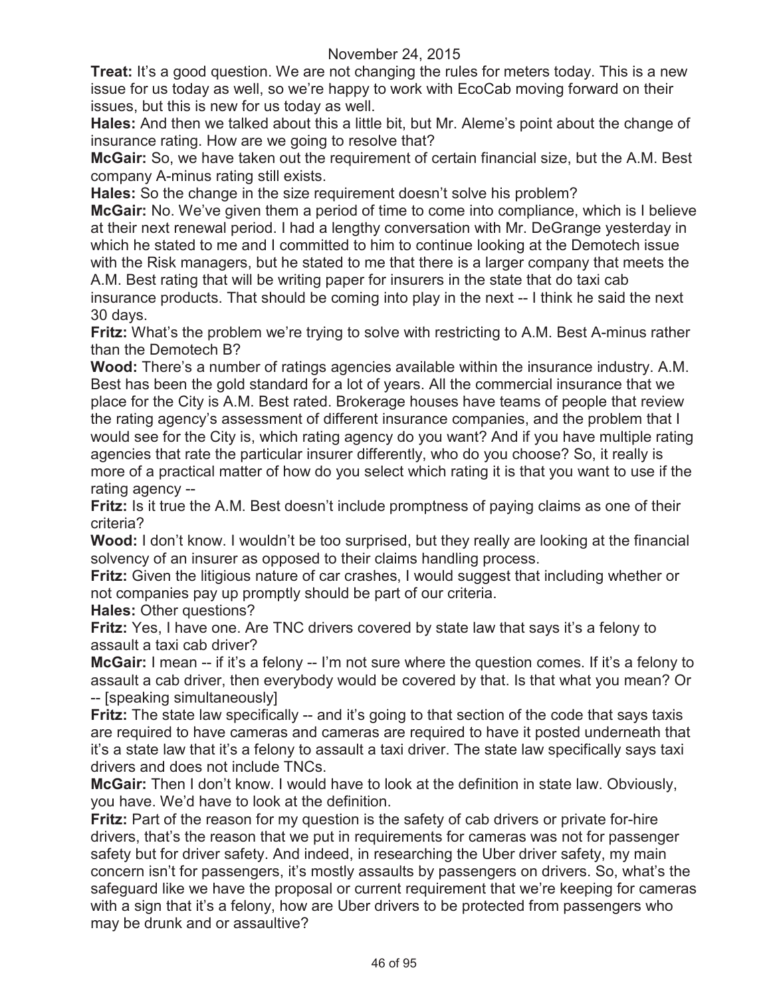**Treat:** It's a good question. We are not changing the rules for meters today. This is a new issue for us today as well, so we're happy to work with EcoCab moving forward on their issues, but this is new for us today as well.

**Hales:** And then we talked about this a little bit, but Mr. Aleme's point about the change of insurance rating. How are we going to resolve that?

**McGair:** So, we have taken out the requirement of certain financial size, but the A.M. Best company A-minus rating still exists.

**Hales:** So the change in the size requirement doesn't solve his problem?

**McGair:** No. We've given them a period of time to come into compliance, which is I believe at their next renewal period. I had a lengthy conversation with Mr. DeGrange yesterday in which he stated to me and I committed to him to continue looking at the Demotech issue with the Risk managers, but he stated to me that there is a larger company that meets the A.M. Best rating that will be writing paper for insurers in the state that do taxi cab insurance products. That should be coming into play in the next -- I think he said the next 30 days.

**Fritz:** What's the problem we're trying to solve with restricting to A.M. Best A-minus rather than the Demotech B?

**Wood:** There's a number of ratings agencies available within the insurance industry. A.M. Best has been the gold standard for a lot of years. All the commercial insurance that we place for the City is A.M. Best rated. Brokerage houses have teams of people that review the rating agency's assessment of different insurance companies, and the problem that I would see for the City is, which rating agency do you want? And if you have multiple rating agencies that rate the particular insurer differently, who do you choose? So, it really is more of a practical matter of how do you select which rating it is that you want to use if the rating agency --

**Fritz:** Is it true the A.M. Best doesn't include promptness of paying claims as one of their criteria?

**Wood:** I don't know. I wouldn't be too surprised, but they really are looking at the financial solvency of an insurer as opposed to their claims handling process.

**Fritz:** Given the litigious nature of car crashes, I would suggest that including whether or not companies pay up promptly should be part of our criteria.

**Hales:** Other questions?

**Fritz:** Yes, I have one. Are TNC drivers covered by state law that says it's a felony to assault a taxi cab driver?

**McGair:** I mean -- if it's a felony -- I'm not sure where the question comes. If it's a felony to assault a cab driver, then everybody would be covered by that. Is that what you mean? Or -- [speaking simultaneously]

Fritz: The state law specifically -- and it's going to that section of the code that says taxis are required to have cameras and cameras are required to have it posted underneath that it's a state law that it's a felony to assault a taxi driver. The state law specifically says taxi drivers and does not include TNCs.

**McGair:** Then I don't know. I would have to look at the definition in state law. Obviously, you have. We'd have to look at the definition.

**Fritz:** Part of the reason for my question is the safety of cab drivers or private for-hire drivers, that's the reason that we put in requirements for cameras was not for passenger safety but for driver safety. And indeed, in researching the Uber driver safety, my main concern isn't for passengers, it's mostly assaults by passengers on drivers. So, what's the safeguard like we have the proposal or current requirement that we're keeping for cameras with a sign that it's a felony, how are Uber drivers to be protected from passengers who may be drunk and or assaultive?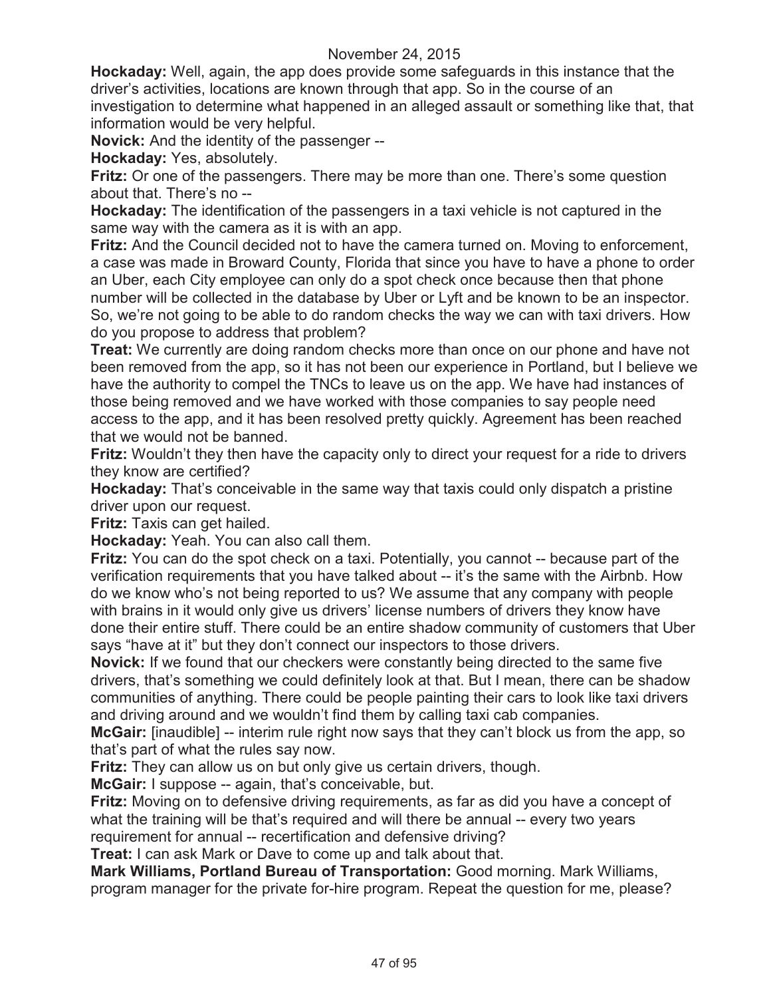**Hockaday:** Well, again, the app does provide some safeguards in this instance that the driver's activities, locations are known through that app. So in the course of an investigation to determine what happened in an alleged assault or something like that, that information would be very helpful.

**Novick:** And the identity of the passenger --

**Hockaday:** Yes, absolutely.

**Fritz:** Or one of the passengers. There may be more than one. There's some question about that. There's no --

**Hockaday:** The identification of the passengers in a taxi vehicle is not captured in the same way with the camera as it is with an app.

**Fritz:** And the Council decided not to have the camera turned on. Moving to enforcement, a case was made in Broward County, Florida that since you have to have a phone to order an Uber, each City employee can only do a spot check once because then that phone number will be collected in the database by Uber or Lyft and be known to be an inspector. So, we're not going to be able to do random checks the way we can with taxi drivers. How do you propose to address that problem?

**Treat:** We currently are doing random checks more than once on our phone and have not been removed from the app, so it has not been our experience in Portland, but I believe we have the authority to compel the TNCs to leave us on the app. We have had instances of those being removed and we have worked with those companies to say people need access to the app, and it has been resolved pretty quickly. Agreement has been reached that we would not be banned.

**Fritz:** Wouldn't they then have the capacity only to direct your request for a ride to drivers they know are certified?

**Hockaday:** That's conceivable in the same way that taxis could only dispatch a pristine driver upon our request.

**Fritz:** Taxis can get hailed.

**Hockaday:** Yeah. You can also call them.

**Fritz:** You can do the spot check on a taxi. Potentially, you cannot -- because part of the verification requirements that you have talked about -- it's the same with the Airbnb. How do we know who's not being reported to us? We assume that any company with people with brains in it would only give us drivers' license numbers of drivers they know have done their entire stuff. There could be an entire shadow community of customers that Uber says "have at it" but they don't connect our inspectors to those drivers.

**Novick:** If we found that our checkers were constantly being directed to the same five drivers, that's something we could definitely look at that. But I mean, there can be shadow communities of anything. There could be people painting their cars to look like taxi drivers and driving around and we wouldn't find them by calling taxi cab companies.

**McGair:** [inaudible] -- interim rule right now says that they can't block us from the app, so that's part of what the rules say now.

**Fritz:** They can allow us on but only give us certain drivers, though.

**McGair:** I suppose -- again, that's conceivable, but.

**Fritz:** Moving on to defensive driving requirements, as far as did you have a concept of what the training will be that's required and will there be annual -- every two years requirement for annual -- recertification and defensive driving?

**Treat:** I can ask Mark or Dave to come up and talk about that.

**Mark Williams, Portland Bureau of Transportation:** Good morning. Mark Williams, program manager for the private for-hire program. Repeat the question for me, please?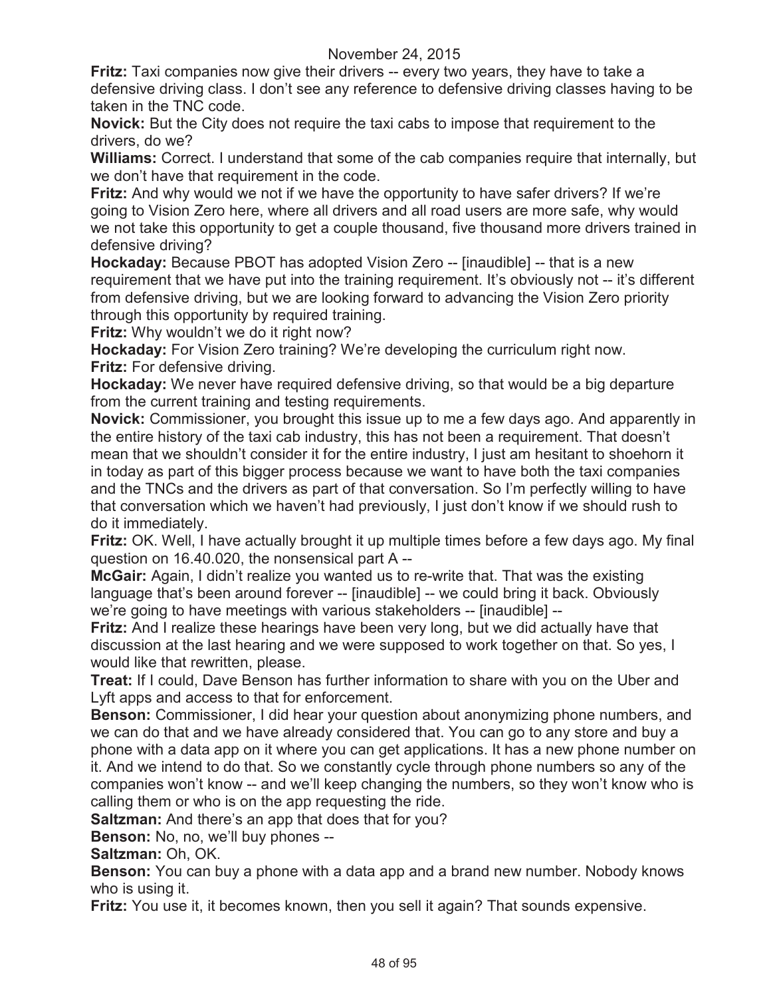**Fritz:** Taxi companies now give their drivers -- every two years, they have to take a defensive driving class. I don't see any reference to defensive driving classes having to be taken in the TNC code.

**Novick:** But the City does not require the taxi cabs to impose that requirement to the drivers, do we?

**Williams:** Correct. I understand that some of the cab companies require that internally, but we don't have that requirement in the code.

**Fritz:** And why would we not if we have the opportunity to have safer drivers? If we're going to Vision Zero here, where all drivers and all road users are more safe, why would we not take this opportunity to get a couple thousand, five thousand more drivers trained in defensive driving?

**Hockaday:** Because PBOT has adopted Vision Zero -- [inaudible] -- that is a new requirement that we have put into the training requirement. It's obviously not -- it's different from defensive driving, but we are looking forward to advancing the Vision Zero priority through this opportunity by required training.

**Fritz:** Why wouldn't we do it right now?

**Hockaday:** For Vision Zero training? We're developing the curriculum right now. **Fritz:** For defensive driving.

**Hockaday:** We never have required defensive driving, so that would be a big departure from the current training and testing requirements.

**Novick:** Commissioner, you brought this issue up to me a few days ago. And apparently in the entire history of the taxi cab industry, this has not been a requirement. That doesn't mean that we shouldn't consider it for the entire industry, I just am hesitant to shoehorn it in today as part of this bigger process because we want to have both the taxi companies and the TNCs and the drivers as part of that conversation. So I'm perfectly willing to have that conversation which we haven't had previously, I just don't know if we should rush to do it immediately.

**Fritz:** OK. Well, I have actually brought it up multiple times before a few days ago. My final question on 16.40.020, the nonsensical part A --

**McGair:** Again, I didn't realize you wanted us to re-write that. That was the existing language that's been around forever -- [inaudible] -- we could bring it back. Obviously we're going to have meetings with various stakeholders -- [inaudible] --

**Fritz:** And I realize these hearings have been very long, but we did actually have that discussion at the last hearing and we were supposed to work together on that. So yes, I would like that rewritten, please.

**Treat:** If I could, Dave Benson has further information to share with you on the Uber and Lyft apps and access to that for enforcement.

**Benson:** Commissioner, I did hear your question about anonymizing phone numbers, and we can do that and we have already considered that. You can go to any store and buy a phone with a data app on it where you can get applications. It has a new phone number on it. And we intend to do that. So we constantly cycle through phone numbers so any of the companies won't know -- and we'll keep changing the numbers, so they won't know who is calling them or who is on the app requesting the ride.

**Saltzman:** And there's an app that does that for you?

**Benson:** No, no, we'll buy phones --

**Saltzman:** Oh, OK.

**Benson:** You can buy a phone with a data app and a brand new number. Nobody knows who is using it.

**Fritz:** You use it, it becomes known, then you sell it again? That sounds expensive.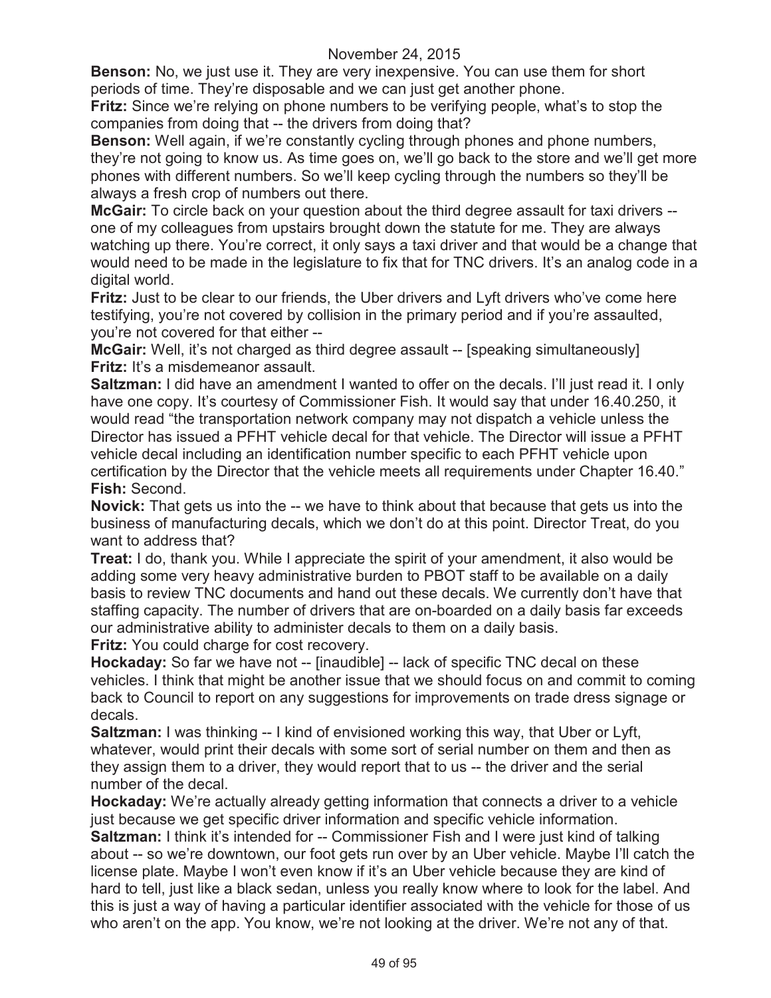**Benson:** No, we just use it. They are very inexpensive. You can use them for short periods of time. They're disposable and we can just get another phone.

**Fritz:** Since we're relying on phone numbers to be verifying people, what's to stop the companies from doing that -- the drivers from doing that?

**Benson:** Well again, if we're constantly cycling through phones and phone numbers, they're not going to know us. As time goes on, we'll go back to the store and we'll get more phones with different numbers. So we'll keep cycling through the numbers so they'll be always a fresh crop of numbers out there.

**McGair:** To circle back on your question about the third degree assault for taxi drivers - one of my colleagues from upstairs brought down the statute for me. They are always watching up there. You're correct, it only says a taxi driver and that would be a change that would need to be made in the legislature to fix that for TNC drivers. It's an analog code in a digital world.

**Fritz:** Just to be clear to our friends, the Uber drivers and Lyft drivers who've come here testifying, you're not covered by collision in the primary period and if you're assaulted, you're not covered for that either --

**McGair:** Well, it's not charged as third degree assault -- [speaking simultaneously] **Fritz:** It's a misdemeanor assault.

**Saltzman:** I did have an amendment I wanted to offer on the decals. I'll just read it. I only have one copy. It's courtesy of Commissioner Fish. It would say that under 16.40.250, it would read "the transportation network company may not dispatch a vehicle unless the Director has issued a PFHT vehicle decal for that vehicle. The Director will issue a PFHT vehicle decal including an identification number specific to each PFHT vehicle upon certification by the Director that the vehicle meets all requirements under Chapter 16.40." **Fish:** Second.

**Novick:** That gets us into the -- we have to think about that because that gets us into the business of manufacturing decals, which we don't do at this point. Director Treat, do you want to address that?

**Treat:** I do, thank you. While I appreciate the spirit of your amendment, it also would be adding some very heavy administrative burden to PBOT staff to be available on a daily basis to review TNC documents and hand out these decals. We currently don't have that staffing capacity. The number of drivers that are on-boarded on a daily basis far exceeds our administrative ability to administer decals to them on a daily basis.

**Fritz:** You could charge for cost recovery.

**Hockaday:** So far we have not -- [inaudible] -- lack of specific TNC decal on these vehicles. I think that might be another issue that we should focus on and commit to coming back to Council to report on any suggestions for improvements on trade dress signage or decals.

**Saltzman:** I was thinking -- I kind of envisioned working this way, that Uber or Lyft, whatever, would print their decals with some sort of serial number on them and then as they assign them to a driver, they would report that to us -- the driver and the serial number of the decal.

**Hockaday:** We're actually already getting information that connects a driver to a vehicle just because we get specific driver information and specific vehicle information.

**Saltzman:** I think it's intended for -- Commissioner Fish and I were just kind of talking about -- so we're downtown, our foot gets run over by an Uber vehicle. Maybe I'll catch the license plate. Maybe I won't even know if it's an Uber vehicle because they are kind of hard to tell, just like a black sedan, unless you really know where to look for the label. And this is just a way of having a particular identifier associated with the vehicle for those of us who aren't on the app. You know, we're not looking at the driver. We're not any of that.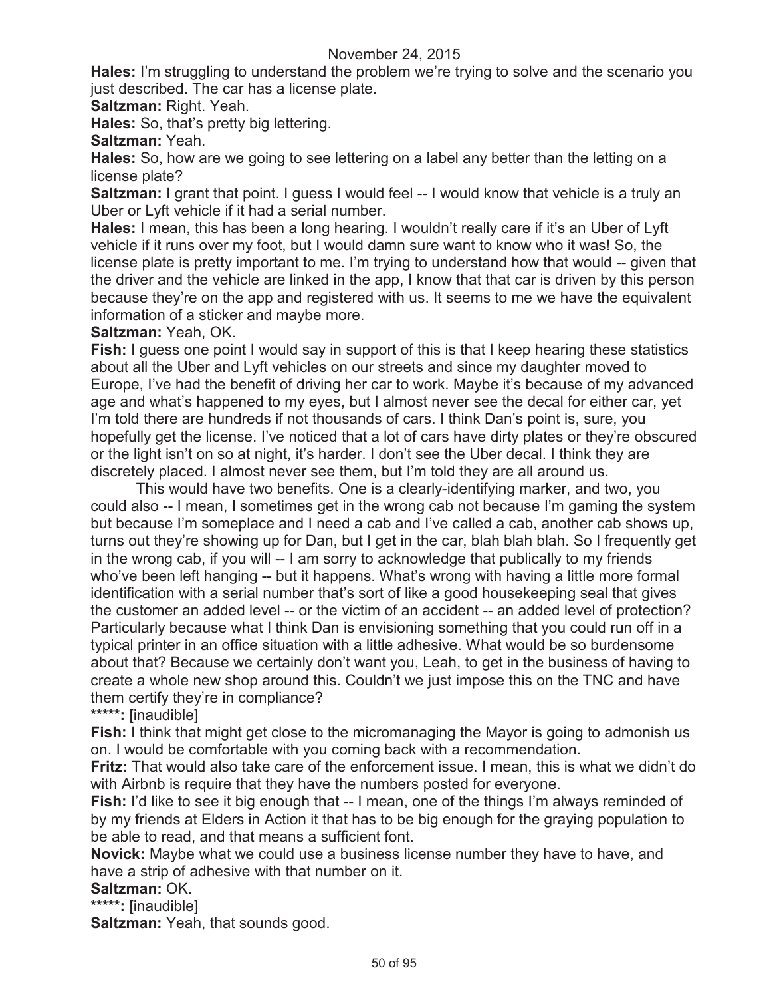**Hales:** I'm struggling to understand the problem we're trying to solve and the scenario you just described. The car has a license plate.

**Saltzman:** Right. Yeah.

**Hales:** So, that's pretty big lettering.

**Saltzman:** Yeah.

**Hales:** So, how are we going to see lettering on a label any better than the letting on a license plate?

**Saltzman:** I grant that point. I guess I would feel -- I would know that vehicle is a truly an Uber or Lyft vehicle if it had a serial number.

**Hales:** I mean, this has been a long hearing. I wouldn't really care if it's an Uber of Lyft vehicle if it runs over my foot, but I would damn sure want to know who it was! So, the license plate is pretty important to me. I'm trying to understand how that would -- given that the driver and the vehicle are linked in the app, I know that that car is driven by this person because they're on the app and registered with us. It seems to me we have the equivalent information of a sticker and maybe more.

**Saltzman:** Yeah, OK.

**Fish:** I guess one point I would say in support of this is that I keep hearing these statistics about all the Uber and Lyft vehicles on our streets and since my daughter moved to Europe, I've had the benefit of driving her car to work. Maybe it's because of my advanced age and what's happened to my eyes, but I almost never see the decal for either car, yet I'm told there are hundreds if not thousands of cars. I think Dan's point is, sure, you hopefully get the license. I've noticed that a lot of cars have dirty plates or they're obscured or the light isn't on so at night, it's harder. I don't see the Uber decal. I think they are discretely placed. I almost never see them, but I'm told they are all around us.

This would have two benefits. One is a clearly-identifying marker, and two, you could also -- I mean, I sometimes get in the wrong cab not because I'm gaming the system but because I'm someplace and I need a cab and I've called a cab, another cab shows up, turns out they're showing up for Dan, but I get in the car, blah blah blah. So I frequently get in the wrong cab, if you will -- I am sorry to acknowledge that publically to my friends who've been left hanging -- but it happens. What's wrong with having a little more formal identification with a serial number that's sort of like a good housekeeping seal that gives the customer an added level -- or the victim of an accident -- an added level of protection? Particularly because what I think Dan is envisioning something that you could run off in a typical printer in an office situation with a little adhesive. What would be so burdensome about that? Because we certainly don't want you, Leah, to get in the business of having to create a whole new shop around this. Couldn't we just impose this on the TNC and have them certify they're in compliance?

**\*\*\*\*\*:** [inaudible]

**Fish:** I think that might get close to the micromanaging the Mayor is going to admonish us on. I would be comfortable with you coming back with a recommendation.

**Fritz:** That would also take care of the enforcement issue. I mean, this is what we didn't do with Airbnb is require that they have the numbers posted for everyone.

**Fish:** I'd like to see it big enough that -- I mean, one of the things I'm always reminded of by my friends at Elders in Action it that has to be big enough for the graying population to be able to read, and that means a sufficient font.

**Novick:** Maybe what we could use a business license number they have to have, and have a strip of adhesive with that number on it.

### **Saltzman:** OK.

**\*\*\*\*\*:** [inaudible]

**Saltzman:** Yeah, that sounds good.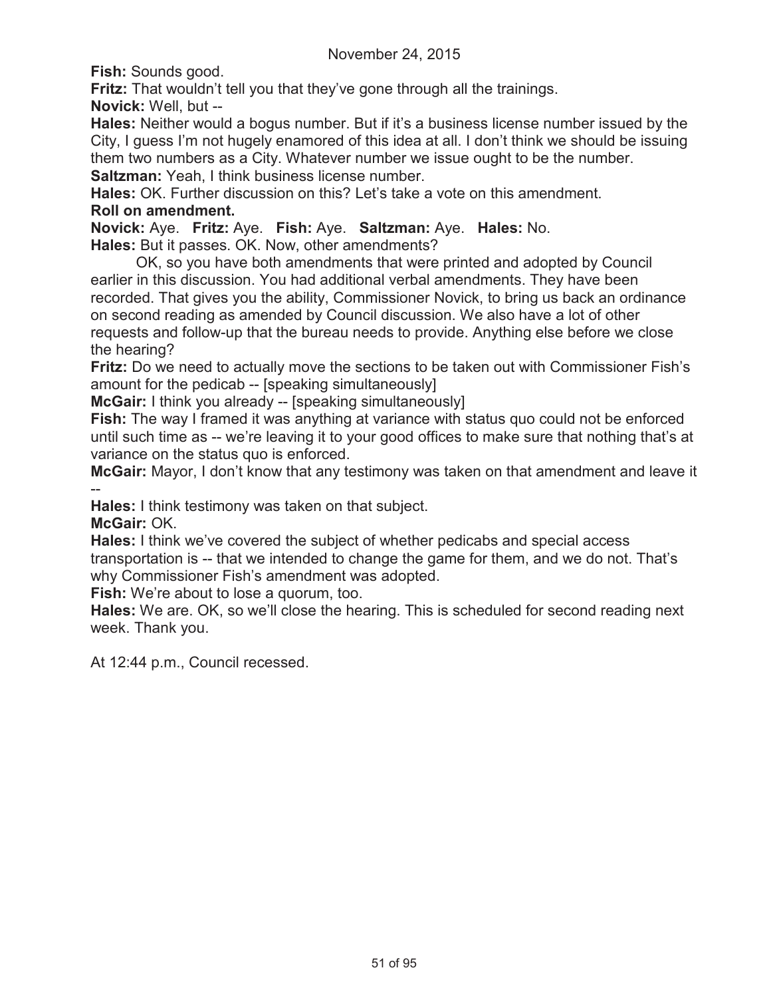**Fish:** Sounds good.

**Fritz:** That wouldn't tell you that they've gone through all the trainings.

**Novick:** Well, but --

**Hales:** Neither would a bogus number. But if it's a business license number issued by the City, I guess I'm not hugely enamored of this idea at all. I don't think we should be issuing them two numbers as a City. Whatever number we issue ought to be the number.

**Saltzman:** Yeah, I think business license number.

**Hales:** OK. Further discussion on this? Let's take a vote on this amendment. **Roll on amendment.**

**Novick:** Aye. **Fritz:** Aye. **Fish:** Aye. **Saltzman:** Aye. **Hales:** No.

**Hales:** But it passes. OK. Now, other amendments?

OK, so you have both amendments that were printed and adopted by Council earlier in this discussion. You had additional verbal amendments. They have been recorded. That gives you the ability, Commissioner Novick, to bring us back an ordinance on second reading as amended by Council discussion. We also have a lot of other requests and follow-up that the bureau needs to provide. Anything else before we close the hearing?

**Fritz:** Do we need to actually move the sections to be taken out with Commissioner Fish's amount for the pedicab -- [speaking simultaneously]

**McGair:** I think you already -- [speaking simultaneously]

**Fish:** The way I framed it was anything at variance with status quo could not be enforced until such time as -- we're leaving it to your good offices to make sure that nothing that's at variance on the status quo is enforced.

**McGair:** Mayor, I don't know that any testimony was taken on that amendment and leave it --

**Hales:** I think testimony was taken on that subject.

**McGair:** OK.

**Hales:** I think we've covered the subject of whether pedicabs and special access transportation is -- that we intended to change the game for them, and we do not. That's why Commissioner Fish's amendment was adopted.

**Fish:** We're about to lose a quorum, too.

**Hales:** We are. OK, so we'll close the hearing. This is scheduled for second reading next week. Thank you.

At 12:44 p.m., Council recessed.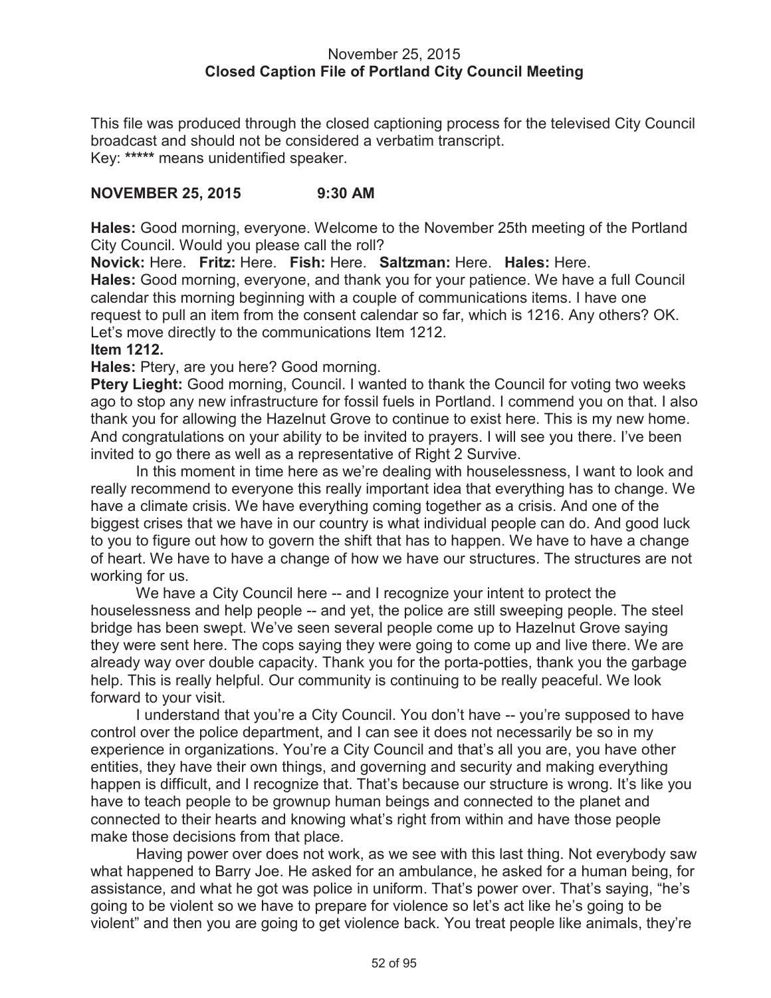#### November 25, 2015 **Closed Caption File of Portland City Council Meeting**

This file was produced through the closed captioning process for the televised City Council broadcast and should not be considered a verbatim transcript. Key: **\*\*\*\*\*** means unidentified speaker.

### **NOVEMBER 25, 2015 9:30 AM**

**Hales:** Good morning, everyone. Welcome to the November 25th meeting of the Portland City Council. Would you please call the roll?

**Novick:** Here. **Fritz:** Here. **Fish:** Here. **Saltzman:** Here. **Hales:** Here. **Hales:** Good morning, everyone, and thank you for your patience. We have a full Council calendar this morning beginning with a couple of communications items. I have one request to pull an item from the consent calendar so far, which is 1216. Any others? OK. Let's move directly to the communications Item 1212.

#### **Item 1212.**

**Hales:** Ptery, are you here? Good morning.

**Ptery Lieght:** Good morning, Council. I wanted to thank the Council for voting two weeks ago to stop any new infrastructure for fossil fuels in Portland. I commend you on that. I also thank you for allowing the Hazelnut Grove to continue to exist here. This is my new home. And congratulations on your ability to be invited to prayers. I will see you there. I've been invited to go there as well as a representative of Right 2 Survive.

In this moment in time here as we're dealing with houselessness, I want to look and really recommend to everyone this really important idea that everything has to change. We have a climate crisis. We have everything coming together as a crisis. And one of the biggest crises that we have in our country is what individual people can do. And good luck to you to figure out how to govern the shift that has to happen. We have to have a change of heart. We have to have a change of how we have our structures. The structures are not working for us.

We have a City Council here -- and I recognize your intent to protect the houselessness and help people -- and yet, the police are still sweeping people. The steel bridge has been swept. We've seen several people come up to Hazelnut Grove saying they were sent here. The cops saying they were going to come up and live there. We are already way over double capacity. Thank you for the porta-potties, thank you the garbage help. This is really helpful. Our community is continuing to be really peaceful. We look forward to your visit.

I understand that you're a City Council. You don't have -- you're supposed to have control over the police department, and I can see it does not necessarily be so in my experience in organizations. You're a City Council and that's all you are, you have other entities, they have their own things, and governing and security and making everything happen is difficult, and I recognize that. That's because our structure is wrong. It's like you have to teach people to be grownup human beings and connected to the planet and connected to their hearts and knowing what's right from within and have those people make those decisions from that place.

Having power over does not work, as we see with this last thing. Not everybody saw what happened to Barry Joe. He asked for an ambulance, he asked for a human being, for assistance, and what he got was police in uniform. That's power over. That's saying, "he's going to be violent so we have to prepare for violence so let's act like he's going to be violent" and then you are going to get violence back. You treat people like animals, they're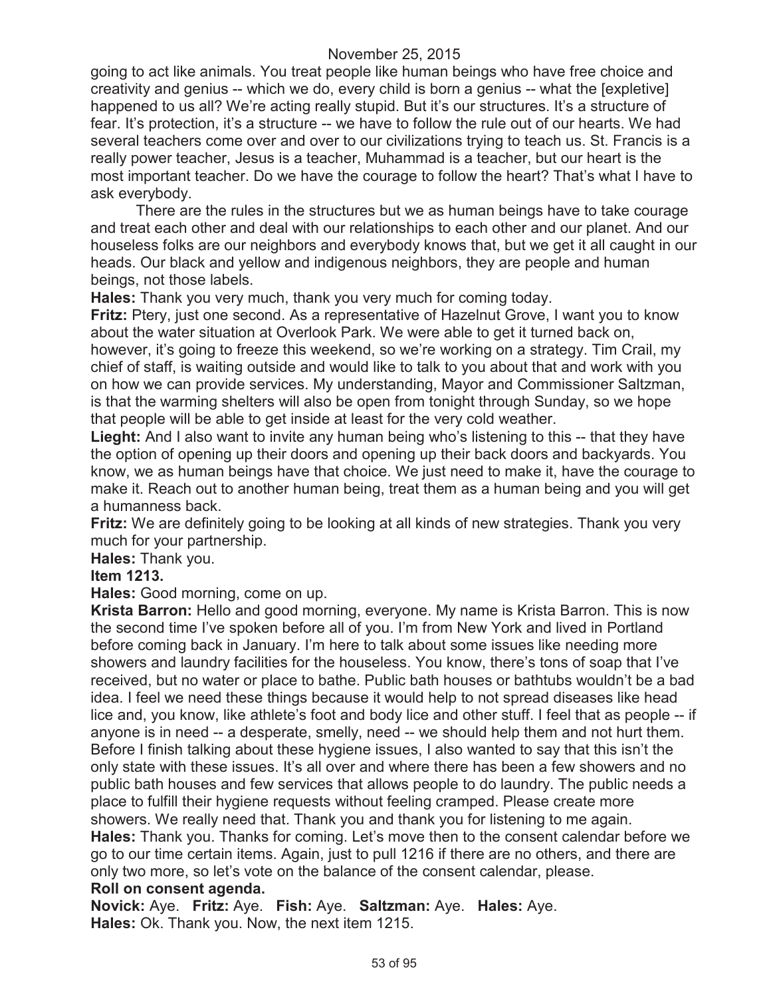going to act like animals. You treat people like human beings who have free choice and creativity and genius -- which we do, every child is born a genius -- what the [expletive] happened to us all? We're acting really stupid. But it's our structures. It's a structure of fear. It's protection, it's a structure -- we have to follow the rule out of our hearts. We had several teachers come over and over to our civilizations trying to teach us. St. Francis is a really power teacher, Jesus is a teacher, Muhammad is a teacher, but our heart is the most important teacher. Do we have the courage to follow the heart? That's what I have to ask everybody.

There are the rules in the structures but we as human beings have to take courage and treat each other and deal with our relationships to each other and our planet. And our houseless folks are our neighbors and everybody knows that, but we get it all caught in our heads. Our black and yellow and indigenous neighbors, they are people and human beings, not those labels.

**Hales:** Thank you very much, thank you very much for coming today.

**Fritz:** Ptery, just one second. As a representative of Hazelnut Grove, I want you to know about the water situation at Overlook Park. We were able to get it turned back on, however, it's going to freeze this weekend, so we're working on a strategy. Tim Crail, my chief of staff, is waiting outside and would like to talk to you about that and work with you on how we can provide services. My understanding, Mayor and Commissioner Saltzman, is that the warming shelters will also be open from tonight through Sunday, so we hope that people will be able to get inside at least for the very cold weather.

Lieght: And I also want to invite any human being who's listening to this -- that they have the option of opening up their doors and opening up their back doors and backyards. You know, we as human beings have that choice. We just need to make it, have the courage to make it. Reach out to another human being, treat them as a human being and you will get a humanness back.

**Fritz:** We are definitely going to be looking at all kinds of new strategies. Thank you very much for your partnership.

**Hales:** Thank you.

### **Item 1213.**

**Hales:** Good morning, come on up.

**Krista Barron:** Hello and good morning, everyone. My name is Krista Barron. This is now the second time I've spoken before all of you. I'm from New York and lived in Portland before coming back in January. I'm here to talk about some issues like needing more showers and laundry facilities for the houseless. You know, there's tons of soap that I've received, but no water or place to bathe. Public bath houses or bathtubs wouldn't be a bad idea. I feel we need these things because it would help to not spread diseases like head lice and, you know, like athlete's foot and body lice and other stuff. I feel that as people -- if anyone is in need -- a desperate, smelly, need -- we should help them and not hurt them. Before I finish talking about these hygiene issues, I also wanted to say that this isn't the only state with these issues. It's all over and where there has been a few showers and no public bath houses and few services that allows people to do laundry. The public needs a place to fulfill their hygiene requests without feeling cramped. Please create more showers. We really need that. Thank you and thank you for listening to me again. **Hales:** Thank you. Thanks for coming. Let's move then to the consent calendar before we go to our time certain items. Again, just to pull 1216 if there are no others, and there are only two more, so let's vote on the balance of the consent calendar, please. **Roll on consent agenda.**

#### **Novick:** Aye. **Fritz:** Aye. **Fish:** Aye. **Saltzman:** Aye. **Hales:** Aye. **Hales:** Ok. Thank you. Now, the next item 1215.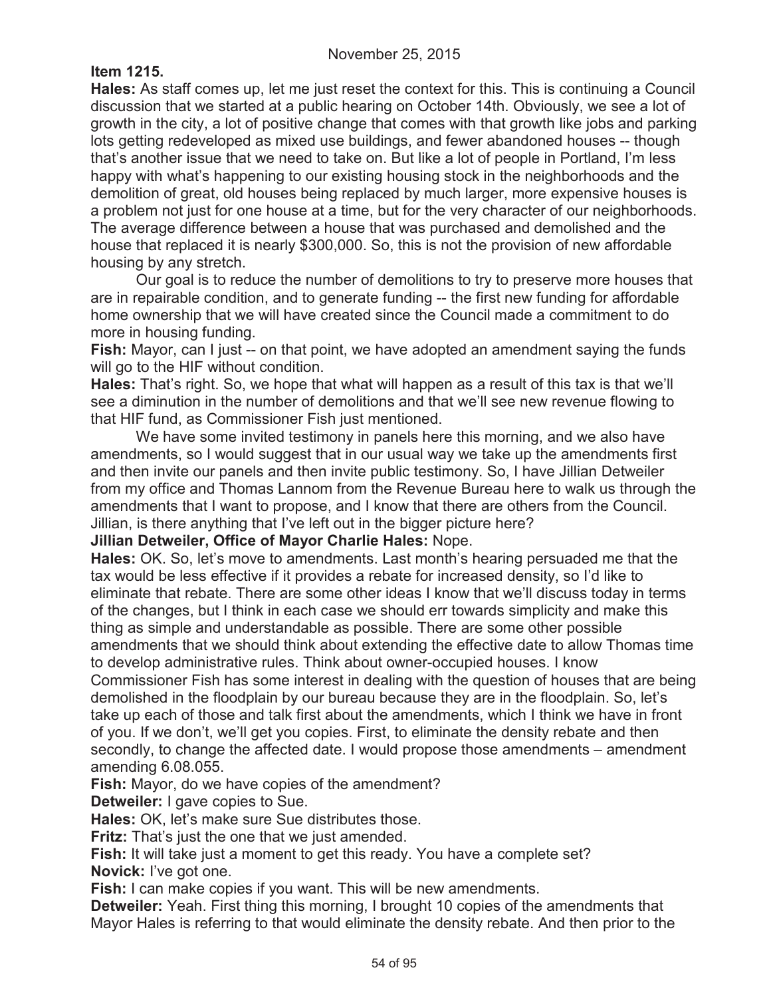## **Item 1215.**

**Hales:** As staff comes up, let me just reset the context for this. This is continuing a Council discussion that we started at a public hearing on October 14th. Obviously, we see a lot of growth in the city, a lot of positive change that comes with that growth like jobs and parking lots getting redeveloped as mixed use buildings, and fewer abandoned houses -- though that's another issue that we need to take on. But like a lot of people in Portland, I'm less happy with what's happening to our existing housing stock in the neighborhoods and the demolition of great, old houses being replaced by much larger, more expensive houses is a problem not just for one house at a time, but for the very character of our neighborhoods. The average difference between a house that was purchased and demolished and the house that replaced it is nearly \$300,000. So, this is not the provision of new affordable housing by any stretch.

Our goal is to reduce the number of demolitions to try to preserve more houses that are in repairable condition, and to generate funding -- the first new funding for affordable home ownership that we will have created since the Council made a commitment to do more in housing funding.

**Fish:** Mayor, can I just -- on that point, we have adopted an amendment saying the funds will go to the HIF without condition.

**Hales:** That's right. So, we hope that what will happen as a result of this tax is that we'll see a diminution in the number of demolitions and that we'll see new revenue flowing to that HIF fund, as Commissioner Fish just mentioned.

We have some invited testimony in panels here this morning, and we also have amendments, so I would suggest that in our usual way we take up the amendments first and then invite our panels and then invite public testimony. So, I have Jillian Detweiler from my office and Thomas Lannom from the Revenue Bureau here to walk us through the amendments that I want to propose, and I know that there are others from the Council. Jillian, is there anything that I've left out in the bigger picture here?

**Jillian Detweiler, Office of Mayor Charlie Hales:** Nope.

**Hales:** OK. So, let's move to amendments. Last month's hearing persuaded me that the tax would be less effective if it provides a rebate for increased density, so I'd like to eliminate that rebate. There are some other ideas I know that we'll discuss today in terms of the changes, but I think in each case we should err towards simplicity and make this thing as simple and understandable as possible. There are some other possible amendments that we should think about extending the effective date to allow Thomas time to develop administrative rules. Think about owner-occupied houses. I know

Commissioner Fish has some interest in dealing with the question of houses that are being demolished in the floodplain by our bureau because they are in the floodplain. So, let's take up each of those and talk first about the amendments, which I think we have in front of you. If we don't, we'll get you copies. First, to eliminate the density rebate and then secondly, to change the affected date. I would propose those amendments – amendment amending 6.08.055.

**Fish:** Mayor, do we have copies of the amendment?

**Detweiler:** I gave copies to Sue.

**Hales:** OK, let's make sure Sue distributes those.

**Fritz:** That's just the one that we just amended.

**Fish:** It will take just a moment to get this ready. You have a complete set? **Novick:** I've got one.

**Fish:** I can make copies if you want. This will be new amendments.

**Detweiler:** Yeah. First thing this morning, I brought 10 copies of the amendments that Mayor Hales is referring to that would eliminate the density rebate. And then prior to the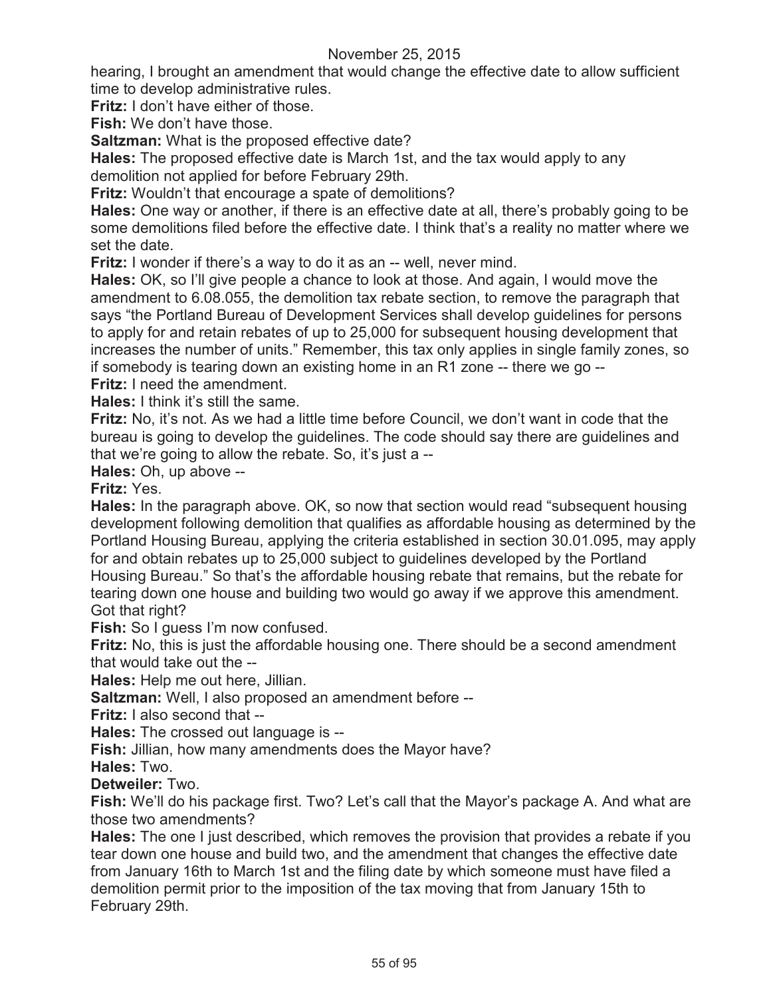hearing, I brought an amendment that would change the effective date to allow sufficient time to develop administrative rules.

**Fritz:** I don't have either of those.

**Fish:** We don't have those.

**Saltzman:** What is the proposed effective date?

**Hales:** The proposed effective date is March 1st, and the tax would apply to any demolition not applied for before February 29th.

**Fritz:** Wouldn't that encourage a spate of demolitions?

**Hales:** One way or another, if there is an effective date at all, there's probably going to be some demolitions filed before the effective date. I think that's a reality no matter where we set the date.

**Fritz:** I wonder if there's a way to do it as an -- well, never mind.

**Hales:** OK, so I'll give people a chance to look at those. And again, I would move the amendment to 6.08.055, the demolition tax rebate section, to remove the paragraph that says "the Portland Bureau of Development Services shall develop guidelines for persons to apply for and retain rebates of up to 25,000 for subsequent housing development that increases the number of units." Remember, this tax only applies in single family zones, so if somebody is tearing down an existing home in an R1 zone -- there we go --

**Fritz:** I need the amendment.

**Hales:** I think it's still the same.

**Fritz:** No, it's not. As we had a little time before Council, we don't want in code that the bureau is going to develop the guidelines. The code should say there are guidelines and that we're going to allow the rebate. So, it's just a --

**Hales:** Oh, up above --

**Fritz:** Yes.

**Hales:** In the paragraph above. OK, so now that section would read "subsequent housing development following demolition that qualifies as affordable housing as determined by the Portland Housing Bureau, applying the criteria established in section 30.01.095, may apply for and obtain rebates up to 25,000 subject to guidelines developed by the Portland Housing Bureau." So that's the affordable housing rebate that remains, but the rebate for tearing down one house and building two would go away if we approve this amendment. Got that right?

**Fish:** So I guess I'm now confused.

**Fritz:** No, this is just the affordable housing one. There should be a second amendment that would take out the --

**Hales:** Help me out here, Jillian.

**Saltzman:** Well, I also proposed an amendment before --

**Fritz:** I also second that --

**Hales:** The crossed out language is --

**Fish:** Jillian, how many amendments does the Mayor have?

**Hales:** Two.

**Detweiler:** Two.

**Fish:** We'll do his package first. Two? Let's call that the Mayor's package A. And what are those two amendments?

**Hales:** The one I just described, which removes the provision that provides a rebate if you tear down one house and build two, and the amendment that changes the effective date from January 16th to March 1st and the filing date by which someone must have filed a demolition permit prior to the imposition of the tax moving that from January 15th to February 29th.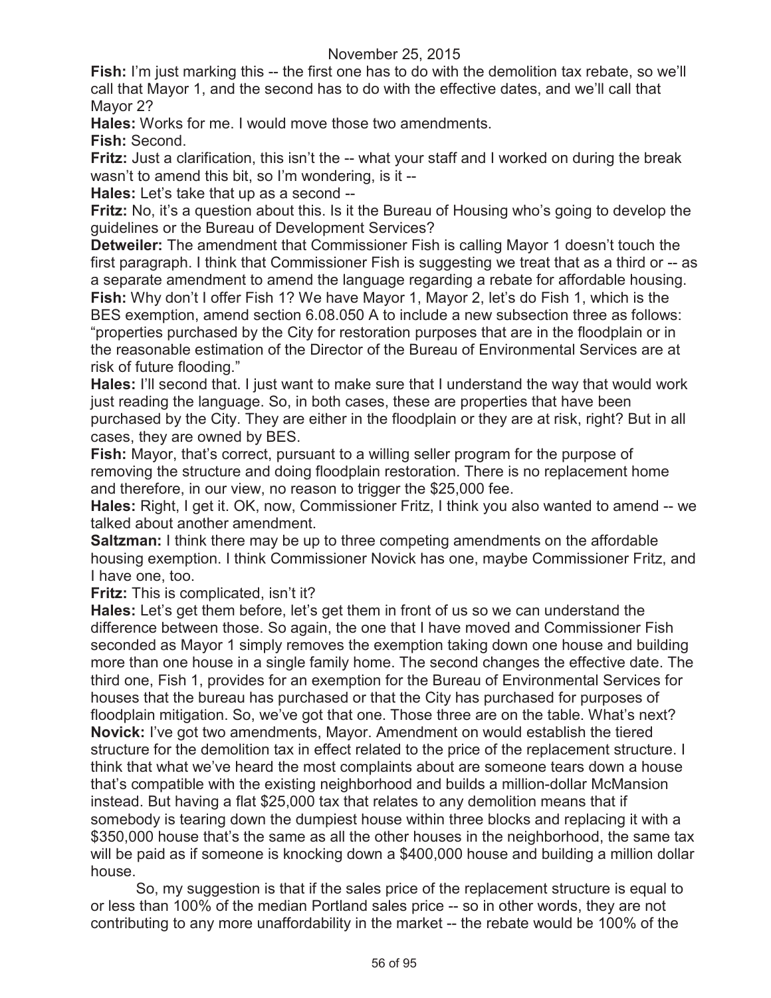**Fish:** I'm just marking this -- the first one has to do with the demolition tax rebate, so we'll call that Mayor 1, and the second has to do with the effective dates, and we'll call that Mayor 2?

**Hales:** Works for me. I would move those two amendments.

**Fish:** Second.

**Fritz:** Just a clarification, this isn't the -- what your staff and I worked on during the break wasn't to amend this bit, so I'm wondering, is it --

**Hales:** Let's take that up as a second --

**Fritz:** No, it's a question about this. Is it the Bureau of Housing who's going to develop the guidelines or the Bureau of Development Services?

**Detweiler:** The amendment that Commissioner Fish is calling Mayor 1 doesn't touch the first paragraph. I think that Commissioner Fish is suggesting we treat that as a third or -- as a separate amendment to amend the language regarding a rebate for affordable housing. **Fish:** Why don't I offer Fish 1? We have Mayor 1, Mayor 2, let's do Fish 1, which is the BES exemption, amend section 6.08.050 A to include a new subsection three as follows: "properties purchased by the City for restoration purposes that are in the floodplain or in the reasonable estimation of the Director of the Bureau of Environmental Services are at risk of future flooding."

**Hales:** I'll second that. I just want to make sure that I understand the way that would work just reading the language. So, in both cases, these are properties that have been purchased by the City. They are either in the floodplain or they are at risk, right? But in all cases, they are owned by BES.

**Fish:** Mayor, that's correct, pursuant to a willing seller program for the purpose of removing the structure and doing floodplain restoration. There is no replacement home and therefore, in our view, no reason to trigger the \$25,000 fee.

**Hales:** Right, I get it. OK, now, Commissioner Fritz, I think you also wanted to amend -- we talked about another amendment.

**Saltzman:** I think there may be up to three competing amendments on the affordable housing exemption. I think Commissioner Novick has one, maybe Commissioner Fritz, and I have one, too.

**Fritz:** This is complicated, isn't it?

**Hales:** Let's get them before, let's get them in front of us so we can understand the difference between those. So again, the one that I have moved and Commissioner Fish seconded as Mayor 1 simply removes the exemption taking down one house and building more than one house in a single family home. The second changes the effective date. The third one, Fish 1, provides for an exemption for the Bureau of Environmental Services for houses that the bureau has purchased or that the City has purchased for purposes of floodplain mitigation. So, we've got that one. Those three are on the table. What's next? **Novick:** I've got two amendments, Mayor. Amendment on would establish the tiered structure for the demolition tax in effect related to the price of the replacement structure. I think that what we've heard the most complaints about are someone tears down a house that's compatible with the existing neighborhood and builds a million-dollar McMansion instead. But having a flat \$25,000 tax that relates to any demolition means that if somebody is tearing down the dumpiest house within three blocks and replacing it with a \$350,000 house that's the same as all the other houses in the neighborhood, the same tax will be paid as if someone is knocking down a \$400,000 house and building a million dollar house.

So, my suggestion is that if the sales price of the replacement structure is equal to or less than 100% of the median Portland sales price -- so in other words, they are not contributing to any more unaffordability in the market -- the rebate would be 100% of the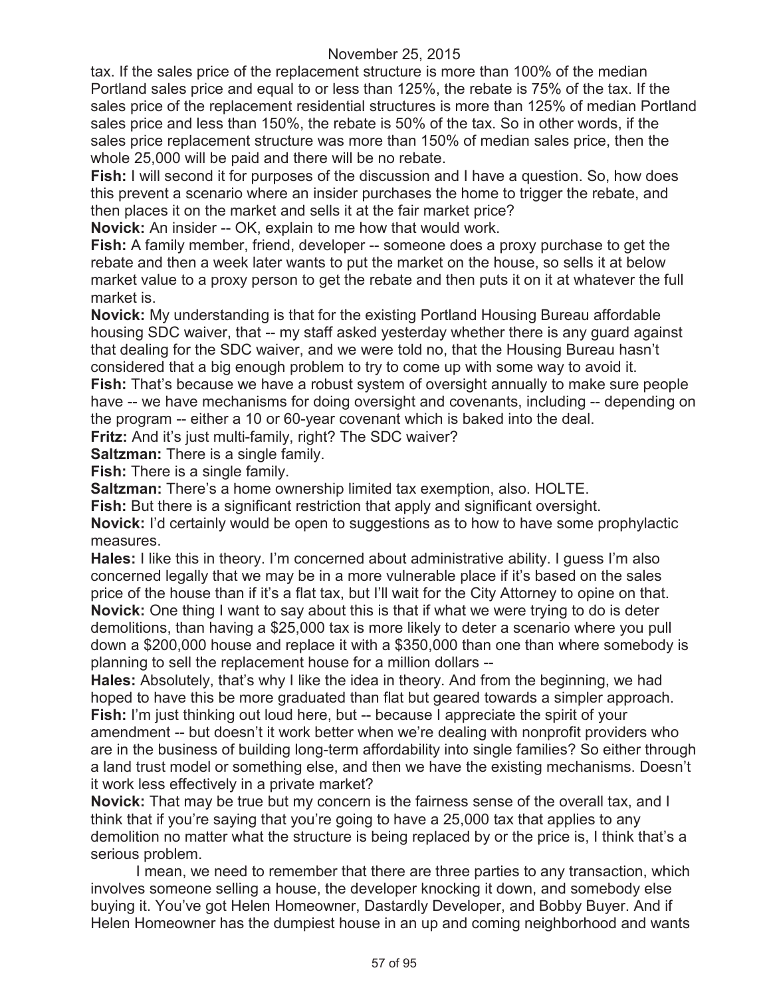tax. If the sales price of the replacement structure is more than 100% of the median Portland sales price and equal to or less than 125%, the rebate is 75% of the tax. If the sales price of the replacement residential structures is more than 125% of median Portland sales price and less than 150%, the rebate is 50% of the tax. So in other words, if the sales price replacement structure was more than 150% of median sales price, then the whole 25,000 will be paid and there will be no rebate.

**Fish:** I will second it for purposes of the discussion and I have a question. So, how does this prevent a scenario where an insider purchases the home to trigger the rebate, and then places it on the market and sells it at the fair market price?

**Novick:** An insider -- OK, explain to me how that would work.

**Fish:** A family member, friend, developer -- someone does a proxy purchase to get the rebate and then a week later wants to put the market on the house, so sells it at below market value to a proxy person to get the rebate and then puts it on it at whatever the full market is.

**Novick:** My understanding is that for the existing Portland Housing Bureau affordable housing SDC waiver, that -- my staff asked yesterday whether there is any guard against that dealing for the SDC waiver, and we were told no, that the Housing Bureau hasn't considered that a big enough problem to try to come up with some way to avoid it. **Fish:** That's because we have a robust system of oversight annually to make sure people

have -- we have mechanisms for doing oversight and covenants, including -- depending on the program -- either a 10 or 60-year covenant which is baked into the deal.

**Fritz:** And it's just multi-family, right? The SDC waiver?

**Saltzman:** There is a single family.

**Fish:** There is a single family.

**Saltzman:** There's a home ownership limited tax exemption, also. HOLTE.

**Fish:** But there is a significant restriction that apply and significant oversight.

**Novick:** I'd certainly would be open to suggestions as to how to have some prophylactic measures.

**Hales:** I like this in theory. I'm concerned about administrative ability. I guess I'm also concerned legally that we may be in a more vulnerable place if it's based on the sales price of the house than if it's a flat tax, but I'll wait for the City Attorney to opine on that. **Novick:** One thing I want to say about this is that if what we were trying to do is deter demolitions, than having a \$25,000 tax is more likely to deter a scenario where you pull down a \$200,000 house and replace it with a \$350,000 than one than where somebody is planning to sell the replacement house for a million dollars --

**Hales:** Absolutely, that's why I like the idea in theory. And from the beginning, we had hoped to have this be more graduated than flat but geared towards a simpler approach. **Fish:** I'm just thinking out loud here, but -- because I appreciate the spirit of your amendment -- but doesn't it work better when we're dealing with nonprofit providers who are in the business of building long-term affordability into single families? So either through a land trust model or something else, and then we have the existing mechanisms. Doesn't it work less effectively in a private market?

**Novick:** That may be true but my concern is the fairness sense of the overall tax, and I think that if you're saying that you're going to have a 25,000 tax that applies to any demolition no matter what the structure is being replaced by or the price is, I think that's a serious problem.

I mean, we need to remember that there are three parties to any transaction, which involves someone selling a house, the developer knocking it down, and somebody else buying it. You've got Helen Homeowner, Dastardly Developer, and Bobby Buyer. And if Helen Homeowner has the dumpiest house in an up and coming neighborhood and wants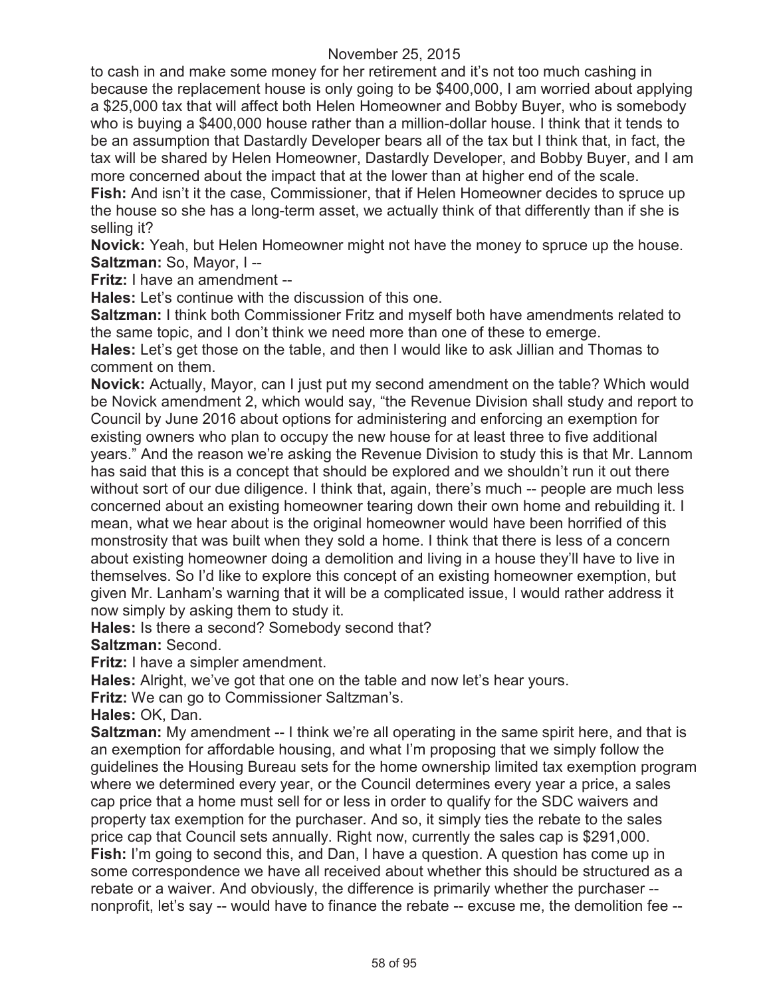to cash in and make some money for her retirement and it's not too much cashing in because the replacement house is only going to be \$400,000, I am worried about applying a \$25,000 tax that will affect both Helen Homeowner and Bobby Buyer, who is somebody who is buying a \$400,000 house rather than a million-dollar house. I think that it tends to be an assumption that Dastardly Developer bears all of the tax but I think that, in fact, the tax will be shared by Helen Homeowner, Dastardly Developer, and Bobby Buyer, and I am more concerned about the impact that at the lower than at higher end of the scale.

**Fish:** And isn't it the case, Commissioner, that if Helen Homeowner decides to spruce up the house so she has a long-term asset, we actually think of that differently than if she is selling it?

**Novick:** Yeah, but Helen Homeowner might not have the money to spruce up the house. **Saltzman:** So, Mayor, I --

**Fritz:** I have an amendment --

**Hales:** Let's continue with the discussion of this one.

**Saltzman:** I think both Commissioner Fritz and myself both have amendments related to the same topic, and I don't think we need more than one of these to emerge.

**Hales:** Let's get those on the table, and then I would like to ask Jillian and Thomas to comment on them.

**Novick:** Actually, Mayor, can I just put my second amendment on the table? Which would be Novick amendment 2, which would say, "the Revenue Division shall study and report to Council by June 2016 about options for administering and enforcing an exemption for existing owners who plan to occupy the new house for at least three to five additional years." And the reason we're asking the Revenue Division to study this is that Mr. Lannom has said that this is a concept that should be explored and we shouldn't run it out there without sort of our due diligence. I think that, again, there's much -- people are much less concerned about an existing homeowner tearing down their own home and rebuilding it. I mean, what we hear about is the original homeowner would have been horrified of this monstrosity that was built when they sold a home. I think that there is less of a concern about existing homeowner doing a demolition and living in a house they'll have to live in themselves. So I'd like to explore this concept of an existing homeowner exemption, but given Mr. Lanham's warning that it will be a complicated issue, I would rather address it now simply by asking them to study it.

**Hales:** Is there a second? Somebody second that?

**Saltzman:** Second.

**Fritz:** I have a simpler amendment.

**Hales:** Alright, we've got that one on the table and now let's hear yours.

**Fritz:** We can go to Commissioner Saltzman's.

**Hales:** OK, Dan.

**Saltzman:** My amendment -- I think we're all operating in the same spirit here, and that is an exemption for affordable housing, and what I'm proposing that we simply follow the guidelines the Housing Bureau sets for the home ownership limited tax exemption program where we determined every year, or the Council determines every year a price, a sales cap price that a home must sell for or less in order to qualify for the SDC waivers and property tax exemption for the purchaser. And so, it simply ties the rebate to the sales price cap that Council sets annually. Right now, currently the sales cap is \$291,000. **Fish:** I'm going to second this, and Dan, I have a question. A question has come up in some correspondence we have all received about whether this should be structured as a rebate or a waiver. And obviously, the difference is primarily whether the purchaser - nonprofit, let's say -- would have to finance the rebate -- excuse me, the demolition fee --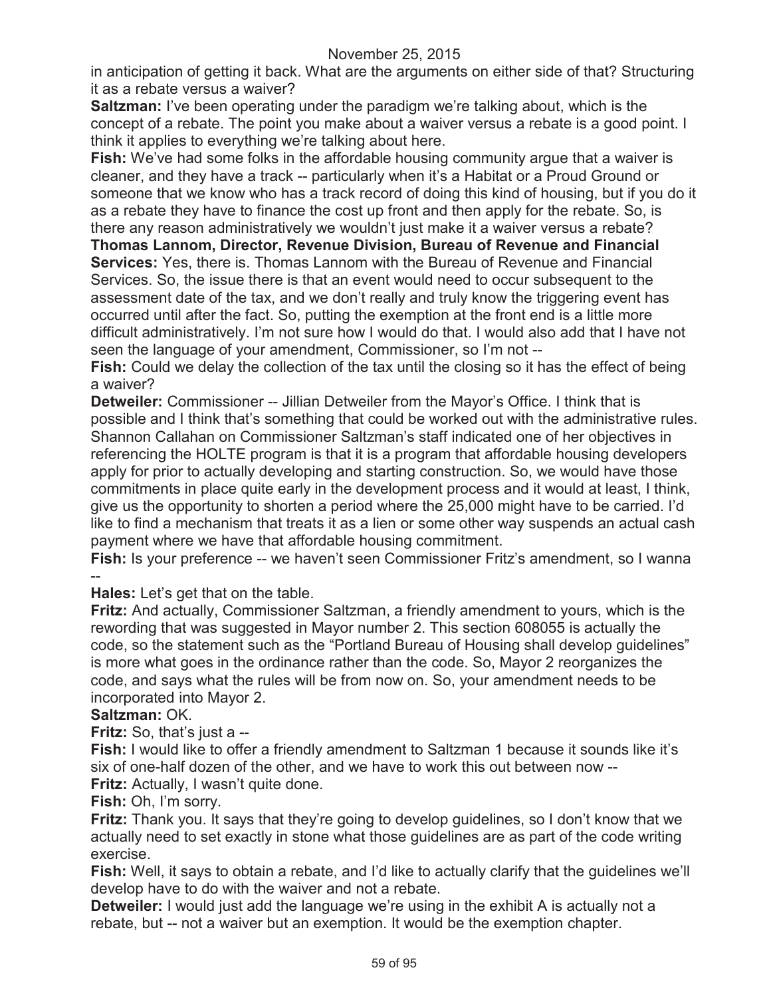in anticipation of getting it back. What are the arguments on either side of that? Structuring it as a rebate versus a waiver?

**Saltzman:** I've been operating under the paradigm we're talking about, which is the concept of a rebate. The point you make about a waiver versus a rebate is a good point. I think it applies to everything we're talking about here.

**Fish:** We've had some folks in the affordable housing community argue that a waiver is cleaner, and they have a track -- particularly when it's a Habitat or a Proud Ground or someone that we know who has a track record of doing this kind of housing, but if you do it as a rebate they have to finance the cost up front and then apply for the rebate. So, is there any reason administratively we wouldn't just make it a waiver versus a rebate?

**Thomas Lannom, Director, Revenue Division, Bureau of Revenue and Financial Services:** Yes, there is. Thomas Lannom with the Bureau of Revenue and Financial Services. So, the issue there is that an event would need to occur subsequent to the assessment date of the tax, and we don't really and truly know the triggering event has occurred until after the fact. So, putting the exemption at the front end is a little more difficult administratively. I'm not sure how I would do that. I would also add that I have not seen the language of your amendment, Commissioner, so I'm not --

**Fish:** Could we delay the collection of the tax until the closing so it has the effect of being a waiver?

**Detweiler:** Commissioner -- Jillian Detweiler from the Mayor's Office. I think that is possible and I think that's something that could be worked out with the administrative rules. Shannon Callahan on Commissioner Saltzman's staff indicated one of her objectives in referencing the HOLTE program is that it is a program that affordable housing developers apply for prior to actually developing and starting construction. So, we would have those commitments in place quite early in the development process and it would at least, I think, give us the opportunity to shorten a period where the 25,000 might have to be carried. I'd like to find a mechanism that treats it as a lien or some other way suspends an actual cash payment where we have that affordable housing commitment.

**Fish:** Is your preference -- we haven't seen Commissioner Fritz's amendment, so I wanna --

**Hales:** Let's get that on the table.

**Fritz:** And actually, Commissioner Saltzman, a friendly amendment to yours, which is the rewording that was suggested in Mayor number 2. This section 608055 is actually the code, so the statement such as the "Portland Bureau of Housing shall develop guidelines" is more what goes in the ordinance rather than the code. So, Mayor 2 reorganizes the code, and says what the rules will be from now on. So, your amendment needs to be incorporated into Mayor 2.

# **Saltzman:** OK.

**Fritz:** So, that's just a --

**Fish:** I would like to offer a friendly amendment to Saltzman 1 because it sounds like it's six of one-half dozen of the other, and we have to work this out between now --

**Fritz:** Actually, I wasn't quite done. **Fish:** Oh, I'm sorry.

**Fritz:** Thank you. It says that they're going to develop guidelines, so I don't know that we actually need to set exactly in stone what those guidelines are as part of the code writing exercise.

**Fish:** Well, it says to obtain a rebate, and I'd like to actually clarify that the guidelines we'll develop have to do with the waiver and not a rebate.

**Detweiler:** I would just add the language we're using in the exhibit A is actually not a rebate, but -- not a waiver but an exemption. It would be the exemption chapter.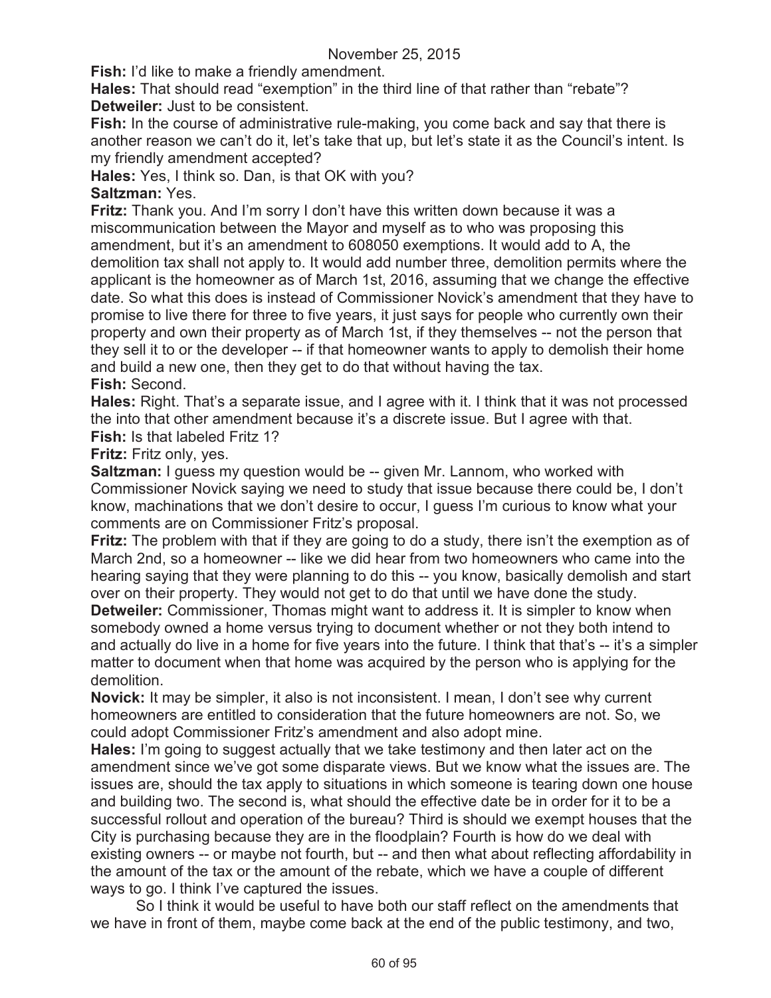**Fish:** I'd like to make a friendly amendment.

**Hales:** That should read "exemption" in the third line of that rather than "rebate"? **Detweiler:** Just to be consistent.

**Fish:** In the course of administrative rule-making, you come back and say that there is another reason we can't do it, let's take that up, but let's state it as the Council's intent. Is my friendly amendment accepted?

**Hales:** Yes, I think so. Dan, is that OK with you?

### **Saltzman:** Yes.

**Fritz:** Thank you. And I'm sorry I don't have this written down because it was a miscommunication between the Mayor and myself as to who was proposing this amendment, but it's an amendment to 608050 exemptions. It would add to A, the demolition tax shall not apply to. It would add number three, demolition permits where the applicant is the homeowner as of March 1st, 2016, assuming that we change the effective date. So what this does is instead of Commissioner Novick's amendment that they have to promise to live there for three to five years, it just says for people who currently own their property and own their property as of March 1st, if they themselves -- not the person that they sell it to or the developer -- if that homeowner wants to apply to demolish their home and build a new one, then they get to do that without having the tax. **Fish:** Second.

**Hales:** Right. That's a separate issue, and I agree with it. I think that it was not processed the into that other amendment because it's a discrete issue. But I agree with that.

**Fish:** Is that labeled Fritz 1?

**Fritz:** Fritz only, yes.

**Saltzman:** I guess my question would be -- given Mr. Lannom, who worked with Commissioner Novick saying we need to study that issue because there could be, I don't know, machinations that we don't desire to occur, I guess I'm curious to know what your comments are on Commissioner Fritz's proposal.

**Fritz:** The problem with that if they are going to do a study, there isn't the exemption as of March 2nd, so a homeowner -- like we did hear from two homeowners who came into the hearing saying that they were planning to do this -- you know, basically demolish and start over on their property. They would not get to do that until we have done the study.

**Detweiler:** Commissioner, Thomas might want to address it. It is simpler to know when somebody owned a home versus trying to document whether or not they both intend to and actually do live in a home for five years into the future. I think that that's -- it's a simpler matter to document when that home was acquired by the person who is applying for the demolition.

**Novick:** It may be simpler, it also is not inconsistent. I mean, I don't see why current homeowners are entitled to consideration that the future homeowners are not. So, we could adopt Commissioner Fritz's amendment and also adopt mine.

**Hales:** I'm going to suggest actually that we take testimony and then later act on the amendment since we've got some disparate views. But we know what the issues are. The issues are, should the tax apply to situations in which someone is tearing down one house and building two. The second is, what should the effective date be in order for it to be a successful rollout and operation of the bureau? Third is should we exempt houses that the City is purchasing because they are in the floodplain? Fourth is how do we deal with existing owners -- or maybe not fourth, but -- and then what about reflecting affordability in the amount of the tax or the amount of the rebate, which we have a couple of different ways to go. I think I've captured the issues.

So I think it would be useful to have both our staff reflect on the amendments that we have in front of them, maybe come back at the end of the public testimony, and two,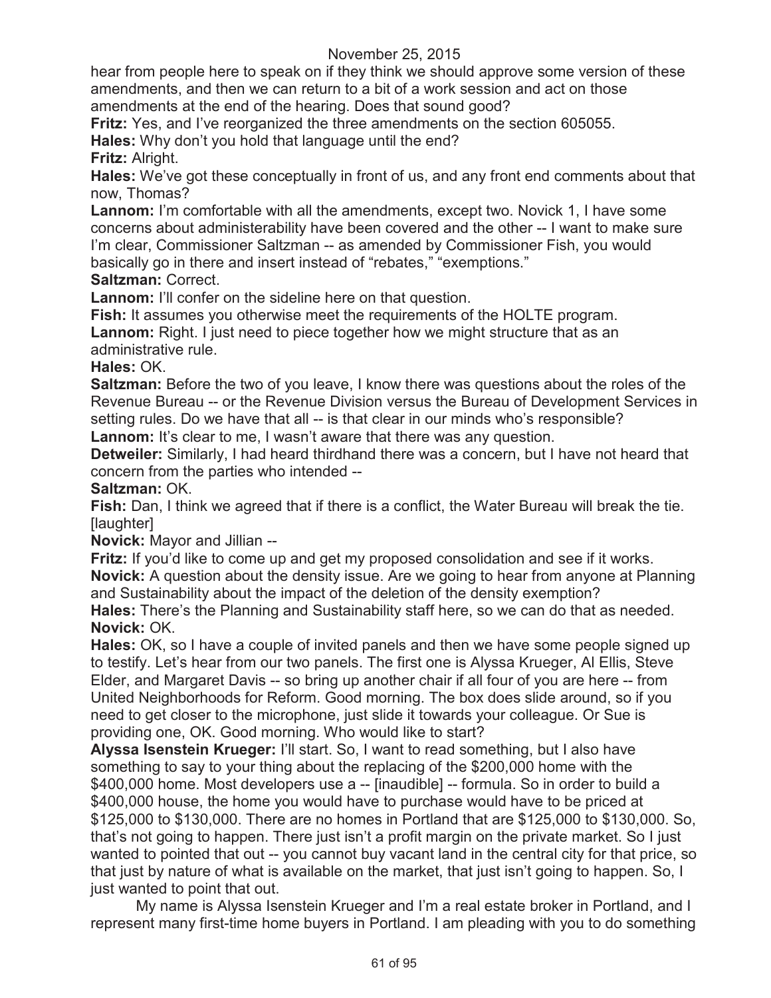hear from people here to speak on if they think we should approve some version of these amendments, and then we can return to a bit of a work session and act on those amendments at the end of the hearing. Does that sound good?

**Fritz:** Yes, and I've reorganized the three amendments on the section 605055.

**Hales:** Why don't you hold that language until the end?

**Fritz:** Alright.

**Hales:** We've got these conceptually in front of us, and any front end comments about that now, Thomas?

**Lannom:** I'm comfortable with all the amendments, except two. Novick 1, I have some concerns about administerability have been covered and the other -- I want to make sure I'm clear, Commissioner Saltzman -- as amended by Commissioner Fish, you would basically go in there and insert instead of "rebates," "exemptions."

**Saltzman:** Correct.

**Lannom:** I'll confer on the sideline here on that question.

**Fish:** It assumes you otherwise meet the requirements of the HOLTE program. **Lannom:** Right. I just need to piece together how we might structure that as an administrative rule.

**Hales:** OK.

**Saltzman:** Before the two of you leave, I know there was questions about the roles of the Revenue Bureau -- or the Revenue Division versus the Bureau of Development Services in setting rules. Do we have that all -- is that clear in our minds who's responsible? Lannom: It's clear to me, I wasn't aware that there was any question.

**Detweiler:** Similarly, I had heard thirdhand there was a concern, but I have not heard that concern from the parties who intended --

**Saltzman:** OK.

**Fish:** Dan, I think we agreed that if there is a conflict, the Water Bureau will break the tie. [laughter]

**Novick:** Mayor and Jillian --

**Fritz:** If you'd like to come up and get my proposed consolidation and see if it works. **Novick:** A question about the density issue. Are we going to hear from anyone at Planning and Sustainability about the impact of the deletion of the density exemption?

**Hales:** There's the Planning and Sustainability staff here, so we can do that as needed. **Novick:** OK.

**Hales:** OK, so I have a couple of invited panels and then we have some people signed up to testify. Let's hear from our two panels. The first one is Alyssa Krueger, Al Ellis, Steve Elder, and Margaret Davis -- so bring up another chair if all four of you are here -- from United Neighborhoods for Reform. Good morning. The box does slide around, so if you need to get closer to the microphone, just slide it towards your colleague. Or Sue is providing one, OK. Good morning. Who would like to start?

**Alyssa Isenstein Krueger:** I'll start. So, I want to read something, but I also have something to say to your thing about the replacing of the \$200,000 home with the \$400,000 home. Most developers use a -- [inaudible] -- formula. So in order to build a \$400,000 house, the home you would have to purchase would have to be priced at \$125,000 to \$130,000. There are no homes in Portland that are \$125,000 to \$130,000. So, that's not going to happen. There just isn't a profit margin on the private market. So I just wanted to pointed that out -- you cannot buy vacant land in the central city for that price, so that just by nature of what is available on the market, that just isn't going to happen. So, I just wanted to point that out.

My name is Alyssa Isenstein Krueger and I'm a real estate broker in Portland, and I represent many first-time home buyers in Portland. I am pleading with you to do something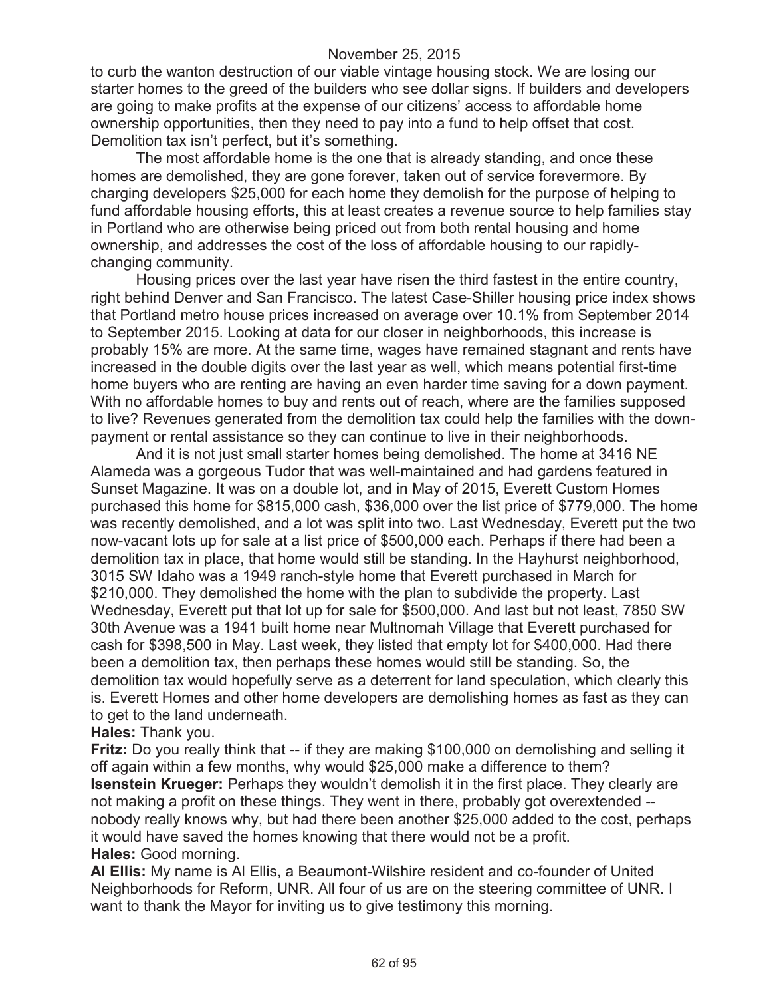to curb the wanton destruction of our viable vintage housing stock. We are losing our starter homes to the greed of the builders who see dollar signs. If builders and developers are going to make profits at the expense of our citizens' access to affordable home ownership opportunities, then they need to pay into a fund to help offset that cost. Demolition tax isn't perfect, but it's something.

The most affordable home is the one that is already standing, and once these homes are demolished, they are gone forever, taken out of service forevermore. By charging developers \$25,000 for each home they demolish for the purpose of helping to fund affordable housing efforts, this at least creates a revenue source to help families stay in Portland who are otherwise being priced out from both rental housing and home ownership, and addresses the cost of the loss of affordable housing to our rapidlychanging community.

Housing prices over the last year have risen the third fastest in the entire country, right behind Denver and San Francisco. The latest Case-Shiller housing price index shows that Portland metro house prices increased on average over 10.1% from September 2014 to September 2015. Looking at data for our closer in neighborhoods, this increase is probably 15% are more. At the same time, wages have remained stagnant and rents have increased in the double digits over the last year as well, which means potential first-time home buyers who are renting are having an even harder time saving for a down payment. With no affordable homes to buy and rents out of reach, where are the families supposed to live? Revenues generated from the demolition tax could help the families with the downpayment or rental assistance so they can continue to live in their neighborhoods.

And it is not just small starter homes being demolished. The home at 3416 NE Alameda was a gorgeous Tudor that was well-maintained and had gardens featured in Sunset Magazine. It was on a double lot, and in May of 2015, Everett Custom Homes purchased this home for \$815,000 cash, \$36,000 over the list price of \$779,000. The home was recently demolished, and a lot was split into two. Last Wednesday, Everett put the two now-vacant lots up for sale at a list price of \$500,000 each. Perhaps if there had been a demolition tax in place, that home would still be standing. In the Hayhurst neighborhood, 3015 SW Idaho was a 1949 ranch-style home that Everett purchased in March for \$210,000. They demolished the home with the plan to subdivide the property. Last Wednesday, Everett put that lot up for sale for \$500,000. And last but not least, 7850 SW 30th Avenue was a 1941 built home near Multnomah Village that Everett purchased for cash for \$398,500 in May. Last week, they listed that empty lot for \$400,000. Had there been a demolition tax, then perhaps these homes would still be standing. So, the demolition tax would hopefully serve as a deterrent for land speculation, which clearly this is. Everett Homes and other home developers are demolishing homes as fast as they can to get to the land underneath.

**Hales:** Thank you.

**Fritz:** Do you really think that -- if they are making \$100,000 on demolishing and selling it off again within a few months, why would \$25,000 make a difference to them? **Isenstein Krueger:** Perhaps they wouldn't demolish it in the first place. They clearly are not making a profit on these things. They went in there, probably got overextended - nobody really knows why, but had there been another \$25,000 added to the cost, perhaps it would have saved the homes knowing that there would not be a profit. **Hales:** Good morning.

**Al Ellis:** My name is Al Ellis, a Beaumont-Wilshire resident and co-founder of United Neighborhoods for Reform, UNR. All four of us are on the steering committee of UNR. I want to thank the Mayor for inviting us to give testimony this morning.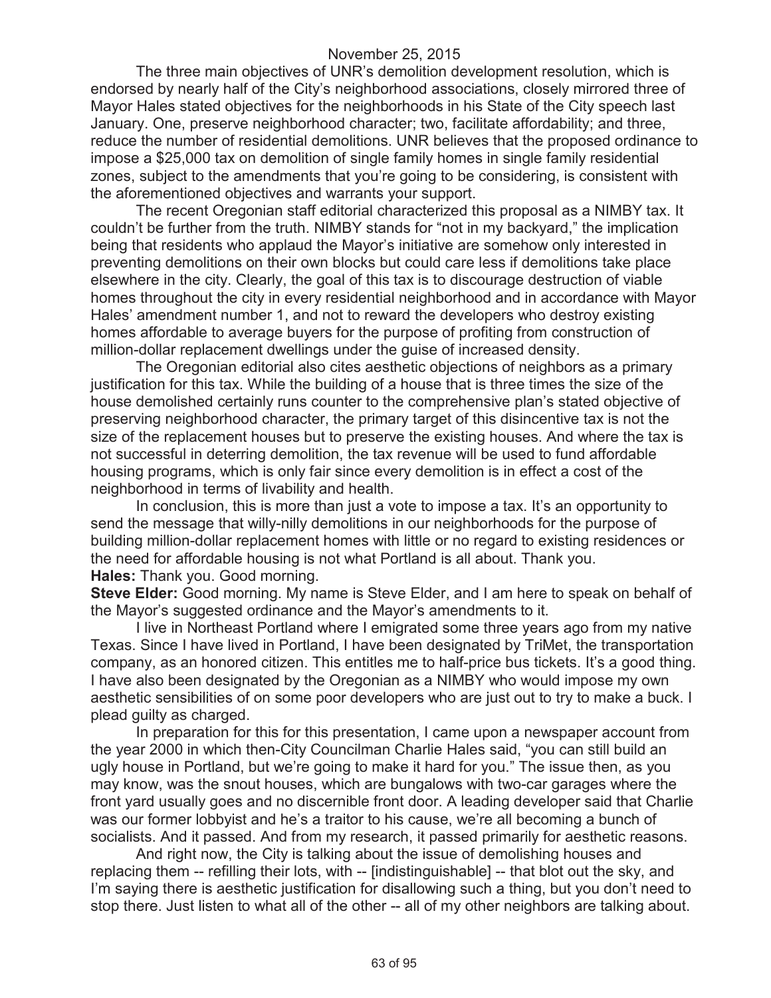The three main objectives of UNR's demolition development resolution, which is endorsed by nearly half of the City's neighborhood associations, closely mirrored three of Mayor Hales stated objectives for the neighborhoods in his State of the City speech last January. One, preserve neighborhood character; two, facilitate affordability; and three, reduce the number of residential demolitions. UNR believes that the proposed ordinance to impose a \$25,000 tax on demolition of single family homes in single family residential zones, subject to the amendments that you're going to be considering, is consistent with the aforementioned objectives and warrants your support.

The recent Oregonian staff editorial characterized this proposal as a NIMBY tax. It couldn't be further from the truth. NIMBY stands for "not in my backyard," the implication being that residents who applaud the Mayor's initiative are somehow only interested in preventing demolitions on their own blocks but could care less if demolitions take place elsewhere in the city. Clearly, the goal of this tax is to discourage destruction of viable homes throughout the city in every residential neighborhood and in accordance with Mayor Hales' amendment number 1, and not to reward the developers who destroy existing homes affordable to average buyers for the purpose of profiting from construction of million-dollar replacement dwellings under the guise of increased density.

The Oregonian editorial also cites aesthetic objections of neighbors as a primary justification for this tax. While the building of a house that is three times the size of the house demolished certainly runs counter to the comprehensive plan's stated objective of preserving neighborhood character, the primary target of this disincentive tax is not the size of the replacement houses but to preserve the existing houses. And where the tax is not successful in deterring demolition, the tax revenue will be used to fund affordable housing programs, which is only fair since every demolition is in effect a cost of the neighborhood in terms of livability and health.

In conclusion, this is more than just a vote to impose a tax. It's an opportunity to send the message that willy-nilly demolitions in our neighborhoods for the purpose of building million-dollar replacement homes with little or no regard to existing residences or the need for affordable housing is not what Portland is all about. Thank you. **Hales:** Thank you. Good morning.

**Steve Elder:** Good morning. My name is Steve Elder, and I am here to speak on behalf of the Mayor's suggested ordinance and the Mayor's amendments to it.

I live in Northeast Portland where I emigrated some three years ago from my native Texas. Since I have lived in Portland, I have been designated by TriMet, the transportation company, as an honored citizen. This entitles me to half-price bus tickets. It's a good thing. I have also been designated by the Oregonian as a NIMBY who would impose my own aesthetic sensibilities of on some poor developers who are just out to try to make a buck. I plead guilty as charged.

In preparation for this for this presentation, I came upon a newspaper account from the year 2000 in which then-City Councilman Charlie Hales said, "you can still build an ugly house in Portland, but we're going to make it hard for you." The issue then, as you may know, was the snout houses, which are bungalows with two-car garages where the front yard usually goes and no discernible front door. A leading developer said that Charlie was our former lobbyist and he's a traitor to his cause, we're all becoming a bunch of socialists. And it passed. And from my research, it passed primarily for aesthetic reasons.

And right now, the City is talking about the issue of demolishing houses and replacing them -- refilling their lots, with -- [indistinguishable] -- that blot out the sky, and I'm saying there is aesthetic justification for disallowing such a thing, but you don't need to stop there. Just listen to what all of the other -- all of my other neighbors are talking about.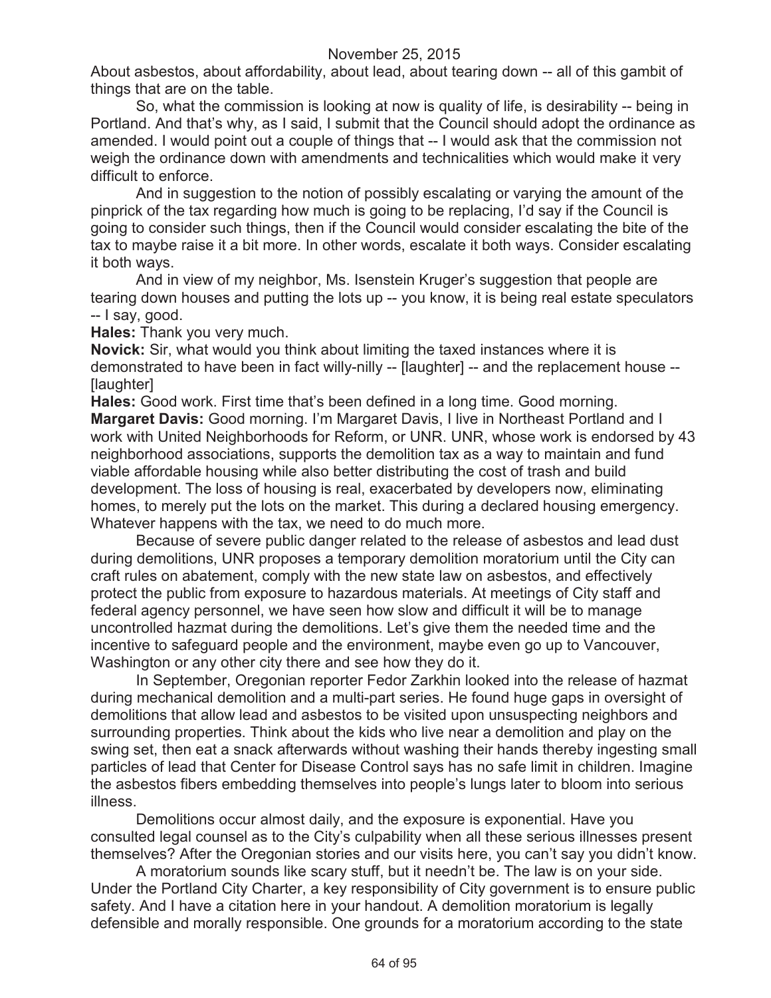About asbestos, about affordability, about lead, about tearing down -- all of this gambit of things that are on the table.

So, what the commission is looking at now is quality of life, is desirability -- being in Portland. And that's why, as I said, I submit that the Council should adopt the ordinance as amended. I would point out a couple of things that -- I would ask that the commission not weigh the ordinance down with amendments and technicalities which would make it very difficult to enforce.

And in suggestion to the notion of possibly escalating or varying the amount of the pinprick of the tax regarding how much is going to be replacing, I'd say if the Council is going to consider such things, then if the Council would consider escalating the bite of the tax to maybe raise it a bit more. In other words, escalate it both ways. Consider escalating it both ways.

And in view of my neighbor, Ms. Isenstein Kruger's suggestion that people are tearing down houses and putting the lots up -- you know, it is being real estate speculators -- I say, good.

**Hales:** Thank you very much.

**Novick:** Sir, what would you think about limiting the taxed instances where it is demonstrated to have been in fact willy-nilly -- [laughter] -- and the replacement house -- [laughter]

**Hales:** Good work. First time that's been defined in a long time. Good morning. **Margaret Davis:** Good morning. I'm Margaret Davis, I live in Northeast Portland and I work with United Neighborhoods for Reform, or UNR. UNR, whose work is endorsed by 43 neighborhood associations, supports the demolition tax as a way to maintain and fund viable affordable housing while also better distributing the cost of trash and build development. The loss of housing is real, exacerbated by developers now, eliminating homes, to merely put the lots on the market. This during a declared housing emergency. Whatever happens with the tax, we need to do much more.

Because of severe public danger related to the release of asbestos and lead dust during demolitions, UNR proposes a temporary demolition moratorium until the City can craft rules on abatement, comply with the new state law on asbestos, and effectively protect the public from exposure to hazardous materials. At meetings of City staff and federal agency personnel, we have seen how slow and difficult it will be to manage uncontrolled hazmat during the demolitions. Let's give them the needed time and the incentive to safeguard people and the environment, maybe even go up to Vancouver, Washington or any other city there and see how they do it.

In September, Oregonian reporter Fedor Zarkhin looked into the release of hazmat during mechanical demolition and a multi-part series. He found huge gaps in oversight of demolitions that allow lead and asbestos to be visited upon unsuspecting neighbors and surrounding properties. Think about the kids who live near a demolition and play on the swing set, then eat a snack afterwards without washing their hands thereby ingesting small particles of lead that Center for Disease Control says has no safe limit in children. Imagine the asbestos fibers embedding themselves into people's lungs later to bloom into serious illness.

Demolitions occur almost daily, and the exposure is exponential. Have you consulted legal counsel as to the City's culpability when all these serious illnesses present themselves? After the Oregonian stories and our visits here, you can't say you didn't know.

A moratorium sounds like scary stuff, but it needn't be. The law is on your side. Under the Portland City Charter, a key responsibility of City government is to ensure public safety. And I have a citation here in your handout. A demolition moratorium is legally defensible and morally responsible. One grounds for a moratorium according to the state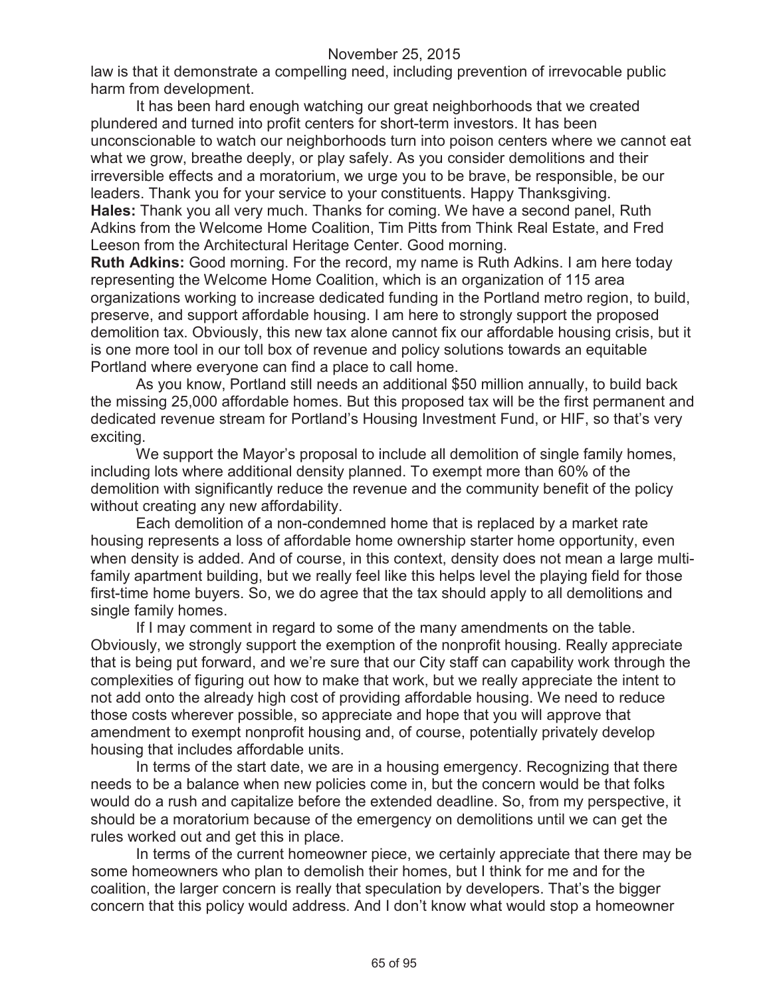law is that it demonstrate a compelling need, including prevention of irrevocable public harm from development.

It has been hard enough watching our great neighborhoods that we created plundered and turned into profit centers for short-term investors. It has been unconscionable to watch our neighborhoods turn into poison centers where we cannot eat what we grow, breathe deeply, or play safely. As you consider demolitions and their irreversible effects and a moratorium, we urge you to be brave, be responsible, be our leaders. Thank you for your service to your constituents. Happy Thanksgiving. **Hales:** Thank you all very much. Thanks for coming. We have a second panel, Ruth Adkins from the Welcome Home Coalition, Tim Pitts from Think Real Estate, and Fred Leeson from the Architectural Heritage Center. Good morning.

**Ruth Adkins:** Good morning. For the record, my name is Ruth Adkins. I am here today representing the Welcome Home Coalition, which is an organization of 115 area organizations working to increase dedicated funding in the Portland metro region, to build, preserve, and support affordable housing. I am here to strongly support the proposed demolition tax. Obviously, this new tax alone cannot fix our affordable housing crisis, but it is one more tool in our toll box of revenue and policy solutions towards an equitable Portland where everyone can find a place to call home.

As you know, Portland still needs an additional \$50 million annually, to build back the missing 25,000 affordable homes. But this proposed tax will be the first permanent and dedicated revenue stream for Portland's Housing Investment Fund, or HIF, so that's very exciting.

We support the Mayor's proposal to include all demolition of single family homes, including lots where additional density planned. To exempt more than 60% of the demolition with significantly reduce the revenue and the community benefit of the policy without creating any new affordability.

Each demolition of a non-condemned home that is replaced by a market rate housing represents a loss of affordable home ownership starter home opportunity, even when density is added. And of course, in this context, density does not mean a large multifamily apartment building, but we really feel like this helps level the playing field for those first-time home buyers. So, we do agree that the tax should apply to all demolitions and single family homes.

If I may comment in regard to some of the many amendments on the table. Obviously, we strongly support the exemption of the nonprofit housing. Really appreciate that is being put forward, and we're sure that our City staff can capability work through the complexities of figuring out how to make that work, but we really appreciate the intent to not add onto the already high cost of providing affordable housing. We need to reduce those costs wherever possible, so appreciate and hope that you will approve that amendment to exempt nonprofit housing and, of course, potentially privately develop housing that includes affordable units.

In terms of the start date, we are in a housing emergency. Recognizing that there needs to be a balance when new policies come in, but the concern would be that folks would do a rush and capitalize before the extended deadline. So, from my perspective, it should be a moratorium because of the emergency on demolitions until we can get the rules worked out and get this in place.

In terms of the current homeowner piece, we certainly appreciate that there may be some homeowners who plan to demolish their homes, but I think for me and for the coalition, the larger concern is really that speculation by developers. That's the bigger concern that this policy would address. And I don't know what would stop a homeowner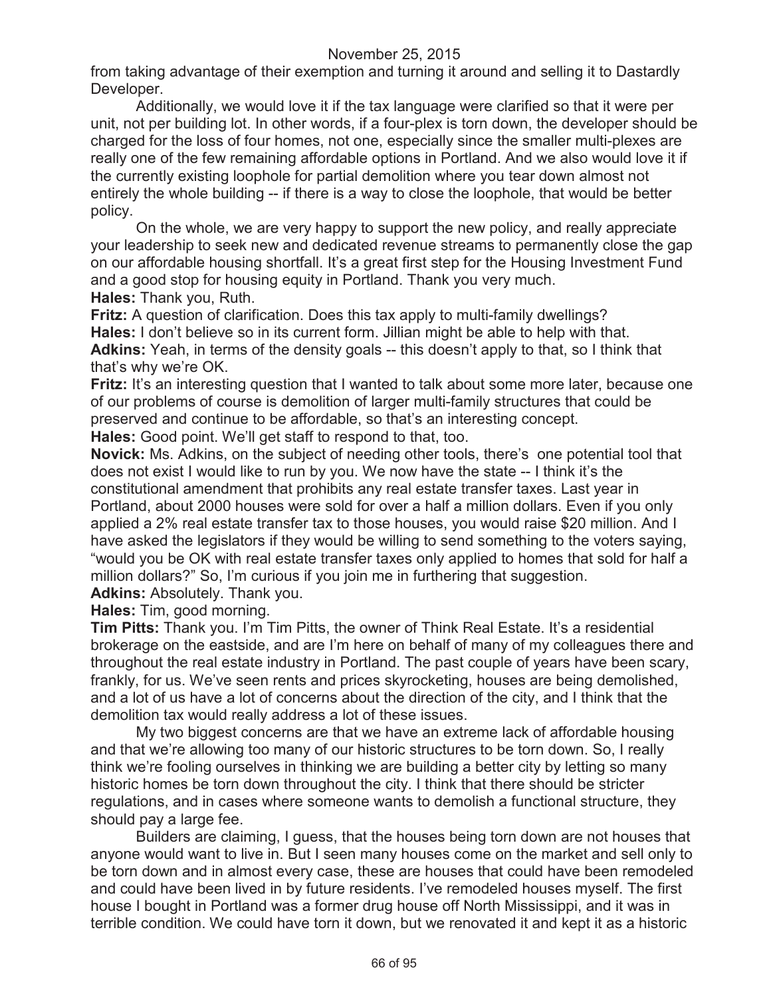from taking advantage of their exemption and turning it around and selling it to Dastardly Developer.

Additionally, we would love it if the tax language were clarified so that it were per unit, not per building lot. In other words, if a four-plex is torn down, the developer should be charged for the loss of four homes, not one, especially since the smaller multi-plexes are really one of the few remaining affordable options in Portland. And we also would love it if the currently existing loophole for partial demolition where you tear down almost not entirely the whole building -- if there is a way to close the loophole, that would be better policy.

On the whole, we are very happy to support the new policy, and really appreciate your leadership to seek new and dedicated revenue streams to permanently close the gap on our affordable housing shortfall. It's a great first step for the Housing Investment Fund and a good stop for housing equity in Portland. Thank you very much. **Hales:** Thank you, Ruth.

**Fritz:** A question of clarification. Does this tax apply to multi-family dwellings? **Hales:** I don't believe so in its current form. Jillian might be able to help with that. **Adkins:** Yeah, in terms of the density goals -- this doesn't apply to that, so I think that that's why we're OK.

**Fritz:** It's an interesting question that I wanted to talk about some more later, because one of our problems of course is demolition of larger multi-family structures that could be preserved and continue to be affordable, so that's an interesting concept.

**Hales:** Good point. We'll get staff to respond to that, too.

**Novick:** Ms. Adkins, on the subject of needing other tools, there's one potential tool that does not exist I would like to run by you. We now have the state -- I think it's the constitutional amendment that prohibits any real estate transfer taxes. Last year in Portland, about 2000 houses were sold for over a half a million dollars. Even if you only applied a 2% real estate transfer tax to those houses, you would raise \$20 million. And I have asked the legislators if they would be willing to send something to the voters saying, "would you be OK with real estate transfer taxes only applied to homes that sold for half a million dollars?" So, I'm curious if you join me in furthering that suggestion. **Adkins:** Absolutely. Thank you.

**Hales:** Tim, good morning.

**Tim Pitts:** Thank you. I'm Tim Pitts, the owner of Think Real Estate. It's a residential brokerage on the eastside, and are I'm here on behalf of many of my colleagues there and throughout the real estate industry in Portland. The past couple of years have been scary, frankly, for us. We've seen rents and prices skyrocketing, houses are being demolished, and a lot of us have a lot of concerns about the direction of the city, and I think that the demolition tax would really address a lot of these issues.

My two biggest concerns are that we have an extreme lack of affordable housing and that we're allowing too many of our historic structures to be torn down. So, I really think we're fooling ourselves in thinking we are building a better city by letting so many historic homes be torn down throughout the city. I think that there should be stricter regulations, and in cases where someone wants to demolish a functional structure, they should pay a large fee.

Builders are claiming, I guess, that the houses being torn down are not houses that anyone would want to live in. But I seen many houses come on the market and sell only to be torn down and in almost every case, these are houses that could have been remodeled and could have been lived in by future residents. I've remodeled houses myself. The first house I bought in Portland was a former drug house off North Mississippi, and it was in terrible condition. We could have torn it down, but we renovated it and kept it as a historic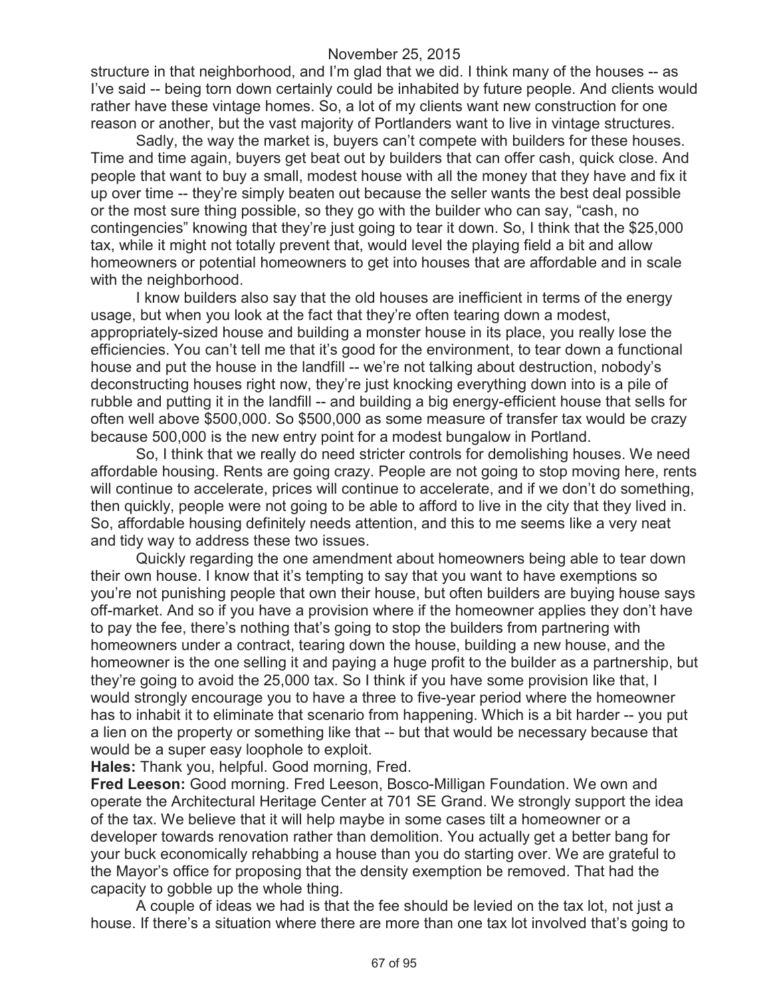structure in that neighborhood, and I'm glad that we did. I think many of the houses -- as I've said -- being torn down certainly could be inhabited by future people. And clients would rather have these vintage homes. So, a lot of my clients want new construction for one reason or another, but the vast majority of Portlanders want to live in vintage structures.

Sadly, the way the market is, buyers can't compete with builders for these houses. Time and time again, buyers get beat out by builders that can offer cash, quick close. And people that want to buy a small, modest house with all the money that they have and fix it up over time -- they're simply beaten out because the seller wants the best deal possible or the most sure thing possible, so they go with the builder who can say, "cash, no contingencies" knowing that they're just going to tear it down. So, I think that the \$25,000 tax, while it might not totally prevent that, would level the playing field a bit and allow homeowners or potential homeowners to get into houses that are affordable and in scale with the neighborhood.

I know builders also say that the old houses are inefficient in terms of the energy usage, but when you look at the fact that they're often tearing down a modest, appropriately-sized house and building a monster house in its place, you really lose the efficiencies. You can't tell me that it's good for the environment, to tear down a functional house and put the house in the landfill -- we're not talking about destruction, nobody's deconstructing houses right now, they're just knocking everything down into is a pile of rubble and putting it in the landfill -- and building a big energy-efficient house that sells for often well above \$500,000. So \$500,000 as some measure of transfer tax would be crazy because 500,000 is the new entry point for a modest bungalow in Portland.

So, I think that we really do need stricter controls for demolishing houses. We need affordable housing. Rents are going crazy. People are not going to stop moving here, rents will continue to accelerate, prices will continue to accelerate, and if we don't do something, then quickly, people were not going to be able to afford to live in the city that they lived in. So, affordable housing definitely needs attention, and this to me seems like a very neat and tidy way to address these two issues.

Quickly regarding the one amendment about homeowners being able to tear down their own house. I know that it's tempting to say that you want to have exemptions so you're not punishing people that own their house, but often builders are buying house says off-market. And so if you have a provision where if the homeowner applies they don't have to pay the fee, there's nothing that's going to stop the builders from partnering with homeowners under a contract, tearing down the house, building a new house, and the homeowner is the one selling it and paying a huge profit to the builder as a partnership, but they're going to avoid the 25,000 tax. So I think if you have some provision like that, I would strongly encourage you to have a three to five-year period where the homeowner has to inhabit it to eliminate that scenario from happening. Which is a bit harder -- you put a lien on the property or something like that -- but that would be necessary because that would be a super easy loophole to exploit.

**Hales:** Thank you, helpful. Good morning, Fred.

**Fred Leeson:** Good morning. Fred Leeson, Bosco-Milligan Foundation. We own and operate the Architectural Heritage Center at 701 SE Grand. We strongly support the idea of the tax. We believe that it will help maybe in some cases tilt a homeowner or a developer towards renovation rather than demolition. You actually get a better bang for your buck economically rehabbing a house than you do starting over. We are grateful to the Mayor's office for proposing that the density exemption be removed. That had the capacity to gobble up the whole thing.

A couple of ideas we had is that the fee should be levied on the tax lot, not just a house. If there's a situation where there are more than one tax lot involved that's going to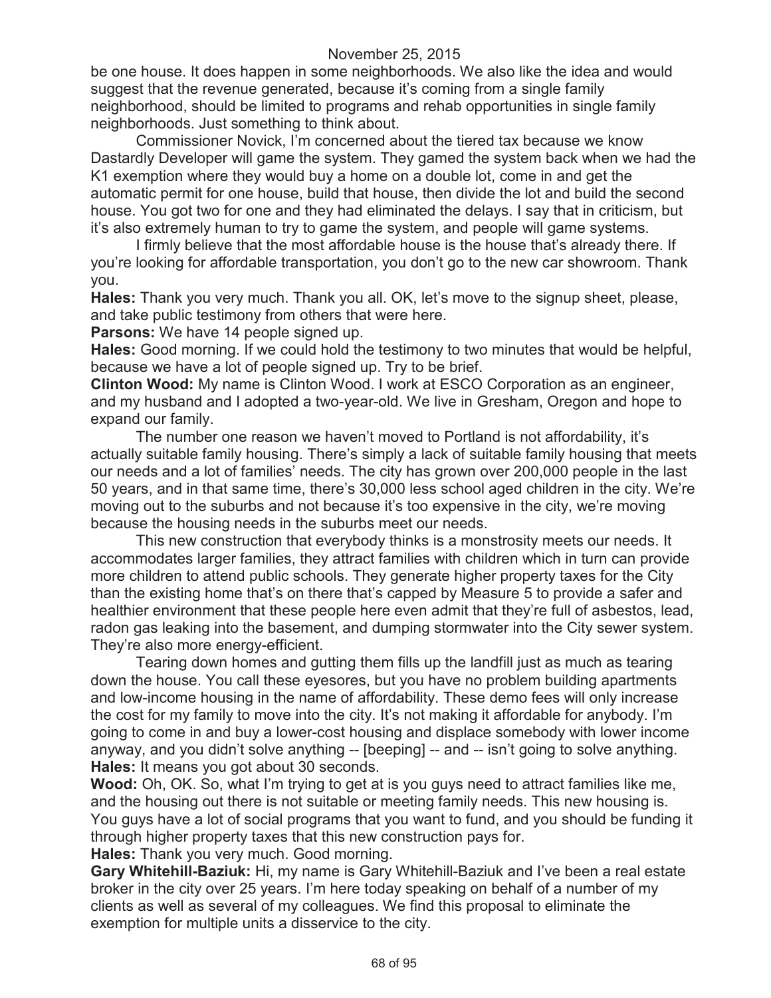be one house. It does happen in some neighborhoods. We also like the idea and would suggest that the revenue generated, because it's coming from a single family neighborhood, should be limited to programs and rehab opportunities in single family neighborhoods. Just something to think about.

Commissioner Novick, I'm concerned about the tiered tax because we know Dastardly Developer will game the system. They gamed the system back when we had the K1 exemption where they would buy a home on a double lot, come in and get the automatic permit for one house, build that house, then divide the lot and build the second house. You got two for one and they had eliminated the delays. I say that in criticism, but it's also extremely human to try to game the system, and people will game systems.

I firmly believe that the most affordable house is the house that's already there. If you're looking for affordable transportation, you don't go to the new car showroom. Thank you.

**Hales:** Thank you very much. Thank you all. OK, let's move to the signup sheet, please, and take public testimony from others that were here.

**Parsons:** We have 14 people signed up.

**Hales:** Good morning. If we could hold the testimony to two minutes that would be helpful, because we have a lot of people signed up. Try to be brief.

**Clinton Wood:** My name is Clinton Wood. I work at ESCO Corporation as an engineer, and my husband and I adopted a two-year-old. We live in Gresham, Oregon and hope to expand our family.

The number one reason we haven't moved to Portland is not affordability, it's actually suitable family housing. There's simply a lack of suitable family housing that meets our needs and a lot of families' needs. The city has grown over 200,000 people in the last 50 years, and in that same time, there's 30,000 less school aged children in the city. We're moving out to the suburbs and not because it's too expensive in the city, we're moving because the housing needs in the suburbs meet our needs.

This new construction that everybody thinks is a monstrosity meets our needs. It accommodates larger families, they attract families with children which in turn can provide more children to attend public schools. They generate higher property taxes for the City than the existing home that's on there that's capped by Measure 5 to provide a safer and healthier environment that these people here even admit that they're full of asbestos, lead, radon gas leaking into the basement, and dumping stormwater into the City sewer system. They're also more energy-efficient.

Tearing down homes and gutting them fills up the landfill just as much as tearing down the house. You call these eyesores, but you have no problem building apartments and low-income housing in the name of affordability. These demo fees will only increase the cost for my family to move into the city. It's not making it affordable for anybody. I'm going to come in and buy a lower-cost housing and displace somebody with lower income anyway, and you didn't solve anything -- [beeping] -- and -- isn't going to solve anything. **Hales:** It means you got about 30 seconds.

**Wood:** Oh, OK. So, what I'm trying to get at is you guys need to attract families like me, and the housing out there is not suitable or meeting family needs. This new housing is. You guys have a lot of social programs that you want to fund, and you should be funding it through higher property taxes that this new construction pays for.

**Hales:** Thank you very much. Good morning.

**Gary Whitehill-Baziuk:** Hi, my name is Gary Whitehill-Baziuk and I've been a real estate broker in the city over 25 years. I'm here today speaking on behalf of a number of my clients as well as several of my colleagues. We find this proposal to eliminate the exemption for multiple units a disservice to the city.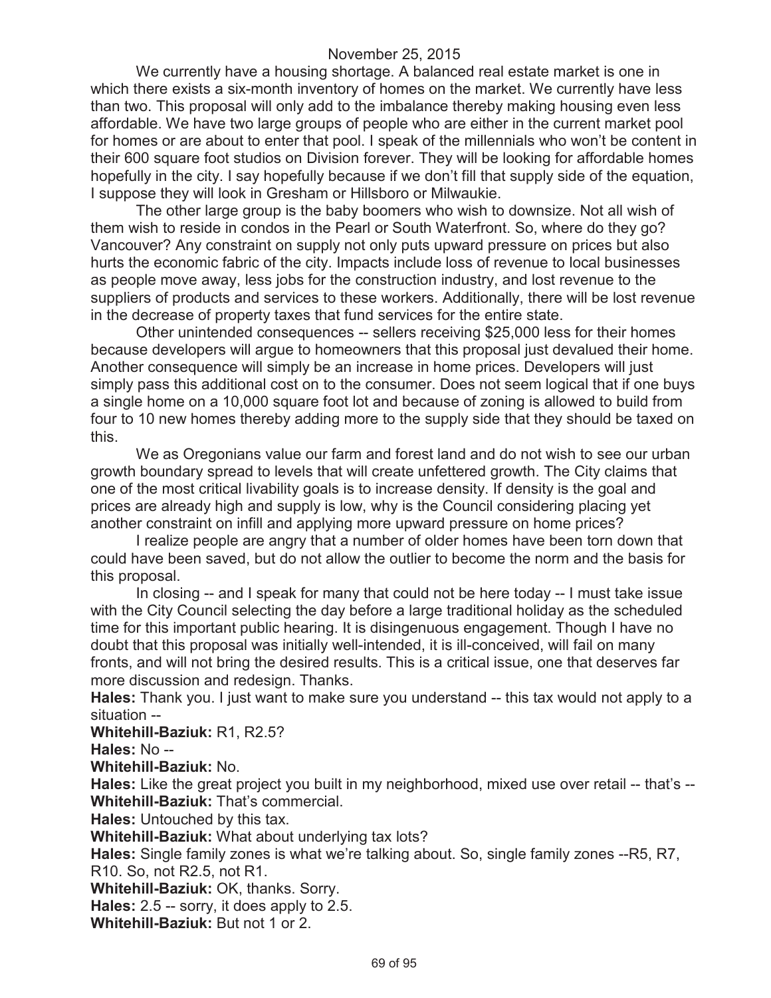We currently have a housing shortage. A balanced real estate market is one in which there exists a six-month inventory of homes on the market. We currently have less than two. This proposal will only add to the imbalance thereby making housing even less affordable. We have two large groups of people who are either in the current market pool for homes or are about to enter that pool. I speak of the millennials who won't be content in their 600 square foot studios on Division forever. They will be looking for affordable homes hopefully in the city. I say hopefully because if we don't fill that supply side of the equation, I suppose they will look in Gresham or Hillsboro or Milwaukie.

The other large group is the baby boomers who wish to downsize. Not all wish of them wish to reside in condos in the Pearl or South Waterfront. So, where do they go? Vancouver? Any constraint on supply not only puts upward pressure on prices but also hurts the economic fabric of the city. Impacts include loss of revenue to local businesses as people move away, less jobs for the construction industry, and lost revenue to the suppliers of products and services to these workers. Additionally, there will be lost revenue in the decrease of property taxes that fund services for the entire state.

Other unintended consequences -- sellers receiving \$25,000 less for their homes because developers will argue to homeowners that this proposal just devalued their home. Another consequence will simply be an increase in home prices. Developers will just simply pass this additional cost on to the consumer. Does not seem logical that if one buys a single home on a 10,000 square foot lot and because of zoning is allowed to build from four to 10 new homes thereby adding more to the supply side that they should be taxed on this.

We as Oregonians value our farm and forest land and do not wish to see our urban growth boundary spread to levels that will create unfettered growth. The City claims that one of the most critical livability goals is to increase density. If density is the goal and prices are already high and supply is low, why is the Council considering placing yet another constraint on infill and applying more upward pressure on home prices?

I realize people are angry that a number of older homes have been torn down that could have been saved, but do not allow the outlier to become the norm and the basis for this proposal.

In closing -- and I speak for many that could not be here today -- I must take issue with the City Council selecting the day before a large traditional holiday as the scheduled time for this important public hearing. It is disingenuous engagement. Though I have no doubt that this proposal was initially well-intended, it is ill-conceived, will fail on many fronts, and will not bring the desired results. This is a critical issue, one that deserves far more discussion and redesign. Thanks.

**Hales:** Thank you. I just want to make sure you understand -- this tax would not apply to a situation --

#### **Whitehill-Baziuk:** R1, R2.5?

**Hales:** No --

**Whitehill-Baziuk:** No.

**Hales:** Like the great project you built in my neighborhood, mixed use over retail -- that's -- **Whitehill-Baziuk:** That's commercial.

**Hales:** Untouched by this tax.

**Whitehill-Baziuk:** What about underlying tax lots?

**Hales:** Single family zones is what we're talking about. So, single family zones --R5, R7, R10. So, not R2.5, not R1.

**Whitehill-Baziuk:** OK, thanks. Sorry.

**Hales:** 2.5 -- sorry, it does apply to 2.5.

**Whitehill-Baziuk:** But not 1 or 2.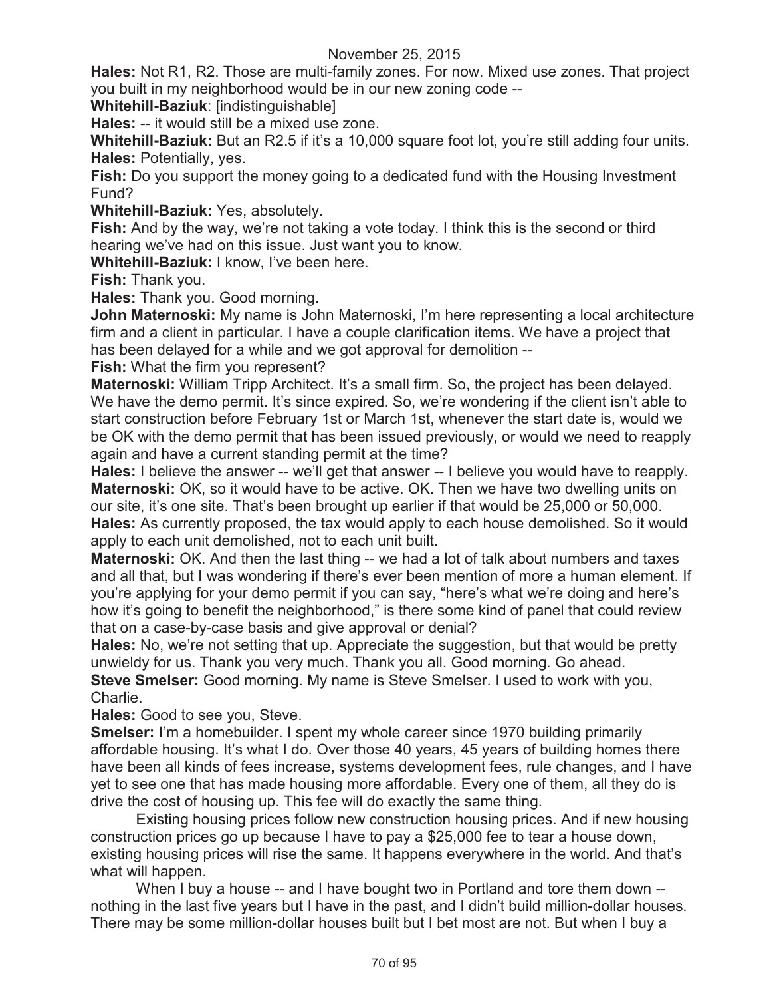**Hales:** Not R1, R2. Those are multi-family zones. For now. Mixed use zones. That project you built in my neighborhood would be in our new zoning code --

**Whitehill-Baziuk**: [indistinguishable]

**Hales:** -- it would still be a mixed use zone.

**Whitehill-Baziuk:** But an R2.5 if it's a 10,000 square foot lot, you're still adding four units. **Hales:** Potentially, yes.

**Fish:** Do you support the money going to a dedicated fund with the Housing Investment Fund?

**Whitehill-Baziuk:** Yes, absolutely.

**Fish:** And by the way, we're not taking a vote today. I think this is the second or third hearing we've had on this issue. Just want you to know.

**Whitehill-Baziuk:** I know, I've been here.

**Fish:** Thank you.

**Hales:** Thank you. Good morning.

**John Maternoski:** My name is John Maternoski, I'm here representing a local architecture firm and a client in particular. I have a couple clarification items. We have a project that has been delayed for a while and we got approval for demolition --

**Fish:** What the firm you represent?

**Maternoski:** William Tripp Architect. It's a small firm. So, the project has been delayed. We have the demo permit. It's since expired. So, we're wondering if the client isn't able to start construction before February 1st or March 1st, whenever the start date is, would we be OK with the demo permit that has been issued previously, or would we need to reapply again and have a current standing permit at the time?

**Hales:** I believe the answer -- we'll get that answer -- I believe you would have to reapply. **Maternoski:** OK, so it would have to be active. OK. Then we have two dwelling units on our site, it's one site. That's been brought up earlier if that would be 25,000 or 50,000. **Hales:** As currently proposed, the tax would apply to each house demolished. So it would apply to each unit demolished, not to each unit built.

**Maternoski:** OK. And then the last thing -- we had a lot of talk about numbers and taxes and all that, but I was wondering if there's ever been mention of more a human element. If you're applying for your demo permit if you can say, "here's what we're doing and here's how it's going to benefit the neighborhood," is there some kind of panel that could review that on a case-by-case basis and give approval or denial?

**Hales:** No, we're not setting that up. Appreciate the suggestion, but that would be pretty unwieldy for us. Thank you very much. Thank you all. Good morning. Go ahead. **Steve Smelser:** Good morning. My name is Steve Smelser. I used to work with you, Charlie.

**Hales:** Good to see you, Steve.

**Smelser:** I'm a homebuilder. I spent my whole career since 1970 building primarily affordable housing. It's what I do. Over those 40 years, 45 years of building homes there have been all kinds of fees increase, systems development fees, rule changes, and I have yet to see one that has made housing more affordable. Every one of them, all they do is drive the cost of housing up. This fee will do exactly the same thing.

Existing housing prices follow new construction housing prices. And if new housing construction prices go up because I have to pay a \$25,000 fee to tear a house down, existing housing prices will rise the same. It happens everywhere in the world. And that's what will happen.

When I buy a house -- and I have bought two in Portland and tore them down - nothing in the last five years but I have in the past, and I didn't build million-dollar houses. There may be some million-dollar houses built but I bet most are not. But when I buy a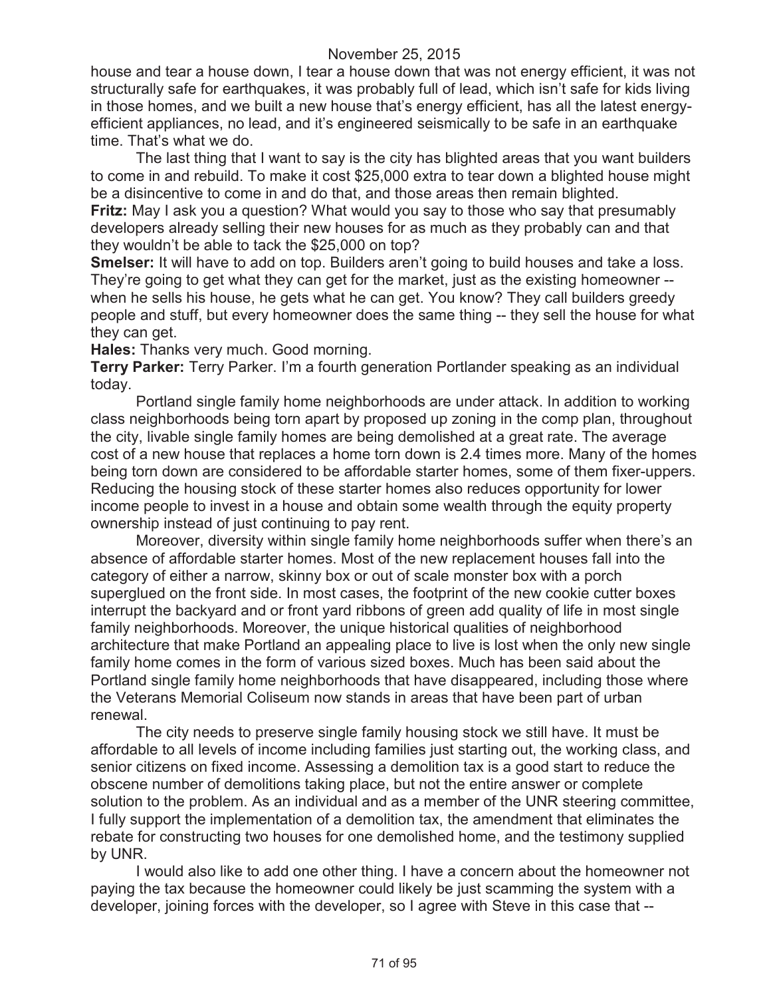house and tear a house down, I tear a house down that was not energy efficient, it was not structurally safe for earthquakes, it was probably full of lead, which isn't safe for kids living in those homes, and we built a new house that's energy efficient, has all the latest energyefficient appliances, no lead, and it's engineered seismically to be safe in an earthquake time. That's what we do.

The last thing that I want to say is the city has blighted areas that you want builders to come in and rebuild. To make it cost \$25,000 extra to tear down a blighted house might be a disincentive to come in and do that, and those areas then remain blighted. **Fritz:** May I ask you a question? What would you say to those who say that presumably developers already selling their new houses for as much as they probably can and that they wouldn't be able to tack the \$25,000 on top?

**Smelser:** It will have to add on top. Builders aren't going to build houses and take a loss. They're going to get what they can get for the market, just as the existing homeowner - when he sells his house, he gets what he can get. You know? They call builders greedy people and stuff, but every homeowner does the same thing -- they sell the house for what they can get.

**Hales:** Thanks very much. Good morning.

**Terry Parker:** Terry Parker. I'm a fourth generation Portlander speaking as an individual today.

Portland single family home neighborhoods are under attack. In addition to working class neighborhoods being torn apart by proposed up zoning in the comp plan, throughout the city, livable single family homes are being demolished at a great rate. The average cost of a new house that replaces a home torn down is 2.4 times more. Many of the homes being torn down are considered to be affordable starter homes, some of them fixer-uppers. Reducing the housing stock of these starter homes also reduces opportunity for lower income people to invest in a house and obtain some wealth through the equity property ownership instead of just continuing to pay rent.

Moreover, diversity within single family home neighborhoods suffer when there's an absence of affordable starter homes. Most of the new replacement houses fall into the category of either a narrow, skinny box or out of scale monster box with a porch superglued on the front side. In most cases, the footprint of the new cookie cutter boxes interrupt the backyard and or front yard ribbons of green add quality of life in most single family neighborhoods. Moreover, the unique historical qualities of neighborhood architecture that make Portland an appealing place to live is lost when the only new single family home comes in the form of various sized boxes. Much has been said about the Portland single family home neighborhoods that have disappeared, including those where the Veterans Memorial Coliseum now stands in areas that have been part of urban renewal.

The city needs to preserve single family housing stock we still have. It must be affordable to all levels of income including families just starting out, the working class, and senior citizens on fixed income. Assessing a demolition tax is a good start to reduce the obscene number of demolitions taking place, but not the entire answer or complete solution to the problem. As an individual and as a member of the UNR steering committee, I fully support the implementation of a demolition tax, the amendment that eliminates the rebate for constructing two houses for one demolished home, and the testimony supplied by UNR.

I would also like to add one other thing. I have a concern about the homeowner not paying the tax because the homeowner could likely be just scamming the system with a developer, joining forces with the developer, so I agree with Steve in this case that --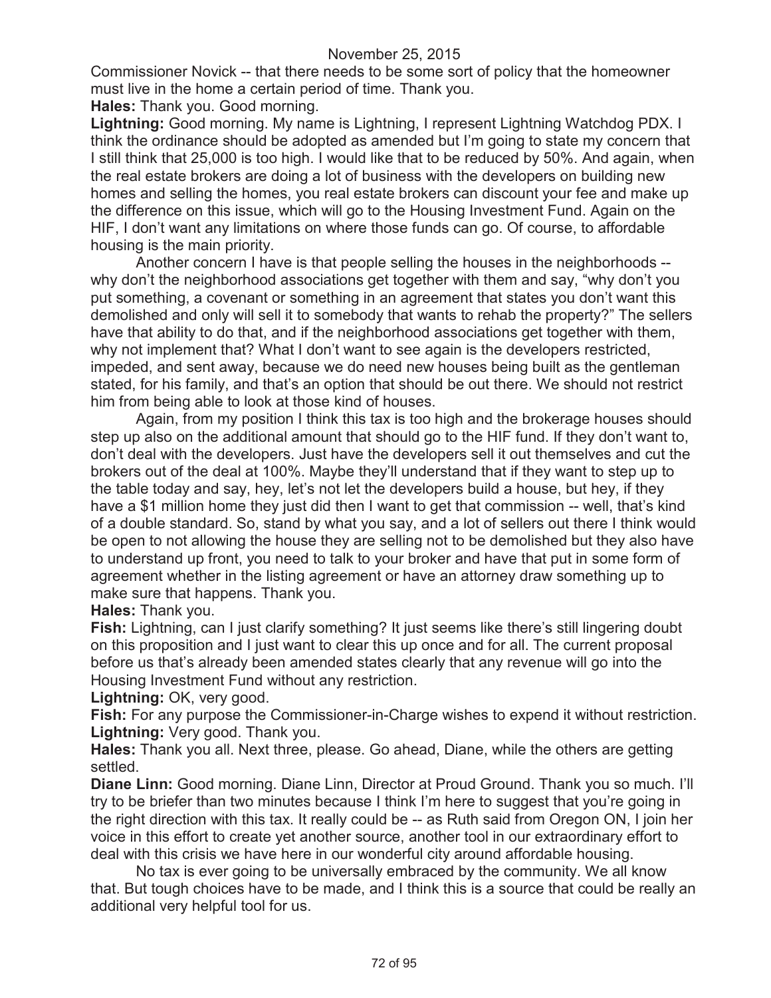Commissioner Novick -- that there needs to be some sort of policy that the homeowner must live in the home a certain period of time. Thank you.

**Hales:** Thank you. Good morning.

**Lightning:** Good morning. My name is Lightning, I represent Lightning Watchdog PDX. I think the ordinance should be adopted as amended but I'm going to state my concern that I still think that 25,000 is too high. I would like that to be reduced by 50%. And again, when the real estate brokers are doing a lot of business with the developers on building new homes and selling the homes, you real estate brokers can discount your fee and make up the difference on this issue, which will go to the Housing Investment Fund. Again on the HIF, I don't want any limitations on where those funds can go. Of course, to affordable housing is the main priority.

Another concern I have is that people selling the houses in the neighborhoods - why don't the neighborhood associations get together with them and say, "why don't you put something, a covenant or something in an agreement that states you don't want this demolished and only will sell it to somebody that wants to rehab the property?" The sellers have that ability to do that, and if the neighborhood associations get together with them, why not implement that? What I don't want to see again is the developers restricted, impeded, and sent away, because we do need new houses being built as the gentleman stated, for his family, and that's an option that should be out there. We should not restrict him from being able to look at those kind of houses.

Again, from my position I think this tax is too high and the brokerage houses should step up also on the additional amount that should go to the HIF fund. If they don't want to, don't deal with the developers. Just have the developers sell it out themselves and cut the brokers out of the deal at 100%. Maybe they'll understand that if they want to step up to the table today and say, hey, let's not let the developers build a house, but hey, if they have a \$1 million home they just did then I want to get that commission -- well, that's kind of a double standard. So, stand by what you say, and a lot of sellers out there I think would be open to not allowing the house they are selling not to be demolished but they also have to understand up front, you need to talk to your broker and have that put in some form of agreement whether in the listing agreement or have an attorney draw something up to make sure that happens. Thank you.

### **Hales:** Thank you.

**Fish:** Lightning, can I just clarify something? It just seems like there's still lingering doubt on this proposition and I just want to clear this up once and for all. The current proposal before us that's already been amended states clearly that any revenue will go into the Housing Investment Fund without any restriction.

**Lightning:** OK, very good.

**Fish:** For any purpose the Commissioner-in-Charge wishes to expend it without restriction. **Lightning:** Very good. Thank you.

**Hales:** Thank you all. Next three, please. Go ahead, Diane, while the others are getting settled.

**Diane Linn:** Good morning. Diane Linn, Director at Proud Ground. Thank you so much. I'll try to be briefer than two minutes because I think I'm here to suggest that you're going in the right direction with this tax. It really could be -- as Ruth said from Oregon ON, I join her voice in this effort to create yet another source, another tool in our extraordinary effort to deal with this crisis we have here in our wonderful city around affordable housing.

No tax is ever going to be universally embraced by the community. We all know that. But tough choices have to be made, and I think this is a source that could be really an additional very helpful tool for us.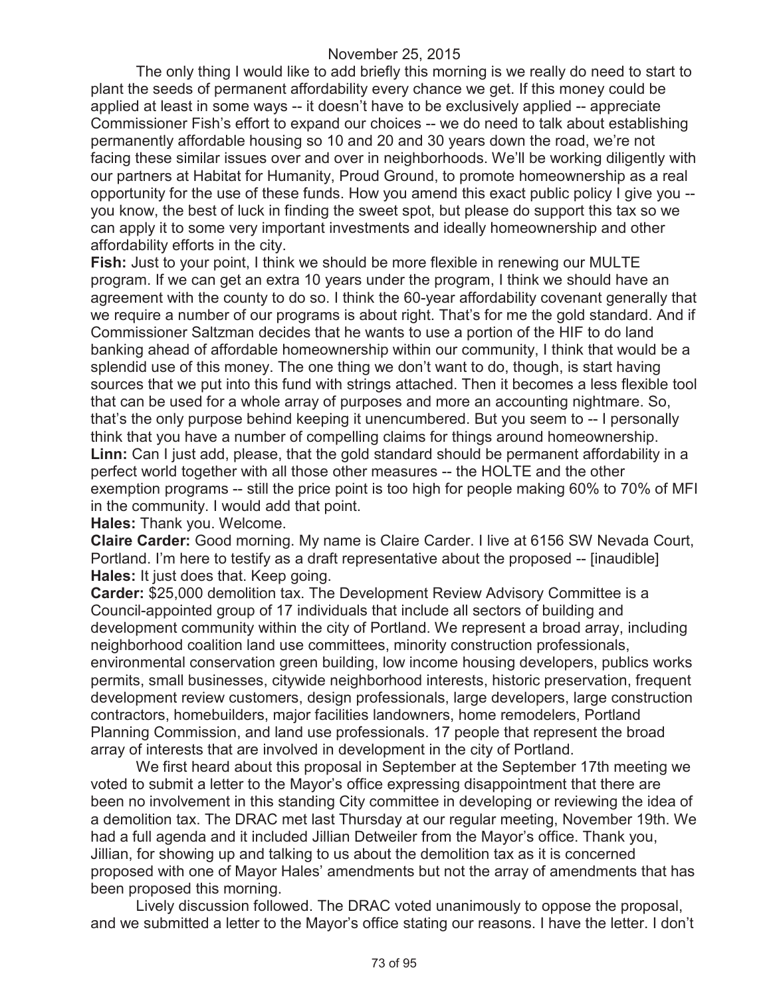The only thing I would like to add briefly this morning is we really do need to start to plant the seeds of permanent affordability every chance we get. If this money could be applied at least in some ways -- it doesn't have to be exclusively applied -- appreciate Commissioner Fish's effort to expand our choices -- we do need to talk about establishing permanently affordable housing so 10 and 20 and 30 years down the road, we're not facing these similar issues over and over in neighborhoods. We'll be working diligently with our partners at Habitat for Humanity, Proud Ground, to promote homeownership as a real opportunity for the use of these funds. How you amend this exact public policy I give you - you know, the best of luck in finding the sweet spot, but please do support this tax so we can apply it to some very important investments and ideally homeownership and other affordability efforts in the city.

**Fish:** Just to your point, I think we should be more flexible in renewing our MULTE program. If we can get an extra 10 years under the program, I think we should have an agreement with the county to do so. I think the 60-year affordability covenant generally that we require a number of our programs is about right. That's for me the gold standard. And if Commissioner Saltzman decides that he wants to use a portion of the HIF to do land banking ahead of affordable homeownership within our community, I think that would be a splendid use of this money. The one thing we don't want to do, though, is start having sources that we put into this fund with strings attached. Then it becomes a less flexible tool that can be used for a whole array of purposes and more an accounting nightmare. So, that's the only purpose behind keeping it unencumbered. But you seem to -- I personally think that you have a number of compelling claims for things around homeownership. **Linn:** Can I just add, please, that the gold standard should be permanent affordability in a perfect world together with all those other measures -- the HOLTE and the other exemption programs -- still the price point is too high for people making 60% to 70% of MFI in the community. I would add that point.

**Hales:** Thank you. Welcome.

**Claire Carder:** Good morning. My name is Claire Carder. I live at 6156 SW Nevada Court, Portland. I'm here to testify as a draft representative about the proposed -- [inaudible] **Hales:** It just does that. Keep going.

**Carder:** \$25,000 demolition tax. The Development Review Advisory Committee is a Council-appointed group of 17 individuals that include all sectors of building and development community within the city of Portland. We represent a broad array, including neighborhood coalition land use committees, minority construction professionals, environmental conservation green building, low income housing developers, publics works permits, small businesses, citywide neighborhood interests, historic preservation, frequent development review customers, design professionals, large developers, large construction contractors, homebuilders, major facilities landowners, home remodelers, Portland Planning Commission, and land use professionals. 17 people that represent the broad array of interests that are involved in development in the city of Portland.

We first heard about this proposal in September at the September 17th meeting we voted to submit a letter to the Mayor's office expressing disappointment that there are been no involvement in this standing City committee in developing or reviewing the idea of a demolition tax. The DRAC met last Thursday at our regular meeting, November 19th. We had a full agenda and it included Jillian Detweiler from the Mayor's office. Thank you, Jillian, for showing up and talking to us about the demolition tax as it is concerned proposed with one of Mayor Hales' amendments but not the array of amendments that has been proposed this morning.

Lively discussion followed. The DRAC voted unanimously to oppose the proposal, and we submitted a letter to the Mayor's office stating our reasons. I have the letter. I don't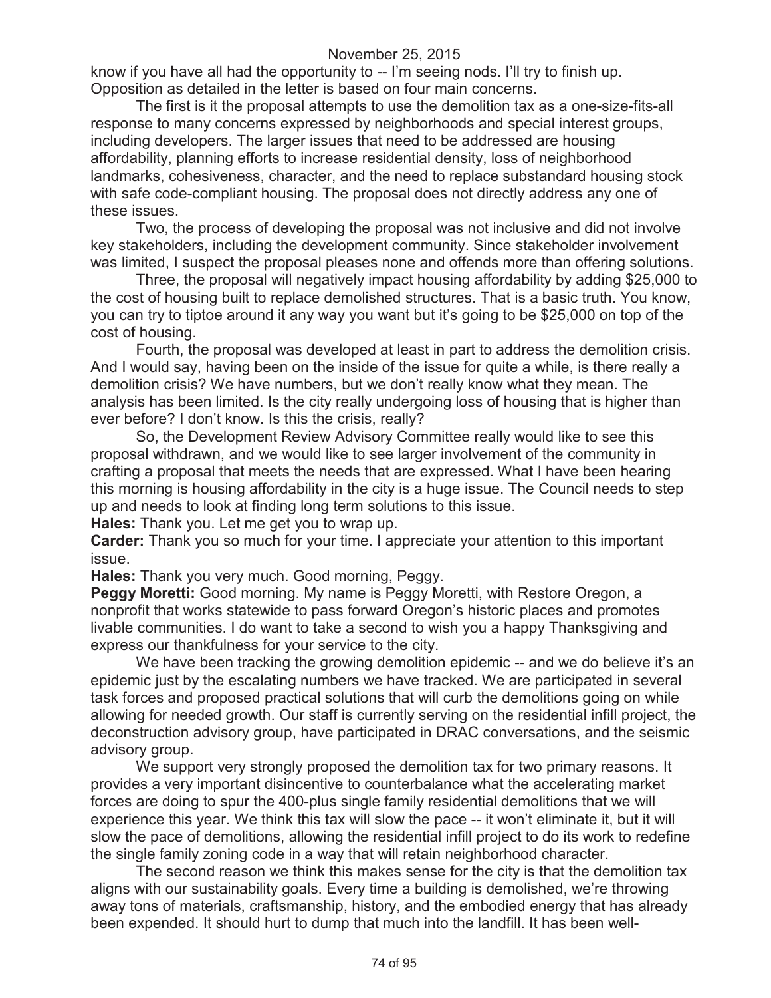know if you have all had the opportunity to -- I'm seeing nods. I'll try to finish up. Opposition as detailed in the letter is based on four main concerns.

The first is it the proposal attempts to use the demolition tax as a one-size-fits-all response to many concerns expressed by neighborhoods and special interest groups, including developers. The larger issues that need to be addressed are housing affordability, planning efforts to increase residential density, loss of neighborhood landmarks, cohesiveness, character, and the need to replace substandard housing stock with safe code-compliant housing. The proposal does not directly address any one of these issues.

Two, the process of developing the proposal was not inclusive and did not involve key stakeholders, including the development community. Since stakeholder involvement was limited, I suspect the proposal pleases none and offends more than offering solutions.

Three, the proposal will negatively impact housing affordability by adding \$25,000 to the cost of housing built to replace demolished structures. That is a basic truth. You know, you can try to tiptoe around it any way you want but it's going to be \$25,000 on top of the cost of housing.

Fourth, the proposal was developed at least in part to address the demolition crisis. And I would say, having been on the inside of the issue for quite a while, is there really a demolition crisis? We have numbers, but we don't really know what they mean. The analysis has been limited. Is the city really undergoing loss of housing that is higher than ever before? I don't know. Is this the crisis, really?

So, the Development Review Advisory Committee really would like to see this proposal withdrawn, and we would like to see larger involvement of the community in crafting a proposal that meets the needs that are expressed. What I have been hearing this morning is housing affordability in the city is a huge issue. The Council needs to step up and needs to look at finding long term solutions to this issue.

**Hales:** Thank you. Let me get you to wrap up.

**Carder:** Thank you so much for your time. I appreciate your attention to this important issue.

**Hales:** Thank you very much. Good morning, Peggy.

**Peggy Moretti:** Good morning. My name is Peggy Moretti, with Restore Oregon, a nonprofit that works statewide to pass forward Oregon's historic places and promotes livable communities. I do want to take a second to wish you a happy Thanksgiving and express our thankfulness for your service to the city.

We have been tracking the growing demolition epidemic -- and we do believe it's an epidemic just by the escalating numbers we have tracked. We are participated in several task forces and proposed practical solutions that will curb the demolitions going on while allowing for needed growth. Our staff is currently serving on the residential infill project, the deconstruction advisory group, have participated in DRAC conversations, and the seismic advisory group.

We support very strongly proposed the demolition tax for two primary reasons. It provides a very important disincentive to counterbalance what the accelerating market forces are doing to spur the 400-plus single family residential demolitions that we will experience this year. We think this tax will slow the pace -- it won't eliminate it, but it will slow the pace of demolitions, allowing the residential infill project to do its work to redefine the single family zoning code in a way that will retain neighborhood character.

The second reason we think this makes sense for the city is that the demolition tax aligns with our sustainability goals. Every time a building is demolished, we're throwing away tons of materials, craftsmanship, history, and the embodied energy that has already been expended. It should hurt to dump that much into the landfill. It has been well-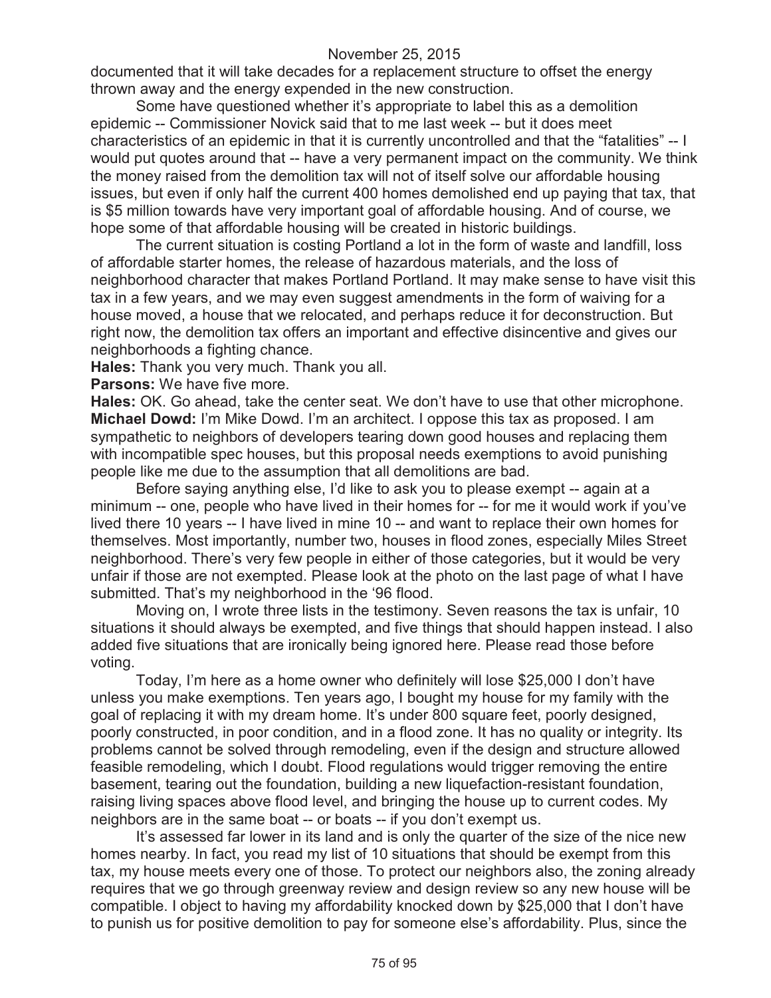documented that it will take decades for a replacement structure to offset the energy thrown away and the energy expended in the new construction.

Some have questioned whether it's appropriate to label this as a demolition epidemic -- Commissioner Novick said that to me last week -- but it does meet characteristics of an epidemic in that it is currently uncontrolled and that the "fatalities" -- I would put quotes around that -- have a very permanent impact on the community. We think the money raised from the demolition tax will not of itself solve our affordable housing issues, but even if only half the current 400 homes demolished end up paying that tax, that is \$5 million towards have very important goal of affordable housing. And of course, we hope some of that affordable housing will be created in historic buildings.

The current situation is costing Portland a lot in the form of waste and landfill, loss of affordable starter homes, the release of hazardous materials, and the loss of neighborhood character that makes Portland Portland. It may make sense to have visit this tax in a few years, and we may even suggest amendments in the form of waiving for a house moved, a house that we relocated, and perhaps reduce it for deconstruction. But right now, the demolition tax offers an important and effective disincentive and gives our neighborhoods a fighting chance.

**Hales:** Thank you very much. Thank you all.

**Parsons:** We have five more.

**Hales:** OK. Go ahead, take the center seat. We don't have to use that other microphone. **Michael Dowd:** I'm Mike Dowd. I'm an architect. I oppose this tax as proposed. I am sympathetic to neighbors of developers tearing down good houses and replacing them with incompatible spec houses, but this proposal needs exemptions to avoid punishing people like me due to the assumption that all demolitions are bad.

Before saying anything else, I'd like to ask you to please exempt -- again at a minimum -- one, people who have lived in their homes for -- for me it would work if you've lived there 10 years -- I have lived in mine 10 -- and want to replace their own homes for themselves. Most importantly, number two, houses in flood zones, especially Miles Street neighborhood. There's very few people in either of those categories, but it would be very unfair if those are not exempted. Please look at the photo on the last page of what I have submitted. That's my neighborhood in the '96 flood.

Moving on, I wrote three lists in the testimony. Seven reasons the tax is unfair, 10 situations it should always be exempted, and five things that should happen instead. I also added five situations that are ironically being ignored here. Please read those before voting.

Today, I'm here as a home owner who definitely will lose \$25,000 I don't have unless you make exemptions. Ten years ago, I bought my house for my family with the goal of replacing it with my dream home. It's under 800 square feet, poorly designed, poorly constructed, in poor condition, and in a flood zone. It has no quality or integrity. Its problems cannot be solved through remodeling, even if the design and structure allowed feasible remodeling, which I doubt. Flood regulations would trigger removing the entire basement, tearing out the foundation, building a new liquefaction-resistant foundation, raising living spaces above flood level, and bringing the house up to current codes. My neighbors are in the same boat -- or boats -- if you don't exempt us.

It's assessed far lower in its land and is only the quarter of the size of the nice new homes nearby. In fact, you read my list of 10 situations that should be exempt from this tax, my house meets every one of those. To protect our neighbors also, the zoning already requires that we go through greenway review and design review so any new house will be compatible. I object to having my affordability knocked down by \$25,000 that I don't have to punish us for positive demolition to pay for someone else's affordability. Plus, since the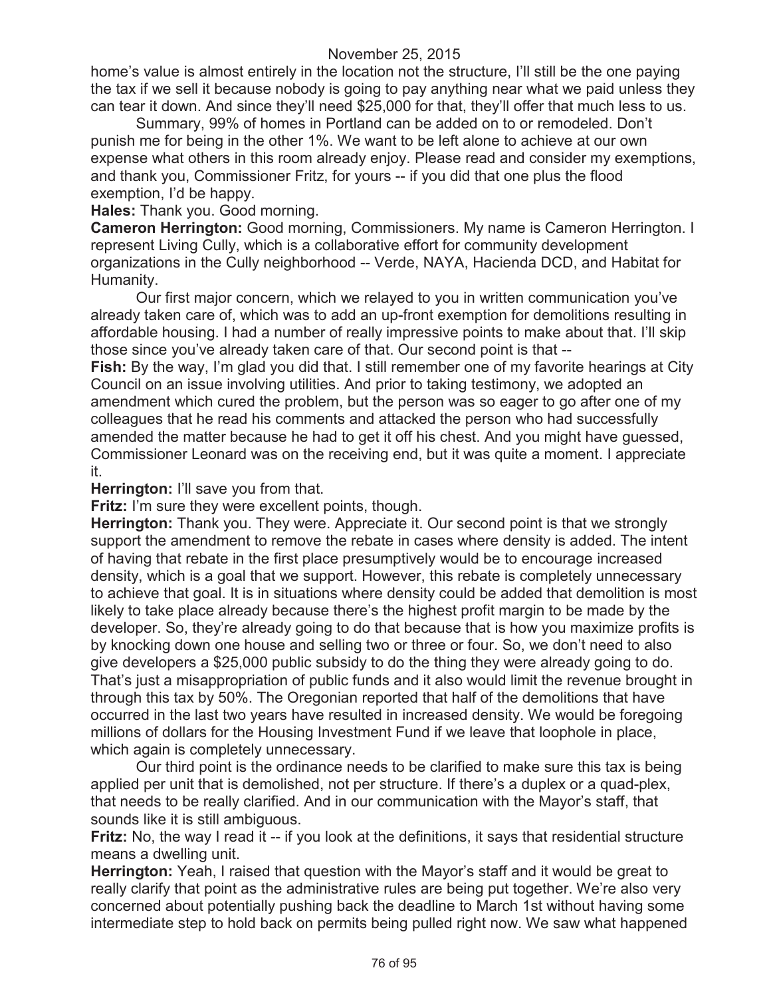home's value is almost entirely in the location not the structure, I'll still be the one paying the tax if we sell it because nobody is going to pay anything near what we paid unless they can tear it down. And since they'll need \$25,000 for that, they'll offer that much less to us.

Summary, 99% of homes in Portland can be added on to or remodeled. Don't punish me for being in the other 1%. We want to be left alone to achieve at our own expense what others in this room already enjoy. Please read and consider my exemptions, and thank you, Commissioner Fritz, for yours -- if you did that one plus the flood exemption, I'd be happy.

**Hales:** Thank you. Good morning.

**Cameron Herrington:** Good morning, Commissioners. My name is Cameron Herrington. I represent Living Cully, which is a collaborative effort for community development organizations in the Cully neighborhood -- Verde, NAYA, Hacienda DCD, and Habitat for Humanity.

Our first major concern, which we relayed to you in written communication you've already taken care of, which was to add an up-front exemption for demolitions resulting in affordable housing. I had a number of really impressive points to make about that. I'll skip those since you've already taken care of that. Our second point is that --

**Fish:** By the way, I'm glad you did that. I still remember one of my favorite hearings at City Council on an issue involving utilities. And prior to taking testimony, we adopted an amendment which cured the problem, but the person was so eager to go after one of my colleagues that he read his comments and attacked the person who had successfully amended the matter because he had to get it off his chest. And you might have guessed, Commissioner Leonard was on the receiving end, but it was quite a moment. I appreciate it.

**Herrington:** I'll save you from that.

**Fritz:** I'm sure they were excellent points, though.

**Herrington:** Thank you. They were. Appreciate it. Our second point is that we strongly support the amendment to remove the rebate in cases where density is added. The intent of having that rebate in the first place presumptively would be to encourage increased density, which is a goal that we support. However, this rebate is completely unnecessary to achieve that goal. It is in situations where density could be added that demolition is most likely to take place already because there's the highest profit margin to be made by the developer. So, they're already going to do that because that is how you maximize profits is by knocking down one house and selling two or three or four. So, we don't need to also give developers a \$25,000 public subsidy to do the thing they were already going to do. That's just a misappropriation of public funds and it also would limit the revenue brought in through this tax by 50%. The Oregonian reported that half of the demolitions that have occurred in the last two years have resulted in increased density. We would be foregoing millions of dollars for the Housing Investment Fund if we leave that loophole in place, which again is completely unnecessary.

Our third point is the ordinance needs to be clarified to make sure this tax is being applied per unit that is demolished, not per structure. If there's a duplex or a quad-plex, that needs to be really clarified. And in our communication with the Mayor's staff, that sounds like it is still ambiguous.

**Fritz:** No, the way I read it -- if you look at the definitions, it says that residential structure means a dwelling unit.

**Herrington:** Yeah, I raised that question with the Mayor's staff and it would be great to really clarify that point as the administrative rules are being put together. We're also very concerned about potentially pushing back the deadline to March 1st without having some intermediate step to hold back on permits being pulled right now. We saw what happened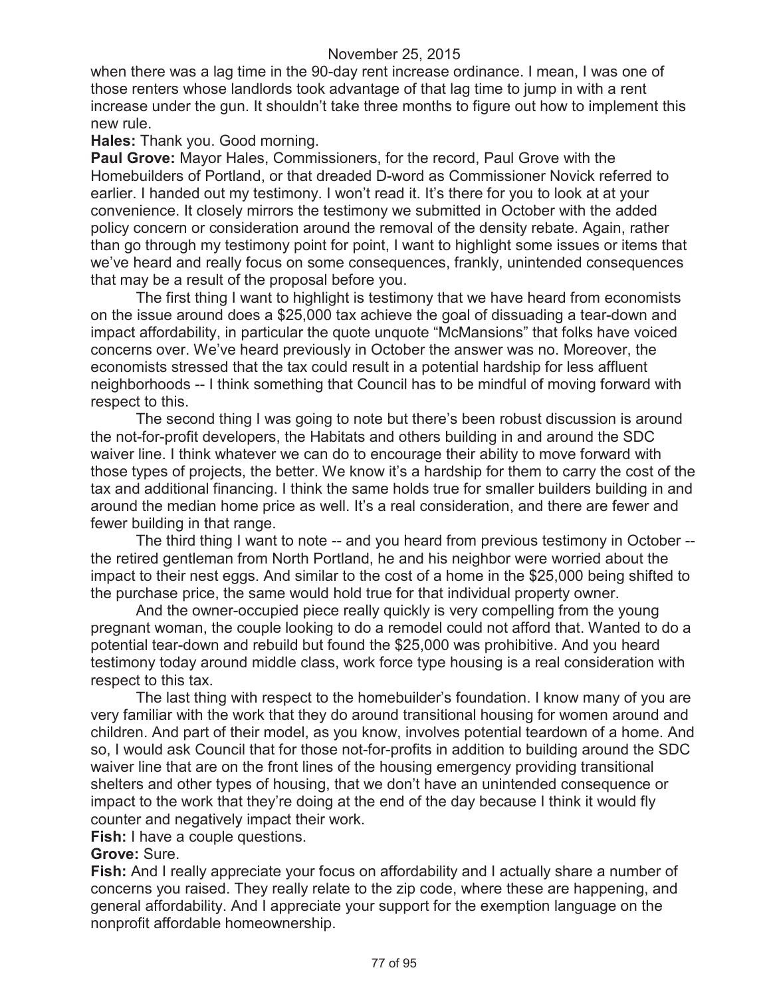when there was a lag time in the 90-day rent increase ordinance. I mean, I was one of those renters whose landlords took advantage of that lag time to jump in with a rent increase under the gun. It shouldn't take three months to figure out how to implement this new rule.

#### **Hales:** Thank you. Good morning.

**Paul Grove:** Mayor Hales, Commissioners, for the record, Paul Grove with the Homebuilders of Portland, or that dreaded D-word as Commissioner Novick referred to earlier. I handed out my testimony. I won't read it. It's there for you to look at at your convenience. It closely mirrors the testimony we submitted in October with the added policy concern or consideration around the removal of the density rebate. Again, rather than go through my testimony point for point, I want to highlight some issues or items that we've heard and really focus on some consequences, frankly, unintended consequences that may be a result of the proposal before you.

The first thing I want to highlight is testimony that we have heard from economists on the issue around does a \$25,000 tax achieve the goal of dissuading a tear-down and impact affordability, in particular the quote unquote "McMansions" that folks have voiced concerns over. We've heard previously in October the answer was no. Moreover, the economists stressed that the tax could result in a potential hardship for less affluent neighborhoods -- I think something that Council has to be mindful of moving forward with respect to this.

The second thing I was going to note but there's been robust discussion is around the not-for-profit developers, the Habitats and others building in and around the SDC waiver line. I think whatever we can do to encourage their ability to move forward with those types of projects, the better. We know it's a hardship for them to carry the cost of the tax and additional financing. I think the same holds true for smaller builders building in and around the median home price as well. It's a real consideration, and there are fewer and fewer building in that range.

The third thing I want to note -- and you heard from previous testimony in October - the retired gentleman from North Portland, he and his neighbor were worried about the impact to their nest eggs. And similar to the cost of a home in the \$25,000 being shifted to the purchase price, the same would hold true for that individual property owner.

And the owner-occupied piece really quickly is very compelling from the young pregnant woman, the couple looking to do a remodel could not afford that. Wanted to do a potential tear-down and rebuild but found the \$25,000 was prohibitive. And you heard testimony today around middle class, work force type housing is a real consideration with respect to this tax.

The last thing with respect to the homebuilder's foundation. I know many of you are very familiar with the work that they do around transitional housing for women around and children. And part of their model, as you know, involves potential teardown of a home. And so, I would ask Council that for those not-for-profits in addition to building around the SDC waiver line that are on the front lines of the housing emergency providing transitional shelters and other types of housing, that we don't have an unintended consequence or impact to the work that they're doing at the end of the day because I think it would fly counter and negatively impact their work.

**Fish:** I have a couple questions.

## **Grove:** Sure.

**Fish:** And I really appreciate your focus on affordability and I actually share a number of concerns you raised. They really relate to the zip code, where these are happening, and general affordability. And I appreciate your support for the exemption language on the nonprofit affordable homeownership.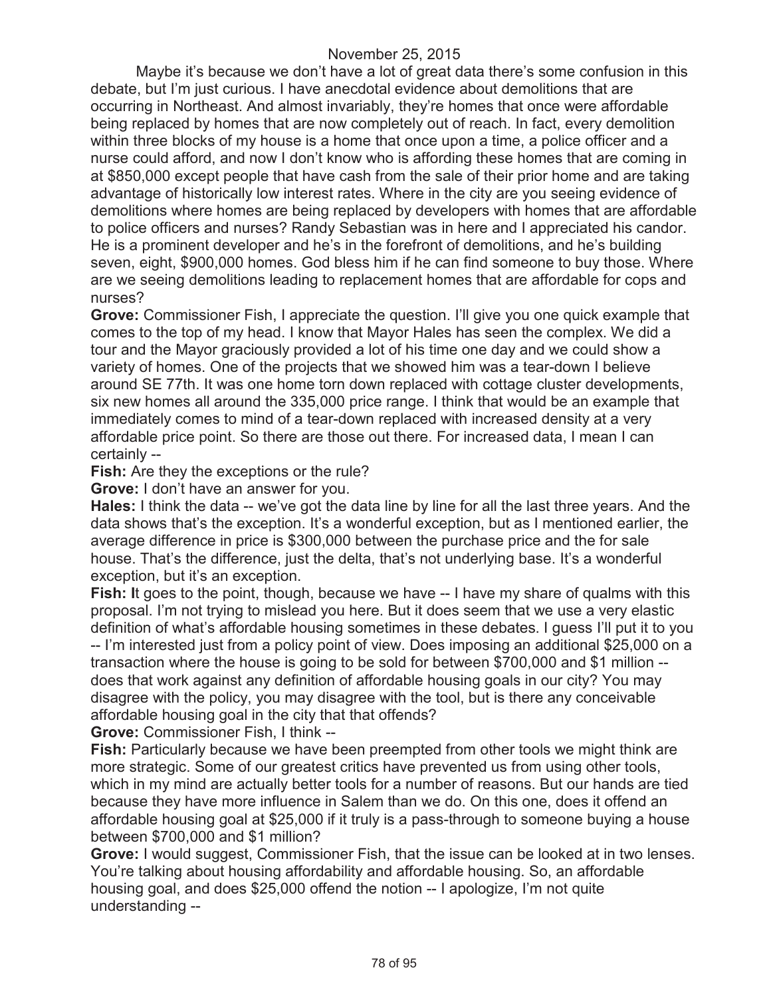Maybe it's because we don't have a lot of great data there's some confusion in this debate, but I'm just curious. I have anecdotal evidence about demolitions that are occurring in Northeast. And almost invariably, they're homes that once were affordable being replaced by homes that are now completely out of reach. In fact, every demolition within three blocks of my house is a home that once upon a time, a police officer and a nurse could afford, and now I don't know who is affording these homes that are coming in at \$850,000 except people that have cash from the sale of their prior home and are taking advantage of historically low interest rates. Where in the city are you seeing evidence of demolitions where homes are being replaced by developers with homes that are affordable to police officers and nurses? Randy Sebastian was in here and I appreciated his candor. He is a prominent developer and he's in the forefront of demolitions, and he's building seven, eight, \$900,000 homes. God bless him if he can find someone to buy those. Where are we seeing demolitions leading to replacement homes that are affordable for cops and nurses?

**Grove:** Commissioner Fish, I appreciate the question. I'll give you one quick example that comes to the top of my head. I know that Mayor Hales has seen the complex. We did a tour and the Mayor graciously provided a lot of his time one day and we could show a variety of homes. One of the projects that we showed him was a tear-down I believe around SE 77th. It was one home torn down replaced with cottage cluster developments, six new homes all around the 335,000 price range. I think that would be an example that immediately comes to mind of a tear-down replaced with increased density at a very affordable price point. So there are those out there. For increased data, I mean I can certainly --

**Fish:** Are they the exceptions or the rule?

**Grove:** I don't have an answer for you.

**Hales:** I think the data -- we've got the data line by line for all the last three years. And the data shows that's the exception. It's a wonderful exception, but as I mentioned earlier, the average difference in price is \$300,000 between the purchase price and the for sale house. That's the difference, just the delta, that's not underlying base. It's a wonderful exception, but it's an exception.

**Fish: It goes to the point, though, because we have -- I have my share of qualms with this** proposal. I'm not trying to mislead you here. But it does seem that we use a very elastic definition of what's affordable housing sometimes in these debates. I guess I'll put it to you -- I'm interested just from a policy point of view. Does imposing an additional \$25,000 on a transaction where the house is going to be sold for between \$700,000 and \$1 million - does that work against any definition of affordable housing goals in our city? You may disagree with the policy, you may disagree with the tool, but is there any conceivable affordable housing goal in the city that that offends?

**Grove:** Commissioner Fish, I think --

**Fish:** Particularly because we have been preempted from other tools we might think are more strategic. Some of our greatest critics have prevented us from using other tools, which in my mind are actually better tools for a number of reasons. But our hands are tied because they have more influence in Salem than we do. On this one, does it offend an affordable housing goal at \$25,000 if it truly is a pass-through to someone buying a house between \$700,000 and \$1 million?

**Grove:** I would suggest, Commissioner Fish, that the issue can be looked at in two lenses. You're talking about housing affordability and affordable housing. So, an affordable housing goal, and does \$25,000 offend the notion -- I apologize, I'm not quite understanding --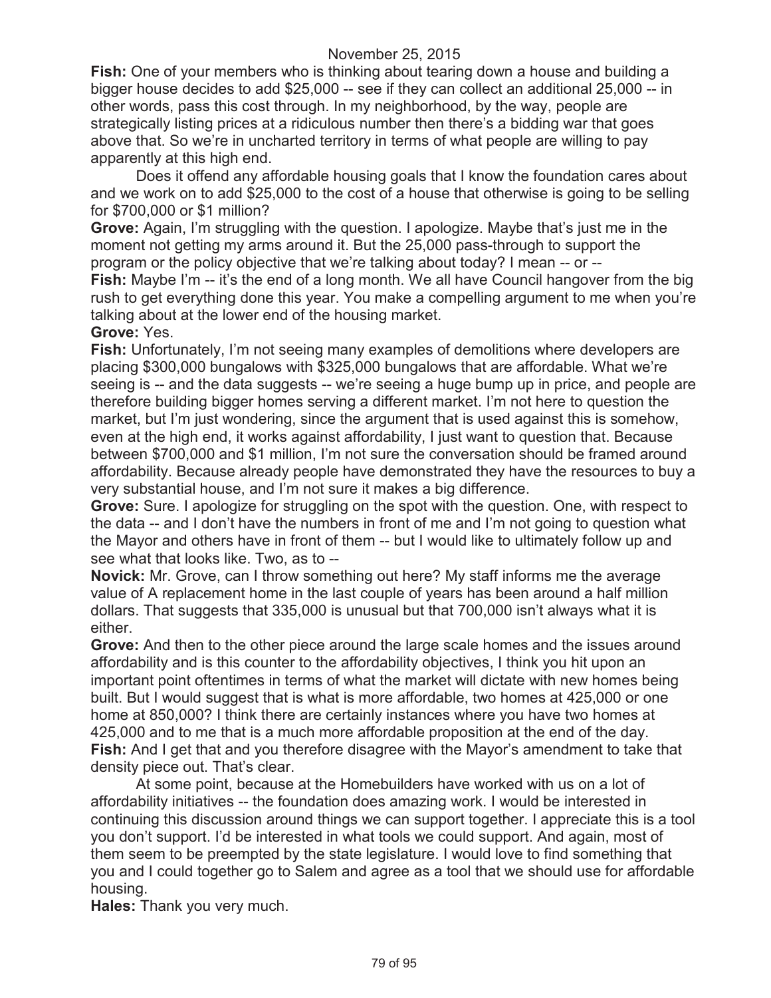**Fish:** One of your members who is thinking about tearing down a house and building a bigger house decides to add \$25,000 -- see if they can collect an additional 25,000 -- in other words, pass this cost through. In my neighborhood, by the way, people are strategically listing prices at a ridiculous number then there's a bidding war that goes above that. So we're in uncharted territory in terms of what people are willing to pay apparently at this high end.

Does it offend any affordable housing goals that I know the foundation cares about and we work on to add \$25,000 to the cost of a house that otherwise is going to be selling for \$700,000 or \$1 million?

**Grove:** Again, I'm struggling with the question. I apologize. Maybe that's just me in the moment not getting my arms around it. But the 25,000 pass-through to support the program or the policy objective that we're talking about today? I mean -- or --

**Fish:** Maybe I'm -- it's the end of a long month. We all have Council hangover from the big rush to get everything done this year. You make a compelling argument to me when you're talking about at the lower end of the housing market.

#### **Grove:** Yes.

**Fish:** Unfortunately, I'm not seeing many examples of demolitions where developers are placing \$300,000 bungalows with \$325,000 bungalows that are affordable. What we're seeing is -- and the data suggests -- we're seeing a huge bump up in price, and people are therefore building bigger homes serving a different market. I'm not here to question the market, but I'm just wondering, since the argument that is used against this is somehow, even at the high end, it works against affordability, I just want to question that. Because between \$700,000 and \$1 million, I'm not sure the conversation should be framed around affordability. Because already people have demonstrated they have the resources to buy a very substantial house, and I'm not sure it makes a big difference.

**Grove:** Sure. I apologize for struggling on the spot with the question. One, with respect to the data -- and I don't have the numbers in front of me and I'm not going to question what the Mayor and others have in front of them -- but I would like to ultimately follow up and see what that looks like. Two, as to --

**Novick:** Mr. Grove, can I throw something out here? My staff informs me the average value of A replacement home in the last couple of years has been around a half million dollars. That suggests that 335,000 is unusual but that 700,000 isn't always what it is either.

**Grove:** And then to the other piece around the large scale homes and the issues around affordability and is this counter to the affordability objectives, I think you hit upon an important point oftentimes in terms of what the market will dictate with new homes being built. But I would suggest that is what is more affordable, two homes at 425,000 or one home at 850,000? I think there are certainly instances where you have two homes at 425,000 and to me that is a much more affordable proposition at the end of the day. **Fish:** And I get that and you therefore disagree with the Mayor's amendment to take that density piece out. That's clear.

At some point, because at the Homebuilders have worked with us on a lot of affordability initiatives -- the foundation does amazing work. I would be interested in continuing this discussion around things we can support together. I appreciate this is a tool you don't support. I'd be interested in what tools we could support. And again, most of them seem to be preempted by the state legislature. I would love to find something that you and I could together go to Salem and agree as a tool that we should use for affordable housing.

**Hales:** Thank you very much.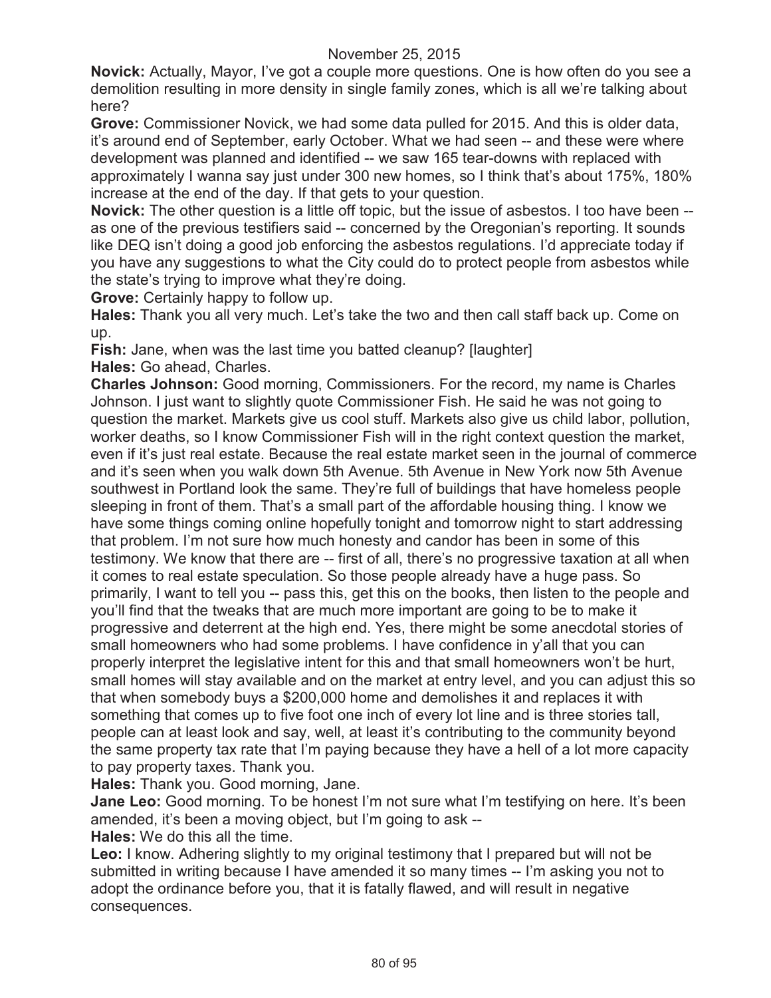**Novick:** Actually, Mayor, I've got a couple more questions. One is how often do you see a demolition resulting in more density in single family zones, which is all we're talking about here?

**Grove:** Commissioner Novick, we had some data pulled for 2015. And this is older data, it's around end of September, early October. What we had seen -- and these were where development was planned and identified -- we saw 165 tear-downs with replaced with approximately I wanna say just under 300 new homes, so I think that's about 175%, 180% increase at the end of the day. If that gets to your question.

**Novick:** The other question is a little off topic, but the issue of asbestos. I too have been - as one of the previous testifiers said -- concerned by the Oregonian's reporting. It sounds like DEQ isn't doing a good job enforcing the asbestos regulations. I'd appreciate today if you have any suggestions to what the City could do to protect people from asbestos while the state's trying to improve what they're doing.

**Grove:** Certainly happy to follow up.

**Hales:** Thank you all very much. Let's take the two and then call staff back up. Come on up.

**Fish:** Jane, when was the last time you batted cleanup? [laughter] **Hales:** Go ahead, Charles.

**Charles Johnson:** Good morning, Commissioners. For the record, my name is Charles Johnson. I just want to slightly quote Commissioner Fish. He said he was not going to question the market. Markets give us cool stuff. Markets also give us child labor, pollution, worker deaths, so I know Commissioner Fish will in the right context question the market, even if it's just real estate. Because the real estate market seen in the journal of commerce and it's seen when you walk down 5th Avenue. 5th Avenue in New York now 5th Avenue southwest in Portland look the same. They're full of buildings that have homeless people sleeping in front of them. That's a small part of the affordable housing thing. I know we have some things coming online hopefully tonight and tomorrow night to start addressing that problem. I'm not sure how much honesty and candor has been in some of this testimony. We know that there are -- first of all, there's no progressive taxation at all when it comes to real estate speculation. So those people already have a huge pass. So primarily, I want to tell you -- pass this, get this on the books, then listen to the people and you'll find that the tweaks that are much more important are going to be to make it progressive and deterrent at the high end. Yes, there might be some anecdotal stories of small homeowners who had some problems. I have confidence in y'all that you can properly interpret the legislative intent for this and that small homeowners won't be hurt, small homes will stay available and on the market at entry level, and you can adjust this so that when somebody buys a \$200,000 home and demolishes it and replaces it with something that comes up to five foot one inch of every lot line and is three stories tall, people can at least look and say, well, at least it's contributing to the community beyond the same property tax rate that I'm paying because they have a hell of a lot more capacity to pay property taxes. Thank you.

**Hales:** Thank you. Good morning, Jane.

**Jane Leo:** Good morning. To be honest I'm not sure what I'm testifying on here. It's been amended, it's been a moving object, but I'm going to ask --

**Hales:** We do this all the time.

**Leo:** I know. Adhering slightly to my original testimony that I prepared but will not be submitted in writing because I have amended it so many times -- I'm asking you not to adopt the ordinance before you, that it is fatally flawed, and will result in negative consequences.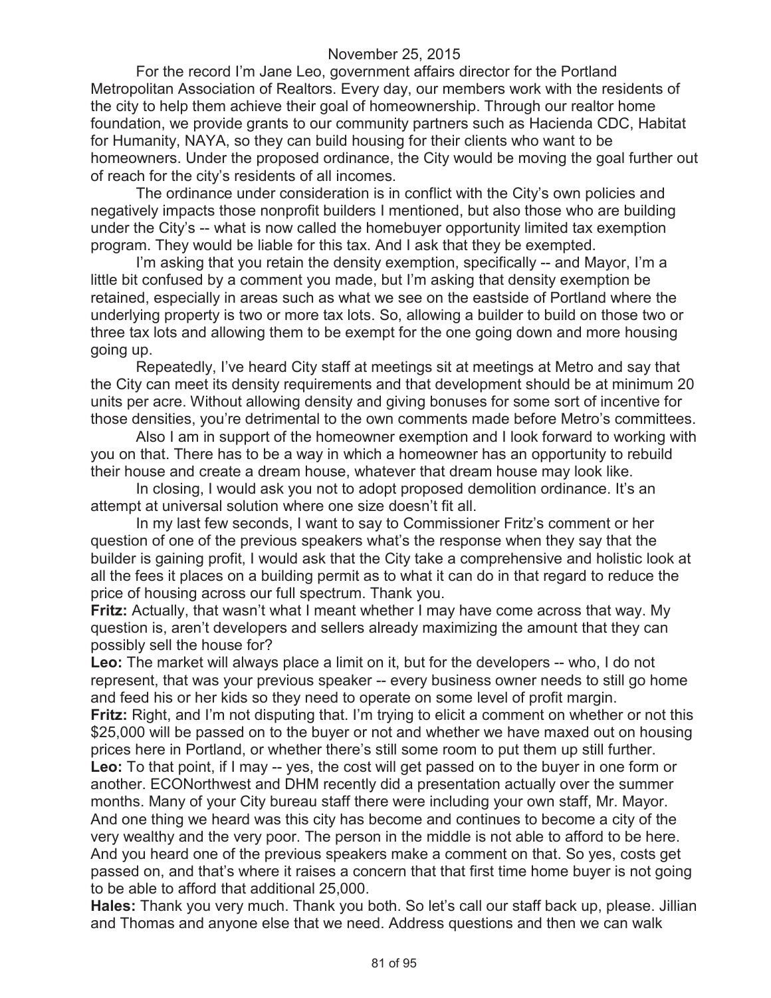For the record I'm Jane Leo, government affairs director for the Portland Metropolitan Association of Realtors. Every day, our members work with the residents of the city to help them achieve their goal of homeownership. Through our realtor home foundation, we provide grants to our community partners such as Hacienda CDC, Habitat for Humanity, NAYA, so they can build housing for their clients who want to be homeowners. Under the proposed ordinance, the City would be moving the goal further out of reach for the city's residents of all incomes.

The ordinance under consideration is in conflict with the City's own policies and negatively impacts those nonprofit builders I mentioned, but also those who are building under the City's -- what is now called the homebuyer opportunity limited tax exemption program. They would be liable for this tax. And I ask that they be exempted.

I'm asking that you retain the density exemption, specifically -- and Mayor, I'm a little bit confused by a comment you made, but I'm asking that density exemption be retained, especially in areas such as what we see on the eastside of Portland where the underlying property is two or more tax lots. So, allowing a builder to build on those two or three tax lots and allowing them to be exempt for the one going down and more housing going up.

Repeatedly, I've heard City staff at meetings sit at meetings at Metro and say that the City can meet its density requirements and that development should be at minimum 20 units per acre. Without allowing density and giving bonuses for some sort of incentive for those densities, you're detrimental to the own comments made before Metro's committees.

Also I am in support of the homeowner exemption and I look forward to working with you on that. There has to be a way in which a homeowner has an opportunity to rebuild their house and create a dream house, whatever that dream house may look like.

In closing, I would ask you not to adopt proposed demolition ordinance. It's an attempt at universal solution where one size doesn't fit all.

In my last few seconds, I want to say to Commissioner Fritz's comment or her question of one of the previous speakers what's the response when they say that the builder is gaining profit, I would ask that the City take a comprehensive and holistic look at all the fees it places on a building permit as to what it can do in that regard to reduce the price of housing across our full spectrum. Thank you.

**Fritz:** Actually, that wasn't what I meant whether I may have come across that way. My question is, aren't developers and sellers already maximizing the amount that they can possibly sell the house for?

**Leo:** The market will always place a limit on it, but for the developers -- who, I do not represent, that was your previous speaker -- every business owner needs to still go home and feed his or her kids so they need to operate on some level of profit margin.

**Fritz:** Right, and I'm not disputing that. I'm trying to elicit a comment on whether or not this \$25,000 will be passed on to the buyer or not and whether we have maxed out on housing prices here in Portland, or whether there's still some room to put them up still further. **Leo:** To that point, if I may -- yes, the cost will get passed on to the buyer in one form or another. ECONorthwest and DHM recently did a presentation actually over the summer months. Many of your City bureau staff there were including your own staff, Mr. Mayor.

And one thing we heard was this city has become and continues to become a city of the very wealthy and the very poor. The person in the middle is not able to afford to be here. And you heard one of the previous speakers make a comment on that. So yes, costs get passed on, and that's where it raises a concern that that first time home buyer is not going to be able to afford that additional 25,000.

**Hales:** Thank you very much. Thank you both. So let's call our staff back up, please. Jillian and Thomas and anyone else that we need. Address questions and then we can walk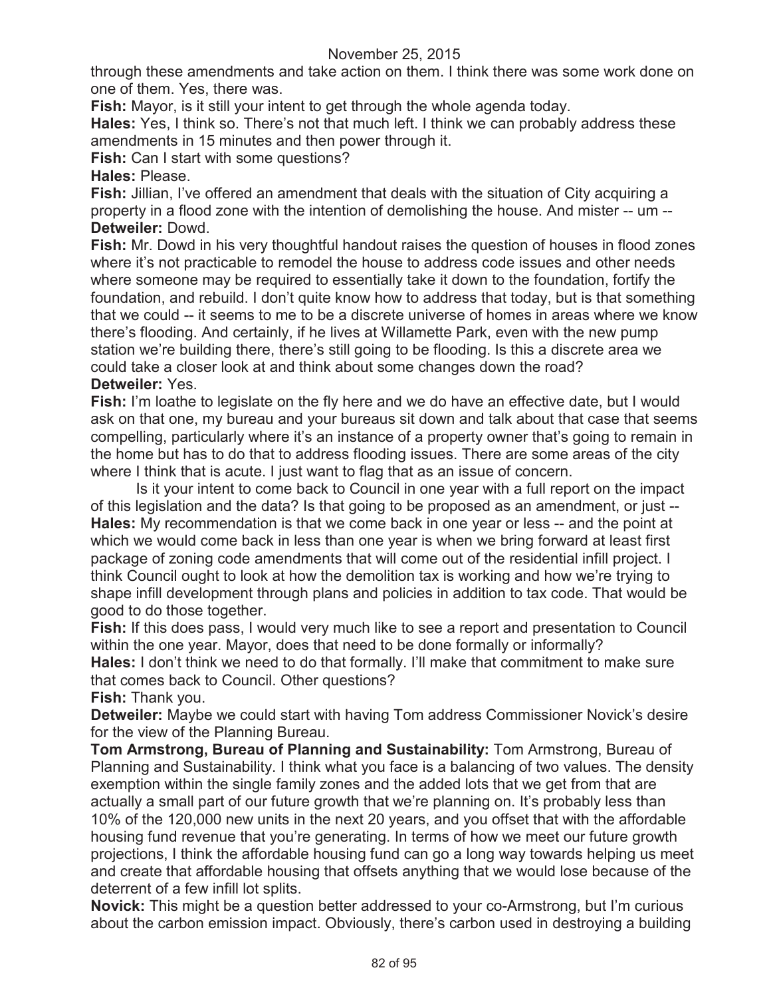through these amendments and take action on them. I think there was some work done on one of them. Yes, there was.

**Fish:** Mayor, is it still your intent to get through the whole agenda today.

**Hales:** Yes, I think so. There's not that much left. I think we can probably address these amendments in 15 minutes and then power through it.

**Fish:** Can I start with some questions?

#### **Hales:** Please.

**Fish:** Jillian, I've offered an amendment that deals with the situation of City acquiring a property in a flood zone with the intention of demolishing the house. And mister -- um -- **Detweiler:** Dowd.

**Fish:** Mr. Dowd in his very thoughtful handout raises the question of houses in flood zones where it's not practicable to remodel the house to address code issues and other needs where someone may be required to essentially take it down to the foundation, fortify the foundation, and rebuild. I don't quite know how to address that today, but is that something that we could -- it seems to me to be a discrete universe of homes in areas where we know there's flooding. And certainly, if he lives at Willamette Park, even with the new pump station we're building there, there's still going to be flooding. Is this a discrete area we could take a closer look at and think about some changes down the road? **Detweiler:** Yes.

#### **Fish:** I'm loathe to legislate on the fly here and we do have an effective date, but I would ask on that one, my bureau and your bureaus sit down and talk about that case that seems compelling, particularly where it's an instance of a property owner that's going to remain in the home but has to do that to address flooding issues. There are some areas of the city where I think that is acute. I just want to flag that as an issue of concern.

Is it your intent to come back to Council in one year with a full report on the impact of this legislation and the data? Is that going to be proposed as an amendment, or just -- **Hales:** My recommendation is that we come back in one year or less -- and the point at which we would come back in less than one year is when we bring forward at least first package of zoning code amendments that will come out of the residential infill project. I think Council ought to look at how the demolition tax is working and how we're trying to shape infill development through plans and policies in addition to tax code. That would be good to do those together.

**Fish:** If this does pass, I would very much like to see a report and presentation to Council within the one year. Mayor, does that need to be done formally or informally? **Hales:** I don't think we need to do that formally. I'll make that commitment to make sure that comes back to Council. Other questions?

**Fish:** Thank you.

**Detweiler:** Maybe we could start with having Tom address Commissioner Novick's desire for the view of the Planning Bureau.

**Tom Armstrong, Bureau of Planning and Sustainability:** Tom Armstrong, Bureau of Planning and Sustainability. I think what you face is a balancing of two values. The density exemption within the single family zones and the added lots that we get from that are actually a small part of our future growth that we're planning on. It's probably less than 10% of the 120,000 new units in the next 20 years, and you offset that with the affordable housing fund revenue that you're generating. In terms of how we meet our future growth projections, I think the affordable housing fund can go a long way towards helping us meet and create that affordable housing that offsets anything that we would lose because of the deterrent of a few infill lot splits.

**Novick:** This might be a question better addressed to your co-Armstrong, but I'm curious about the carbon emission impact. Obviously, there's carbon used in destroying a building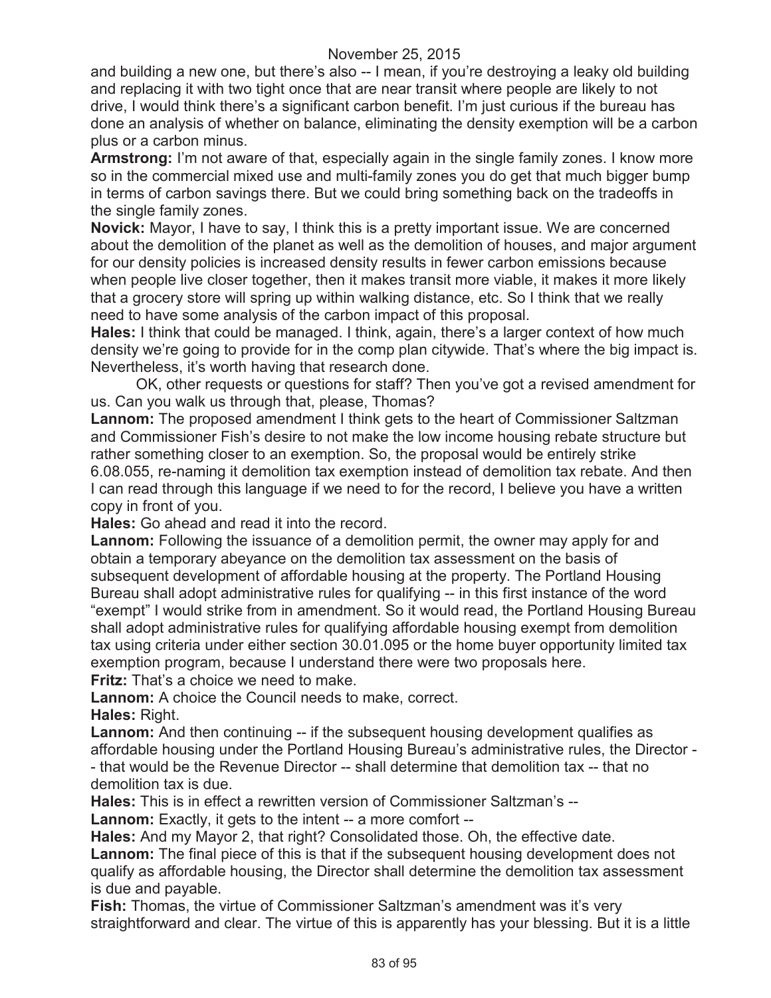and building a new one, but there's also -- I mean, if you're destroying a leaky old building and replacing it with two tight once that are near transit where people are likely to not drive, I would think there's a significant carbon benefit. I'm just curious if the bureau has done an analysis of whether on balance, eliminating the density exemption will be a carbon plus or a carbon minus.

**Armstrong:** I'm not aware of that, especially again in the single family zones. I know more so in the commercial mixed use and multi-family zones you do get that much bigger bump in terms of carbon savings there. But we could bring something back on the tradeoffs in the single family zones.

**Novick:** Mayor, I have to say, I think this is a pretty important issue. We are concerned about the demolition of the planet as well as the demolition of houses, and major argument for our density policies is increased density results in fewer carbon emissions because when people live closer together, then it makes transit more viable, it makes it more likely that a grocery store will spring up within walking distance, etc. So I think that we really need to have some analysis of the carbon impact of this proposal.

**Hales:** I think that could be managed. I think, again, there's a larger context of how much density we're going to provide for in the comp plan citywide. That's where the big impact is. Nevertheless, it's worth having that research done.

OK, other requests or questions for staff? Then you've got a revised amendment for us. Can you walk us through that, please, Thomas?

**Lannom:** The proposed amendment I think gets to the heart of Commissioner Saltzman and Commissioner Fish's desire to not make the low income housing rebate structure but rather something closer to an exemption. So, the proposal would be entirely strike 6.08.055, re-naming it demolition tax exemption instead of demolition tax rebate. And then I can read through this language if we need to for the record, I believe you have a written copy in front of you.

**Hales:** Go ahead and read it into the record.

**Lannom:** Following the issuance of a demolition permit, the owner may apply for and obtain a temporary abeyance on the demolition tax assessment on the basis of subsequent development of affordable housing at the property. The Portland Housing Bureau shall adopt administrative rules for qualifying -- in this first instance of the word "exempt" I would strike from in amendment. So it would read, the Portland Housing Bureau shall adopt administrative rules for qualifying affordable housing exempt from demolition tax using criteria under either section 30.01.095 or the home buyer opportunity limited tax exemption program, because I understand there were two proposals here.

**Fritz:** That's a choice we need to make.

**Lannom:** A choice the Council needs to make, correct. **Hales:** Right.

**Lannom:** And then continuing -- if the subsequent housing development qualifies as affordable housing under the Portland Housing Bureau's administrative rules, the Director - - that would be the Revenue Director -- shall determine that demolition tax -- that no demolition tax is due.

**Hales:** This is in effect a rewritten version of Commissioner Saltzman's --

**Lannom:** Exactly, it gets to the intent -- a more comfort --

**Hales:** And my Mayor 2, that right? Consolidated those. Oh, the effective date.

Lannom: The final piece of this is that if the subsequent housing development does not qualify as affordable housing, the Director shall determine the demolition tax assessment is due and payable.

**Fish:** Thomas, the virtue of Commissioner Saltzman's amendment was it's very straightforward and clear. The virtue of this is apparently has your blessing. But it is a little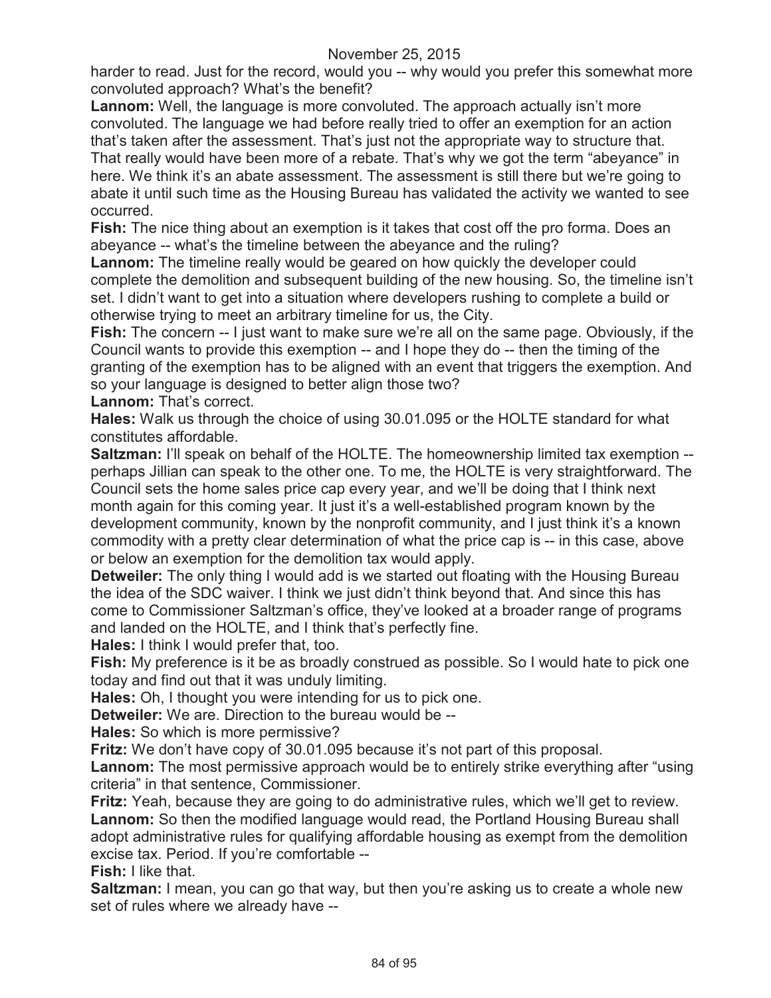harder to read. Just for the record, would you -- why would you prefer this somewhat more convoluted approach? What's the benefit?

**Lannom:** Well, the language is more convoluted. The approach actually isn't more convoluted. The language we had before really tried to offer an exemption for an action that's taken after the assessment. That's just not the appropriate way to structure that. That really would have been more of a rebate. That's why we got the term "abeyance" in here. We think it's an abate assessment. The assessment is still there but we're going to abate it until such time as the Housing Bureau has validated the activity we wanted to see occurred.

**Fish:** The nice thing about an exemption is it takes that cost off the pro forma. Does an abeyance -- what's the timeline between the abeyance and the ruling?

**Lannom:** The timeline really would be geared on how quickly the developer could complete the demolition and subsequent building of the new housing. So, the timeline isn't set. I didn't want to get into a situation where developers rushing to complete a build or otherwise trying to meet an arbitrary timeline for us, the City.

**Fish:** The concern -- I just want to make sure we're all on the same page. Obviously, if the Council wants to provide this exemption -- and I hope they do -- then the timing of the granting of the exemption has to be aligned with an event that triggers the exemption. And so your language is designed to better align those two?

Lannom: That's correct.

**Hales:** Walk us through the choice of using 30.01.095 or the HOLTE standard for what constitutes affordable.

**Saltzman: I'll speak on behalf of the HOLTE. The homeownership limited tax exemption -**perhaps Jillian can speak to the other one. To me, the HOLTE is very straightforward. The Council sets the home sales price cap every year, and we'll be doing that I think next month again for this coming year. It just it's a well-established program known by the development community, known by the nonprofit community, and I just think it's a known commodity with a pretty clear determination of what the price cap is -- in this case, above or below an exemption for the demolition tax would apply.

**Detweiler:** The only thing I would add is we started out floating with the Housing Bureau the idea of the SDC waiver. I think we just didn't think beyond that. And since this has come to Commissioner Saltzman's office, they've looked at a broader range of programs and landed on the HOLTE, and I think that's perfectly fine.

**Hales:** I think I would prefer that, too.

**Fish:** My preference is it be as broadly construed as possible. So I would hate to pick one today and find out that it was unduly limiting.

**Hales:** Oh, I thought you were intending for us to pick one.

**Detweiler:** We are. Direction to the bureau would be --

**Hales:** So which is more permissive?

**Fritz:** We don't have copy of 30.01.095 because it's not part of this proposal.

**Lannom:** The most permissive approach would be to entirely strike everything after "using criteria" in that sentence, Commissioner.

**Fritz:** Yeah, because they are going to do administrative rules, which we'll get to review. **Lannom:** So then the modified language would read, the Portland Housing Bureau shall adopt administrative rules for qualifying affordable housing as exempt from the demolition excise tax. Period. If you're comfortable --

**Fish:** I like that.

**Saltzman:** I mean, you can go that way, but then you're asking us to create a whole new set of rules where we already have --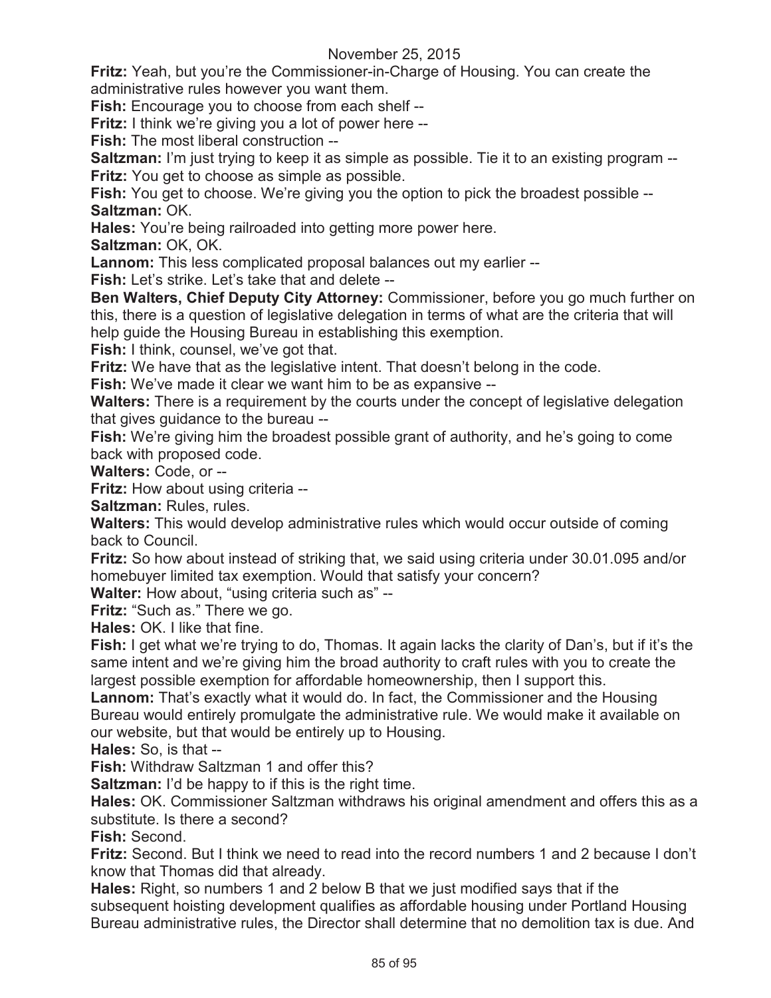**Fritz:** Yeah, but you're the Commissioner-in-Charge of Housing. You can create the administrative rules however you want them.

**Fish:** Encourage you to choose from each shelf --

**Fritz:** I think we're giving you a lot of power here --

**Fish:** The most liberal construction --

**Saltzman:** I'm just trying to keep it as simple as possible. Tie it to an existing program --**Fritz:** You get to choose as simple as possible.

**Fish:** You get to choose. We're giving you the option to pick the broadest possible --**Saltzman:** OK.

**Hales:** You're being railroaded into getting more power here.

**Saltzman:** OK, OK.

**Lannom:** This less complicated proposal balances out my earlier --

**Fish:** Let's strike. Let's take that and delete --

**Ben Walters, Chief Deputy City Attorney:** Commissioner, before you go much further on this, there is a question of legislative delegation in terms of what are the criteria that will help guide the Housing Bureau in establishing this exemption.

**Fish:** I think, counsel, we've got that.

**Fritz:** We have that as the legislative intent. That doesn't belong in the code.

**Fish:** We've made it clear we want him to be as expansive --

**Walters:** There is a requirement by the courts under the concept of legislative delegation that gives guidance to the bureau --

**Fish:** We're giving him the broadest possible grant of authority, and he's going to come back with proposed code.

**Walters:** Code, or --

**Fritz:** How about using criteria --

**Saltzman:** Rules, rules.

**Walters:** This would develop administrative rules which would occur outside of coming back to Council.

**Fritz:** So how about instead of striking that, we said using criteria under 30.01.095 and/or homebuyer limited tax exemption. Would that satisfy your concern?

**Walter:** How about, "using criteria such as" --

**Fritz:** "Such as." There we go.

**Hales:** OK. I like that fine.

**Fish:** I get what we're trying to do, Thomas. It again lacks the clarity of Dan's, but if it's the same intent and we're giving him the broad authority to craft rules with you to create the largest possible exemption for affordable homeownership, then I support this.

**Lannom:** That's exactly what it would do. In fact, the Commissioner and the Housing Bureau would entirely promulgate the administrative rule. We would make it available on our website, but that would be entirely up to Housing.

**Hales:** So, is that --

**Fish:** Withdraw Saltzman 1 and offer this?

**Saltzman:** I'd be happy to if this is the right time.

**Hales:** OK. Commissioner Saltzman withdraws his original amendment and offers this as a substitute. Is there a second?

**Fish:** Second.

**Fritz:** Second. But I think we need to read into the record numbers 1 and 2 because I don't know that Thomas did that already.

**Hales:** Right, so numbers 1 and 2 below B that we just modified says that if the subsequent hoisting development qualifies as affordable housing under Portland Housing Bureau administrative rules, the Director shall determine that no demolition tax is due. And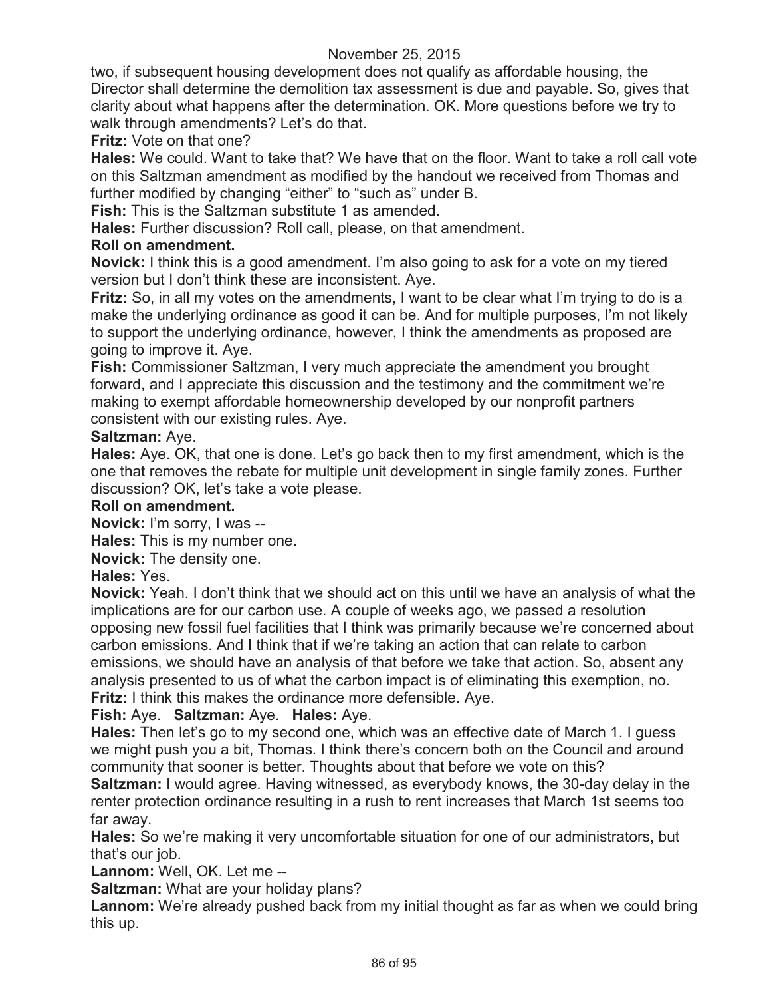two, if subsequent housing development does not qualify as affordable housing, the Director shall determine the demolition tax assessment is due and payable. So, gives that clarity about what happens after the determination. OK. More questions before we try to walk through amendments? Let's do that.

## **Fritz:** Vote on that one?

**Hales:** We could. Want to take that? We have that on the floor. Want to take a roll call vote on this Saltzman amendment as modified by the handout we received from Thomas and further modified by changing "either" to "such as" under B.

**Fish:** This is the Saltzman substitute 1 as amended.

**Hales:** Further discussion? Roll call, please, on that amendment.

## **Roll on amendment.**

**Novick:** I think this is a good amendment. I'm also going to ask for a vote on my tiered version but I don't think these are inconsistent. Aye.

**Fritz:** So, in all my votes on the amendments, I want to be clear what I'm trying to do is a make the underlying ordinance as good it can be. And for multiple purposes, I'm not likely to support the underlying ordinance, however, I think the amendments as proposed are going to improve it. Aye.

**Fish:** Commissioner Saltzman, I very much appreciate the amendment you brought forward, and I appreciate this discussion and the testimony and the commitment we're making to exempt affordable homeownership developed by our nonprofit partners consistent with our existing rules. Aye.

## **Saltzman:** Aye.

**Hales:** Aye. OK, that one is done. Let's go back then to my first amendment, which is the one that removes the rebate for multiple unit development in single family zones. Further discussion? OK, let's take a vote please.

## **Roll on amendment.**

**Novick:** I'm sorry, I was --

**Hales:** This is my number one.

**Novick:** The density one.

## **Hales:** Yes.

**Novick:** Yeah. I don't think that we should act on this until we have an analysis of what the implications are for our carbon use. A couple of weeks ago, we passed a resolution opposing new fossil fuel facilities that I think was primarily because we're concerned about carbon emissions. And I think that if we're taking an action that can relate to carbon emissions, we should have an analysis of that before we take that action. So, absent any analysis presented to us of what the carbon impact is of eliminating this exemption, no. **Fritz:** I think this makes the ordinance more defensible. Aye.

## **Fish:** Aye. **Saltzman:** Aye. **Hales:** Aye.

**Hales:** Then let's go to my second one, which was an effective date of March 1. I guess we might push you a bit, Thomas. I think there's concern both on the Council and around community that sooner is better. Thoughts about that before we vote on this?

**Saltzman:** I would agree. Having witnessed, as everybody knows, the 30-day delay in the renter protection ordinance resulting in a rush to rent increases that March 1st seems too far away.

**Hales:** So we're making it very uncomfortable situation for one of our administrators, but that's our job.

**Lannom:** Well, OK. Let me --

**Saltzman:** What are your holiday plans?

Lannom: We're already pushed back from my initial thought as far as when we could bring this up.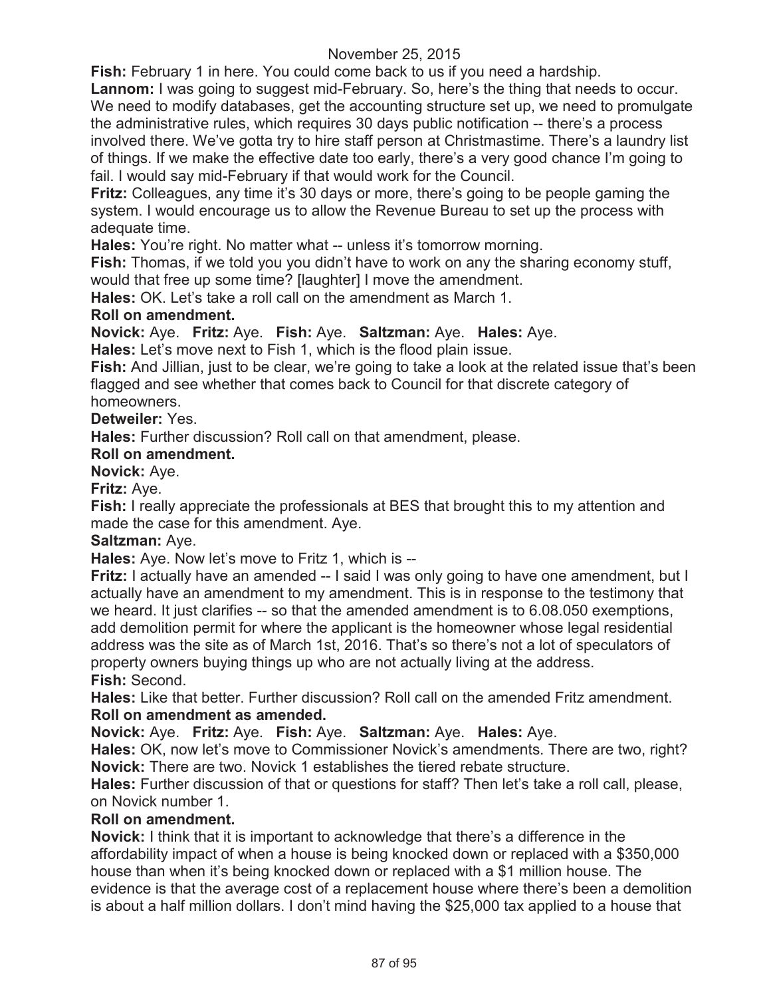**Fish:** February 1 in here. You could come back to us if you need a hardship.

**Lannom:** I was going to suggest mid-February. So, here's the thing that needs to occur. We need to modify databases, get the accounting structure set up, we need to promulgate the administrative rules, which requires 30 days public notification -- there's a process involved there. We've gotta try to hire staff person at Christmastime. There's a laundry list of things. If we make the effective date too early, there's a very good chance I'm going to fail. I would say mid-February if that would work for the Council.

**Fritz:** Colleagues, any time it's 30 days or more, there's going to be people gaming the system. I would encourage us to allow the Revenue Bureau to set up the process with adequate time.

**Hales:** You're right. No matter what -- unless it's tomorrow morning.

**Fish:** Thomas, if we told you you didn't have to work on any the sharing economy stuff, would that free up some time? [laughter] I move the amendment.

**Hales:** OK. Let's take a roll call on the amendment as March 1.

## **Roll on amendment.**

**Novick:** Aye. **Fritz:** Aye. **Fish:** Aye. **Saltzman:** Aye. **Hales:** Aye.

**Hales:** Let's move next to Fish 1, which is the flood plain issue.

**Fish:** And Jillian, just to be clear, we're going to take a look at the related issue that's been flagged and see whether that comes back to Council for that discrete category of homeowners.

## **Detweiler:** Yes.

**Hales:** Further discussion? Roll call on that amendment, please.

## **Roll on amendment.**

**Novick:** Aye.

**Fritz:** Aye.

**Fish:** I really appreciate the professionals at BES that brought this to my attention and made the case for this amendment. Aye.

## **Saltzman:** Aye.

**Hales:** Aye. Now let's move to Fritz 1, which is --

**Fritz:** I actually have an amended -- I said I was only going to have one amendment, but I actually have an amendment to my amendment. This is in response to the testimony that we heard. It just clarifies -- so that the amended amendment is to 6.08.050 exemptions, add demolition permit for where the applicant is the homeowner whose legal residential address was the site as of March 1st, 2016. That's so there's not a lot of speculators of property owners buying things up who are not actually living at the address. **Fish:** Second.

**Hales:** Like that better. Further discussion? Roll call on the amended Fritz amendment. **Roll on amendment as amended.**

**Novick:** Aye. **Fritz:** Aye. **Fish:** Aye. **Saltzman:** Aye. **Hales:** Aye.

**Hales:** OK, now let's move to Commissioner Novick's amendments. There are two, right? **Novick:** There are two. Novick 1 establishes the tiered rebate structure.

**Hales:** Further discussion of that or questions for staff? Then let's take a roll call, please, on Novick number 1.

## **Roll on amendment.**

**Novick:** I think that it is important to acknowledge that there's a difference in the affordability impact of when a house is being knocked down or replaced with a \$350,000 house than when it's being knocked down or replaced with a \$1 million house. The evidence is that the average cost of a replacement house where there's been a demolition is about a half million dollars. I don't mind having the \$25,000 tax applied to a house that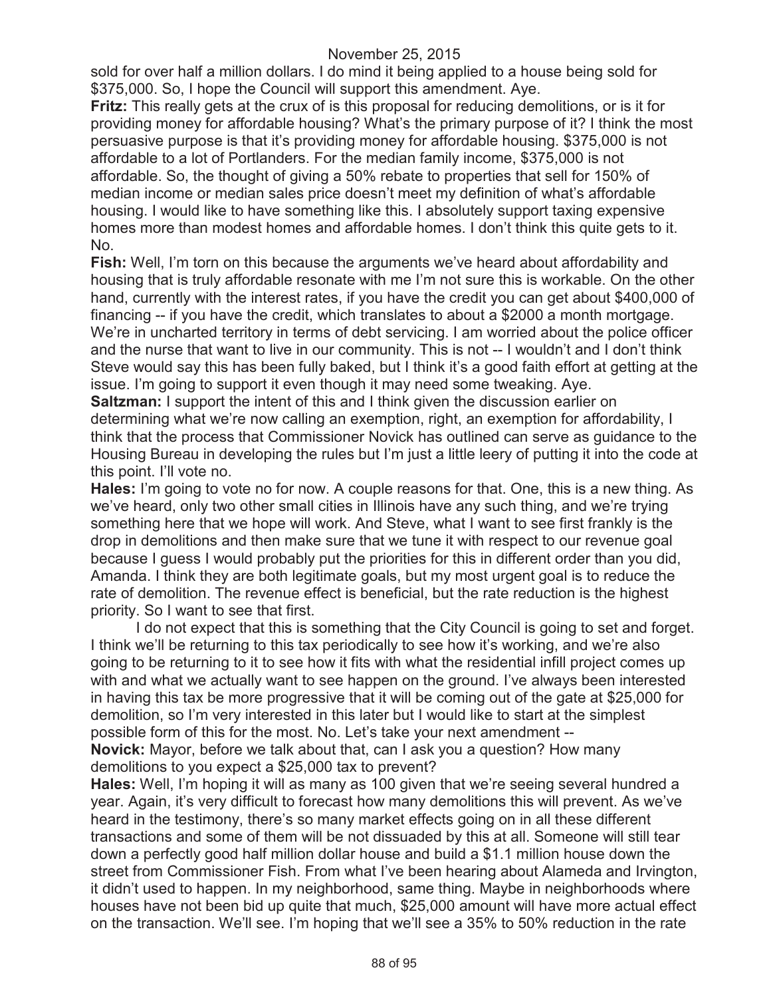sold for over half a million dollars. I do mind it being applied to a house being sold for \$375,000. So, I hope the Council will support this amendment. Aye.

**Fritz:** This really gets at the crux of is this proposal for reducing demolitions, or is it for providing money for affordable housing? What's the primary purpose of it? I think the most persuasive purpose is that it's providing money for affordable housing. \$375,000 is not affordable to a lot of Portlanders. For the median family income, \$375,000 is not affordable. So, the thought of giving a 50% rebate to properties that sell for 150% of median income or median sales price doesn't meet my definition of what's affordable housing. I would like to have something like this. I absolutely support taxing expensive homes more than modest homes and affordable homes. I don't think this quite gets to it. No.

**Fish:** Well, I'm torn on this because the arguments we've heard about affordability and housing that is truly affordable resonate with me I'm not sure this is workable. On the other hand, currently with the interest rates, if you have the credit you can get about \$400,000 of financing -- if you have the credit, which translates to about a \$2000 a month mortgage. We're in uncharted territory in terms of debt servicing. I am worried about the police officer and the nurse that want to live in our community. This is not -- I wouldn't and I don't think Steve would say this has been fully baked, but I think it's a good faith effort at getting at the issue. I'm going to support it even though it may need some tweaking. Aye.

**Saltzman:** I support the intent of this and I think given the discussion earlier on determining what we're now calling an exemption, right, an exemption for affordability, I think that the process that Commissioner Novick has outlined can serve as guidance to the Housing Bureau in developing the rules but I'm just a little leery of putting it into the code at this point. I'll vote no.

**Hales:** I'm going to vote no for now. A couple reasons for that. One, this is a new thing. As we've heard, only two other small cities in Illinois have any such thing, and we're trying something here that we hope will work. And Steve, what I want to see first frankly is the drop in demolitions and then make sure that we tune it with respect to our revenue goal because I guess I would probably put the priorities for this in different order than you did, Amanda. I think they are both legitimate goals, but my most urgent goal is to reduce the rate of demolition. The revenue effect is beneficial, but the rate reduction is the highest priority. So I want to see that first.

I do not expect that this is something that the City Council is going to set and forget. I think we'll be returning to this tax periodically to see how it's working, and we're also going to be returning to it to see how it fits with what the residential infill project comes up with and what we actually want to see happen on the ground. I've always been interested in having this tax be more progressive that it will be coming out of the gate at \$25,000 for demolition, so I'm very interested in this later but I would like to start at the simplest possible form of this for the most. No. Let's take your next amendment --

**Novick:** Mayor, before we talk about that, can I ask you a question? How many demolitions to you expect a \$25,000 tax to prevent?

**Hales:** Well, I'm hoping it will as many as 100 given that we're seeing several hundred a year. Again, it's very difficult to forecast how many demolitions this will prevent. As we've heard in the testimony, there's so many market effects going on in all these different transactions and some of them will be not dissuaded by this at all. Someone will still tear down a perfectly good half million dollar house and build a \$1.1 million house down the street from Commissioner Fish. From what I've been hearing about Alameda and Irvington, it didn't used to happen. In my neighborhood, same thing. Maybe in neighborhoods where houses have not been bid up quite that much, \$25,000 amount will have more actual effect on the transaction. We'll see. I'm hoping that we'll see a 35% to 50% reduction in the rate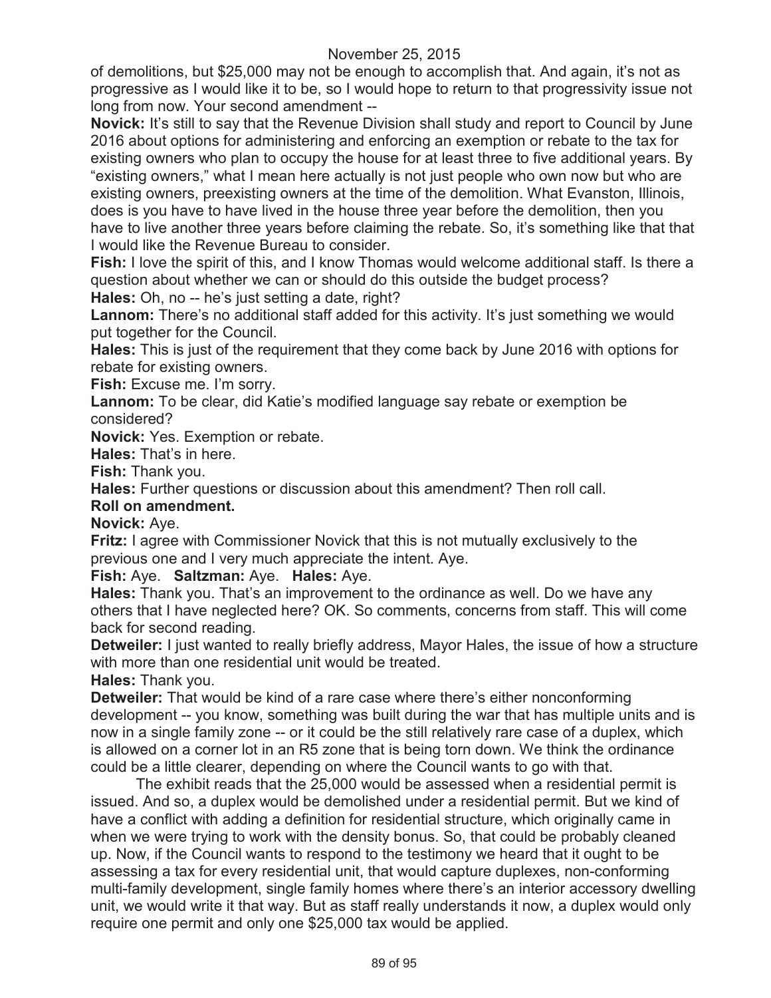of demolitions, but \$25,000 may not be enough to accomplish that. And again, it's not as progressive as I would like it to be, so I would hope to return to that progressivity issue not long from now. Your second amendment --

**Novick:** It's still to say that the Revenue Division shall study and report to Council by June 2016 about options for administering and enforcing an exemption or rebate to the tax for existing owners who plan to occupy the house for at least three to five additional years. By "existing owners," what I mean here actually is not just people who own now but who are existing owners, preexisting owners at the time of the demolition. What Evanston, Illinois, does is you have to have lived in the house three year before the demolition, then you have to live another three years before claiming the rebate. So, it's something like that that I would like the Revenue Bureau to consider.

**Fish:** I love the spirit of this, and I know Thomas would welcome additional staff. Is there a question about whether we can or should do this outside the budget process? **Hales:** Oh, no -- he's just setting a date, right?

Lannom: There's no additional staff added for this activity. It's just something we would put together for the Council.

**Hales:** This is just of the requirement that they come back by June 2016 with options for rebate for existing owners.

**Fish:** Excuse me. I'm sorry.

**Lannom:** To be clear, did Katie's modified language say rebate or exemption be considered?

**Novick:** Yes. Exemption or rebate.

**Hales:** That's in here.

**Fish:** Thank you.

**Hales:** Further questions or discussion about this amendment? Then roll call.

#### **Roll on amendment.**

**Novick:** Aye.

**Fritz:** I agree with Commissioner Novick that this is not mutually exclusively to the previous one and I very much appreciate the intent. Aye.

**Fish:** Aye. **Saltzman:** Aye. **Hales:** Aye.

**Hales:** Thank you. That's an improvement to the ordinance as well. Do we have any others that I have neglected here? OK. So comments, concerns from staff. This will come back for second reading.

**Detweiler:** I just wanted to really briefly address, Mayor Hales, the issue of how a structure with more than one residential unit would be treated.

**Hales:** Thank you.

**Detweiler:** That would be kind of a rare case where there's either nonconforming development -- you know, something was built during the war that has multiple units and is now in a single family zone -- or it could be the still relatively rare case of a duplex, which is allowed on a corner lot in an R5 zone that is being torn down. We think the ordinance could be a little clearer, depending on where the Council wants to go with that.

The exhibit reads that the 25,000 would be assessed when a residential permit is issued. And so, a duplex would be demolished under a residential permit. But we kind of have a conflict with adding a definition for residential structure, which originally came in when we were trying to work with the density bonus. So, that could be probably cleaned up. Now, if the Council wants to respond to the testimony we heard that it ought to be assessing a tax for every residential unit, that would capture duplexes, non-conforming multi-family development, single family homes where there's an interior accessory dwelling unit, we would write it that way. But as staff really understands it now, a duplex would only require one permit and only one \$25,000 tax would be applied.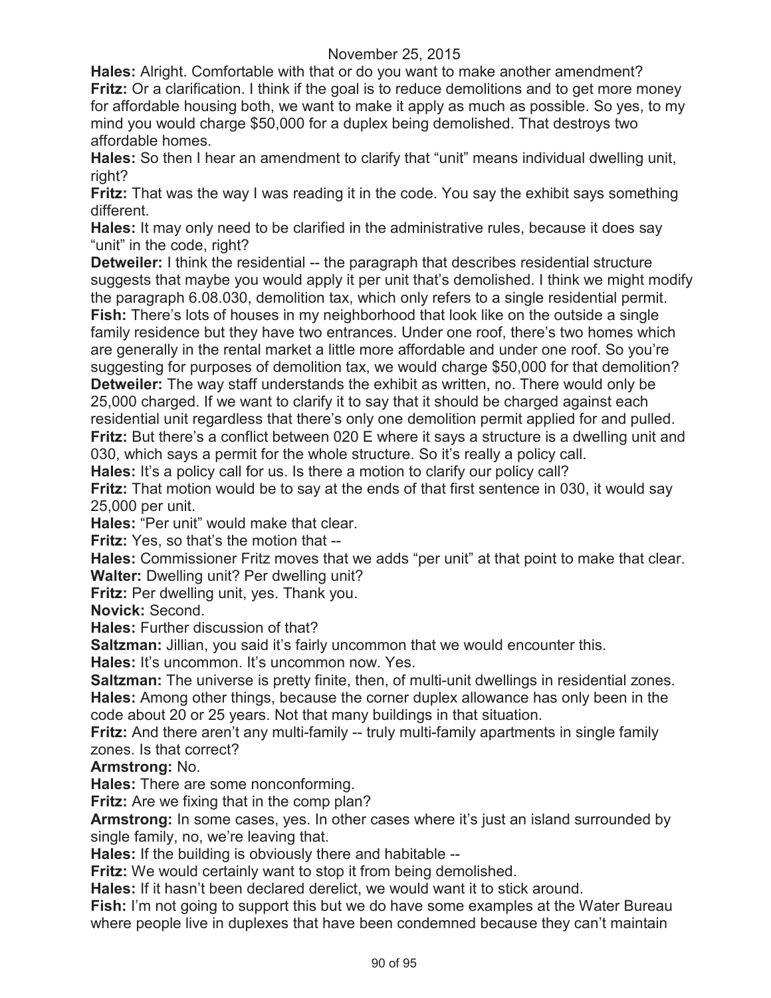**Hales:** Alright. Comfortable with that or do you want to make another amendment? **Fritz:** Or a clarification. I think if the goal is to reduce demolitions and to get more money for affordable housing both, we want to make it apply as much as possible. So yes, to my mind you would charge \$50,000 for a duplex being demolished. That destroys two affordable homes.

**Hales:** So then I hear an amendment to clarify that "unit" means individual dwelling unit, right?

**Fritz:** That was the way I was reading it in the code. You say the exhibit says something different.

**Hales:** It may only need to be clarified in the administrative rules, because it does say "unit" in the code, right?

**Detweiler:** I think the residential -- the paragraph that describes residential structure suggests that maybe you would apply it per unit that's demolished. I think we might modify the paragraph 6.08.030, demolition tax, which only refers to a single residential permit. Fish: There's lots of houses in my neighborhood that look like on the outside a single family residence but they have two entrances. Under one roof, there's two homes which are generally in the rental market a little more affordable and under one roof. So you're suggesting for purposes of demolition tax, we would charge \$50,000 for that demolition? **Detweiler:** The way staff understands the exhibit as written, no. There would only be 25,000 charged. If we want to clarify it to say that it should be charged against each

residential unit regardless that there's only one demolition permit applied for and pulled. **Fritz:** But there's a conflict between 020 E where it says a structure is a dwelling unit and 030, which says a permit for the whole structure. So it's really a policy call.

Hales: It's a policy call for us. Is there a motion to clarify our policy call?

**Fritz:** That motion would be to say at the ends of that first sentence in 030, it would say 25,000 per unit.

**Hales:** "Per unit" would make that clear.

**Fritz:** Yes, so that's the motion that --

**Hales:** Commissioner Fritz moves that we adds "per unit" at that point to make that clear. **Walter:** Dwelling unit? Per dwelling unit?

**Fritz:** Per dwelling unit, yes. Thank you.

**Novick:** Second.

**Hales:** Further discussion of that?

**Saltzman:** Jillian, you said it's fairly uncommon that we would encounter this.

**Hales:** It's uncommon. It's uncommon now. Yes.

**Saltzman:** The universe is pretty finite, then, of multi-unit dwellings in residential zones. **Hales:** Among other things, because the corner duplex allowance has only been in the code about 20 or 25 years. Not that many buildings in that situation.

**Fritz:** And there aren't any multi-family -- truly multi-family apartments in single family zones. Is that correct?

**Armstrong:** No.

**Hales:** There are some nonconforming.

**Fritz:** Are we fixing that in the comp plan?

**Armstrong:** In some cases, yes. In other cases where it's just an island surrounded by single family, no, we're leaving that.

**Hales:** If the building is obviously there and habitable --

**Fritz:** We would certainly want to stop it from being demolished.

**Hales:** If it hasn't been declared derelict, we would want it to stick around.

**Fish:** I'm not going to support this but we do have some examples at the Water Bureau where people live in duplexes that have been condemned because they can't maintain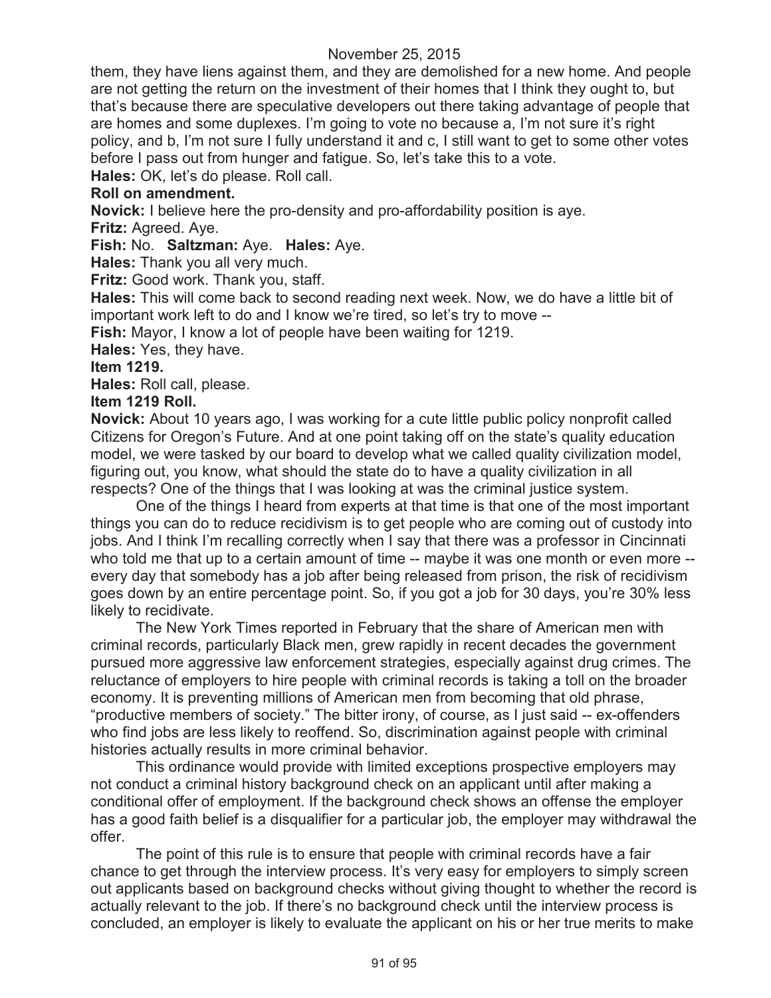them, they have liens against them, and they are demolished for a new home. And people are not getting the return on the investment of their homes that I think they ought to, but that's because there are speculative developers out there taking advantage of people that are homes and some duplexes. I'm going to vote no because a, I'm not sure it's right policy, and b, I'm not sure I fully understand it and c, I still want to get to some other votes before I pass out from hunger and fatigue. So, let's take this to a vote.

**Hales:** OK, let's do please. Roll call.

## **Roll on amendment.**

**Novick:** I believe here the pro-density and pro-affordability position is aye.

**Fritz:** Agreed. Aye.

**Fish:** No. **Saltzman:** Aye. **Hales:** Aye.

**Hales:** Thank you all very much.

**Fritz: Good work. Thank you, staff.** 

**Hales:** This will come back to second reading next week. Now, we do have a little bit of important work left to do and I know we're tired, so let's try to move --

**Fish:** Mayor, I know a lot of people have been waiting for 1219.

**Hales:** Yes, they have.

## **Item 1219.**

**Hales:** Roll call, please.

#### **Item 1219 Roll.**

**Novick:** About 10 years ago, I was working for a cute little public policy nonprofit called Citizens for Oregon's Future. And at one point taking off on the state's quality education model, we were tasked by our board to develop what we called quality civilization model, figuring out, you know, what should the state do to have a quality civilization in all respects? One of the things that I was looking at was the criminal justice system.

One of the things I heard from experts at that time is that one of the most important things you can do to reduce recidivism is to get people who are coming out of custody into jobs. And I think I'm recalling correctly when I say that there was a professor in Cincinnati who told me that up to a certain amount of time -- maybe it was one month or even more -every day that somebody has a job after being released from prison, the risk of recidivism goes down by an entire percentage point. So, if you got a job for 30 days, you're 30% less likely to recidivate.

The New York Times reported in February that the share of American men with criminal records, particularly Black men, grew rapidly in recent decades the government pursued more aggressive law enforcement strategies, especially against drug crimes. The reluctance of employers to hire people with criminal records is taking a toll on the broader economy. It is preventing millions of American men from becoming that old phrase, "productive members of society." The bitter irony, of course, as I just said -- ex-offenders who find jobs are less likely to reoffend. So, discrimination against people with criminal histories actually results in more criminal behavior.

This ordinance would provide with limited exceptions prospective employers may not conduct a criminal history background check on an applicant until after making a conditional offer of employment. If the background check shows an offense the employer has a good faith belief is a disqualifier for a particular job, the employer may withdrawal the offer.

The point of this rule is to ensure that people with criminal records have a fair chance to get through the interview process. It's very easy for employers to simply screen out applicants based on background checks without giving thought to whether the record is actually relevant to the job. If there's no background check until the interview process is concluded, an employer is likely to evaluate the applicant on his or her true merits to make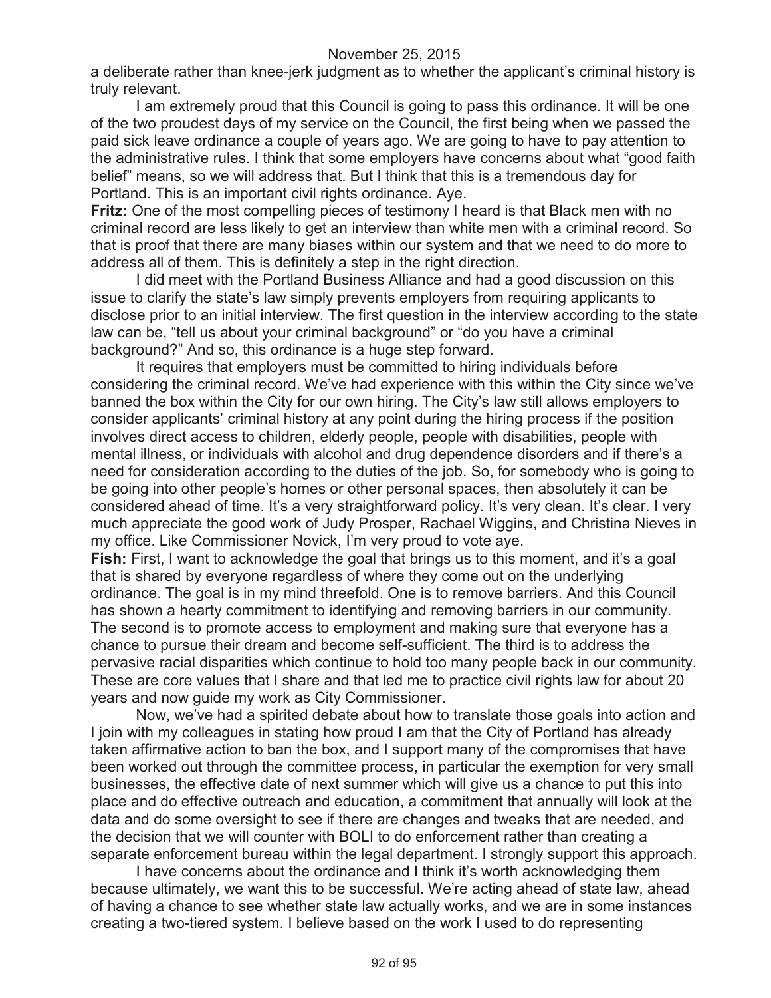a deliberate rather than knee-jerk judgment as to whether the applicant's criminal history is truly relevant.

I am extremely proud that this Council is going to pass this ordinance. It will be one of the two proudest days of my service on the Council, the first being when we passed the paid sick leave ordinance a couple of years ago. We are going to have to pay attention to the administrative rules. I think that some employers have concerns about what "good faith belief" means, so we will address that. But I think that this is a tremendous day for Portland. This is an important civil rights ordinance. Aye.

**Fritz:** One of the most compelling pieces of testimony I heard is that Black men with no criminal record are less likely to get an interview than white men with a criminal record. So that is proof that there are many biases within our system and that we need to do more to address all of them. This is definitely a step in the right direction.

I did meet with the Portland Business Alliance and had a good discussion on this issue to clarify the state's law simply prevents employers from requiring applicants to disclose prior to an initial interview. The first question in the interview according to the state law can be, "tell us about your criminal background" or "do you have a criminal background?" And so, this ordinance is a huge step forward.

It requires that employers must be committed to hiring individuals before considering the criminal record. We've had experience with this within the City since we've banned the box within the City for our own hiring. The City's law still allows employers to consider applicants' criminal history at any point during the hiring process if the position involves direct access to children, elderly people, people with disabilities, people with mental illness, or individuals with alcohol and drug dependence disorders and if there's a need for consideration according to the duties of the job. So, for somebody who is going to be going into other people's homes or other personal spaces, then absolutely it can be considered ahead of time. It's a very straightforward policy. It's very clean. It's clear. I very much appreciate the good work of Judy Prosper, Rachael Wiggins, and Christina Nieves in my office. Like Commissioner Novick, I'm very proud to vote aye.

**Fish:** First, I want to acknowledge the goal that brings us to this moment, and it's a goal that is shared by everyone regardless of where they come out on the underlying ordinance. The goal is in my mind threefold. One is to remove barriers. And this Council has shown a hearty commitment to identifying and removing barriers in our community. The second is to promote access to employment and making sure that everyone has a chance to pursue their dream and become self-sufficient. The third is to address the pervasive racial disparities which continue to hold too many people back in our community. These are core values that I share and that led me to practice civil rights law for about 20 years and now guide my work as City Commissioner.

Now, we've had a spirited debate about how to translate those goals into action and I join with my colleagues in stating how proud I am that the City of Portland has already taken affirmative action to ban the box, and I support many of the compromises that have been worked out through the committee process, in particular the exemption for very small businesses, the effective date of next summer which will give us a chance to put this into place and do effective outreach and education, a commitment that annually will look at the data and do some oversight to see if there are changes and tweaks that are needed, and the decision that we will counter with BOLI to do enforcement rather than creating a separate enforcement bureau within the legal department. I strongly support this approach.

I have concerns about the ordinance and I think it's worth acknowledging them because ultimately, we want this to be successful. We're acting ahead of state law, ahead of having a chance to see whether state law actually works, and we are in some instances creating a two-tiered system. I believe based on the work I used to do representing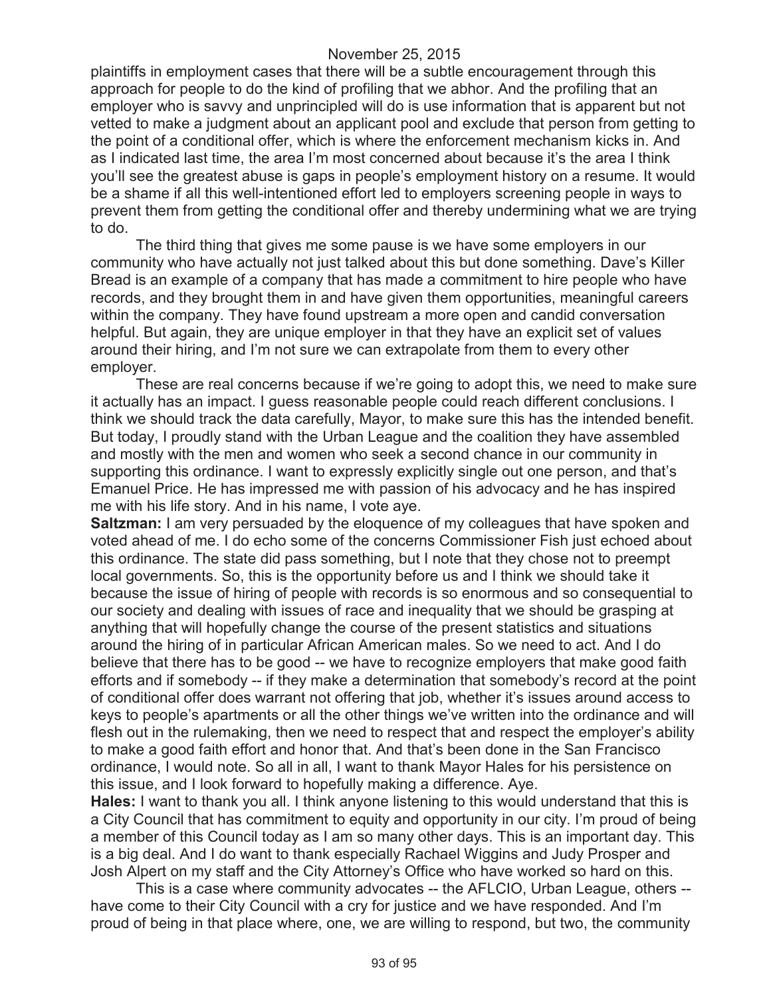plaintiffs in employment cases that there will be a subtle encouragement through this approach for people to do the kind of profiling that we abhor. And the profiling that an employer who is savvy and unprincipled will do is use information that is apparent but not vetted to make a judgment about an applicant pool and exclude that person from getting to the point of a conditional offer, which is where the enforcement mechanism kicks in. And as I indicated last time, the area I'm most concerned about because it's the area I think you'll see the greatest abuse is gaps in people's employment history on a resume. It would be a shame if all this well-intentioned effort led to employers screening people in ways to prevent them from getting the conditional offer and thereby undermining what we are trying to do.

The third thing that gives me some pause is we have some employers in our community who have actually not just talked about this but done something. Dave's Killer Bread is an example of a company that has made a commitment to hire people who have records, and they brought them in and have given them opportunities, meaningful careers within the company. They have found upstream a more open and candid conversation helpful. But again, they are unique employer in that they have an explicit set of values around their hiring, and I'm not sure we can extrapolate from them to every other employer.

These are real concerns because if we're going to adopt this, we need to make sure it actually has an impact. I guess reasonable people could reach different conclusions. I think we should track the data carefully, Mayor, to make sure this has the intended benefit. But today, I proudly stand with the Urban League and the coalition they have assembled and mostly with the men and women who seek a second chance in our community in supporting this ordinance. I want to expressly explicitly single out one person, and that's Emanuel Price. He has impressed me with passion of his advocacy and he has inspired me with his life story. And in his name, I vote aye.

**Saltzman:** I am very persuaded by the eloquence of my colleagues that have spoken and voted ahead of me. I do echo some of the concerns Commissioner Fish just echoed about this ordinance. The state did pass something, but I note that they chose not to preempt local governments. So, this is the opportunity before us and I think we should take it because the issue of hiring of people with records is so enormous and so consequential to our society and dealing with issues of race and inequality that we should be grasping at anything that will hopefully change the course of the present statistics and situations around the hiring of in particular African American males. So we need to act. And I do believe that there has to be good -- we have to recognize employers that make good faith efforts and if somebody -- if they make a determination that somebody's record at the point of conditional offer does warrant not offering that job, whether it's issues around access to keys to people's apartments or all the other things we've written into the ordinance and will flesh out in the rulemaking, then we need to respect that and respect the employer's ability to make a good faith effort and honor that. And that's been done in the San Francisco ordinance, I would note. So all in all, I want to thank Mayor Hales for his persistence on this issue, and I look forward to hopefully making a difference. Aye.

**Hales:** I want to thank you all. I think anyone listening to this would understand that this is a City Council that has commitment to equity and opportunity in our city. I'm proud of being a member of this Council today as I am so many other days. This is an important day. This is a big deal. And I do want to thank especially Rachael Wiggins and Judy Prosper and Josh Alpert on my staff and the City Attorney's Office who have worked so hard on this.

This is a case where community advocates -- the AFLCIO, Urban League, others - have come to their City Council with a cry for justice and we have responded. And I'm proud of being in that place where, one, we are willing to respond, but two, the community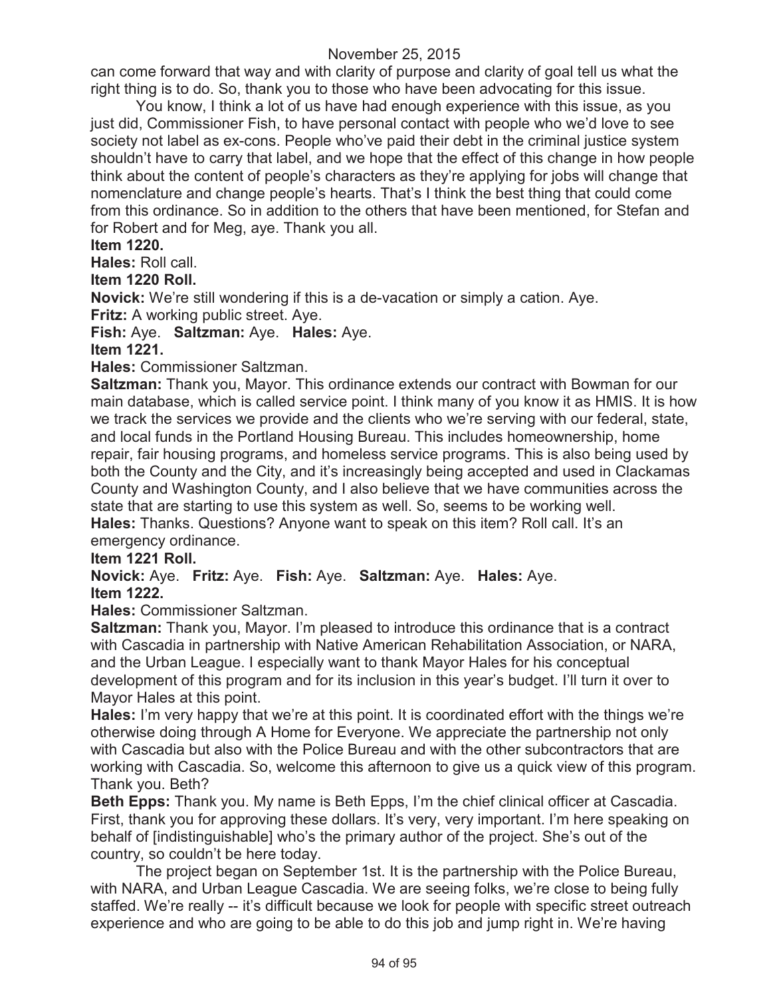can come forward that way and with clarity of purpose and clarity of goal tell us what the right thing is to do. So, thank you to those who have been advocating for this issue.

You know, I think a lot of us have had enough experience with this issue, as you just did, Commissioner Fish, to have personal contact with people who we'd love to see society not label as ex-cons. People who've paid their debt in the criminal justice system shouldn't have to carry that label, and we hope that the effect of this change in how people think about the content of people's characters as they're applying for jobs will change that nomenclature and change people's hearts. That's I think the best thing that could come from this ordinance. So in addition to the others that have been mentioned, for Stefan and for Robert and for Meg, aye. Thank you all.

### **Item 1220.**

**Hales:** Roll call.

#### **Item 1220 Roll.**

**Novick:** We're still wondering if this is a de-vacation or simply a cation. Aye. **Fritz:** A working public street. Aye.

**Fish:** Aye. **Saltzman:** Aye. **Hales:** Aye.

## **Item 1221.**

**Hales:** Commissioner Saltzman.

**Saltzman:** Thank you, Mayor. This ordinance extends our contract with Bowman for our main database, which is called service point. I think many of you know it as HMIS. It is how we track the services we provide and the clients who we're serving with our federal, state, and local funds in the Portland Housing Bureau. This includes homeownership, home repair, fair housing programs, and homeless service programs. This is also being used by both the County and the City, and it's increasingly being accepted and used in Clackamas County and Washington County, and I also believe that we have communities across the state that are starting to use this system as well. So, seems to be working well. **Hales:** Thanks. Questions? Anyone want to speak on this item? Roll call. It's an emergency ordinance.

## **Item 1221 Roll.**

**Novick:** Aye. **Fritz:** Aye. **Fish:** Aye. **Saltzman:** Aye. **Hales:** Aye. **Item 1222.**

**Hales:** Commissioner Saltzman.

**Saltzman:** Thank you, Mayor. I'm pleased to introduce this ordinance that is a contract with Cascadia in partnership with Native American Rehabilitation Association, or NARA, and the Urban League. I especially want to thank Mayor Hales for his conceptual development of this program and for its inclusion in this year's budget. I'll turn it over to Mayor Hales at this point.

**Hales:** I'm very happy that we're at this point. It is coordinated effort with the things we're otherwise doing through A Home for Everyone. We appreciate the partnership not only with Cascadia but also with the Police Bureau and with the other subcontractors that are working with Cascadia. So, welcome this afternoon to give us a quick view of this program. Thank you. Beth?

**Beth Epps:** Thank you. My name is Beth Epps, I'm the chief clinical officer at Cascadia. First, thank you for approving these dollars. It's very, very important. I'm here speaking on behalf of [indistinguishable] who's the primary author of the project. She's out of the country, so couldn't be here today.

The project began on September 1st. It is the partnership with the Police Bureau, with NARA, and Urban League Cascadia. We are seeing folks, we're close to being fully staffed. We're really -- it's difficult because we look for people with specific street outreach experience and who are going to be able to do this job and jump right in. We're having